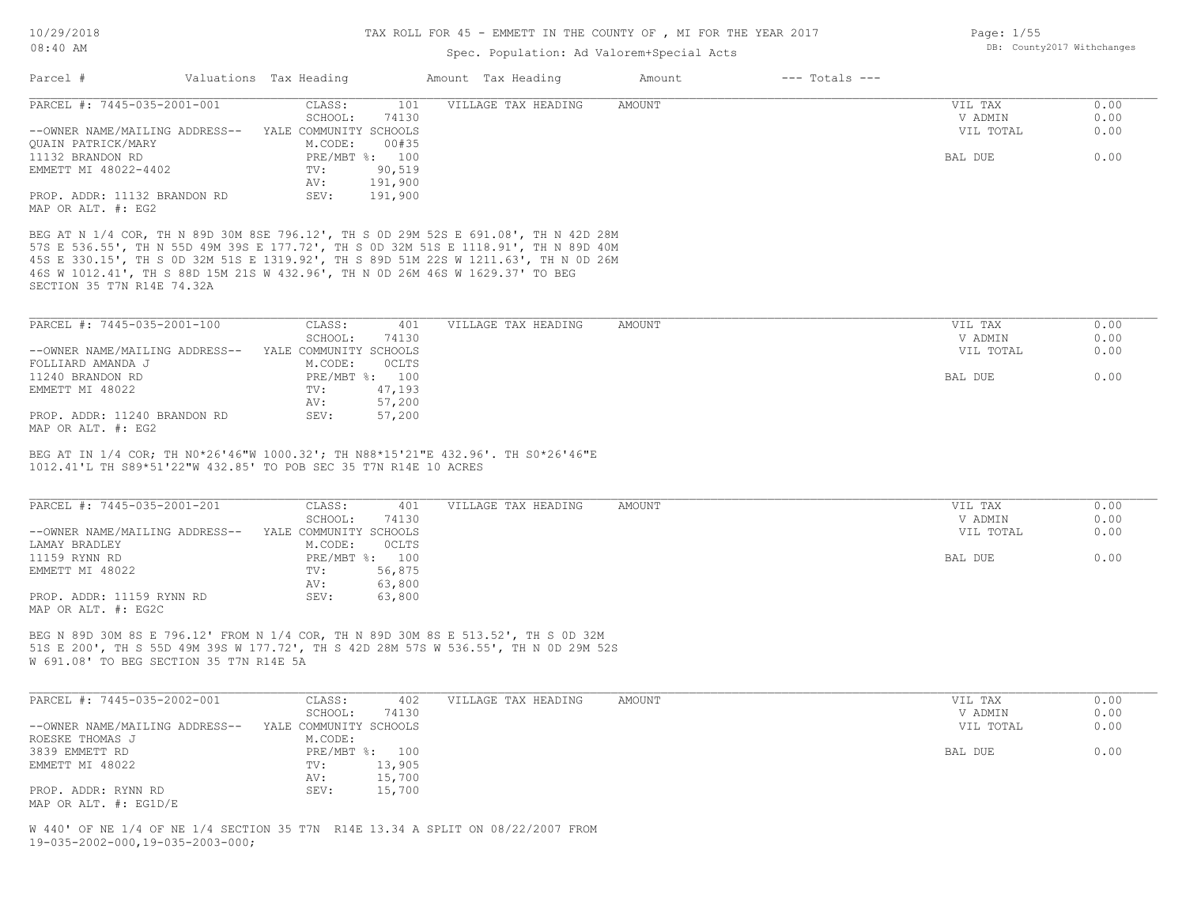#### Spec. Population: Ad Valorem+Special Acts

| Page: $1/55$ |                            |
|--------------|----------------------------|
|              | DB: County2017 Withchanges |

| Parcel #                       | Valuations Tax Heading |                | Amount Tax Heading  | Amount | $---$ Totals $---$ |           |      |
|--------------------------------|------------------------|----------------|---------------------|--------|--------------------|-----------|------|
| PARCEL #: 7445-035-2001-001    | CLASS:                 | 101            | VILLAGE TAX HEADING | AMOUNT |                    | VIL TAX   | 0.00 |
|                                | SCHOOL:                | 74130          |                     |        |                    | V ADMIN   | 0.00 |
| --OWNER NAME/MAILING ADDRESS-- | YALE COMMUNITY SCHOOLS |                |                     |        |                    | VIL TOTAL | 0.00 |
| OUAIN PATRICK/MARY             | M.CODE:                | 00#35          |                     |        |                    |           |      |
| 11132 BRANDON RD               |                        | PRE/MBT %: 100 |                     |        |                    | BAL DUE   | 0.00 |
| EMMETT MI 48022-4402           | TV:                    | 90,519         |                     |        |                    |           |      |
|                                | AV:                    | 191,900        |                     |        |                    |           |      |
| PROP. ADDR: 11132 BRANDON RD   | SEV:                   | 191,900        |                     |        |                    |           |      |
| MAP OR ALT. #: EG2             |                        |                |                     |        |                    |           |      |

SECTION 35 T7N R14E 74.32A 46S W 1012.41', TH S 88D 15M 21S W 432.96', TH N 0D 26M 46S W 1629.37' TO BEG 45S E 330.15', TH S 0D 32M 51S E 1319.92', TH S 89D 51M 22S W 1211.63', TH N 0D 26M 57S E 536.55', TH N 55D 49M 39S E 177.72', TH S 0D 32M 51S E 1118.91', TH N 89D 40M

| PARCEL #: 7445-035-2001-100    | CLASS:                 | 401            | VILLAGE TAX HEADING | AMOUNT | VIL TAX   | 0.00 |
|--------------------------------|------------------------|----------------|---------------------|--------|-----------|------|
|                                | SCHOOL:                | 74130          |                     |        | V ADMIN   | 0.00 |
| --OWNER NAME/MAILING ADDRESS-- | YALE COMMUNITY SCHOOLS |                |                     |        | VIL TOTAL | 0.00 |
| FOLLIARD AMANDA J              | M.CODE:                | <b>OCLTS</b>   |                     |        |           |      |
| 11240 BRANDON RD               |                        | PRE/MBT %: 100 |                     |        | BAL DUE   | 0.00 |
| EMMETT MI 48022                | TV:                    | 47,193         |                     |        |           |      |
|                                | AV:                    | 57,200         |                     |        |           |      |
| PROP. ADDR: 11240 BRANDON RD   | SEV:                   | 57,200         |                     |        |           |      |
| $\frac{1}{2}$                  |                        |                |                     |        |           |      |

MAP OR ALT. #: EG2

1012.41'L TH S89\*51'22"W 432.85' TO POB SEC 35 T7N R14E 10 ACRES BEG AT IN 1/4 COR; TH N0\*26'46"W 1000.32'; TH N88\*15'21"E 432.96'. TH S0\*26'46"E

| PARCEL #: 7445-035-2001-201    | CLASS:                 | 401            | VILLAGE TAX HEADING | AMOUNT | VIL TAX   | 0.00 |
|--------------------------------|------------------------|----------------|---------------------|--------|-----------|------|
|                                | SCHOOL:                | 74130          |                     |        | V ADMIN   | 0.00 |
| --OWNER NAME/MAILING ADDRESS-- | YALE COMMUNITY SCHOOLS |                |                     |        | VIL TOTAL | 0.00 |
| LAMAY BRADLEY                  | M.CODE:                | OCLTS          |                     |        |           |      |
| 11159 RYNN RD                  |                        | PRE/MBT %: 100 |                     |        | BAL DUE   | 0.00 |
| EMMETT MI 48022                | TV:                    | 56,875         |                     |        |           |      |
|                                | AV:                    | 63,800         |                     |        |           |      |
| PROP. ADDR: 11159 RYNN RD      | SEV:                   | 63,800         |                     |        |           |      |
| MAP OR ALT. #: EG2C            |                        |                |                     |        |           |      |

W 691.08' TO BEG SECTION 35 T7N R14E 5A 51S E 200', TH S 55D 49M 39S W 177.72', TH S 42D 28M 57S W 536.55', TH N 0D 29M 52S BEG N 89D 30M 8S E 796.12' FROM N 1/4 COR, TH N 89D 30M 8S E 513.52', TH S 0D 32M

| PARCEL #: 7445-035-2002-001    | CLASS:<br>402          | VILLAGE TAX HEADING | AMOUNT | VIL TAX   | 0.00 |
|--------------------------------|------------------------|---------------------|--------|-----------|------|
|                                | 74130<br>SCHOOL:       |                     |        | V ADMIN   | 0.00 |
| --OWNER NAME/MAILING ADDRESS-- | YALE COMMUNITY SCHOOLS |                     |        | VIL TOTAL | 0.00 |
| ROESKE THOMAS J                | M.CODE:                |                     |        |           |      |
| 3839 EMMETT RD                 | PRE/MBT %: 100         |                     |        | BAL DUE   | 0.00 |
| EMMETT MI 48022                | 13,905<br>TV:          |                     |        |           |      |
|                                | 15,700<br>AV:          |                     |        |           |      |
| PROP. ADDR: RYNN RD            | 15,700<br>SEV:         |                     |        |           |      |
| MAP OR ALT. #: EG1D/E          |                        |                     |        |           |      |

19-035-2002-000,19-035-2003-000; W 440' OF NE 1/4 OF NE 1/4 SECTION 35 T7N R14E 13.34 A SPLIT ON 08/22/2007 FROM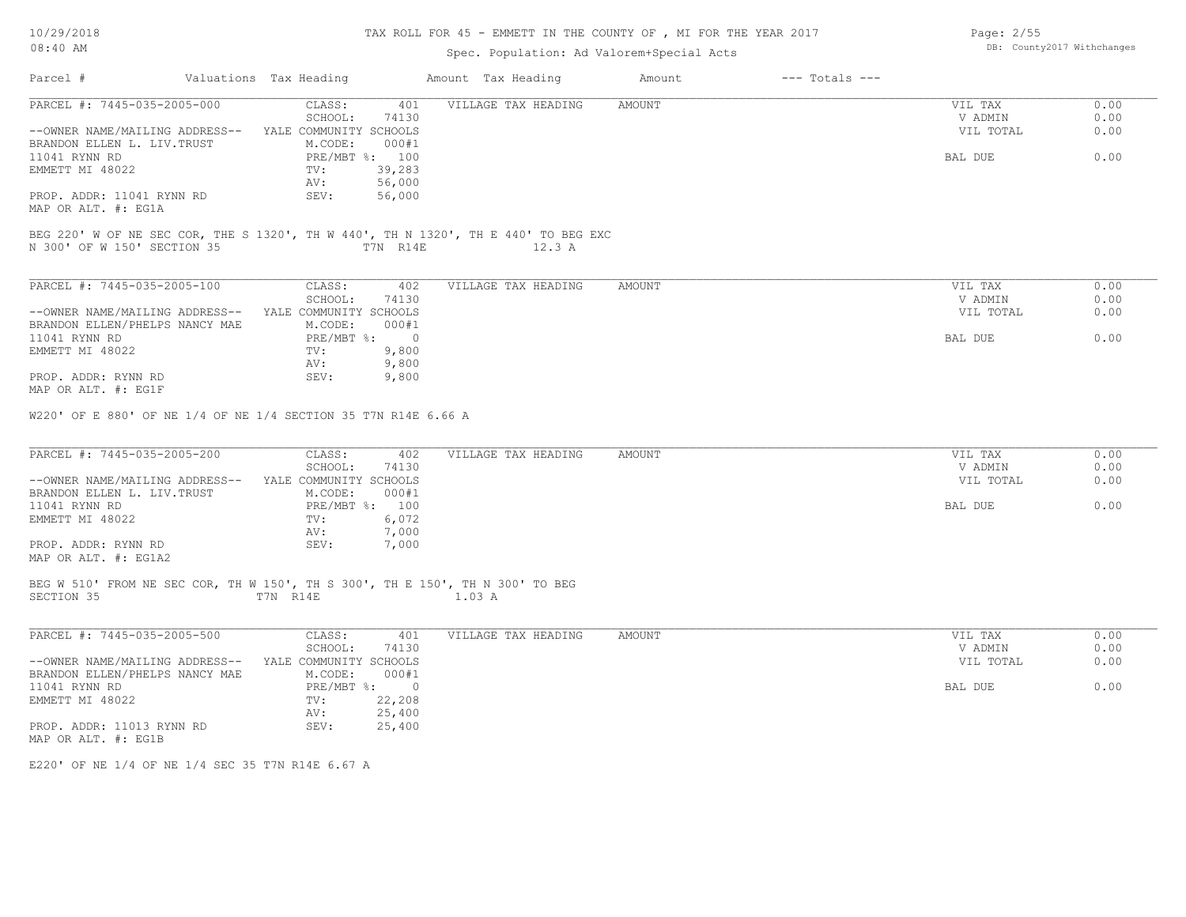## TAX ROLL FOR 45 - EMMETT IN THE COUNTY OF , MI FOR THE YEAR 2017

# Spec. Population: Ad Valorem+Special Acts

| Parcel #                                     | Valuations Tax Heading                                                                         | Amount Tax Heading         | Amount        | $---$ Totals $---$ |                    |              |
|----------------------------------------------|------------------------------------------------------------------------------------------------|----------------------------|---------------|--------------------|--------------------|--------------|
| PARCEL #: 7445-035-2005-000                  | CLASS:<br>SCHOOL:<br>74130                                                                     | VILLAGE TAX HEADING<br>401 | <b>AMOUNT</b> |                    | VIL TAX<br>V ADMIN | 0.00<br>0.00 |
| --OWNER NAME/MAILING ADDRESS--               | YALE COMMUNITY SCHOOLS                                                                         |                            |               |                    | VIL TOTAL          | 0.00         |
| BRANDON ELLEN L. LIV. TRUST<br>11041 RYNN RD | M.CODE:<br>000#1<br>PRE/MBT %: 100                                                             |                            |               |                    | BAL DUE            | 0.00         |
| EMMETT MI 48022                              | $\texttt{TV}$ :<br>39,283                                                                      |                            |               |                    |                    |              |
|                                              | AV:<br>56,000                                                                                  |                            |               |                    |                    |              |
| PROP. ADDR: 11041 RYNN RD                    | SEV:<br>56,000                                                                                 |                            |               |                    |                    |              |
| MAP OR ALT. #: EG1A                          |                                                                                                |                            |               |                    |                    |              |
| N 300' OF W 150' SECTION 35                  | BEG 220' W OF NE SEC COR, THE S 1320', TH W 440', TH N 1320', TH E 440' TO BEG EXC<br>T7N R14E | 12.3 A                     |               |                    |                    |              |
| PARCEL #: 7445-035-2005-100                  | CLASS:                                                                                         | 402<br>VILLAGE TAX HEADING | AMOUNT        |                    | VIL TAX            | 0.00         |
|                                              | SCHOOL:<br>74130                                                                               |                            |               |                    | V ADMIN            | 0.00         |
|                                              | --OWNER NAME/MAILING ADDRESS-- YALE COMMUNITY SCHOOLS                                          |                            |               |                    | VIL TOTAL          | 0.00         |
| BRANDON ELLEN/PHELPS NANCY MAE               | M.CODE:<br>000#1                                                                               |                            |               |                    |                    |              |
| 11041 RYNN RD                                | PRE/MBT %: 0                                                                                   |                            |               |                    | BAL DUE            | 0.00         |
| EMMETT MI 48022                              | 9,800<br>$\texttt{TV}$ :                                                                       |                            |               |                    |                    |              |
| PROP. ADDR: RYNN RD                          | 9,800<br>AV:<br>SEV:<br>9,800                                                                  |                            |               |                    |                    |              |
| MAP OR ALT. #: EG1F                          |                                                                                                |                            |               |                    |                    |              |
| PARCEL #: 7445-035-2005-200                  | CLASS:<br>SCHOOL:<br>74130                                                                     | VILLAGE TAX HEADING<br>402 | <b>AMOUNT</b> |                    | VIL TAX<br>V ADMIN | 0.00<br>0.00 |
|                                              | --OWNER NAME/MAILING ADDRESS-- YALE COMMUNITY SCHOOLS                                          |                            |               |                    | VIL TOTAL          | 0.00         |
| BRANDON ELLEN L. LIV. TRUST                  | M.CODE:<br>000#1                                                                               |                            |               |                    |                    |              |
| 11041 RYNN RD<br>EMMETT MI 48022             | PRE/MBT %: 100<br>6,072<br>TV:                                                                 |                            |               |                    | BAL DUE            | 0.00         |
|                                              | 7,000<br>AV:                                                                                   |                            |               |                    |                    |              |
| PROP. ADDR: RYNN RD                          | SEV:<br>7,000                                                                                  |                            |               |                    |                    |              |
| MAP OR ALT. #: EG1A2                         |                                                                                                |                            |               |                    |                    |              |
|                                              | BEG W 510' FROM NE SEC COR, TH W 150', TH S 300', TH E 150', TH N 300' TO BEG                  |                            |               |                    |                    |              |
| SECTION 35                                   | T7N R14E                                                                                       | 1.03 A                     |               |                    |                    |              |
| PARCEL #: 7445-035-2005-500                  | CLASS:                                                                                         | VILLAGE TAX HEADING<br>401 | <b>AMOUNT</b> |                    | VIL TAX            | 0.00         |
|                                              | SCHOOL:<br>74130                                                                               |                            |               |                    | V ADMIN            | 0.00         |
|                                              | --OWNER NAME/MAILING ADDRESS-- YALE COMMUNITY SCHOOLS                                          |                            |               |                    | VIL TOTAL          | 0.00         |
| BRANDON ELLEN/PHELPS NANCY MAE               | M.CODE:<br>000#1                                                                               |                            |               |                    |                    |              |
| 11041 RYNN RD                                | $PRE/MBT$ $\div$ 0                                                                             |                            |               |                    | BAL DUE            | 0.00         |
| EMMETT MI 48022                              | 22,208<br>TV:<br>25,400<br>AV:                                                                 |                            |               |                    |                    |              |
| PROP. ADDR: 11013 RYNN RD                    | SEV:<br>25,400                                                                                 |                            |               |                    |                    |              |
| $MAD$ $OD$ $ATT$ $+$ $+$ $TC1D$              |                                                                                                |                            |               |                    |                    |              |

E220' OF NE 1/4 OF NE 1/4 SEC 35 T7N R14E 6.67 A

Page: 2/55 DB: County2017 Withchanges

MAP OR ALT. #: EG1B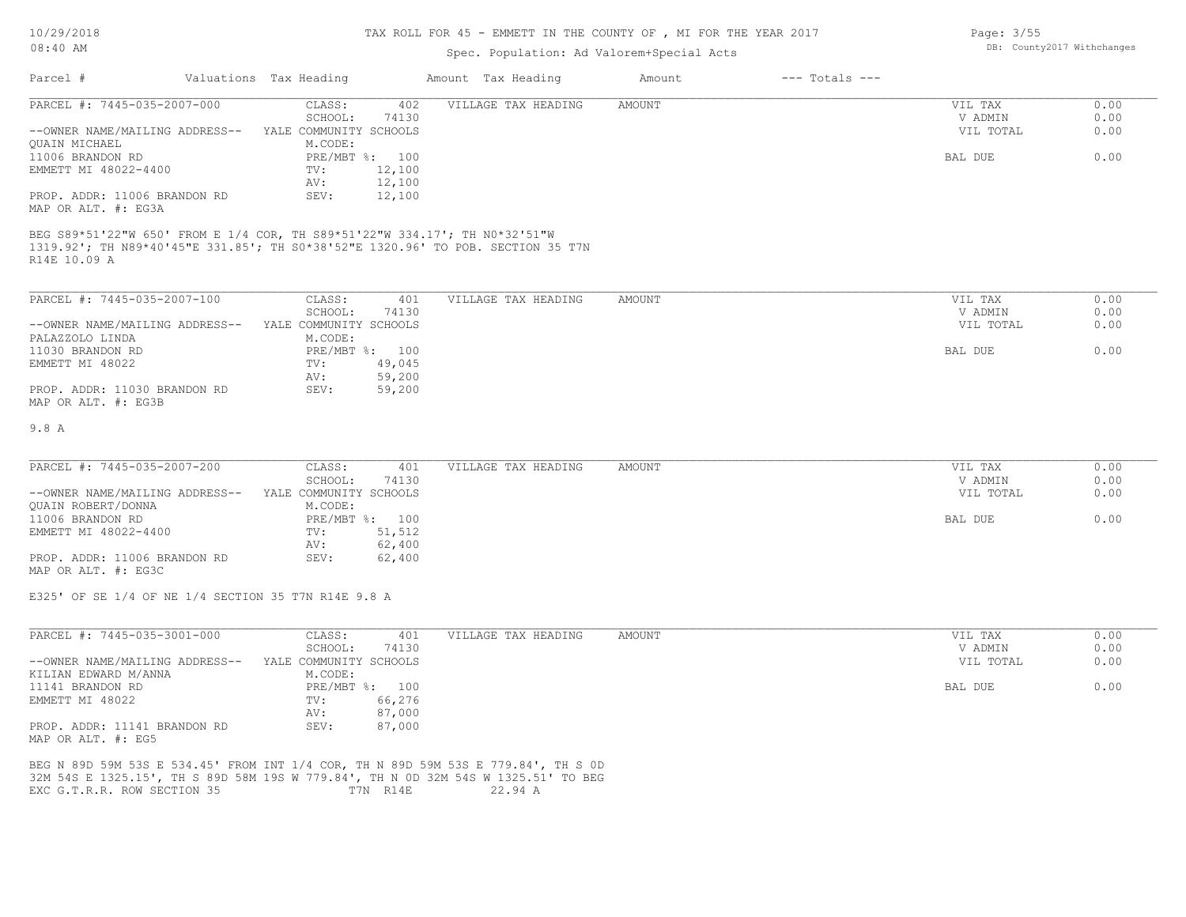## TAX ROLL FOR 45 - EMMETT IN THE COUNTY OF , MI FOR THE YEAR 2017

## Spec. Population: Ad Valorem+Special Acts

| Parcel #                                                                        | Valuations Tax Heading |        | Amount Tax Heading  | Amount | $---$ Totals $---$ |           |      |
|---------------------------------------------------------------------------------|------------------------|--------|---------------------|--------|--------------------|-----------|------|
| PARCEL #: 7445-035-2007-000                                                     | CLASS:                 | 402    | VILLAGE TAX HEADING | AMOUNT |                    | VIL TAX   | 0.00 |
|                                                                                 | SCHOOL:                | 74130  |                     |        |                    | V ADMIN   | 0.00 |
| --OWNER NAME/MAILING ADDRESS--                                                  | YALE COMMUNITY SCHOOLS |        |                     |        |                    | VIL TOTAL | 0.00 |
| OUAIN MICHAEL                                                                   | M.CODE:                |        |                     |        |                    |           |      |
| 11006 BRANDON RD                                                                | PRE/MBT %: 100         |        |                     |        |                    | BAL DUE   | 0.00 |
| EMMETT MI 48022-4400                                                            | TV:                    | 12,100 |                     |        |                    |           |      |
|                                                                                 | AV:                    | 12,100 |                     |        |                    |           |      |
| PROP. ADDR: 11006 BRANDON RD                                                    | SEV:                   | 12,100 |                     |        |                    |           |      |
| MAP OR ALT. #: EG3A                                                             |                        |        |                     |        |                    |           |      |
| BEG S89*51'22"W 650' FROM E 1/4 COR, TH S89*51'22"W 334.17'; TH N0*32'51"W      |                        |        |                     |        |                    |           |      |
| 1319.92'; TH N89*40'45"E 331.85'; TH S0*38'52"E 1320.96' TO POB. SECTION 35 T7N |                        |        |                     |        |                    |           |      |
| R14E 10.09 A                                                                    |                        |        |                     |        |                    |           |      |
|                                                                                 |                        |        |                     |        |                    |           |      |
|                                                                                 |                        |        |                     |        |                    |           |      |
| PARCEL #: 7445-035-2007-100                                                     | CLASS:                 | 401    | VILLAGE TAX HEADING | AMOUNT |                    | VIL TAX   | 0.00 |
|                                                                                 | SCHOOL:                | 74130  |                     |        |                    | V ADMIN   | 0.00 |
| --OWNER NAME/MAILING ADDRESS--                                                  | YALE COMMUNITY SCHOOLS |        |                     |        |                    | VIL TOTAL | 0.00 |
| גרוגדו מומפפגזגם                                                                | M CODE.                |        |                     |        |                    |           |      |

| PALAZZOLO LINDA                                     | M.CODE: |                |  |         |      |
|-----------------------------------------------------|---------|----------------|--|---------|------|
| 11030 BRANDON RD                                    |         | PRE/MBT %: 100 |  | BAL DUE | 0.00 |
| EMMETT MI 48022                                     | TV:     | 49,045         |  |         |      |
|                                                     | AV:     | 59,200         |  |         |      |
| PROP. ADDR: 11030 BRANDON RD<br>MAP OR ALT. #: EG3B | SEV:    | 59,200         |  |         |      |

#### 9.8 A

| PARCEL #: 7445-035-2007-200    | CLASS:                 | 401            | VILLAGE TAX HEADING | AMOUNT | VIL TAX   | 0.00 |
|--------------------------------|------------------------|----------------|---------------------|--------|-----------|------|
|                                | SCHOOL:                | 74130          |                     |        | V ADMIN   | 0.00 |
| --OWNER NAME/MAILING ADDRESS-- | YALE COMMUNITY SCHOOLS |                |                     |        | VIL TOTAL | 0.00 |
| QUAIN ROBERT/DONNA             | M.CODE:                |                |                     |        |           |      |
| 11006 BRANDON RD               |                        | PRE/MBT %: 100 |                     |        | BAL DUE   | 0.00 |
| EMMETT MI 48022-4400           | TV:                    | 51,512         |                     |        |           |      |
|                                | AV:                    | 62,400         |                     |        |           |      |
| PROP. ADDR: 11006 BRANDON RD   | SEV:                   | 62,400         |                     |        |           |      |
|                                |                        |                |                     |        |           |      |

MAP OR ALT. #: EG3C

E325' OF SE 1/4 OF NE 1/4 SECTION 35 T7N R14E 9.8 A

| PARCEL #: 7445-035-3001-000                                                       | CLASS:                 | 401    | VILLAGE TAX HEADING | AMOUNT | VIL TAX   | 0.00 |
|-----------------------------------------------------------------------------------|------------------------|--------|---------------------|--------|-----------|------|
|                                                                                   | SCHOOL:                | 74130  |                     |        | V ADMIN   | 0.00 |
| --OWNER NAME/MAILING ADDRESS--                                                    | YALE COMMUNITY SCHOOLS |        |                     |        | VIL TOTAL | 0.00 |
| KILIAN EDWARD M/ANNA                                                              | M.CODE:                |        |                     |        |           |      |
| 11141 BRANDON RD                                                                  | PRE/MBT %: 100         |        |                     |        | BAL DUE   | 0.00 |
| EMMETT MI 48022                                                                   | TV:                    | 66,276 |                     |        |           |      |
|                                                                                   | AV:                    | 87,000 |                     |        |           |      |
| PROP. ADDR: 11141 BRANDON RD                                                      | SEV:                   | 87,000 |                     |        |           |      |
| MAP OR ALT. #: EG5                                                                |                        |        |                     |        |           |      |
| BEG N 89D 59M 53S E 534.45' FROM INT 1/4 COR, TH N 89D 59M 53S E 779.84', TH S OD |                        |        |                     |        |           |      |
| 32M 54S E 1325.15', TH S 89D 58M 19S W 779.84', TH N OD 32M 54S W 1325.51' TO BEG |                        |        |                     |        |           |      |

EXC G.T.R.R. ROW SECTION 35 T7N R14E 22.94 A

Page: 3/55 DB: County2017 Withchanges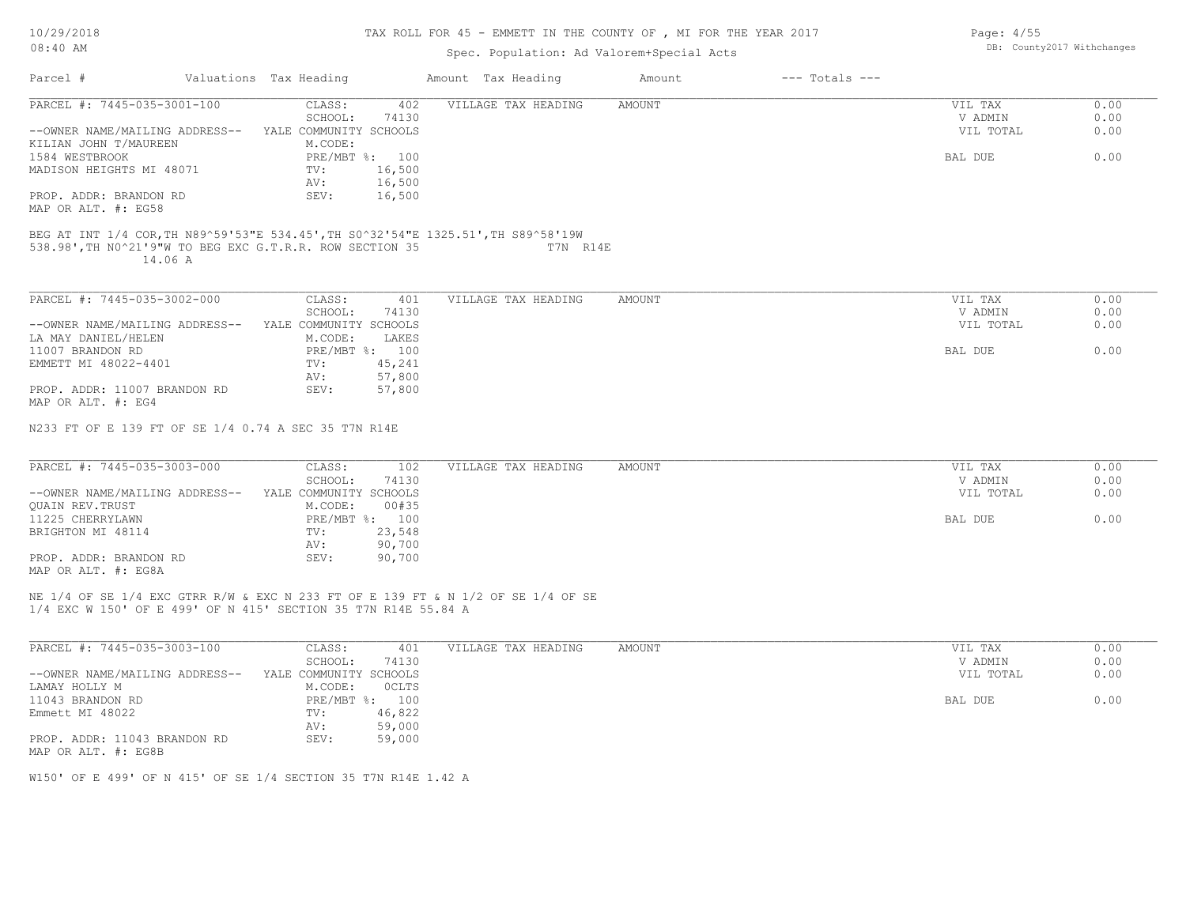#### TAX ROLL FOR 45 - EMMETT IN THE COUNTY OF , MI FOR THE YEAR 2017

Page: 4/55

# Spec. Population: Ad Valorem+Special Acts

| $08:40$ AM                                                                                                                                               |                                                  | Spec. Population: Ad Valorem+Special Acts |               |                    |                      | DB: County2017 Withchanges |
|----------------------------------------------------------------------------------------------------------------------------------------------------------|--------------------------------------------------|-------------------------------------------|---------------|--------------------|----------------------|----------------------------|
| Parcel #                                                                                                                                                 | Valuations Tax Heading                           | Amount Tax Heading                        | Amount        | $---$ Totals $---$ |                      |                            |
| PARCEL #: 7445-035-3001-100                                                                                                                              | CLASS:<br>402<br>74130<br>SCHOOL:                | VILLAGE TAX HEADING                       | <b>AMOUNT</b> |                    | VIL TAX<br>V ADMIN   | 0.00<br>0.00               |
| --OWNER NAME/MAILING ADDRESS-- YALE COMMUNITY SCHOOLS<br>KILIAN JOHN T/MAUREEN                                                                           | M.CODE:                                          |                                           |               |                    | VIL TOTAL            | 0.00                       |
| 1584 WESTBROOK<br>MADISON HEIGHTS MI 48071                                                                                                               | PRE/MBT %: 100<br>16,500<br>TV:                  |                                           |               |                    | BAL DUE              | 0.00                       |
| PROP. ADDR: BRANDON RD<br>MAP OR ALT. #: EG58                                                                                                            | 16,500<br>AV:<br>SEV:<br>16,500                  |                                           |               |                    |                      |                            |
| BEG AT INT 1/4 COR, TH N89^59'53"E 534.45', TH S0^32'54"E 1325.51', TH S89^58'19W<br>538.98', TH NO^21'9"W TO BEG EXC G.T.R.R. ROW SECTION 35<br>14.06 A |                                                  | T7N R14E                                  |               |                    |                      |                            |
| PARCEL #: 7445-035-3002-000                                                                                                                              | CLASS:<br>401<br>74130                           | VILLAGE TAX HEADING                       | <b>AMOUNT</b> |                    | VIL TAX              | 0.00                       |
| --OWNER NAME/MAILING ADDRESS-- YALE COMMUNITY SCHOOLS<br>LA MAY DANIEL/HELEN                                                                             | SCHOOL:<br>M.CODE:<br>LAKES                      |                                           |               |                    | V ADMIN<br>VIL TOTAL | 0.00<br>0.00               |
| 11007 BRANDON RD<br>EMMETT MI 48022-4401                                                                                                                 | PRE/MBT %: 100<br>45,241<br>TV:<br>57,800<br>AV: |                                           |               |                    | BAL DUE              | 0.00                       |
| PROP. ADDR: 11007 BRANDON RD<br>MAP OR ALT. #: EG4                                                                                                       | SEV:<br>57,800                                   |                                           |               |                    |                      |                            |
| N233 FT OF E 139 FT OF SE 1/4 0.74 A SEC 35 T7N R14E                                                                                                     |                                                  |                                           |               |                    |                      |                            |
| PARCEL #: 7445-035-3003-000                                                                                                                              | 102<br>CLASS:                                    | VILLAGE TAX HEADING                       | AMOUNT        |                    | VIL TAX              | 0.00                       |
| --OWNER NAME/MAILING ADDRESS-- YALE COMMUNITY SCHOOLS<br>QUAIN REV. TRUST                                                                                | SCHOOL:<br>74130<br>M.CODE:<br>00#35             |                                           |               |                    | V ADMIN<br>VIL TOTAL | 0.00<br>0.00               |
| 11225 CHERRYLAWN<br>BRIGHTON MI 48114                                                                                                                    | PRE/MBT %: 100<br>23,548<br>TV:<br>90,700<br>AV: |                                           |               |                    | BAL DUE              | 0.00                       |
| PROP. ADDR: BRANDON RD<br>MAP OR ALT. #: EG8A                                                                                                            | SEV:<br>90,700                                   |                                           |               |                    |                      |                            |
| NE 1/4 OF SE 1/4 EXC GTRR R/W & EXC N 233 FT OF E 139 FT & N 1/2 OF SE 1/4 OF SE<br>1/4 EXC W 150' OF E 499' OF N 415' SECTION 35 T7N R14E 55.84 A       |                                                  |                                           |               |                    |                      |                            |
| PARCEL #: 7445-035-3003-100                                                                                                                              | CLASS:<br>401<br>SCHOOL:<br>74130                | VILLAGE TAX HEADING                       | AMOUNT        |                    | VIL TAX<br>V ADMIN   | 0.00<br>0.00               |
| --OWNER NAME/MAILING ADDRESS-- YALE COMMUNITY SCHOOLS<br>LAMAY HOLLY M                                                                                   | M.CODE:<br>OCLTS                                 |                                           |               |                    | VIL TOTAL            | 0.00                       |
| 11043 BRANDON RD                                                                                                                                         | PRE/MBT %: 100                                   |                                           |               |                    | BAL DUE              | 0.00                       |

MAP OR ALT. #: EG8B PROP. ADDR: 11043 BRANDON RD SEV: 59,000 AV: 59,000

W150' OF E 499' OF N 415' OF SE 1/4 SECTION 35 T7N R14E 1.42 A

Emmett MI 48022 TV: 46,822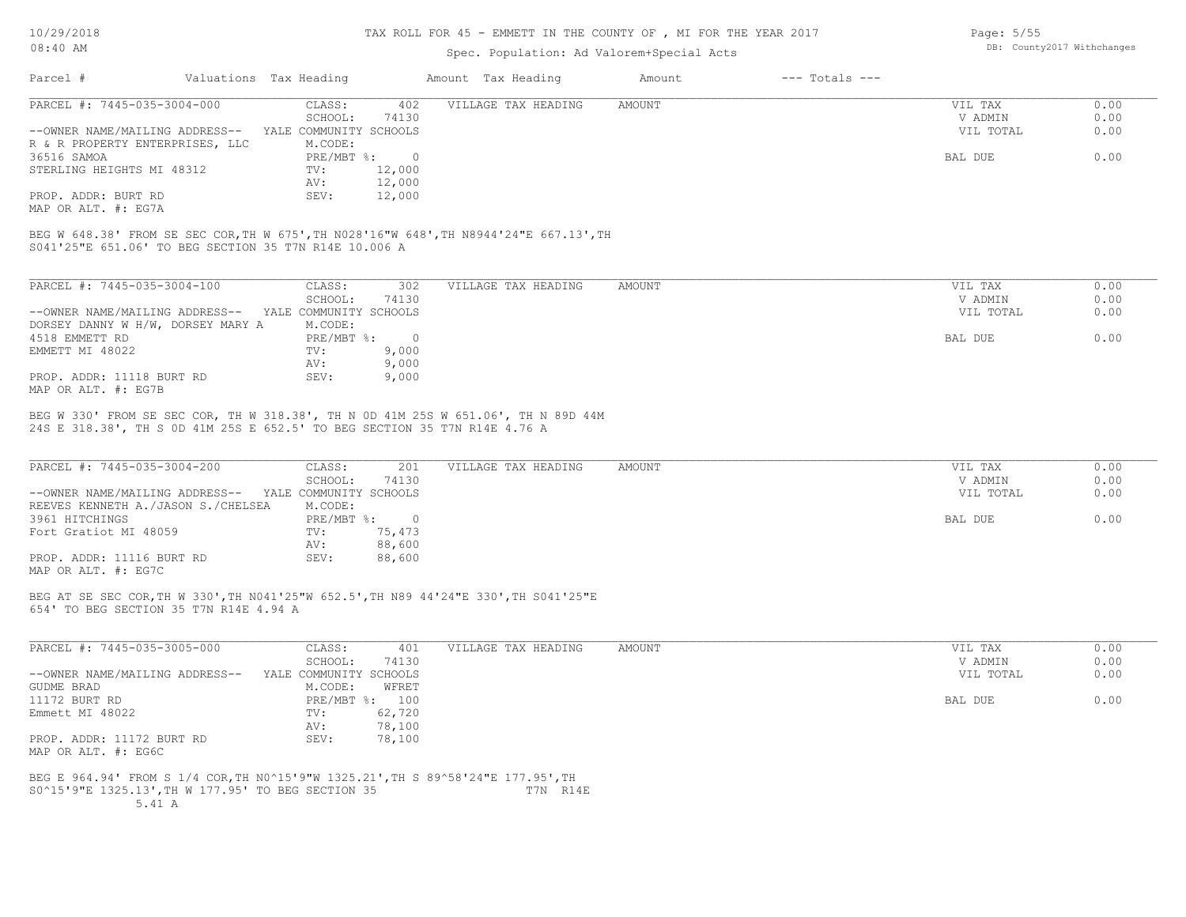## TAX ROLL FOR 45 - EMMETT IN THE COUNTY OF , MI FOR THE YEAR 2017

## Spec. Population: Ad Valorem+Special Acts

| Parcel #<br>Valuations Tax Heading<br>Amount Tax Heading                                                                                              | Amount        | $---$ Totals $---$ |              |
|-------------------------------------------------------------------------------------------------------------------------------------------------------|---------------|--------------------|--------------|
| PARCEL #: 7445-035-3004-000<br>CLASS:<br>402<br>VILLAGE TAX HEADING                                                                                   | AMOUNT        | VIL TAX            | 0.00         |
| SCHOOL:<br>74130                                                                                                                                      |               | V ADMIN            | 0.00         |
| --OWNER NAME/MAILING ADDRESS-- YALE COMMUNITY SCHOOLS                                                                                                 |               | VIL TOTAL          | 0.00         |
| R & R PROPERTY ENTERPRISES, LLC<br>M.CODE:                                                                                                            |               |                    |              |
| PRE/MBT %: 0<br>36516 SAMOA                                                                                                                           |               | BAL DUE            | 0.00         |
| STERLING HEIGHTS MI 48312<br>TV:<br>12,000                                                                                                            |               |                    |              |
| 12,000<br>AV:                                                                                                                                         |               |                    |              |
| 12,000<br>PROP. ADDR: BURT RD<br>SEV:                                                                                                                 |               |                    |              |
| MAP OR ALT. #: EG7A                                                                                                                                   |               |                    |              |
| BEG W 648.38' FROM SE SEC COR, TH W 675', TH N028'16"W 648', TH N8944'24"E 667.13', TH<br>S041'25"E 651.06' TO BEG SECTION 35 T7N R14E 10.006 A       |               |                    |              |
| PARCEL #: 7445-035-3004-100<br>VILLAGE TAX HEADING<br>CLASS:<br>302                                                                                   | AMOUNT        | VIL TAX            | 0.00         |
| SCHOOL:<br>74130                                                                                                                                      |               | V ADMIN            | 0.00         |
| --OWNER NAME/MAILING ADDRESS-- YALE COMMUNITY SCHOOLS                                                                                                 |               | VIL TOTAL          | 0.00         |
| DORSEY DANNY W H/W, DORSEY MARY A<br>M.CODE:                                                                                                          |               |                    |              |
| $PRE/MBT$ $\div$ 0<br>4518 EMMETT RD                                                                                                                  |               | BAL DUE            | 0.00         |
| EMMETT MI 48022<br>TV:<br>9,000                                                                                                                       |               |                    |              |
| 9,000<br>AV:                                                                                                                                          |               |                    |              |
| PROP. ADDR: 11118 BURT RD<br>SEV:<br>9,000<br>MAP OR ALT. #: EG7B                                                                                     |               |                    |              |
|                                                                                                                                                       |               |                    |              |
| BEG W 330' FROM SE SEC COR, TH W 318.38', TH N 0D 41M 25S W 651.06', TH N 89D 44M                                                                     |               |                    |              |
| PARCEL #: 7445-035-3004-200<br>CLASS:<br>201<br>VILLAGE TAX HEADING                                                                                   | <b>AMOUNT</b> | VIL TAX            | 0.00         |
| 24S E 318.38', TH S OD 41M 25S E 652.5' TO BEG SECTION 35 T7N R14E 4.76 A<br>SCHOOL:<br>74130                                                         |               | V ADMIN            | 0.00         |
| --OWNER NAME/MAILING ADDRESS-- YALE COMMUNITY SCHOOLS                                                                                                 |               | VIL TOTAL          | 0.00         |
| REEVES KENNETH A./JASON S./CHELSEA<br>M.CODE:                                                                                                         |               |                    |              |
| PRE/MBT %: 0<br>3961 HITCHINGS                                                                                                                        |               | BAL DUE            | 0.00         |
| Fort Gratiot MI 48059<br>75,473<br>TV:                                                                                                                |               |                    |              |
| AV:<br>88,600                                                                                                                                         |               |                    |              |
| PROP. ADDR: 11116 BURT RD<br>SEV:<br>88,600                                                                                                           |               |                    |              |
|                                                                                                                                                       |               |                    |              |
|                                                                                                                                                       |               |                    |              |
| MAP OR ALT. #: EG7C<br>BEG AT SE SEC COR, TH W 330', TH N041'25"W 652.5', TH N89 44'24"E 330', TH S041'25"E<br>654' TO BEG SECTION 35 T7N R14E 4.94 A |               |                    |              |
|                                                                                                                                                       |               |                    |              |
| PARCEL #: 7445-035-3005-000<br>CLASS:<br>401<br>VILLAGE TAX HEADING                                                                                   | AMOUNT        | VIL TAX<br>V ADMIN | 0.00         |
| SCHOOL:<br>74130<br>--OWNER NAME/MAILING ADDRESS-- YALE COMMUNITY SCHOOLS                                                                             |               | VIL TOTAL          | 0.00<br>0.00 |
| GUDME BRAD<br>M.CODE:<br>WFRET                                                                                                                        |               |                    |              |
| 11172 BURT RD<br>PRE/MBT %: 100                                                                                                                       |               | BAL DUE            | 0.00         |
| Emmett MI 48022<br>TV:<br>62,720                                                                                                                      |               |                    |              |
| 78,100<br>AV:                                                                                                                                         |               |                    |              |
| SEV:<br>PROP. ADDR: 11172 BURT RD<br>78,100                                                                                                           |               |                    |              |

S0^15'9"E 1325.13',TH W 177.95' TO BEG SECTION 35 T7N R14E BEG E 964.94' FROM S 1/4 COR,TH N0^15'9"W 1325.21',TH S 89^58'24"E 177.95',TH

Page: 5/55

DB: County2017 Withchanges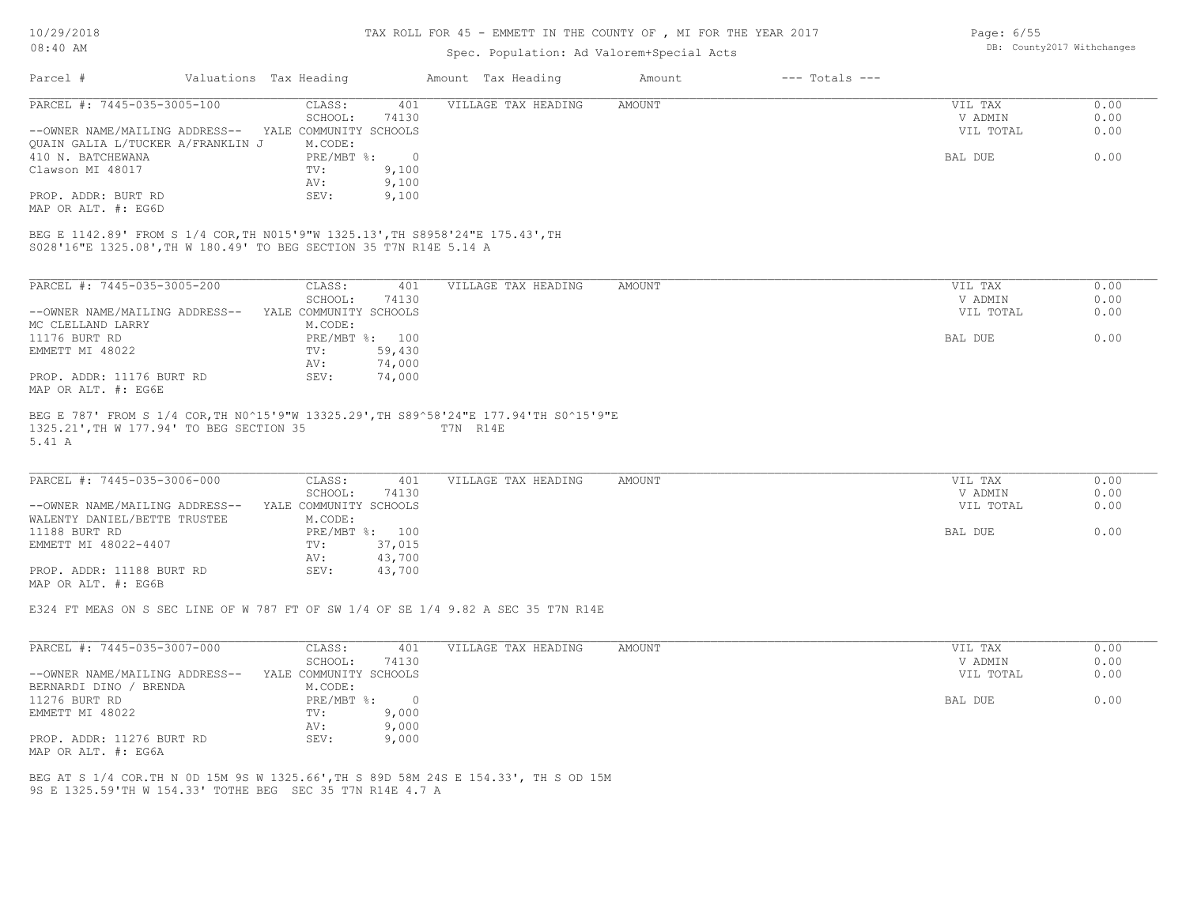#### TAX ROLL FOR 45 - EMMETT IN THE COUNTY OF , MI FOR THE YEAR 2017

# Spec. Population: Ad Valorem+Special Acts

| Parcel #                          | Valuations Tax Heading |       | Amount Tax Heading  | Amount | $---$ Totals $---$ |           |      |
|-----------------------------------|------------------------|-------|---------------------|--------|--------------------|-----------|------|
| PARCEL #: 7445-035-3005-100       | CLASS:                 | 401   | VILLAGE TAX HEADING | AMOUNT |                    | VIL TAX   | 0.00 |
|                                   | SCHOOL:                | 74130 |                     |        |                    | V ADMIN   | 0.00 |
| --OWNER NAME/MAILING ADDRESS--    | YALE COMMUNITY SCHOOLS |       |                     |        |                    | VIL TOTAL | 0.00 |
| QUAIN GALIA L/TUCKER A/FRANKLIN J | M.CODE:                |       |                     |        |                    |           |      |
| 410 N. BATCHEWANA                 | PRE/MBT %:             |       |                     |        |                    | BAL DUE   | 0.00 |
| Clawson MI 48017                  | TV:                    | 9,100 |                     |        |                    |           |      |
|                                   | AV:                    | 9,100 |                     |        |                    |           |      |
| PROP. ADDR: BURT RD               | SEV:                   | 9,100 |                     |        |                    |           |      |
| MAP OR ALT. #: EG6D               |                        |       |                     |        |                    |           |      |

S028'16"E 1325.08',TH W 180.49' TO BEG SECTION 35 T7N R14E 5.14 A

| PARCEL #: 7445-035-3005-200    | CLASS:                 | 401    | VILLAGE TAX HEADING | AMOUNT | VIL TAX   | 0.00 |
|--------------------------------|------------------------|--------|---------------------|--------|-----------|------|
|                                | SCHOOL:                | 74130  |                     |        | V ADMIN   | 0.00 |
| --OWNER NAME/MAILING ADDRESS-- | YALE COMMUNITY SCHOOLS |        |                     |        | VIL TOTAL | 0.00 |
| MC CLELLAND LARRY              | M.CODE:                |        |                     |        |           |      |
| 11176 BURT RD                  | $PRE/MBT$ %:           | 100    |                     |        | BAL DUE   | 0.00 |
| EMMETT MI 48022                | TV:                    | 59,430 |                     |        |           |      |
|                                | AV:                    | 74,000 |                     |        |           |      |
| PROP. ADDR: 11176 BURT RD      | SEV:                   | 74,000 |                     |        |           |      |
| MAP OR ALT. #: EG6E            |                        |        |                     |        |           |      |
|                                |                        |        |                     |        |           |      |

#### 5.41 A 1325.21',TH W 177.94' TO BEG SECTION 35 T7N R14E BEG E 787' FROM S 1/4 COR,TH N0^15'9"W 13325.29',TH S89^58'24"E 177.94'TH S0^15'9"E

| PARCEL #: 7445-035-3006-000    | CLASS:                 | 401            | VILLAGE TAX HEADING | AMOUNT | VIL TAX   | 0.00 |
|--------------------------------|------------------------|----------------|---------------------|--------|-----------|------|
|                                | SCHOOL:                | 74130          |                     |        | V ADMIN   | 0.00 |
| --OWNER NAME/MAILING ADDRESS-- | YALE COMMUNITY SCHOOLS |                |                     |        | VIL TOTAL | 0.00 |
| WALENTY DANIEL/BETTE TRUSTEE   | M.CODE:                |                |                     |        |           |      |
| 11188 BURT RD                  |                        | PRE/MBT %: 100 |                     |        | BAL DUE   | 0.00 |
| EMMETT MI 48022-4407           | TV:                    | 37,015         |                     |        |           |      |
|                                | AV:                    | 43,700         |                     |        |           |      |
| PROP. ADDR: 11188 BURT RD      | SEV:                   | 43,700         |                     |        |           |      |
| MAP OR ALT. #: EG6B            |                        |                |                     |        |           |      |

E324 FT MEAS ON S SEC LINE OF W 787 FT OF SW 1/4 OF SE 1/4 9.82 A SEC 35 T7N R14E

| PARCEL #: 7445-035-3007-000    | CLASS:                 | 401   | VILLAGE TAX HEADING | AMOUNT | VIL TAX   | 0.00 |
|--------------------------------|------------------------|-------|---------------------|--------|-----------|------|
|                                | SCHOOL:                | 74130 |                     |        | V ADMIN   | 0.00 |
| --OWNER NAME/MAILING ADDRESS-- | YALE COMMUNITY SCHOOLS |       |                     |        | VIL TOTAL | 0.00 |
| BERNARDI DINO / BRENDA         | M.CODE:                |       |                     |        |           |      |
| 11276 BURT RD                  | PRE/MBT %:             |       |                     |        | BAL DUE   | 0.00 |
| EMMETT MI 48022                | TV:                    | 9,000 |                     |        |           |      |
|                                | AV:                    | 9,000 |                     |        |           |      |
| PROP. ADDR: 11276 BURT RD      | SEV:                   | 9,000 |                     |        |           |      |
| MAP OR ALT. #: EG6A            |                        |       |                     |        |           |      |

9S E 1325.59'TH W 154.33' TOTHE BEG SEC 35 T7N R14E 4.7 A BEG AT S 1/4 COR.TH N 0D 15M 9S W 1325.66',TH S 89D 58M 24S E 154.33', TH S OD 15M Page: 6/55 DB: County2017 Withchanges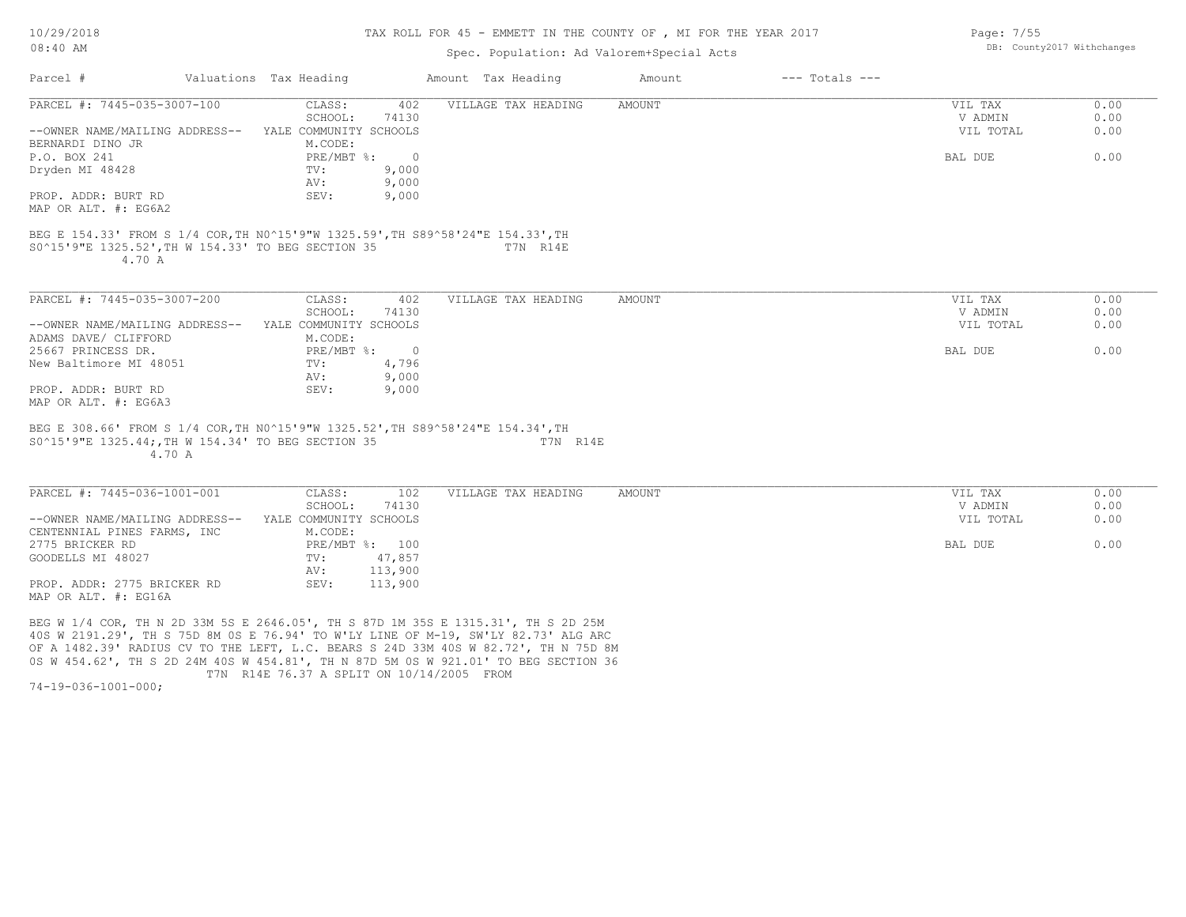#### TAX ROLL FOR 45 - EMMETT IN THE COUNTY OF , MI FOR THE YEAR 2017

### Spec. P

| $08:40$ AM<br>Spec. Population: Ad Valorem+Special Acts |  |                        |     |                     |        | DB: County2017 Withchanges |         |  |
|---------------------------------------------------------|--|------------------------|-----|---------------------|--------|----------------------------|---------|--|
| Parcel #                                                |  | Valuations Tax Heading |     | Amount Tax Heading  | Amount | $---$ Totals $---$         |         |  |
| PARCEL #: 7445-035-3007-100                             |  | CLASS:                 | 402 | VILLAGE TAX HEADING | AMOUNT |                            | VIL TAX |  |

| PARCEL #: 7445-035-3007-100                                                     | 402<br>CLASS:<br>SCHOOL:<br>74130 | VILLAGE TAX HEADING | AMOUNT | VIL TAX<br>V ADMIN | 0.00<br>0.00 |
|---------------------------------------------------------------------------------|-----------------------------------|---------------------|--------|--------------------|--------------|
| --OWNER NAME/MAILING ADDRESS--                                                  | YALE COMMUNITY SCHOOLS            |                     |        | VIL TOTAL          | 0.00         |
| BERNARDI DINO JR                                                                | M.CODE:                           |                     |        |                    |              |
| P.O. BOX 241                                                                    | $PRE/MBT$ $\div$<br>$\sim$ 0      |                     |        | BAL DUE            | 0.00         |
| Dryden MI 48428                                                                 | 9,000<br>TV:                      |                     |        |                    |              |
|                                                                                 | 9,000<br>AV:                      |                     |        |                    |              |
| PROP. ADDR: BURT RD                                                             | 9,000<br>SEV:                     |                     |        |                    |              |
| MAP OR ALT. #: EG6A2                                                            |                                   |                     |        |                    |              |
| S0^15'9"E 1325.52', TH W 154.33' TO BEG SECTION 35<br>4.70 A                    |                                   | T7N R14E            |        |                    |              |
| PARCEL #: 7445-035-3007-200                                                     | 402<br>CLASS:                     | VILLAGE TAX HEADING | AMOUNT | VIL TAX            | 0.00         |
|                                                                                 | 74130<br>SCHOOL:                  |                     |        | V ADMIN            | 0.00         |
| --OWNER NAME/MAILING ADDRESS--                                                  | YALE COMMUNITY SCHOOLS            |                     |        | VIL TOTAL          | 0.00         |
| ADAMS DAVE/ CLIFFORD                                                            | M.CODE:                           |                     |        |                    |              |
| 25667 PRINCESS DR.                                                              | PRE/MBT %:<br>$\overline{0}$      |                     |        | BAL DUE            | 0.00         |
| New Baltimore MI 48051                                                          | 4,796<br>TV:                      |                     |        |                    |              |
|                                                                                 | 9,000<br>AV:                      |                     |        |                    |              |
| PROP. ADDR: BURT RD                                                             | 9,000<br>SEV:                     |                     |        |                    |              |
| MAP OR ALT. #: EG6A3                                                            |                                   |                     |        |                    |              |
|                                                                                 |                                   |                     |        |                    |              |
| BEG E 308.66' FROM S 1/4 COR, TH NO^15'9"W 1325.52', TH S89^58'24"E 154.34', TH |                                   |                     |        |                    |              |
| S0^15'9"E 1325.44;, TH W 154.34' TO BEG SECTION 35                              |                                   | T7N R14E            |        |                    |              |

4.70 A

| PARCEL #: 7445-036-1001-001    | CLASS:                 | 102     | VILLAGE TAX HEADING | AMOUNT | VIL TAX   | 0.00 |
|--------------------------------|------------------------|---------|---------------------|--------|-----------|------|
|                                | SCHOOL:                | 74130   |                     |        | V ADMIN   | 0.00 |
| --OWNER NAME/MAILING ADDRESS-- | YALE COMMUNITY SCHOOLS |         |                     |        | VIL TOTAL | 0.00 |
| CENTENNIAL PINES FARMS, INC    | M.CODE:                |         |                     |        |           |      |
| 2775 BRICKER RD                | PRE/MBT %: 100         |         |                     |        | BAL DUE   | 0.00 |
| GOODELLS MI 48027              | TV:                    | 47,857  |                     |        |           |      |
|                                | AV:                    | 113,900 |                     |        |           |      |
| PROP. ADDR: 2775 BRICKER RD    | SEV:                   | 113,900 |                     |        |           |      |
| MAP OR ALT. #: EG16A           |                        |         |                     |        |           |      |

 T7N R14E 76.37 A SPLIT ON 10/14/2005 FROM 0S W 454.62', TH S 2D 24M 40S W 454.81', TH N 87D 5M 0S W 921.01' TO BEG SECTION 36 OF A 1482.39' RADIUS CV TO THE LEFT, L.C. BEARS S 24D 33M 40S W 82.72', TH N 75D 8M 40S W 2191.29', TH S 75D 8M 0S E 76.94' TO W'LY LINE OF M-19, SW'LY 82.73' ALG ARC BEG W 1/4 COR, TH N 2D 33M 5S E 2646.05', TH S 87D 1M 35S E 1315.31', TH S 2D 25M

74-19-036-1001-000;

Page: 7/55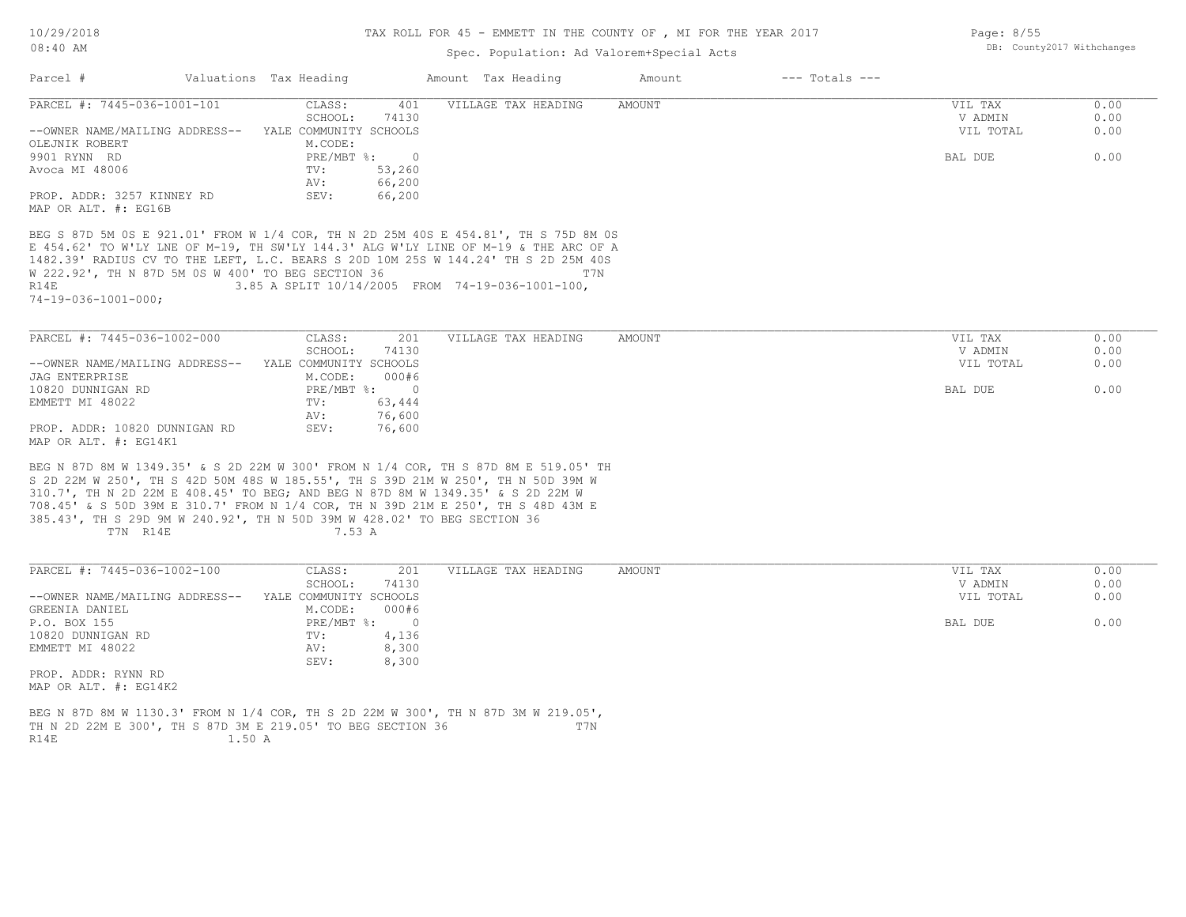10/29/2018

### 08:40 AM

### TAX ROLL FOR 45 - EMMETT IN THE COUNTY OF , MI FOR THE YEAR 2017

## Spec. Population: Ad Valorem+Special Acts

| Parcel #                                                                                                                                                                  | Valuations Tax Heading                           | Amount Tax Heading  | Amount        | $---$ Totals $---$ |                    |              |
|---------------------------------------------------------------------------------------------------------------------------------------------------------------------------|--------------------------------------------------|---------------------|---------------|--------------------|--------------------|--------------|
| PARCEL #: 7445-036-1001-101                                                                                                                                               | CLASS:<br>401<br>SCHOOL:<br>74130                | VILLAGE TAX HEADING | <b>AMOUNT</b> |                    | VIL TAX<br>V ADMIN | 0.00<br>0.00 |
| --OWNER NAME/MAILING ADDRESS--<br>OLEJNIK ROBERT                                                                                                                          | YALE COMMUNITY SCHOOLS<br>M.CODE:                |                     |               |                    | VIL TOTAL          | 0.00         |
| 9901 RYNN RD                                                                                                                                                              | PRE/MBT %:<br>$\overline{0}$                     |                     |               |                    | BAL DUE            | 0.00         |
| Avoca MI 48006                                                                                                                                                            | 53,260<br>TV:<br>66,200<br>AV:                   |                     |               |                    |                    |              |
| PROP. ADDR: 3257 KINNEY RD<br>MAP OR ALT. #: EG16B                                                                                                                        | SEV:<br>66,200                                   |                     |               |                    |                    |              |
| BEG S 87D 5M 0S E 921.01' FROM W 1/4 COR, TH N 2D 25M 40S E 454.81', TH S 75D 8M 0S                                                                                       |                                                  |                     |               |                    |                    |              |
| E 454.62' TO W'LY LNE OF M-19, TH SW'LY 144.3' ALG W'LY LINE OF M-19 & THE ARC OF A<br>1482.39' RADIUS CV TO THE LEFT, L.C. BEARS S 20D 10M 25S W 144.24' TH S 2D 25M 40S |                                                  |                     |               |                    |                    |              |
| W 222.92', TH N 87D 5M 0S W 400' TO BEG SECTION 36                                                                                                                        |                                                  | T7N                 |               |                    |                    |              |
| R14E                                                                                                                                                                      | 3.85 A SPLIT 10/14/2005 FROM 74-19-036-1001-100, |                     |               |                    |                    |              |
| $74 - 19 - 036 - 1001 - 000$ ;                                                                                                                                            |                                                  |                     |               |                    |                    |              |
|                                                                                                                                                                           |                                                  |                     |               |                    |                    |              |
| PARCEL #: 7445-036-1002-000                                                                                                                                               | CLASS:<br>201<br>SCHOOL:<br>74130                | VILLAGE TAX HEADING | <b>AMOUNT</b> |                    | VIL TAX<br>V ADMIN | 0.00<br>0.00 |
| --OWNER NAME/MAILING ADDRESS-- YALE COMMUNITY SCHOOLS                                                                                                                     |                                                  |                     |               |                    | VIL TOTAL          | 0.00         |
| <b>JAG ENTERPRISE</b>                                                                                                                                                     | M.CODE:<br>000#6                                 |                     |               |                    |                    |              |
| 10820 DUNNIGAN RD                                                                                                                                                         | PRE/MBT %:<br>$\sim$ 0                           |                     |               |                    | BAL DUE            | 0.00         |
| EMMETT MI 48022                                                                                                                                                           | TV:<br>63,444                                    |                     |               |                    |                    |              |
|                                                                                                                                                                           | 76,600<br>AV:                                    |                     |               |                    |                    |              |
| PROP. ADDR: 10820 DUNNIGAN RD<br>MAP OR ALT. #: EG14K1                                                                                                                    | SEV:<br>76,600                                   |                     |               |                    |                    |              |
| BEG N 87D 8M W 1349.35' & S 2D 22M W 300' FROM N 1/4 COR, TH S 87D 8M E 519.05' TH                                                                                        |                                                  |                     |               |                    |                    |              |
| S 2D 22M W 250', TH S 42D 50M 48S W 185.55', TH S 39D 21M W 250', TH N 50D 39M W                                                                                          |                                                  |                     |               |                    |                    |              |
| 310.7', TH N 2D 22M E 408.45' TO BEG; AND BEG N 87D 8M W 1349.35' & S 2D 22M W<br>708.45' & S 50D 39M E 310.7' FROM N 1/4 COR, TH N 39D 21M E 250', TH S 48D 43M E        |                                                  |                     |               |                    |                    |              |
| 385.43', TH S 29D 9M W 240.92', TH N 50D 39M W 428.02' TO BEG SECTION 36<br>T7N R14E                                                                                      | 7.53 A                                           |                     |               |                    |                    |              |
|                                                                                                                                                                           |                                                  |                     |               |                    |                    |              |
| PARCEL #: 7445-036-1002-100                                                                                                                                               | CLASS:<br>201                                    | VILLAGE TAX HEADING | AMOUNT        |                    | VIL TAX            | 0.00         |
|                                                                                                                                                                           | SCHOOL:<br>74130                                 |                     |               |                    | V ADMIN            | 0.00         |
| --OWNER NAME/MAILING ADDRESS--                                                                                                                                            | YALE COMMUNITY SCHOOLS                           |                     |               |                    | VIL TOTAL          | 0.00         |
| GREENIA DANIEL<br>P.O. BOX 155                                                                                                                                            | M.CODE:<br>000#6<br>PRE/MBT %:<br>$\Omega$       |                     |               |                    | BAL DUE            | 0.00         |
| 10820 DUNNIGAN RD                                                                                                                                                         | 4,136<br>TV:                                     |                     |               |                    |                    |              |
|                                                                                                                                                                           |                                                  |                     |               |                    |                    |              |

MAP OR ALT. #: EG14K2 PROP. ADDR: RYNN RD

R14E 1.50 A TH N 2D 22M E 300', TH S 87D 3M E 219.05' TO BEG SECTION 36 T7N BEG N 87D 8M W 1130.3' FROM N 1/4 COR, TH S 2D 22M W 300', TH N 87D 3M W 219.05',

EMMETT MI 48022 AV: 8,300

SEV: 8,300

Page: 8/55 DB: County2017 Withchanges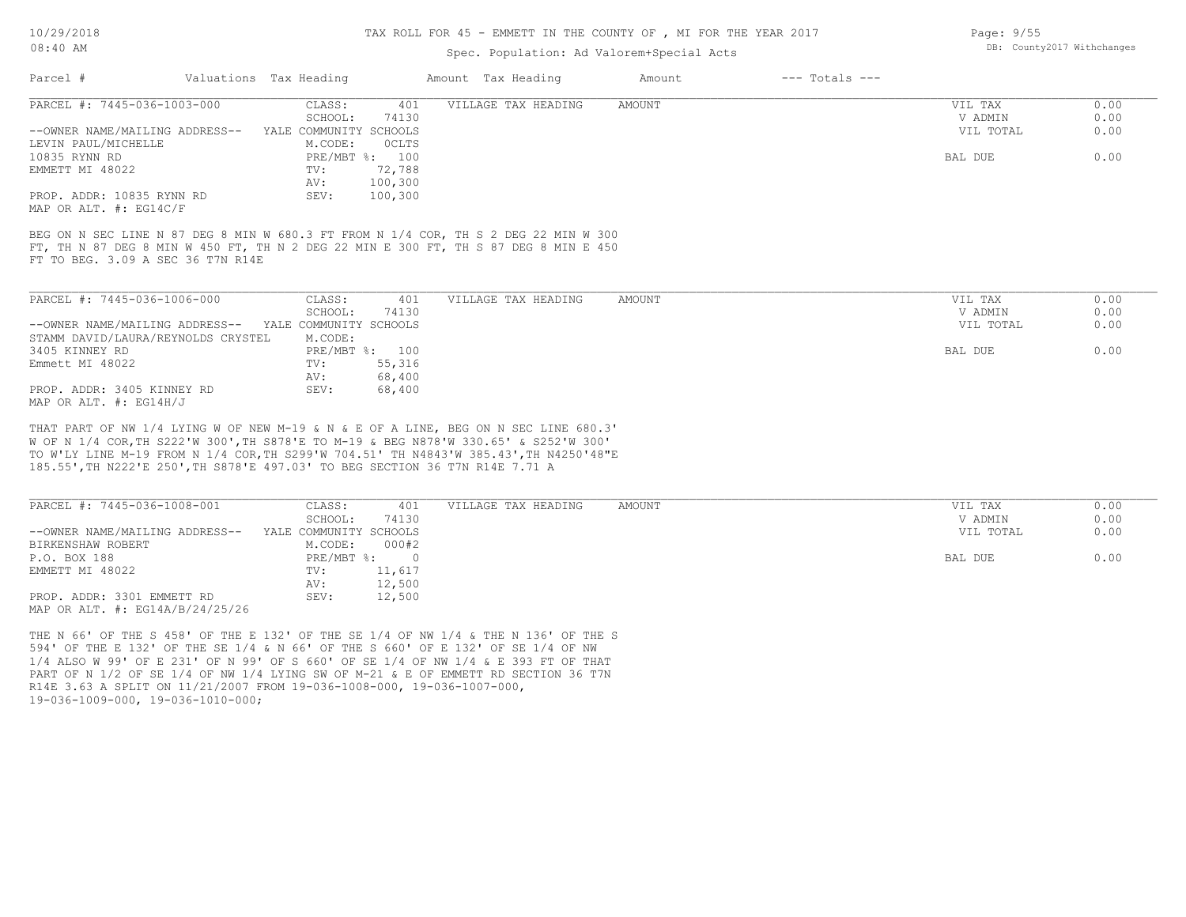10/29/2018

#### 08:40 AM

#### TAX ROLL FOR 45 - EMMETT IN THE COUNTY OF , MI FOR THE YEAR 2017

### Spec. Population: Ad Valorem+Special Acts

| Parcel #                                                                                                                 | Valuations Tax Heading       | Amount Tax Heading  | Amount | $---$ Totals $---$ |           |      |
|--------------------------------------------------------------------------------------------------------------------------|------------------------------|---------------------|--------|--------------------|-----------|------|
| PARCEL #: 7445-036-1003-000                                                                                              | 401<br>CLASS:                | VILLAGE TAX HEADING | AMOUNT |                    | VIL TAX   | 0.00 |
|                                                                                                                          | 74130<br>SCHOOL:             |                     |        |                    | V ADMIN   | 0.00 |
| --OWNER NAME/MAILING ADDRESS--                                                                                           | COMMUNITY<br>SCHOOLS<br>YALE |                     |        |                    | VIL TOTAL | 0.00 |
| LEVIN PAUL/MICHELLE                                                                                                      | OCLTS<br>M.CODE:             |                     |        |                    |           |      |
| 10835 RYNN RD                                                                                                            | PRE/MBT %: 100               |                     |        |                    | BAL DUE   | 0.00 |
| EMMETT MI 48022                                                                                                          | 72,788<br>TV:                |                     |        |                    |           |      |
|                                                                                                                          | 100,300<br>AV:               |                     |        |                    |           |      |
| PROP. ADDR: 10835 RYNN RD                                                                                                | SEV:<br>100,300              |                     |        |                    |           |      |
| MAP OR ALT. $\#$ : EG14C/F                                                                                               |                              |                     |        |                    |           |      |
| FT, TH N 87 DEG 8 MIN W 450 FT, TH N 2 DEG 22 MIN E 300 FT, TH S 87 DEG 8 MIN E 450<br>FT TO BEG. 3.09 A SEC 36 T7N R14E |                              |                     |        |                    |           |      |
| PARCEL #: 7445-036-1006-000                                                                                              | 401<br>CLASS:                | VILLAGE TAX HEADING | AMOUNT |                    | VIL TAX   | 0.00 |
|                                                                                                                          | SCHOOL:<br>74130             |                     |        |                    | V ADMIN   | 0.00 |
| --OWNER NAME/MAILING ADDRESS--                                                                                           | YALE COMMUNITY SCHOOLS       |                     |        |                    | VIL TOTAL | 0.00 |
| STAMM DAVID/LAURA/REYNOLDS CRYSTEL                                                                                       | M.CODE:                      |                     |        |                    |           |      |
| 3405 KINNEY RD                                                                                                           | PRE/MBT %: 100               |                     |        |                    | BAL DUE   | 0.00 |
| Emmett MI 48022                                                                                                          | 55,316<br>TV:                |                     |        |                    |           |      |
|                                                                                                                          | 68,400<br>AV:                |                     |        |                    |           |      |
| PROP. ADDR: 3405 KINNEY RD                                                                                               | 68,400<br>SEV:               |                     |        |                    |           |      |

MAP OR ALT. #: EG14H/J

185.55',TH N222'E 250',TH S878'E 497.03' TO BEG SECTION 36 T7N R14E 7.71 A TO W'LY LINE M-19 FROM N 1/4 COR,TH S299'W 704.51' TH N4843'W 385.43',TH N4250'48"E W OF N 1/4 COR,TH S222'W 300',TH S878'E TO M-19 & BEG N878'W 330.65' & S252'W 300' THAT PART OF NW 1/4 LYING W OF NEW M-19 & N & E OF A LINE, BEG ON N SEC LINE 680.3'

| PARCEL #: 7445-036-1008-001         | CLASS:                 | 401    | VILLAGE TAX HEADING | AMOUNT | VIL TAX   | 0.00 |
|-------------------------------------|------------------------|--------|---------------------|--------|-----------|------|
|                                     | SCHOOL:                | 74130  |                     |        | V ADMIN   | 0.00 |
| --OWNER NAME/MAILING ADDRESS--      | YALE COMMUNITY SCHOOLS |        |                     |        | VIL TOTAL | 0.00 |
| BIRKENSHAW ROBERT                   | M.CODE:                | 000#2  |                     |        |           |      |
| P.O. BOX 188                        | PRE/MBT %:             |        |                     |        | BAL DUE   | 0.00 |
| EMMETT MI 48022                     | TV:                    | 11,617 |                     |        |           |      |
|                                     | AV:                    | 12,500 |                     |        |           |      |
| PROP. ADDR: 3301 EMMETT RD          | SEV:                   | 12,500 |                     |        |           |      |
| MAP OR ALT. $\#$ : EG14A/B/24/25/26 |                        |        |                     |        |           |      |

19-036-1009-000, 19-036-1010-000; R14E 3.63 A SPLIT ON 11/21/2007 FROM 19-036-1008-000, 19-036-1007-000, PART OF N 1/2 OF SE 1/4 OF NW 1/4 LYING SW OF M-21 & E OF EMMETT RD SECTION 36 T7N 1/4 ALSO W 99' OF E 231' OF N 99' OF S 660' OF SE 1/4 OF NW 1/4 & E 393 FT OF THAT 594' OF THE E 132' OF THE SE 1/4 & N 66' OF THE S 660' OF E 132' OF SE 1/4 OF NW THE N 66' OF THE S 458' OF THE E 132' OF THE SE 1/4 OF NW 1/4 & THE N 136' OF THE S Page: 9/55 DB: County2017 Withchanges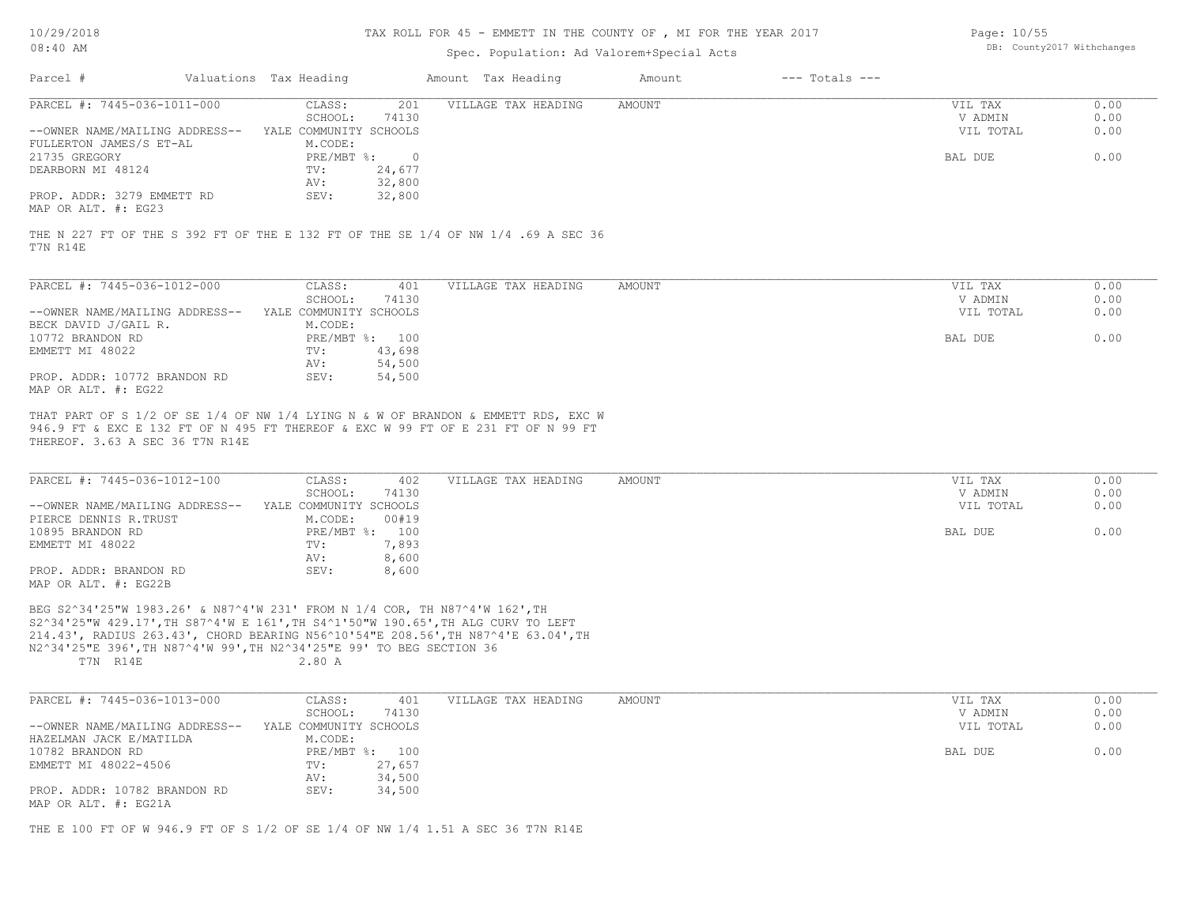## TAX ROLL FOR 45 - EMMETT IN THE COUNTY OF , MI FOR THE YEAR 2017

## Spec. Population: Ad Valorem+Special Acts

| Page: 10/55 |                            |
|-------------|----------------------------|
|             | DB: County2017 Withchanges |

| Parcel #                                                                                                                                                                                                                                                                                                                                | Valuations Tax Heading                                      | Amount Tax Heading  | $---$ Totals $---$<br>Amount |                                 |                      |
|-----------------------------------------------------------------------------------------------------------------------------------------------------------------------------------------------------------------------------------------------------------------------------------------------------------------------------------------|-------------------------------------------------------------|---------------------|------------------------------|---------------------------------|----------------------|
| PARCEL #: 7445-036-1011-000<br>--OWNER NAME/MAILING ADDRESS--                                                                                                                                                                                                                                                                           | CLASS:<br>201<br>SCHOOL:<br>74130<br>YALE COMMUNITY SCHOOLS | VILLAGE TAX HEADING | <b>AMOUNT</b>                | VIL TAX<br>V ADMIN<br>VIL TOTAL | 0.00<br>0.00<br>0.00 |
| FULLERTON JAMES/S ET-AL                                                                                                                                                                                                                                                                                                                 | M.CODE:                                                     |                     |                              |                                 |                      |
| 21735 GREGORY                                                                                                                                                                                                                                                                                                                           | $PRE/MBT$ $\div$<br>$\overline{0}$                          |                     |                              | BAL DUE                         | 0.00                 |
| DEARBORN MI 48124                                                                                                                                                                                                                                                                                                                       | 24,677<br>TV:<br>32,800<br>AV:                              |                     |                              |                                 |                      |
| PROP. ADDR: 3279 EMMETT RD<br>MAP OR ALT. #: EG23                                                                                                                                                                                                                                                                                       | SEV:<br>32,800                                              |                     |                              |                                 |                      |
| THE N 227 FT OF THE S 392 FT OF THE E 132 FT OF THE SE 1/4 OF NW 1/4 .69 A SEC 36<br>T7N R14E                                                                                                                                                                                                                                           |                                                             |                     |                              |                                 |                      |
| PARCEL #: 7445-036-1012-000                                                                                                                                                                                                                                                                                                             | CLASS:<br>401                                               | VILLAGE TAX HEADING | <b>AMOUNT</b>                | VIL TAX                         | 0.00                 |
| --OWNER NAME/MAILING ADDRESS-- YALE COMMUNITY SCHOOLS                                                                                                                                                                                                                                                                                   | SCHOOL:<br>74130                                            |                     |                              | V ADMIN<br>VIL TOTAL            | 0.00<br>0.00         |
| BECK DAVID J/GAIL R.                                                                                                                                                                                                                                                                                                                    | M.CODE:                                                     |                     |                              |                                 |                      |
| 10772 BRANDON RD                                                                                                                                                                                                                                                                                                                        | PRE/MBT %: 100                                              |                     |                              | BAL DUE                         | 0.00                 |
| EMMETT MI 48022                                                                                                                                                                                                                                                                                                                         | TV:<br>43,698<br>54,500<br>AV:                              |                     |                              |                                 |                      |
| PROP. ADDR: 10772 BRANDON RD<br>MAP OR ALT. #: EG22                                                                                                                                                                                                                                                                                     | SEV:<br>54,500                                              |                     |                              |                                 |                      |
| THAT PART OF S 1/2 OF SE 1/4 OF NW 1/4 LYING N & W OF BRANDON & EMMETT RDS, EXC W<br>946.9 FT & EXC E 132 FT OF N 495 FT THEREOF & EXC W 99 FT OF E 231 FT OF N 99 FT<br>THEREOF. 3.63 A SEC 36 T7N R14E                                                                                                                                |                                                             |                     |                              |                                 |                      |
|                                                                                                                                                                                                                                                                                                                                         |                                                             |                     |                              |                                 |                      |
| PARCEL #: 7445-036-1012-100                                                                                                                                                                                                                                                                                                             | CLASS:<br>402                                               | VILLAGE TAX HEADING | AMOUNT                       | VIL TAX                         | 0.00                 |
|                                                                                                                                                                                                                                                                                                                                         | SCHOOL:<br>74130                                            |                     |                              | V ADMIN                         | 0.00                 |
| --OWNER NAME/MAILING ADDRESS--<br>PIERCE DENNIS R.TRUST                                                                                                                                                                                                                                                                                 | YALE COMMUNITY SCHOOLS<br>M.CODE:<br>00#19                  |                     |                              | VIL TOTAL                       | 0.00                 |
| 10895 BRANDON RD                                                                                                                                                                                                                                                                                                                        | PRE/MBT %: 100                                              |                     |                              | BAL DUE                         | 0.00                 |
| EMMETT MI 48022                                                                                                                                                                                                                                                                                                                         | 7,893<br>TV:                                                |                     |                              |                                 |                      |
| PROP. ADDR: BRANDON RD<br>MAP OR ALT. #: EG22B                                                                                                                                                                                                                                                                                          | AV:<br>8,600<br>SEV:<br>8,600                               |                     |                              |                                 |                      |
| BEG S2^34'25"W 1983.26' & N87^4'W 231' FROM N 1/4 COR, TH N87^4'W 162', TH<br>S2^34'25"W 429.17', TH S87^4'W E 161', TH S4^1'50"W 190.65', TH ALG CURV TO LEFT<br>214.43', RADIUS 263.43', CHORD BEARING N56^10'54"E 208.56', TH N87^4'E 63.04', TH<br>N2^34'25"E 396', TH N87^4'W 99', TH N2^34'25"E 99' TO BEG SECTION 36<br>T7N R14E | 2.80A                                                       |                     |                              |                                 |                      |
| PARCEL #: 7445-036-1013-000                                                                                                                                                                                                                                                                                                             | CLASS:<br>401                                               | VILLAGE TAX HEADING | AMOUNT                       | VIL TAX                         | 0.00                 |
|                                                                                                                                                                                                                                                                                                                                         | SCHOOL:<br>74130                                            |                     |                              | V ADMIN                         | 0.00                 |
| --OWNER NAME/MAILING ADDRESS--                                                                                                                                                                                                                                                                                                          | YALE COMMUNITY SCHOOLS                                      |                     |                              | VIL TOTAL                       | 0.00                 |
| HAZELMAN JACK E/MATILDA<br>10782 BRANDON RD                                                                                                                                                                                                                                                                                             | M.CODE:                                                     |                     |                              | BAL DUE                         | 0.00                 |
| EMMETT MI 48022-4506                                                                                                                                                                                                                                                                                                                    | PRE/MBT %: 100<br>27,657<br>TV:                             |                     |                              |                                 |                      |
|                                                                                                                                                                                                                                                                                                                                         | 34,500<br>AV:                                               |                     |                              |                                 |                      |
| PROP. ADDR: 10782 BRANDON RD<br>MAP OR ALT. #: EG21A                                                                                                                                                                                                                                                                                    | SEV:<br>34,500                                              |                     |                              |                                 |                      |

THE E 100 FT OF W 946.9 FT OF S 1/2 OF SE 1/4 OF NW 1/4 1.51 A SEC 36 T7N R14E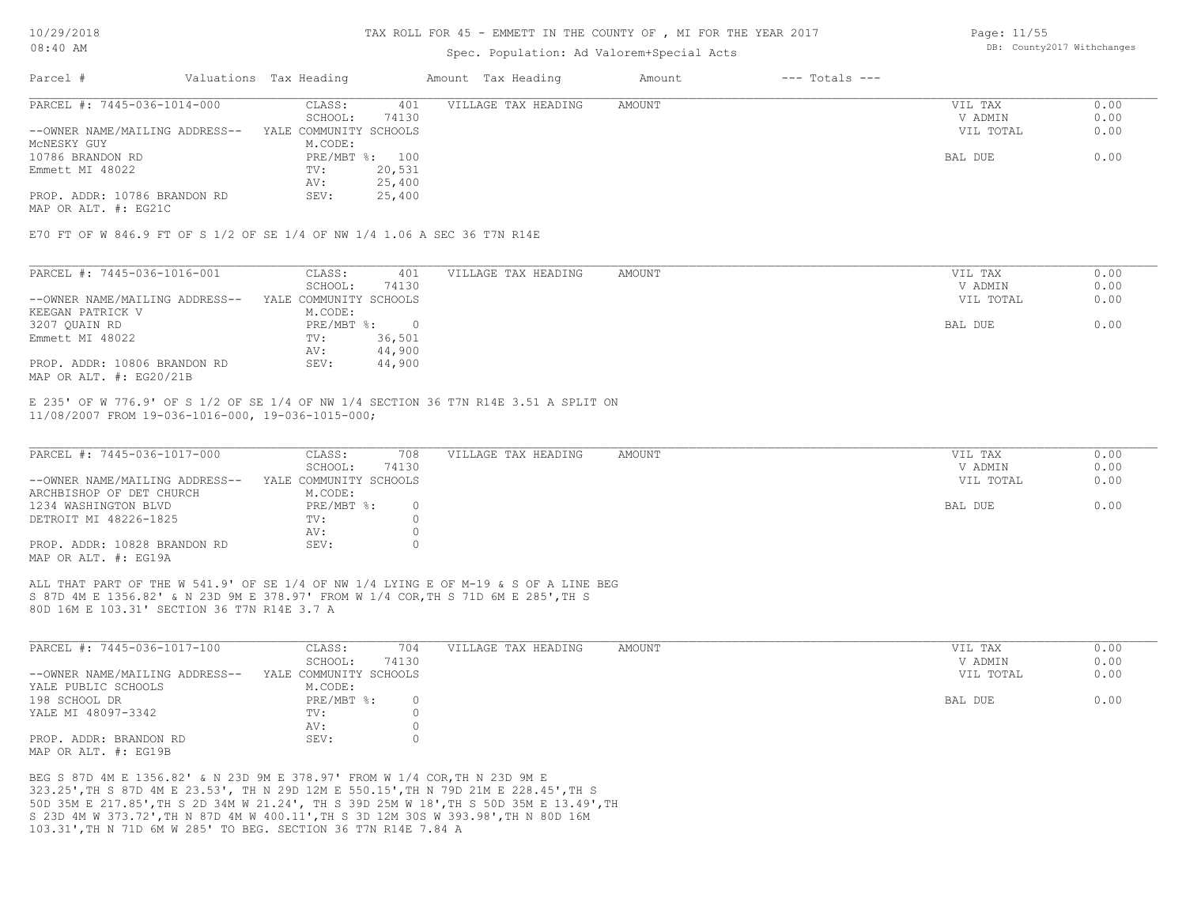#### TAX ROLL FOR 45 - EMMETT IN THE COUNTY OF , MI FOR THE YEAR 2017

### Spec. Population: Ad Valorem+Special Acts

Page: 11/55 DB: County2017 Withchanges

| Parcel #                       | Valuations Tax Heading |        | Amount Tax Heading  | Amount | $---$ Totals $---$ |           |      |
|--------------------------------|------------------------|--------|---------------------|--------|--------------------|-----------|------|
| PARCEL #: 7445-036-1014-000    | CLASS:                 | 401    | VILLAGE TAX HEADING | AMOUNT |                    | VIL TAX   | 0.00 |
|                                | SCHOOL:                | 74130  |                     |        |                    | V ADMIN   | 0.00 |
| --OWNER NAME/MAILING ADDRESS-- | YALE COMMUNITY SCHOOLS |        |                     |        |                    | VIL TOTAL | 0.00 |
| MCNESKY GUY                    | M.CODE:                |        |                     |        |                    |           |      |
| 10786 BRANDON RD               | PRE/MBT %: 100         |        |                     |        |                    | BAL DUE   | 0.00 |
| Emmett MI 48022                | TV:                    | 20,531 |                     |        |                    |           |      |
|                                | AV:                    | 25,400 |                     |        |                    |           |      |
| PROP. ADDR: 10786 BRANDON RD   | SEV:                   | 25,400 |                     |        |                    |           |      |
|                                |                        |        |                     |        |                    |           |      |

MAP OR ALT. #: EG21C

E70 FT OF W 846.9 FT OF S 1/2 OF SE 1/4 OF NW 1/4 1.06 A SEC 36 T7N R14E

| PARCEL #: 7445-036-1016-001    | CLASS:                 | 401    | VILLAGE TAX HEADING | AMOUNT | VIL TAX   | 0.00 |
|--------------------------------|------------------------|--------|---------------------|--------|-----------|------|
|                                | SCHOOL:                | 74130  |                     |        | V ADMIN   | 0.00 |
| --OWNER NAME/MAILING ADDRESS-- | YALE COMMUNITY SCHOOLS |        |                     |        | VIL TOTAL | 0.00 |
| KEEGAN PATRICK V               | M.CODE:                |        |                     |        |           |      |
| 3207 QUAIN RD                  | PRE/MBT %:             |        |                     |        | BAL DUE   | 0.00 |
| Emmett MI 48022                | TV:                    | 36,501 |                     |        |           |      |
|                                | AV:                    | 44,900 |                     |        |           |      |
| PROP. ADDR: 10806 BRANDON RD   | SEV:                   | 44,900 |                     |        |           |      |
| MAP OR ALT. #: EG20/21B        |                        |        |                     |        |           |      |

11/08/2007 FROM 19-036-1016-000, 19-036-1015-000; E 235' OF W 776.9' OF S 1/2 OF SE 1/4 OF NW 1/4 SECTION 36 T7N R14E 3.51 A SPLIT ON

| PARCEL #: 7445-036-1017-000    | CLASS:                 | 708   | VILLAGE TAX HEADING | AMOUNT | VIL TAX   | 0.00 |
|--------------------------------|------------------------|-------|---------------------|--------|-----------|------|
|                                | SCHOOL:                | 74130 |                     |        | V ADMIN   | 0.00 |
| --OWNER NAME/MAILING ADDRESS-- | YALE COMMUNITY SCHOOLS |       |                     |        | VIL TOTAL | 0.00 |
| ARCHBISHOP OF DET CHURCH       | M.CODE:                |       |                     |        |           |      |
| 1234 WASHINGTON BLVD           | PRE/MBT %:             |       |                     |        | BAL DUE   | 0.00 |
| DETROIT MI 48226-1825          | TV:                    |       |                     |        |           |      |
|                                | AV:                    |       |                     |        |           |      |
| PROP. ADDR: 10828 BRANDON RD   | SEV:                   |       |                     |        |           |      |
| MAP OR ALT. #: EG19A           |                        |       |                     |        |           |      |

80D 16M E 103.31' SECTION 36 T7N R14E 3.7 A S 87D 4M E 1356.82' & N 23D 9M E 378.97' FROM W 1/4 COR,TH S 71D 6M E 285',TH S ALL THAT PART OF THE W 541.9' OF SE 1/4 OF NW 1/4 LYING E OF M-19 & S OF A LINE BEG

| PARCEL #: 7445-036-1017-100    | CLASS:                 | 704   | VILLAGE TAX HEADING | AMOUNT | VIL TAX   | 0.00 |
|--------------------------------|------------------------|-------|---------------------|--------|-----------|------|
|                                | SCHOOL:                | 74130 |                     |        | V ADMIN   | 0.00 |
| --OWNER NAME/MAILING ADDRESS-- | YALE COMMUNITY SCHOOLS |       |                     |        | VIL TOTAL | 0.00 |
| YALE PUBLIC SCHOOLS            | M.CODE:                |       |                     |        |           |      |
| 198 SCHOOL DR                  | $PRE/MBT$ %:           |       |                     |        | BAL DUE   | 0.00 |
| YALE MI 48097-3342             | TV:                    |       |                     |        |           |      |
|                                | AV:                    |       |                     |        |           |      |
| PROP. ADDR: BRANDON RD         | SEV:                   |       |                     |        |           |      |
| MAP OR ALT. #: EG19B           |                        |       |                     |        |           |      |

103.31',TH N 71D 6M W 285' TO BEG. SECTION 36 T7N R14E 7.84 A S 23D 4M W 373.72',TH N 87D 4M W 400.11',TH S 3D 12M 30S W 393.98',TH N 80D 16M 50D 35M E 217.85',TH S 2D 34M W 21.24', TH S 39D 25M W 18',TH S 50D 35M E 13.49',TH 323.25',TH S 87D 4M E 23.53', TH N 29D 12M E 550.15',TH N 79D 21M E 228.45',TH S BEG S 87D 4M E 1356.82' & N 23D 9M E 378.97' FROM W 1/4 COR,TH N 23D 9M E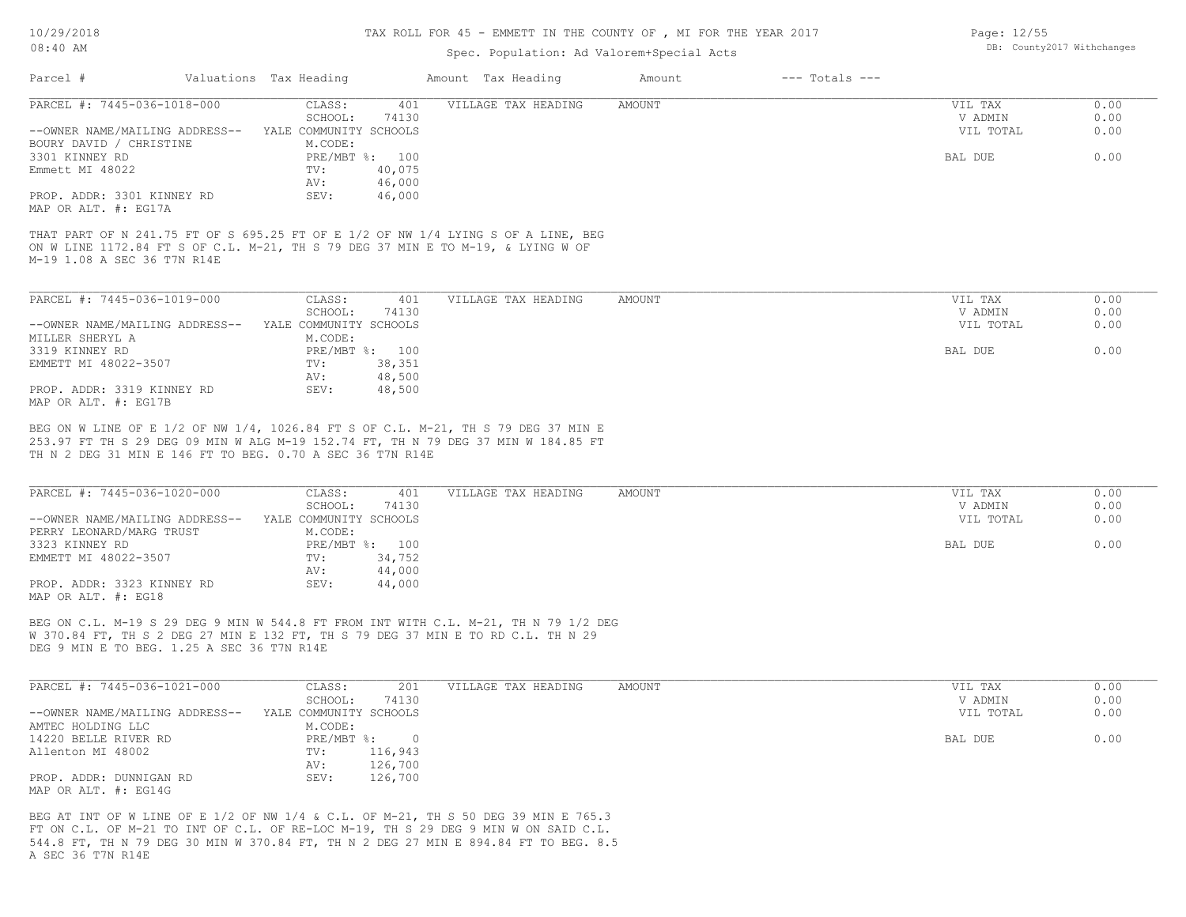#### TAX ROLL FOR 45 - EMMETT IN THE COUNTY OF , MI FOR THE YEAR 2017

### Spec. Population: Ad

|                             |                        |                                                                                 |                        | this study fort to a minimity the theological of $\eta$ and tone this doll |        |                            |                       |                        |
|-----------------------------|------------------------|---------------------------------------------------------------------------------|------------------------|----------------------------------------------------------------------------|--------|----------------------------|-----------------------|------------------------|
| $08:40$ AM                  |                        |                                                                                 |                        | Spec. Population: Ad Valorem+Special Acts                                  |        | DB: County2017 Withchanges |                       |                        |
| Parcel #                    | Valuations Tax Heading |                                                                                 |                        | Amount Tax Heading                                                         | Amount | $---$ Totals $---$         |                       |                        |
| PARCEL #: 7445-036-1018-000 |                        | CLASS:<br>$\bigcap$ $\bigcap$ $\bigcap$ $\bigcap$ $\bigcap$ $\bigcap$ $\bigcap$ | 401<br><b>P</b> 11 2 0 | VILLAGE TAX HEADING                                                        | AMOUNT |                            | VIL TAX<br>57.5015737 | J.OO.<br>$\sim$ $\sim$ |

| PARCEL #: 7445-036-1018-000    | CLASS:                 | 401    | VILLAGE TAX HEADING | AMOUNT | VIL TAX   | 0.00 |
|--------------------------------|------------------------|--------|---------------------|--------|-----------|------|
|                                | SCHOOL:                | 74130  |                     |        | V ADMIN   | 0.00 |
| --OWNER NAME/MAILING ADDRESS-- | YALE COMMUNITY SCHOOLS |        |                     |        | VIL TOTAL | 0.00 |
| BOURY DAVID / CHRISTINE        | M.CODE:                |        |                     |        |           |      |
| 3301 KINNEY RD                 | $PRE/MBT$ %:           | 100    |                     |        | BAL DUE   | 0.00 |
| Emmett MI 48022                | TV:                    | 40,075 |                     |        |           |      |
|                                | AV:                    | 46,000 |                     |        |           |      |
| PROP. ADDR: 3301 KINNEY RD     | SEV:                   | 46,000 |                     |        |           |      |
| MAP OR ALT. #: EG17A           |                        |        |                     |        |           |      |

M-19 1.08 A SEC 36 T7N R14E ON W LINE 1172.84 FT S OF C.L. M-21, TH S 79 DEG 37 MIN E TO M-19, & LYING W OF THAT PART OF N 241.75 FT OF S 695.25 FT OF E 1/2 OF NW 1/4 LYING S OF A LINE, BEG

| PARCEL #: 7445-036-1019-000    | CLASS:<br>401          | VILLAGE TAX HEADING | AMOUNT | VIL TAX   | 0.00 |
|--------------------------------|------------------------|---------------------|--------|-----------|------|
|                                | 74130<br>SCHOOL:       |                     |        | V ADMIN   | 0.00 |
| --OWNER NAME/MAILING ADDRESS-- | YALE COMMUNITY SCHOOLS |                     |        | VIL TOTAL | 0.00 |
| MILLER SHERYL A                | M.CODE:                |                     |        |           |      |
| 3319 KINNEY RD                 | PRE/MBT %: 100         |                     |        | BAL DUE   | 0.00 |
| EMMETT MI 48022-3507           | 38,351<br>TV:          |                     |        |           |      |
|                                | 48,500<br>AV:          |                     |        |           |      |
| PROP. ADDR: 3319 KINNEY RD     | 48,500<br>SEV:         |                     |        |           |      |
| MAP OR ALT. #: EG17B           |                        |                     |        |           |      |

TH N 2 DEG 31 MIN E 146 FT TO BEG. 0.70 A SEC 36 T7N R14E 253.97 FT TH S 29 DEG 09 MIN W ALG M-19 152.74 FT, TH N 79 DEG 37 MIN W 184.85 FT BEG ON W LINE OF E 1/2 OF NW 1/4, 1026.84 FT S OF C.L. M-21, TH S 79 DEG 37 MIN E

| PARCEL #: 7445-036-1020-000    | CLASS:                 | 401            | VILLAGE TAX HEADING | AMOUNT | VIL TAX   | 0.00 |
|--------------------------------|------------------------|----------------|---------------------|--------|-----------|------|
|                                | SCHOOL:                | 74130          |                     |        | V ADMIN   | 0.00 |
| --OWNER NAME/MAILING ADDRESS-- | YALE COMMUNITY SCHOOLS |                |                     |        | VIL TOTAL | 0.00 |
| PERRY LEONARD/MARG TRUST       | M.CODE:                |                |                     |        |           |      |
| 3323 KINNEY RD                 |                        | PRE/MBT %: 100 |                     |        | BAL DUE   | 0.00 |
| EMMETT MI 48022-3507           | TV:                    | 34,752         |                     |        |           |      |
|                                | AV:                    | 44,000         |                     |        |           |      |
| PROP. ADDR: 3323 KINNEY RD     | SEV:                   | 44,000         |                     |        |           |      |
| MAP OR ALT. #: EG18            |                        |                |                     |        |           |      |

DEG 9 MIN E TO BEG. 1.25 A SEC 36 T7N R14E W 370.84 FT, TH S 2 DEG 27 MIN E 132 FT, TH S 79 DEG 37 MIN E TO RD C.L. TH N 29 BEG ON C.L. M-19 S 29 DEG 9 MIN W 544.8 FT FROM INT WITH C.L. M-21, TH N 79 1/2 DEG

| PARCEL #: 7445-036-1021-000    | CLASS:                 | 201     | VILLAGE TAX HEADING | AMOUNT | VIL TAX   | 0.00 |
|--------------------------------|------------------------|---------|---------------------|--------|-----------|------|
|                                | SCHOOL:                | 74130   |                     |        | V ADMIN   | 0.00 |
| --OWNER NAME/MAILING ADDRESS-- | YALE COMMUNITY SCHOOLS |         |                     |        | VIL TOTAL | 0.00 |
| AMTEC HOLDING LLC              | M.CODE:                |         |                     |        |           |      |
| 14220 BELLE RIVER RD           | $PRE/MBT$ %:           |         |                     |        | BAL DUE   | 0.00 |
| Allenton MI 48002              | TV:                    | 116,943 |                     |        |           |      |
|                                | AV:                    | 126,700 |                     |        |           |      |
| PROP. ADDR: DUNNIGAN RD        | SEV:                   | 126,700 |                     |        |           |      |
| MAP OR ALT. #: EG14G           |                        |         |                     |        |           |      |

A SEC 36 T7N R14E 544.8 FT, TH N 79 DEG 30 MIN W 370.84 FT, TH N 2 DEG 27 MIN E 894.84 FT TO BEG. 8.5 FT ON C.L. OF M-21 TO INT OF C.L. OF RE-LOC M-19, TH S 29 DEG 9 MIN W ON SAID C.L. BEG AT INT OF W LINE OF E 1/2 OF NW 1/4 & C.L. OF M-21, TH S 50 DEG 39 MIN E 765.3

Page: 12/55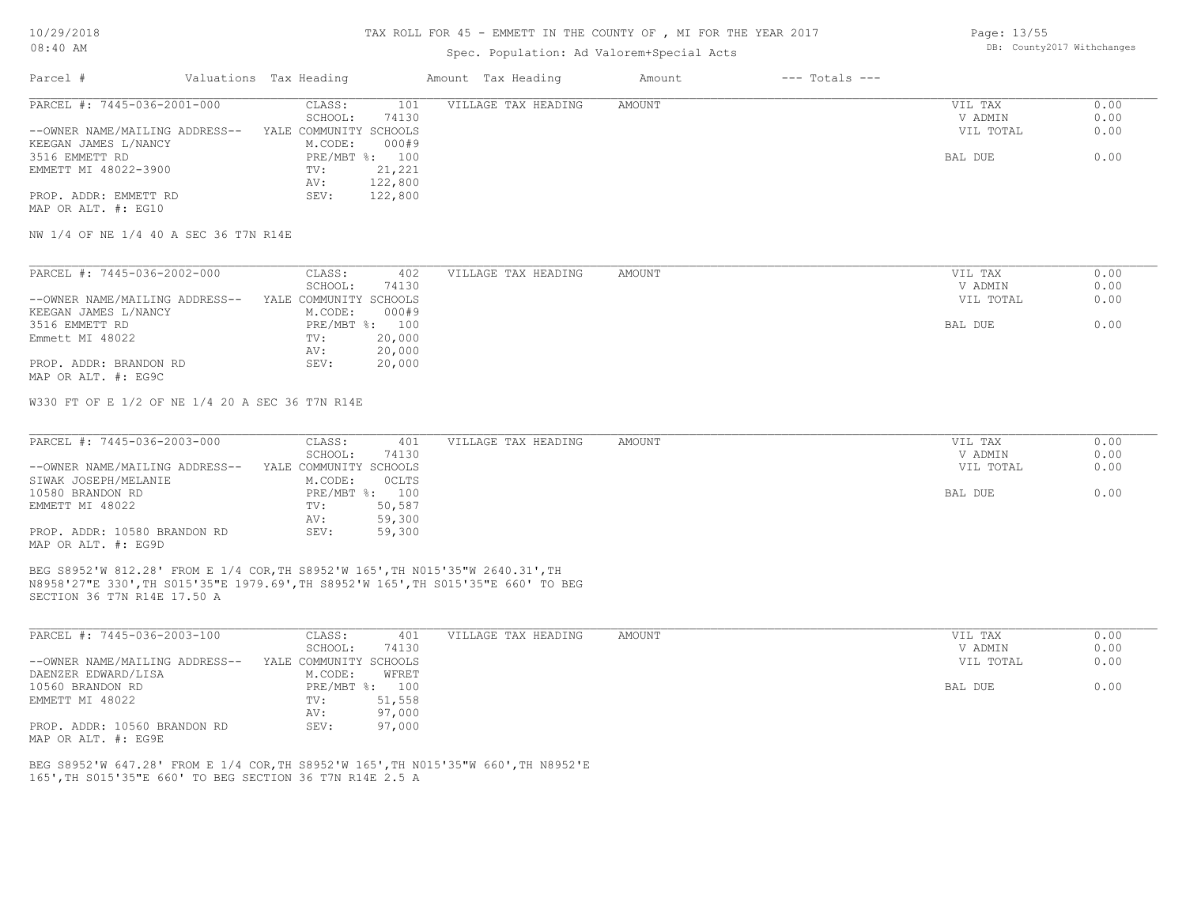#### TAX ROLL FOR 45 - EMMETT IN THE COUNTY OF , MI FOR THE YEAR 2017

| <b>UO: 40 API</b> |                        |                    | bb. Countyzer withthanges |                |  |
|-------------------|------------------------|--------------------|---------------------------|----------------|--|
| Parcel            | Valuations Tax Heading | Amount Tax Heading | Amount                    | --- Totals --- |  |

| PARCEL #: 7445-036-2001-000    | CLASS:<br>101            | VILLAGE TAX HEADING | AMOUNT | VIL TAX   | 0.00 |
|--------------------------------|--------------------------|---------------------|--------|-----------|------|
|                                | 74130<br>SCHOOL:         |                     |        | V ADMIN   | 0.00 |
| --OWNER NAME/MAILING ADDRESS-- | YALE COMMUNITY SCHOOLS   |                     |        | VIL TOTAL | 0.00 |
| KEEGAN JAMES L/NANCY           | 000#9<br>M.CODE:         |                     |        |           |      |
| 3516 EMMETT RD                 | PRE/MBT $\text{\%}:$ 100 |                     |        | BAL DUE   | 0.00 |
| EMMETT MI 48022-3900           | 21,221<br>TV:            |                     |        |           |      |
|                                | 122,800<br>AV:           |                     |        |           |      |
| PROP. ADDR: EMMETT RD          | 122,800<br>SEV:          |                     |        |           |      |

MAP OR ALT. #: EG10

NW 1/4 OF NE 1/4 40 A SEC 36 T7N R14E

| PARCEL #: 7445-036-2002-000    | CLASS:<br>402          | VILLAGE TAX HEADING | AMOUNT | VIL TAX   | 0.00 |
|--------------------------------|------------------------|---------------------|--------|-----------|------|
|                                | 74130<br>SCHOOL:       |                     |        | V ADMIN   | 0.00 |
| --OWNER NAME/MAILING ADDRESS-- | YALE COMMUNITY SCHOOLS |                     |        | VIL TOTAL | 0.00 |
| KEEGAN JAMES L/NANCY           | 000#9<br>M.CODE:       |                     |        |           |      |
| 3516 EMMETT RD                 | PRE/MBT %: 100         |                     |        | BAL DUE   | 0.00 |
| Emmett MI 48022                | 20,000<br>TV:          |                     |        |           |      |
|                                | 20,000<br>AV:          |                     |        |           |      |
| PROP. ADDR: BRANDON RD         | 20,000<br>SEV:         |                     |        |           |      |
| MAP OR ALT. #: EG9C            |                        |                     |        |           |      |

W330 FT OF E 1/2 OF NE 1/4 20 A SEC 36 T7N R14E

| PARCEL #: 7445-036-2003-000    | CLASS:                 | 401            | VILLAGE TAX HEADING | AMOUNT | VIL TAX   | 0.00 |
|--------------------------------|------------------------|----------------|---------------------|--------|-----------|------|
|                                | SCHOOL:                | 74130          |                     |        | V ADMIN   | 0.00 |
| --OWNER NAME/MAILING ADDRESS-- | YALE COMMUNITY SCHOOLS |                |                     |        | VIL TOTAL | 0.00 |
| SIWAK JOSEPH/MELANIE           | M.CODE:                | OCLTS          |                     |        |           |      |
| 10580 BRANDON RD               |                        | PRE/MBT %: 100 |                     |        | BAL DUE   | 0.00 |
| EMMETT MI 48022                | TV:                    | 50,587         |                     |        |           |      |
|                                | AV:                    | 59,300         |                     |        |           |      |
| PROP. ADDR: 10580 BRANDON RD   | SEV:                   | 59,300         |                     |        |           |      |
| MAP OR ALT. #: EG9D            |                        |                |                     |        |           |      |

SECTION 36 T7N R14E 17.50 A N8958'27"E 330',TH S015'35"E 1979.69',TH S8952'W 165',TH S015'35"E 660' TO BEG BEG S8952'W 812.28' FROM E 1/4 COR,TH S8952'W 165',TH N015'35"W 2640.31',TH

| PARCEL #: 7445-036-2003-100    | CLASS:                 | 401    | VILLAGE TAX HEADING | AMOUNT | VIL TAX<br>0.00   |
|--------------------------------|------------------------|--------|---------------------|--------|-------------------|
|                                | SCHOOL:                | 74130  |                     |        | 0.00<br>V ADMIN   |
| --OWNER NAME/MAILING ADDRESS-- | YALE COMMUNITY SCHOOLS |        |                     |        | 0.00<br>VIL TOTAL |
| DAENZER EDWARD/LISA            | M.CODE:                | WFRET  |                     |        |                   |
| 10560 BRANDON RD               | PRE/MBT %:             | 100    |                     |        | 0.00<br>BAL DUE   |
| EMMETT MI 48022                | TV:                    | 51,558 |                     |        |                   |
|                                | AV:                    | 97,000 |                     |        |                   |
| PROP. ADDR: 10560 BRANDON RD   | SEV:                   | 97,000 |                     |        |                   |
| MAP OR ALT. #: EG9E            |                        |        |                     |        |                   |

165',TH S015'35"E 660' TO BEG SECTION 36 T7N R14E 2.5 A BEG S8952'W 647.28' FROM E 1/4 COR,TH S8952'W 165',TH N015'35"W 660',TH N8952'E Page: 13/55 DB: County2017 Withchanges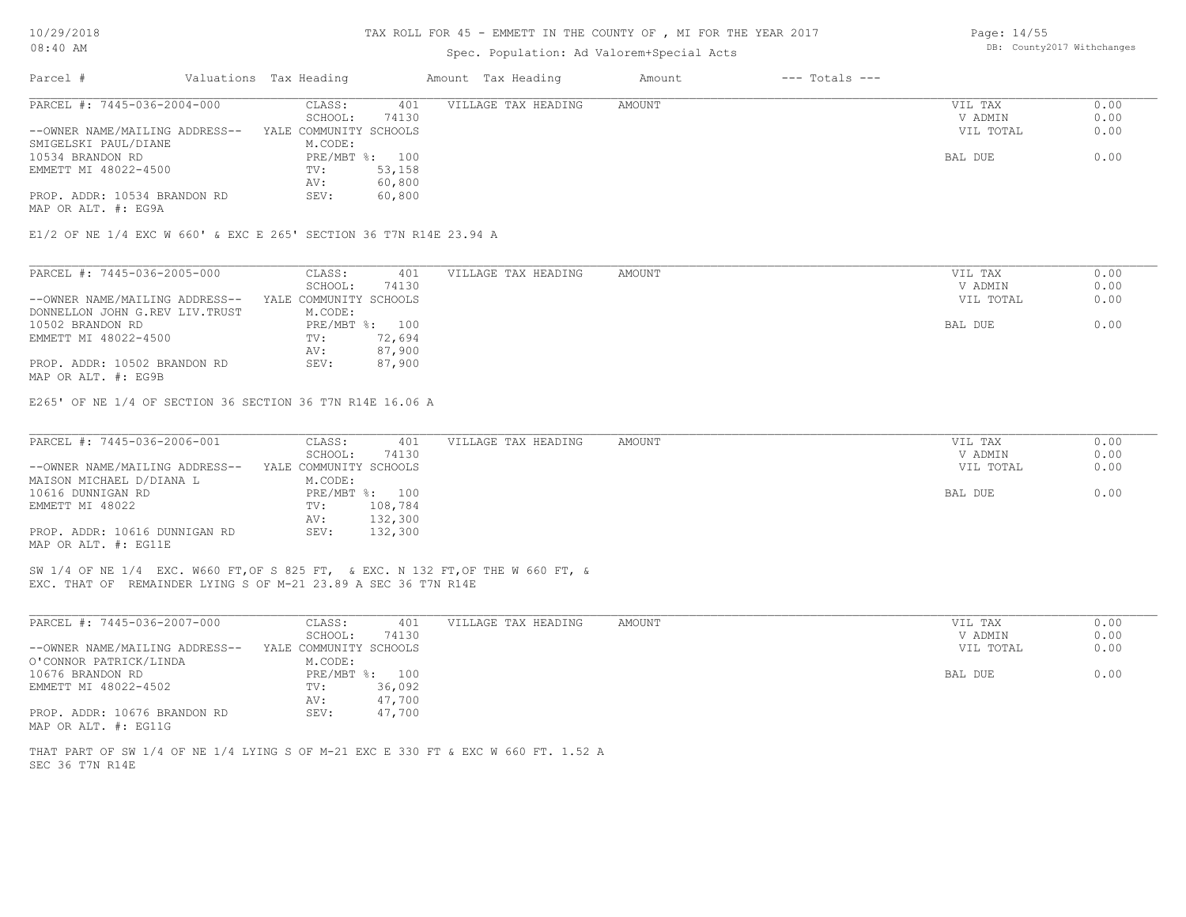| DB: County2017 Withchanges<br>Spec. Population: Ad Valorem+Special Acts<br>Valuations Tax Heading<br>Amount Tax Heading<br>$---$ Totals $---$<br>Parcel #<br>Amount<br>PARCEL #: 7445-036-2004-000<br>0.00<br>CLASS:<br>401<br>VILLAGE TAX HEADING<br>AMOUNT<br>VIL TAX<br>SCHOOL:<br>74130<br>V ADMIN<br>0.00<br>0.00<br>--OWNER NAME/MAILING ADDRESS--<br>YALE COMMUNITY SCHOOLS<br>VIL TOTAL<br>M.CODE:<br>SMIGELSKI PAUL/DIANE<br>PRE/MBT %: 100<br>BAL DUE<br>0.00<br>EMMETT MI 48022-4500<br>TV:<br>53,158<br>60,800<br>AV:<br>PROP. ADDR: 10534 BRANDON RD<br>60,800<br>SEV:<br>PARCEL #: 7445-036-2005-000<br>CLASS:<br>0.00<br>401<br>VILLAGE TAX HEADING<br>AMOUNT<br>VIL TAX<br>SCHOOL:<br>74130<br>V ADMIN<br>0.00<br>YALE COMMUNITY SCHOOLS<br>VIL TOTAL<br>0.00<br>--OWNER NAME/MAILING ADDRESS--<br>DONNELLON JOHN G.REV LIV. TRUST<br>M.CODE:<br>0.00<br>10502 BRANDON RD<br>PRE/MBT %: 100<br>BAL DUE<br>EMMETT MI 48022-4500<br>72,694<br>TV:<br>87,900<br>AV:<br>87,900<br>PROP. ADDR: 10502 BRANDON RD<br>SEV:<br>PARCEL #: 7445-036-2006-001<br>0.00<br>CLASS:<br>401<br>VILLAGE TAX HEADING<br>AMOUNT<br>VIL TAX<br>0.00<br>SCHOOL:<br>74130<br>V ADMIN<br>0.00<br>--OWNER NAME/MAILING ADDRESS--<br>YALE COMMUNITY SCHOOLS<br>VIL TOTAL<br>M.CODE:<br>0.00<br>PRE/MBT %: 100<br>BAL DUE<br>EMMETT MI 48022<br>108,784<br>TV:<br>132,300<br>AV:<br>PROP. ADDR: 10616 DUNNIGAN RD<br>SEV:<br>132,300<br>PARCEL #: 7445-036-2007-000<br>CLASS:<br>401<br>VILLAGE TAX HEADING<br>AMOUNT<br>VIL TAX<br>0.00<br>0.00<br>SCHOOL:<br>74130<br>V ADMIN<br>--OWNER NAME/MAILING ADDRESS--<br>YALE COMMUNITY SCHOOLS<br>VIL TOTAL<br>0.00<br>M.CODE:<br>PRE/MBT %: 100<br>0.00<br>BAL DUE<br>36,092<br>TV:<br>47,700<br>AV:<br>PROP. ADDR: 10676 BRANDON RD<br>47,700<br>SEV: | 10/29/2018 |  | TAX ROLL FOR 45 - EMMETT IN THE COUNTY OF, MI FOR THE YEAR 2017 |  | Page: 14/55 |  |
|-------------------------------------------------------------------------------------------------------------------------------------------------------------------------------------------------------------------------------------------------------------------------------------------------------------------------------------------------------------------------------------------------------------------------------------------------------------------------------------------------------------------------------------------------------------------------------------------------------------------------------------------------------------------------------------------------------------------------------------------------------------------------------------------------------------------------------------------------------------------------------------------------------------------------------------------------------------------------------------------------------------------------------------------------------------------------------------------------------------------------------------------------------------------------------------------------------------------------------------------------------------------------------------------------------------------------------------------------------------------------------------------------------------------------------------------------------------------------------------------------------------------------------------------------------------------------------------------------------------------------------------------------------------------------------------------------------------------------------------------------------------------------------------------|------------|--|-----------------------------------------------------------------|--|-------------|--|
|                                                                                                                                                                                                                                                                                                                                                                                                                                                                                                                                                                                                                                                                                                                                                                                                                                                                                                                                                                                                                                                                                                                                                                                                                                                                                                                                                                                                                                                                                                                                                                                                                                                                                                                                                                                           | $08:40$ AM |  |                                                                 |  |             |  |
| 10534 BRANDON RD<br>MAP OR ALT. #: EG9A<br>E1/2 OF NE 1/4 EXC W 660' & EXC E 265' SECTION 36 T7N R14E 23.94 A<br>MAP OR ALT. #: EG9B<br>E265' OF NE 1/4 OF SECTION 36 SECTION 36 T7N R14E 16.06 A<br>MAISON MICHAEL D/DIANA L<br>10616 DUNNIGAN RD<br>MAP OR ALT. #: EG11E<br>SW 1/4 OF NE 1/4 EXC. W660 FT, OF S 825 FT, & EXC. N 132 FT, OF THE W 660 FT, &<br>EXC. THAT OF REMAINDER LYING S OF M-21 23.89 A SEC 36 T7N R14E<br>O'CONNOR PATRICK/LINDA<br>10676 BRANDON RD<br>EMMETT MI 48022-4502<br>MAP OR ALT. #: EG11G<br>THAT PART OF SW 1/4 OF NE 1/4 LYING S OF M-21 EXC E 330 FT & EXC W 660 FT. 1.52 A<br>SEC 36 T7N R14E                                                                                                                                                                                                                                                                                                                                                                                                                                                                                                                                                                                                                                                                                                                                                                                                                                                                                                                                                                                                                                                                                                                                                     |            |  |                                                                 |  |             |  |
|                                                                                                                                                                                                                                                                                                                                                                                                                                                                                                                                                                                                                                                                                                                                                                                                                                                                                                                                                                                                                                                                                                                                                                                                                                                                                                                                                                                                                                                                                                                                                                                                                                                                                                                                                                                           |            |  |                                                                 |  |             |  |
|                                                                                                                                                                                                                                                                                                                                                                                                                                                                                                                                                                                                                                                                                                                                                                                                                                                                                                                                                                                                                                                                                                                                                                                                                                                                                                                                                                                                                                                                                                                                                                                                                                                                                                                                                                                           |            |  |                                                                 |  |             |  |
|                                                                                                                                                                                                                                                                                                                                                                                                                                                                                                                                                                                                                                                                                                                                                                                                                                                                                                                                                                                                                                                                                                                                                                                                                                                                                                                                                                                                                                                                                                                                                                                                                                                                                                                                                                                           |            |  |                                                                 |  |             |  |
|                                                                                                                                                                                                                                                                                                                                                                                                                                                                                                                                                                                                                                                                                                                                                                                                                                                                                                                                                                                                                                                                                                                                                                                                                                                                                                                                                                                                                                                                                                                                                                                                                                                                                                                                                                                           |            |  |                                                                 |  |             |  |
|                                                                                                                                                                                                                                                                                                                                                                                                                                                                                                                                                                                                                                                                                                                                                                                                                                                                                                                                                                                                                                                                                                                                                                                                                                                                                                                                                                                                                                                                                                                                                                                                                                                                                                                                                                                           |            |  |                                                                 |  |             |  |
|                                                                                                                                                                                                                                                                                                                                                                                                                                                                                                                                                                                                                                                                                                                                                                                                                                                                                                                                                                                                                                                                                                                                                                                                                                                                                                                                                                                                                                                                                                                                                                                                                                                                                                                                                                                           |            |  |                                                                 |  |             |  |
|                                                                                                                                                                                                                                                                                                                                                                                                                                                                                                                                                                                                                                                                                                                                                                                                                                                                                                                                                                                                                                                                                                                                                                                                                                                                                                                                                                                                                                                                                                                                                                                                                                                                                                                                                                                           |            |  |                                                                 |  |             |  |
|                                                                                                                                                                                                                                                                                                                                                                                                                                                                                                                                                                                                                                                                                                                                                                                                                                                                                                                                                                                                                                                                                                                                                                                                                                                                                                                                                                                                                                                                                                                                                                                                                                                                                                                                                                                           |            |  |                                                                 |  |             |  |
|                                                                                                                                                                                                                                                                                                                                                                                                                                                                                                                                                                                                                                                                                                                                                                                                                                                                                                                                                                                                                                                                                                                                                                                                                                                                                                                                                                                                                                                                                                                                                                                                                                                                                                                                                                                           |            |  |                                                                 |  |             |  |
|                                                                                                                                                                                                                                                                                                                                                                                                                                                                                                                                                                                                                                                                                                                                                                                                                                                                                                                                                                                                                                                                                                                                                                                                                                                                                                                                                                                                                                                                                                                                                                                                                                                                                                                                                                                           |            |  |                                                                 |  |             |  |
|                                                                                                                                                                                                                                                                                                                                                                                                                                                                                                                                                                                                                                                                                                                                                                                                                                                                                                                                                                                                                                                                                                                                                                                                                                                                                                                                                                                                                                                                                                                                                                                                                                                                                                                                                                                           |            |  |                                                                 |  |             |  |
|                                                                                                                                                                                                                                                                                                                                                                                                                                                                                                                                                                                                                                                                                                                                                                                                                                                                                                                                                                                                                                                                                                                                                                                                                                                                                                                                                                                                                                                                                                                                                                                                                                                                                                                                                                                           |            |  |                                                                 |  |             |  |
|                                                                                                                                                                                                                                                                                                                                                                                                                                                                                                                                                                                                                                                                                                                                                                                                                                                                                                                                                                                                                                                                                                                                                                                                                                                                                                                                                                                                                                                                                                                                                                                                                                                                                                                                                                                           |            |  |                                                                 |  |             |  |
|                                                                                                                                                                                                                                                                                                                                                                                                                                                                                                                                                                                                                                                                                                                                                                                                                                                                                                                                                                                                                                                                                                                                                                                                                                                                                                                                                                                                                                                                                                                                                                                                                                                                                                                                                                                           |            |  |                                                                 |  |             |  |
|                                                                                                                                                                                                                                                                                                                                                                                                                                                                                                                                                                                                                                                                                                                                                                                                                                                                                                                                                                                                                                                                                                                                                                                                                                                                                                                                                                                                                                                                                                                                                                                                                                                                                                                                                                                           |            |  |                                                                 |  |             |  |
|                                                                                                                                                                                                                                                                                                                                                                                                                                                                                                                                                                                                                                                                                                                                                                                                                                                                                                                                                                                                                                                                                                                                                                                                                                                                                                                                                                                                                                                                                                                                                                                                                                                                                                                                                                                           |            |  |                                                                 |  |             |  |
|                                                                                                                                                                                                                                                                                                                                                                                                                                                                                                                                                                                                                                                                                                                                                                                                                                                                                                                                                                                                                                                                                                                                                                                                                                                                                                                                                                                                                                                                                                                                                                                                                                                                                                                                                                                           |            |  |                                                                 |  |             |  |
|                                                                                                                                                                                                                                                                                                                                                                                                                                                                                                                                                                                                                                                                                                                                                                                                                                                                                                                                                                                                                                                                                                                                                                                                                                                                                                                                                                                                                                                                                                                                                                                                                                                                                                                                                                                           |            |  |                                                                 |  |             |  |
|                                                                                                                                                                                                                                                                                                                                                                                                                                                                                                                                                                                                                                                                                                                                                                                                                                                                                                                                                                                                                                                                                                                                                                                                                                                                                                                                                                                                                                                                                                                                                                                                                                                                                                                                                                                           |            |  |                                                                 |  |             |  |
|                                                                                                                                                                                                                                                                                                                                                                                                                                                                                                                                                                                                                                                                                                                                                                                                                                                                                                                                                                                                                                                                                                                                                                                                                                                                                                                                                                                                                                                                                                                                                                                                                                                                                                                                                                                           |            |  |                                                                 |  |             |  |
|                                                                                                                                                                                                                                                                                                                                                                                                                                                                                                                                                                                                                                                                                                                                                                                                                                                                                                                                                                                                                                                                                                                                                                                                                                                                                                                                                                                                                                                                                                                                                                                                                                                                                                                                                                                           |            |  |                                                                 |  |             |  |
|                                                                                                                                                                                                                                                                                                                                                                                                                                                                                                                                                                                                                                                                                                                                                                                                                                                                                                                                                                                                                                                                                                                                                                                                                                                                                                                                                                                                                                                                                                                                                                                                                                                                                                                                                                                           |            |  |                                                                 |  |             |  |
|                                                                                                                                                                                                                                                                                                                                                                                                                                                                                                                                                                                                                                                                                                                                                                                                                                                                                                                                                                                                                                                                                                                                                                                                                                                                                                                                                                                                                                                                                                                                                                                                                                                                                                                                                                                           |            |  |                                                                 |  |             |  |
|                                                                                                                                                                                                                                                                                                                                                                                                                                                                                                                                                                                                                                                                                                                                                                                                                                                                                                                                                                                                                                                                                                                                                                                                                                                                                                                                                                                                                                                                                                                                                                                                                                                                                                                                                                                           |            |  |                                                                 |  |             |  |
|                                                                                                                                                                                                                                                                                                                                                                                                                                                                                                                                                                                                                                                                                                                                                                                                                                                                                                                                                                                                                                                                                                                                                                                                                                                                                                                                                                                                                                                                                                                                                                                                                                                                                                                                                                                           |            |  |                                                                 |  |             |  |
|                                                                                                                                                                                                                                                                                                                                                                                                                                                                                                                                                                                                                                                                                                                                                                                                                                                                                                                                                                                                                                                                                                                                                                                                                                                                                                                                                                                                                                                                                                                                                                                                                                                                                                                                                                                           |            |  |                                                                 |  |             |  |
|                                                                                                                                                                                                                                                                                                                                                                                                                                                                                                                                                                                                                                                                                                                                                                                                                                                                                                                                                                                                                                                                                                                                                                                                                                                                                                                                                                                                                                                                                                                                                                                                                                                                                                                                                                                           |            |  |                                                                 |  |             |  |
|                                                                                                                                                                                                                                                                                                                                                                                                                                                                                                                                                                                                                                                                                                                                                                                                                                                                                                                                                                                                                                                                                                                                                                                                                                                                                                                                                                                                                                                                                                                                                                                                                                                                                                                                                                                           |            |  |                                                                 |  |             |  |
|                                                                                                                                                                                                                                                                                                                                                                                                                                                                                                                                                                                                                                                                                                                                                                                                                                                                                                                                                                                                                                                                                                                                                                                                                                                                                                                                                                                                                                                                                                                                                                                                                                                                                                                                                                                           |            |  |                                                                 |  |             |  |
|                                                                                                                                                                                                                                                                                                                                                                                                                                                                                                                                                                                                                                                                                                                                                                                                                                                                                                                                                                                                                                                                                                                                                                                                                                                                                                                                                                                                                                                                                                                                                                                                                                                                                                                                                                                           |            |  |                                                                 |  |             |  |
|                                                                                                                                                                                                                                                                                                                                                                                                                                                                                                                                                                                                                                                                                                                                                                                                                                                                                                                                                                                                                                                                                                                                                                                                                                                                                                                                                                                                                                                                                                                                                                                                                                                                                                                                                                                           |            |  |                                                                 |  |             |  |
|                                                                                                                                                                                                                                                                                                                                                                                                                                                                                                                                                                                                                                                                                                                                                                                                                                                                                                                                                                                                                                                                                                                                                                                                                                                                                                                                                                                                                                                                                                                                                                                                                                                                                                                                                                                           |            |  |                                                                 |  |             |  |
|                                                                                                                                                                                                                                                                                                                                                                                                                                                                                                                                                                                                                                                                                                                                                                                                                                                                                                                                                                                                                                                                                                                                                                                                                                                                                                                                                                                                                                                                                                                                                                                                                                                                                                                                                                                           |            |  |                                                                 |  |             |  |
|                                                                                                                                                                                                                                                                                                                                                                                                                                                                                                                                                                                                                                                                                                                                                                                                                                                                                                                                                                                                                                                                                                                                                                                                                                                                                                                                                                                                                                                                                                                                                                                                                                                                                                                                                                                           |            |  |                                                                 |  |             |  |
|                                                                                                                                                                                                                                                                                                                                                                                                                                                                                                                                                                                                                                                                                                                                                                                                                                                                                                                                                                                                                                                                                                                                                                                                                                                                                                                                                                                                                                                                                                                                                                                                                                                                                                                                                                                           |            |  |                                                                 |  |             |  |
|                                                                                                                                                                                                                                                                                                                                                                                                                                                                                                                                                                                                                                                                                                                                                                                                                                                                                                                                                                                                                                                                                                                                                                                                                                                                                                                                                                                                                                                                                                                                                                                                                                                                                                                                                                                           |            |  |                                                                 |  |             |  |
|                                                                                                                                                                                                                                                                                                                                                                                                                                                                                                                                                                                                                                                                                                                                                                                                                                                                                                                                                                                                                                                                                                                                                                                                                                                                                                                                                                                                                                                                                                                                                                                                                                                                                                                                                                                           |            |  |                                                                 |  |             |  |
|                                                                                                                                                                                                                                                                                                                                                                                                                                                                                                                                                                                                                                                                                                                                                                                                                                                                                                                                                                                                                                                                                                                                                                                                                                                                                                                                                                                                                                                                                                                                                                                                                                                                                                                                                                                           |            |  |                                                                 |  |             |  |
|                                                                                                                                                                                                                                                                                                                                                                                                                                                                                                                                                                                                                                                                                                                                                                                                                                                                                                                                                                                                                                                                                                                                                                                                                                                                                                                                                                                                                                                                                                                                                                                                                                                                                                                                                                                           |            |  |                                                                 |  |             |  |
|                                                                                                                                                                                                                                                                                                                                                                                                                                                                                                                                                                                                                                                                                                                                                                                                                                                                                                                                                                                                                                                                                                                                                                                                                                                                                                                                                                                                                                                                                                                                                                                                                                                                                                                                                                                           |            |  |                                                                 |  |             |  |
|                                                                                                                                                                                                                                                                                                                                                                                                                                                                                                                                                                                                                                                                                                                                                                                                                                                                                                                                                                                                                                                                                                                                                                                                                                                                                                                                                                                                                                                                                                                                                                                                                                                                                                                                                                                           |            |  |                                                                 |  |             |  |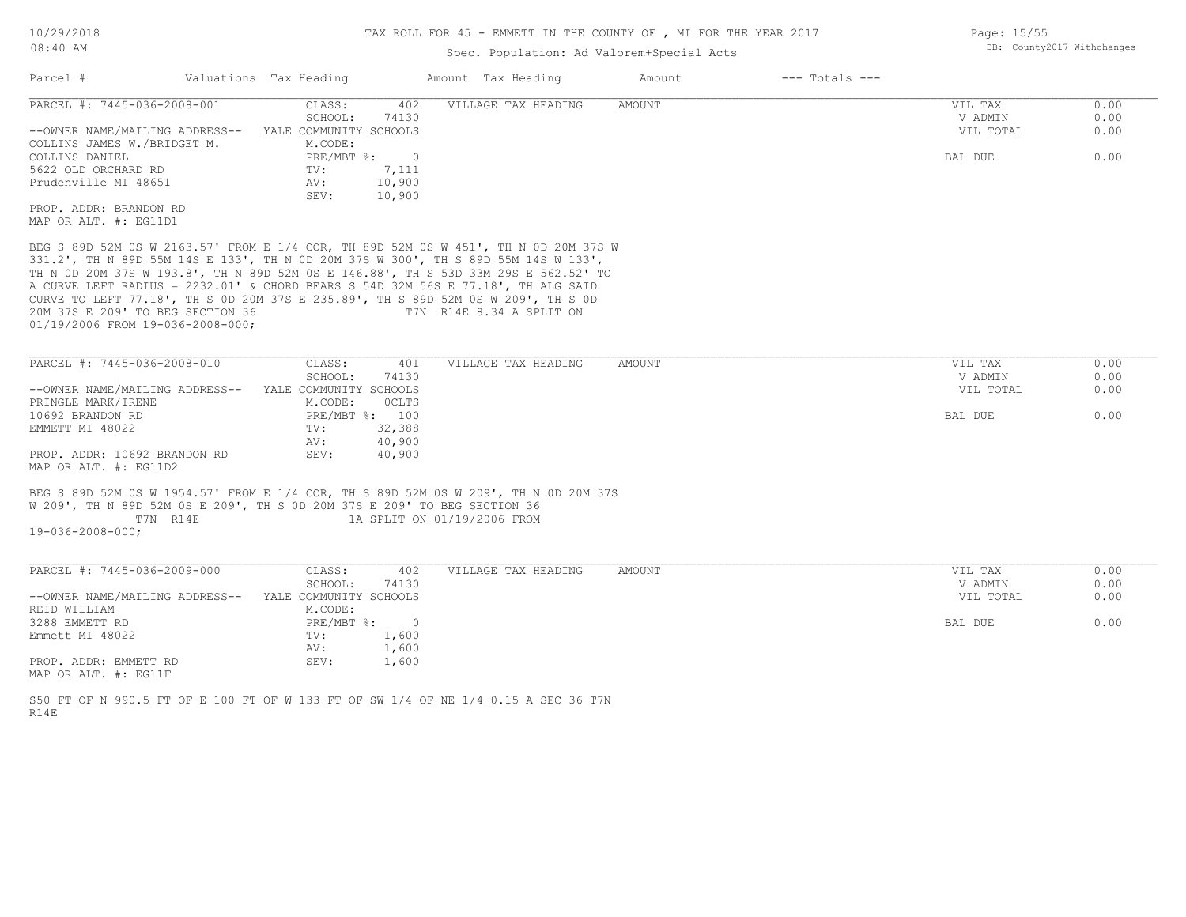## Spec. Population: Ad Valorem+Special Acts

| Parcel #                                                                                                                                                                                                                                     | Valuations Tax Heading         | Amount Tax Heading       | Amount | $---$ Totals $---$ |           |      |
|----------------------------------------------------------------------------------------------------------------------------------------------------------------------------------------------------------------------------------------------|--------------------------------|--------------------------|--------|--------------------|-----------|------|
| PARCEL #: 7445-036-2008-001                                                                                                                                                                                                                  | 402<br>CLASS:                  | VILLAGE TAX HEADING      | AMOUNT |                    | VIL TAX   | 0.00 |
|                                                                                                                                                                                                                                              | 74130<br>SCHOOL:               |                          |        |                    | V ADMIN   | 0.00 |
| --OWNER NAME/MAILING ADDRESS--                                                                                                                                                                                                               | YALE COMMUNITY SCHOOLS         |                          |        |                    | VIL TOTAL | 0.00 |
| COLLINS JAMES W./BRIDGET M.                                                                                                                                                                                                                  | M.CODE:                        |                          |        |                    |           |      |
| COLLINS DANIEL                                                                                                                                                                                                                               | $PRE/MBT$ %:<br>$\overline{0}$ |                          |        |                    | BAL DUE   | 0.00 |
| 5622 OLD ORCHARD RD                                                                                                                                                                                                                          | 7,111<br>TV:                   |                          |        |                    |           |      |
| Prudenville MI 48651                                                                                                                                                                                                                         | 10,900<br>AV:                  |                          |        |                    |           |      |
|                                                                                                                                                                                                                                              | 10,900<br>SEV:                 |                          |        |                    |           |      |
| PROP. ADDR: BRANDON RD                                                                                                                                                                                                                       |                                |                          |        |                    |           |      |
| MAP OR ALT. #: EG11D1                                                                                                                                                                                                                        |                                |                          |        |                    |           |      |
| A CURVE LEFT RADIUS = 2232.01' & CHORD BEARS S 54D 32M 56S E 77.18', TH ALG SAID<br>CURVE TO LEFT 77.18', TH S OD 20M 37S E 235.89', TH S 89D 52M OS W 209', TH S OD<br>20M 37S E 209' TO BEG SECTION 36<br>01/19/2006 FROM 19-036-2008-000; |                                | T7N R14E 8.34 A SPLIT ON |        |                    |           |      |
|                                                                                                                                                                                                                                              |                                |                          |        |                    |           |      |
| PARCEL #: 7445-036-2008-010                                                                                                                                                                                                                  | CLASS:<br>401                  | VILLAGE TAX HEADING      | AMOUNT |                    | VIL TAX   | 0.00 |
|                                                                                                                                                                                                                                              | 74130<br>SCHOOL:               |                          |        |                    | V ADMIN   | 0.00 |
| --OWNER NAME/MAILING ADDRESS--                                                                                                                                                                                                               | YALE COMMUNITY SCHOOLS         |                          |        |                    | VIL TOTAL | 0.00 |
| PRINGLE MARK/IRENE                                                                                                                                                                                                                           | OCLTS<br>M.CODE:               |                          |        |                    |           |      |
| 10692 BRANDON RD                                                                                                                                                                                                                             | PRE/MBT %: 100                 |                          |        |                    | BAL DUE   | 0.00 |
| EMMETT MI 48022                                                                                                                                                                                                                              | 32,388<br>TV:                  |                          |        |                    |           |      |
|                                                                                                                                                                                                                                              | 40,900<br>AV:                  |                          |        |                    |           |      |
| PROP. ADDR: 10692 BRANDON RD                                                                                                                                                                                                                 | 40,900<br>SEV:                 |                          |        |                    |           |      |

MAP OR ALT. #: EG11D2

19-036-2008-000; T7N R14E 1A SPLIT ON 01/19/2006 FROM W 209', TH N 89D 52M 0S E 209', TH S 0D 20M 37S E 209' TO BEG SECTION 36 BEG S 89D 52M 0S W 1954.57' FROM E 1/4 COR, TH S 89D 52M 0S W 209', TH N 0D 20M 37S

| PARCEL #: 7445-036-2009-000    | CLASS:                 | 402    | VILLAGE TAX HEADING | AMOUNT | VIL TAX   | 0.00 |
|--------------------------------|------------------------|--------|---------------------|--------|-----------|------|
|                                | SCHOOL:                | 74130  |                     |        | V ADMIN   | 0.00 |
| --OWNER NAME/MAILING ADDRESS-- | YALE COMMUNITY SCHOOLS |        |                     |        | VIL TOTAL | 0.00 |
| REID WILLIAM                   | M.CODE:                |        |                     |        |           |      |
| 3288 EMMETT RD                 | PRE/MBT %:             | $\Box$ |                     |        | BAL DUE   | 0.00 |
| Emmett MI 48022                | TV:                    | 1,600  |                     |        |           |      |
|                                | AV:                    | 1,600  |                     |        |           |      |
| PROP. ADDR: EMMETT RD          | SEV:                   | 1,600  |                     |        |           |      |
| MAP OR ALT. #: EG11F           |                        |        |                     |        |           |      |
|                                |                        |        |                     |        |           |      |

 $\_$  , and the state of the state of the state of the state of the state of the state of the state of the state of the state of the state of the state of the state of the state of the state of the state of the state of the

R14E S50 FT OF N 990.5 FT OF E 100 FT OF W 133 FT OF SW 1/4 OF NE 1/4 0.15 A SEC 36 T7N Page: 15/55 DB: County2017 Withchanges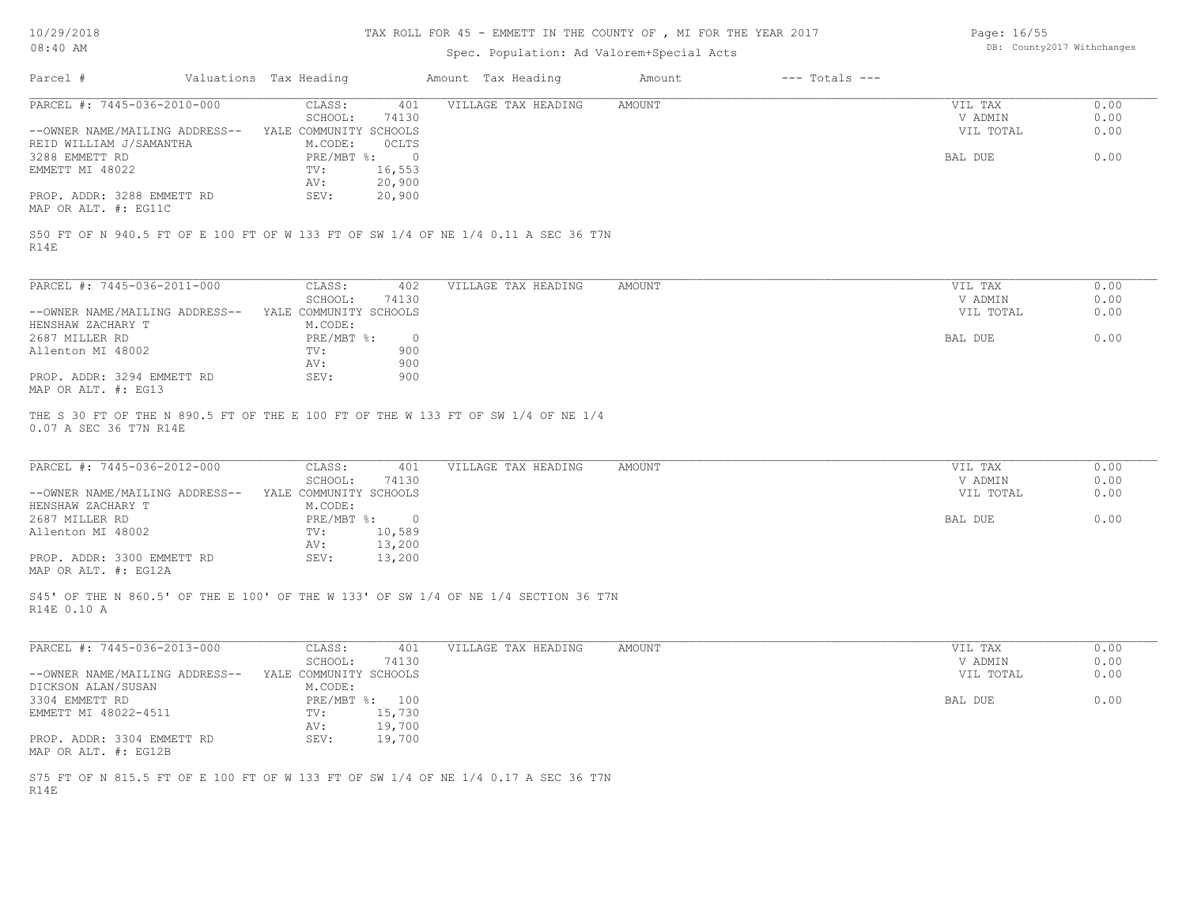## TAX ROLL FOR 45 - EMMETT IN THE COUNTY OF , MI FOR THE YEAR 2017

## Spec. Population: Ad Valorem+Special Acts

| Page: 16/55 |                            |
|-------------|----------------------------|
|             | DB: County2017 Withchanges |

| Parcel #                                                                                                    | Valuations Tax Heading |                           |                  | Amount Tax Heading  | Amount        | $---$ Totals $---$ |                    |              |
|-------------------------------------------------------------------------------------------------------------|------------------------|---------------------------|------------------|---------------------|---------------|--------------------|--------------------|--------------|
| PARCEL #: 7445-036-2010-000                                                                                 |                        | CLASS:<br>SCHOOL:         | 401<br>74130     | VILLAGE TAX HEADING | AMOUNT        |                    | VIL TAX<br>V ADMIN | 0.00<br>0.00 |
| --OWNER NAME/MAILING ADDRESS-- YALE COMMUNITY SCHOOLS                                                       |                        |                           |                  |                     |               |                    | VIL TOTAL          | 0.00         |
| REID WILLIAM J/SAMANTHA<br>3288 EMMETT RD                                                                   |                        | M.CODE:<br>PRE/MBT %: 0   | OCLTS            |                     |               |                    | BAL DUE            | 0.00         |
| EMMETT MI 48022                                                                                             |                        | TV:                       | 16,553           |                     |               |                    |                    |              |
| PROP. ADDR: 3288 EMMETT RD<br>MAP OR ALT. #: EG11C                                                          |                        | AV:<br>SEV:               | 20,900<br>20,900 |                     |               |                    |                    |              |
| S50 FT OF N 940.5 FT OF E 100 FT OF W 133 FT OF SW 1/4 OF NE 1/4 0.11 A SEC 36 T7N<br>R14E                  |                        |                           |                  |                     |               |                    |                    |              |
| PARCEL #: 7445-036-2011-000                                                                                 |                        | CLASS:                    | 402              | VILLAGE TAX HEADING | AMOUNT        |                    | VIL TAX            | 0.00         |
|                                                                                                             |                        | SCHOOL:                   | 74130            |                     |               |                    | V ADMIN            | 0.00         |
| --OWNER NAME/MAILING ADDRESS-- YALE COMMUNITY SCHOOLS<br>HENSHAW ZACHARY T                                  |                        | M.CODE:                   |                  |                     |               |                    | VIL TOTAL          | 0.00         |
| 2687 MILLER RD                                                                                              |                        | PRE/MBT %:                | $\circ$          |                     |               |                    | BAL DUE            | 0.00         |
| Allenton MI 48002                                                                                           |                        | TV:                       | 900              |                     |               |                    |                    |              |
|                                                                                                             |                        | AV:                       | 900              |                     |               |                    |                    |              |
| PROP. ADDR: 3294 EMMETT RD<br>MAP OR ALT. #: EG13                                                           |                        | SEV:                      | 900              |                     |               |                    |                    |              |
| THE S 30 FT OF THE N 890.5 FT OF THE E 100 FT OF THE W 133 FT OF SW 1/4 OF NE 1/4<br>0.07 A SEC 36 T7N R14E |                        |                           |                  |                     |               |                    |                    |              |
|                                                                                                             |                        |                           |                  |                     |               |                    |                    |              |
| PARCEL #: 7445-036-2012-000                                                                                 |                        | CLASS:<br>SCHOOL:         | 401<br>74130     | VILLAGE TAX HEADING | <b>AMOUNT</b> |                    | VIL TAX<br>V ADMIN | 0.00<br>0.00 |
| --OWNER NAME/MAILING ADDRESS-- YALE COMMUNITY SCHOOLS                                                       |                        |                           |                  |                     |               |                    | VIL TOTAL          | 0.00         |
| HENSHAW ZACHARY T                                                                                           |                        | M.CODE:                   |                  |                     |               |                    |                    |              |
| 2687 MILLER RD                                                                                              |                        | PRE/MBT %: 0              |                  |                     |               |                    | BAL DUE            | 0.00         |
| Allenton MI 48002                                                                                           |                        | TV:<br>AV:                | 10,589<br>13,200 |                     |               |                    |                    |              |
| PROP. ADDR: 3300 EMMETT RD<br>MAP OR ALT. #: EG12A                                                          |                        | SEV:                      | 13,200           |                     |               |                    |                    |              |
| S45' OF THE N 860.5' OF THE E 100' OF THE W 133' OF SW 1/4 OF NE 1/4 SECTION 36 T7N                         |                        |                           |                  |                     |               |                    |                    |              |
| R14E 0.10 A                                                                                                 |                        |                           |                  |                     |               |                    |                    |              |
| PARCEL #: 7445-036-2013-000                                                                                 |                        | CLASS:                    | 401              | VILLAGE TAX HEADING | <b>AMOUNT</b> |                    | VIL TAX            | 0.00         |
|                                                                                                             |                        | SCHOOL:                   | 74130            |                     |               |                    | V ADMIN            | 0.00         |
| --OWNER NAME/MAILING ADDRESS--                                                                              |                        | YALE COMMUNITY SCHOOLS    |                  |                     |               |                    | VIL TOTAL          | 0.00         |
| DICKSON ALAN/SUSAN<br>3304 EMMETT RD                                                                        |                        | M.CODE:<br>PRE/MBT %: 100 |                  |                     |               |                    | BAL DUE            | 0.00         |
| EMMETT MI 48022-4511                                                                                        |                        | TV:                       | 15,730           |                     |               |                    |                    |              |
|                                                                                                             |                        | AV:                       | 19,700           |                     |               |                    |                    |              |
| PROP. ADDR: 3304 EMMETT RD<br>MAP OR ALT. #: EG12B                                                          |                        | SEV:                      | 19,700           |                     |               |                    |                    |              |
| S75 FT OF N 815.5 FT OF E 100 FT OF W 133 FT OF SW 1/4 OF NE 1/4 0.17 A SEC 36 T7N<br>R14E                  |                        |                           |                  |                     |               |                    |                    |              |
|                                                                                                             |                        |                           |                  |                     |               |                    |                    |              |
|                                                                                                             |                        |                           |                  |                     |               |                    |                    |              |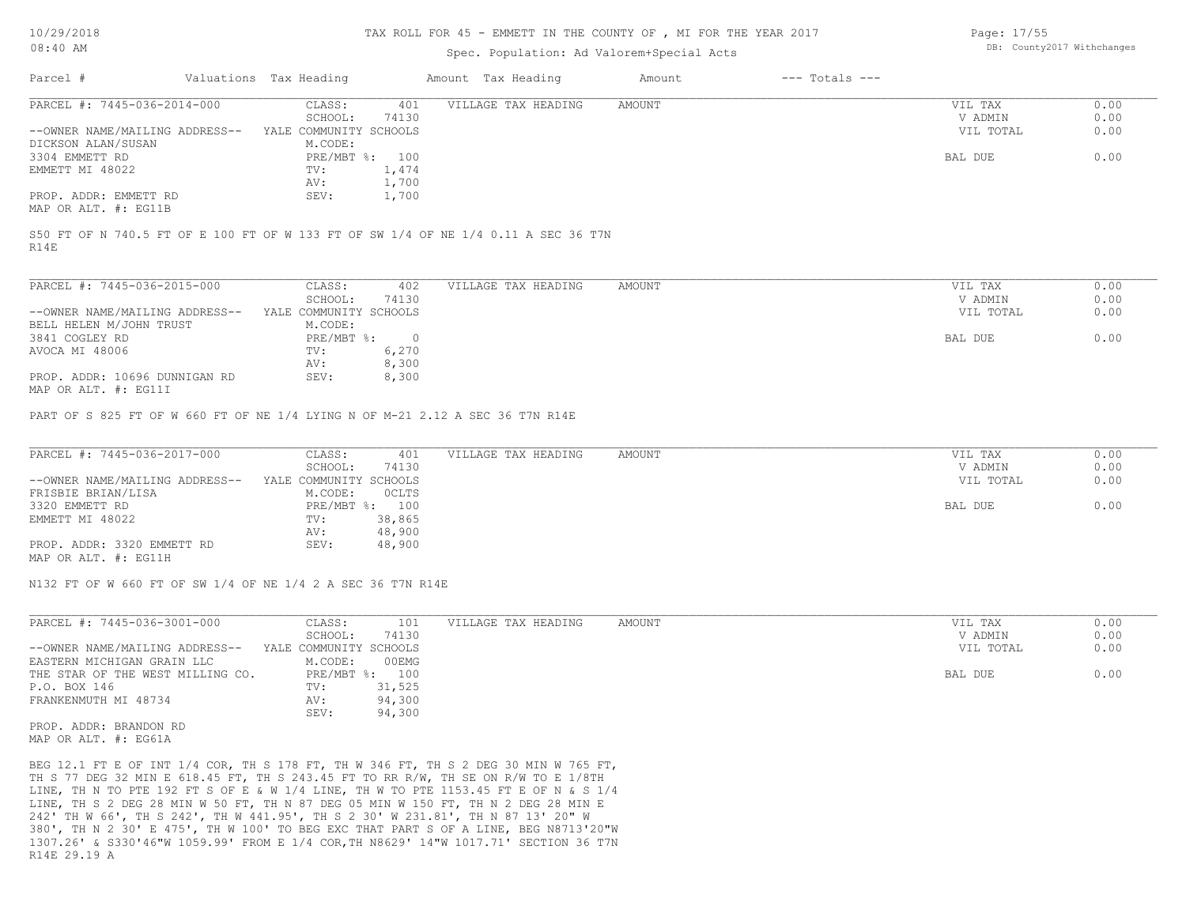#### TAX ROLL FOR 45 - EMMETT IN THE COUNTY OF , MI FOR THE YEAR 2017

### Spec. Population: Ad Valorem+Special Acts

Page: 17/55 DB: County2017 Withchanges

| Parcel #                       | Valuations Tax Heading |       | Amount Tax Heading  | Amount | $---$ Totals $---$ |           |      |
|--------------------------------|------------------------|-------|---------------------|--------|--------------------|-----------|------|
| PARCEL #: 7445-036-2014-000    | CLASS:                 | 401   | VILLAGE TAX HEADING | AMOUNT |                    | VIL TAX   | 0.00 |
|                                | SCHOOL:                | 74130 |                     |        |                    | V ADMIN   | 0.00 |
| --OWNER NAME/MAILING ADDRESS-- | YALE COMMUNITY SCHOOLS |       |                     |        |                    | VIL TOTAL | 0.00 |
| DICKSON ALAN/SUSAN             | M.CODE:                |       |                     |        |                    |           |      |
| 3304 EMMETT RD                 | PRE/MBT %: 100         |       |                     |        |                    | BAL DUE   | 0.00 |
| EMMETT MI 48022                | TV:                    | 1,474 |                     |        |                    |           |      |
|                                | AV:                    | 1,700 |                     |        |                    |           |      |
| PROP. ADDR: EMMETT RD          | SEV:                   | 1,700 |                     |        |                    |           |      |
| MAP OR ALT. #: EG11B           |                        |       |                     |        |                    |           |      |

R14E S50 FT OF N 740.5 FT OF E 100 FT OF W 133 FT OF SW 1/4 OF NE 1/4 0.11 A SEC 36 T7N

| PARCEL #: 7445-036-2015-000                                   | CLASS:                 | 402   | VILLAGE TAX HEADING | AMOUNT | VIL TAX   | 0.00 |
|---------------------------------------------------------------|------------------------|-------|---------------------|--------|-----------|------|
|                                                               | SCHOOL:                | 74130 |                     |        | V ADMIN   | 0.00 |
| --OWNER NAME/MAILING ADDRESS--                                | YALE COMMUNITY SCHOOLS |       |                     |        | VIL TOTAL | 0.00 |
| BELL HELEN M/JOHN TRUST                                       | M.CODE:                |       |                     |        |           |      |
| 3841 COGLEY RD                                                | PRE/MBT %:             |       |                     |        | BAL DUE   | 0.00 |
| AVOCA MI 48006                                                | TV:                    | 6,270 |                     |        |           |      |
|                                                               | AV:                    | 8,300 |                     |        |           |      |
| PROP. ADDR: 10696 DUNNIGAN RD                                 | SEV:                   | 8,300 |                     |        |           |      |
| $M \land D$ $\cap$ $\cap$ $\pi$ $\pi$ $\pi$ $\pi$ $\pi$ $\pi$ |                        |       |                     |        |           |      |

MAP OR ALT. #: EG11I

PART OF S 825 FT OF W 660 FT OF NE 1/4 LYING N OF M-21 2.12 A SEC 36 T7N R14E

| PARCEL #: 7445-036-2017-000    | CLASS:                 | 401            | VILLAGE TAX HEADING | AMOUNT | VIL TAX   | 0.00 |
|--------------------------------|------------------------|----------------|---------------------|--------|-----------|------|
|                                | SCHOOL:                | 74130          |                     |        | V ADMIN   | 0.00 |
| --OWNER NAME/MAILING ADDRESS-- | YALE COMMUNITY SCHOOLS |                |                     |        | VIL TOTAL | 0.00 |
| FRISBIE BRIAN/LISA             | M.CODE:                | OCLTS          |                     |        |           |      |
| 3320 EMMETT RD                 |                        | PRE/MBT %: 100 |                     |        | BAL DUE   | 0.00 |
| EMMETT MI 48022                | TV:                    | 38,865         |                     |        |           |      |
|                                | AV:                    | 48,900         |                     |        |           |      |
| PROP. ADDR: 3320 EMMETT RD     | SEV:                   | 48,900         |                     |        |           |      |
| MAP OR ALT. #: EG11H           |                        |                |                     |        |           |      |

N132 FT OF W 660 FT OF SW 1/4 OF NE 1/4 2 A SEC 36 T7N R14E

| 74130<br>SCHOOL:<br>YALE COMMUNITY SCHOOLS<br>00EMG<br>M.CODE: | V ADMIN<br>VIL TOTAL | 0.00<br>0.00 |
|----------------------------------------------------------------|----------------------|--------------|
| --OWNER NAME/MAILING ADDRESS--<br>EASTERN MICHIGAN GRAIN LLC   |                      |              |
|                                                                |                      |              |
|                                                                |                      |              |
| PRE/MBT %: 100<br>THE STAR OF THE WEST MILLING CO.             | BAL DUE              | 0.00         |
| P.O. BOX 146<br>31,525<br>TV:                                  |                      |              |
| FRANKENMUTH MI 48734<br>94,300<br>AV:                          |                      |              |
| 94,300<br>SEV:                                                 |                      |              |

MAP OR ALT. #: EG61A PROP. ADDR: BRANDON RD

R14E 29.19 A 1307.26' & S330'46"W 1059.99' FROM E 1/4 COR,TH N8629' 14"W 1017.71' SECTION 36 T7N 380', TH N 2 30' E 475', TH W 100' TO BEG EXC THAT PART S OF A LINE, BEG N8713'20"W 242' TH W 66', TH S 242', TH W 441.95', TH S 2 30' W 231.81', TH N 87 13' 20" W LINE, TH S 2 DEG 28 MIN W 50 FT, TH N 87 DEG 05 MIN W 150 FT, TH N 2 DEG 28 MIN E LINE, TH N TO PTE 192 FT S OF E & W 1/4 LINE, TH W TO PTE 1153.45 FT E OF N & S 1/4 TH S 77 DEG 32 MIN E 618.45 FT, TH S 243.45 FT TO RR R/W, TH SE ON R/W TO E 1/8TH BEG 12.1 FT E OF INT 1/4 COR, TH S 178 FT, TH W 346 FT, TH S 2 DEG 30 MIN W 765 FT,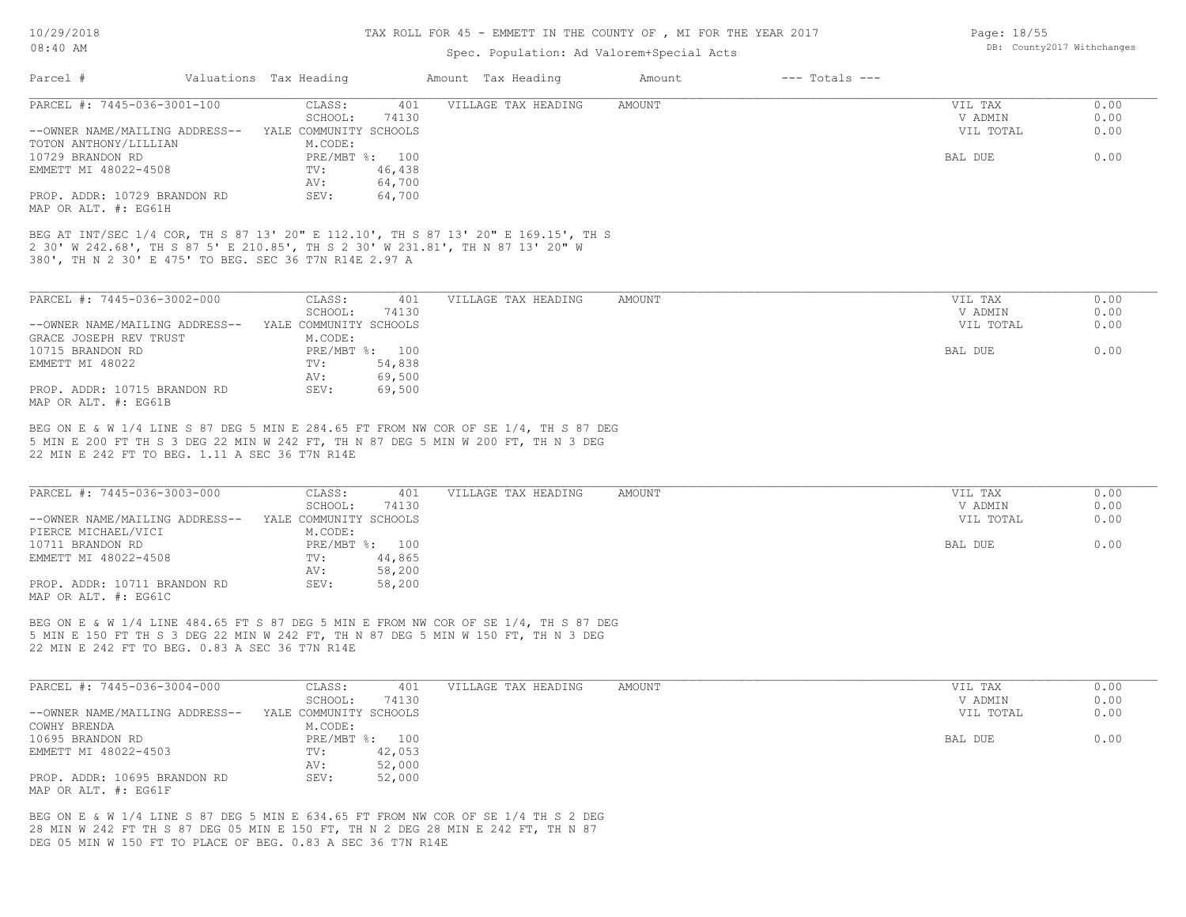### TAX ROLL FOR 45 - EMMETT IN THE COUNTY OF , MI FOR THE YEAR 2017

Page: 18/55

DB: County2017 Withchanges

## Spec. Population: Ad Valorem+Special Acts

| Parcel #                                                                                                                            | Valuations Tax Heading                     | Amount Tax Heading         | Amount | $---$ Totals $---$ |           |      |
|-------------------------------------------------------------------------------------------------------------------------------------|--------------------------------------------|----------------------------|--------|--------------------|-----------|------|
| PARCEL #: 7445-036-3001-100                                                                                                         | CLASS:                                     | 401<br>VILLAGE TAX HEADING | AMOUNT |                    | VIL TAX   | 0.00 |
|                                                                                                                                     | SCHOOL:<br>74130                           |                            |        |                    | V ADMIN   | 0.00 |
| --OWNER NAME/MAILING ADDRESS-- YALE COMMUNITY SCHOOLS                                                                               |                                            |                            |        |                    | VIL TOTAL | 0.00 |
| TOTON ANTHONY/LILLIAN                                                                                                               | M.CODE:                                    |                            |        |                    |           |      |
| 10729 BRANDON RD                                                                                                                    | PRE/MBT %: 100                             |                            |        |                    | BAL DUE   | 0.00 |
| EMMETT MI 48022-4508                                                                                                                | $\texttt{TV}$ :<br>46,438<br>64,700<br>AV: |                            |        |                    |           |      |
| PROP. ADDR: 10729 BRANDON RD                                                                                                        | SEV:<br>64,700                             |                            |        |                    |           |      |
| MAP OR ALT. #: EG61H                                                                                                                |                                            |                            |        |                    |           |      |
| BEG AT INT/SEC 1/4 COR, TH S 87 13' 20" E 112.10', TH S 87 13' 20" E 169.15', TH S                                                  |                                            |                            |        |                    |           |      |
| 2 30' W 242.68', TH S 87 5' E 210.85', TH S 2 30' W 231.81', TH N 87 13' 20" W                                                      |                                            |                            |        |                    |           |      |
| 380', TH N 2 30' E 475' TO BEG. SEC 36 T7N R14E 2.97 A                                                                              |                                            |                            |        |                    |           |      |
|                                                                                                                                     |                                            |                            |        |                    |           |      |
| PARCEL #: 7445-036-3002-000                                                                                                         | CLASS:<br>401                              | VILLAGE TAX HEADING        | AMOUNT |                    | VIL TAX   | 0.00 |
|                                                                                                                                     | SCHOOL:<br>74130                           |                            |        |                    | V ADMIN   | 0.00 |
| --OWNER NAME/MAILING ADDRESS-- YALE COMMUNITY SCHOOLS                                                                               |                                            |                            |        |                    | VIL TOTAL | 0.00 |
| GRACE JOSEPH REV TRUST                                                                                                              | M.CODE:                                    |                            |        |                    |           |      |
| 10715 BRANDON RD                                                                                                                    | PRE/MBT %: 100                             |                            |        |                    | BAL DUE   | 0.00 |
| EMMETT MI 48022                                                                                                                     | 54,838<br>$\texttt{TV}$ :                  |                            |        |                    |           |      |
|                                                                                                                                     | 69,500<br>AV:                              |                            |        |                    |           |      |
| PROP. ADDR: 10715 BRANDON RD                                                                                                        | SEV:<br>69,500                             |                            |        |                    |           |      |
| MAP OR ALT. #: EG61B                                                                                                                |                                            |                            |        |                    |           |      |
| 5 MIN E 200 FT TH S 3 DEG 22 MIN W 242 FT, TH N 87 DEG 5 MIN W 200 FT, TH N 3 DEG<br>22 MIN E 242 FT TO BEG. 1.11 A SEC 36 T7N R14E |                                            |                            |        |                    |           |      |
| PARCEL #: 7445-036-3003-000                                                                                                         | CLASS:<br>401                              | VILLAGE TAX HEADING        | AMOUNT |                    | VIL TAX   | 0.00 |
|                                                                                                                                     | SCHOOL:<br>74130                           |                            |        |                    | V ADMIN   | 0.00 |
| --OWNER NAME/MAILING ADDRESS-- YALE COMMUNITY SCHOOLS                                                                               |                                            |                            |        |                    | VIL TOTAL | 0.00 |
| PIERCE MICHAEL/VICI<br>10711 BRANDON RD                                                                                             | M.CODE:<br>PRE/MBT %: 100                  |                            |        |                    | BAL DUE   | 0.00 |
| EMMETT MI 48022-4508                                                                                                                | TV:<br>44,865                              |                            |        |                    |           |      |
|                                                                                                                                     | 58,200<br>AV:                              |                            |        |                    |           |      |
| PROP. ADDR: 10711 BRANDON RD                                                                                                        | SEV:<br>58,200                             |                            |        |                    |           |      |
| MAP OR ALT. #: EG61C                                                                                                                |                                            |                            |        |                    |           |      |
|                                                                                                                                     |                                            |                            |        |                    |           |      |
| BEG ON E & W 1/4 LINE 484.65 FT S 87 DEG 5 MIN E FROM NW COR OF SE 1/4, TH S 87 DEG                                                 |                                            |                            |        |                    |           |      |
| 5 MIN E 150 FT TH S 3 DEG 22 MIN W 242 FT, TH N 87 DEG 5 MIN W 150 FT, TH N 3 DEG<br>22 MIN E 242 FT TO BEG. 0.83 A SEC 36 T7N R14E |                                            |                            |        |                    |           |      |
|                                                                                                                                     |                                            |                            |        |                    |           |      |
|                                                                                                                                     |                                            |                            |        |                    |           |      |
| PARCEL #: 7445-036-3004-000                                                                                                         | CLASS:<br>401                              | VILLAGE TAX HEADING        | AMOUNT |                    | VIL TAX   | 0.00 |
|                                                                                                                                     | SCHOOL:<br>74130                           |                            |        |                    | V ADMIN   | 0.00 |
| --OWNER NAME/MAILING ADDRESS-- YALE COMMUNITY SCHOOLS                                                                               |                                            |                            |        |                    | VIL TOTAL | 0.00 |
| COWHY BRENDA                                                                                                                        | M.CODE:                                    |                            |        |                    |           |      |
| 10695 BRANDON RD                                                                                                                    | PRE/MBT %: 100                             |                            |        |                    | BAL DUE   | 0.00 |
| EMMETT MI 48022-4503                                                                                                                | $\texttt{TV}$ :<br>42,053<br>52,000<br>AV: |                            |        |                    |           |      |
| PROP. ADDR: 10695 BRANDON RD                                                                                                        | SEV:<br>52,000                             |                            |        |                    |           |      |
| MAP OR ALT. #: EG61F                                                                                                                |                                            |                            |        |                    |           |      |
|                                                                                                                                     |                                            |                            |        |                    |           |      |
|                                                                                                                                     |                                            |                            |        |                    |           |      |

DEG 05 MIN W 150 FT TO PLACE OF BEG. 0.83 A SEC 36 T7N R14E 28 MIN W 242 FT TH S 87 DEG 05 MIN E 150 FT, TH N 2 DEG 28 MIN E 242 FT, TH N 87 BEG ON E & W 1/4 LINE S 87 DEG 5 MIN E 634.65 FT FROM NW COR OF SE 1/4 TH S 2 DEG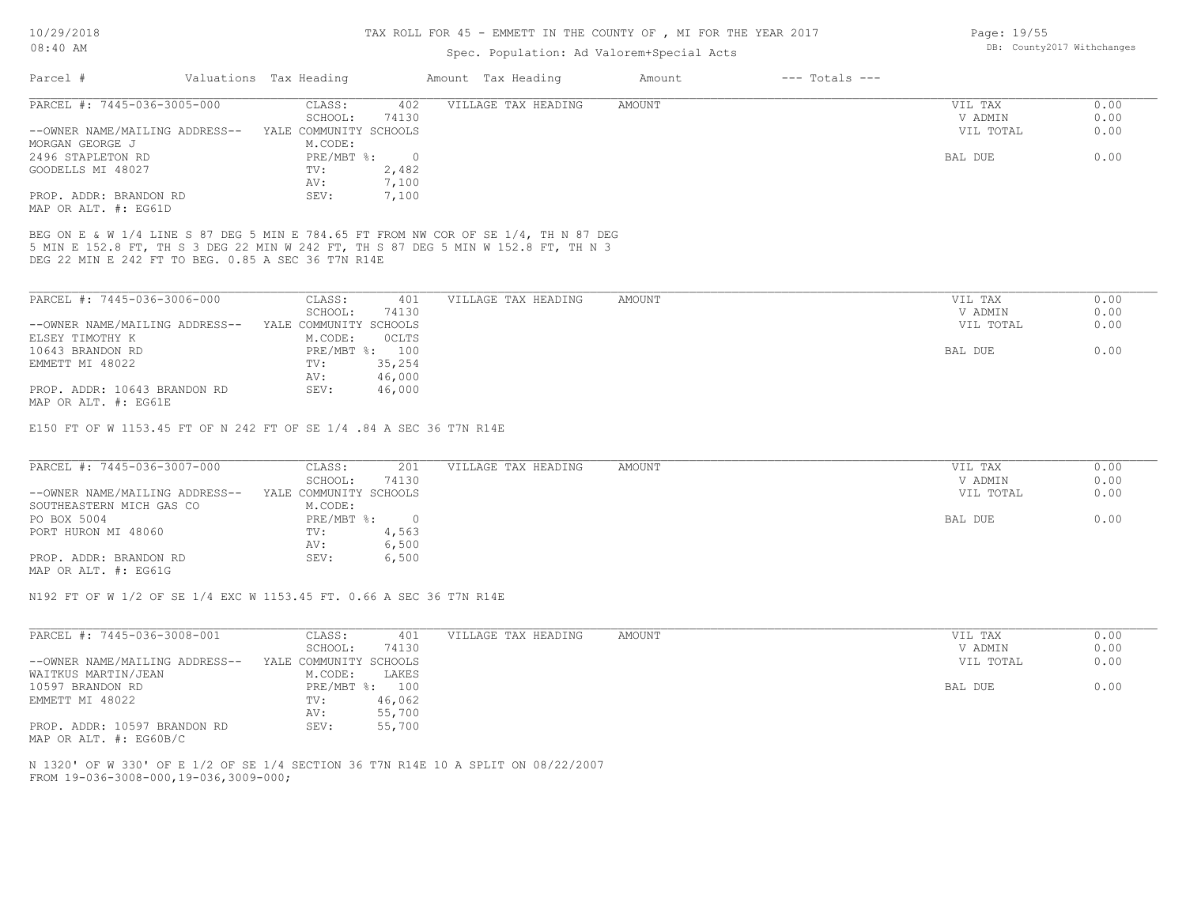10/29/2018

#### 08:40 AM

# TAX ROLL FOR 45 - EMMETT IN THE COUNTY OF , MI FOR THE YEAR 2017

| Valuations Tax Heading<br>$---$ Totals $---$<br>Parcel #<br>Amount Tax Heading<br>Amount<br>PARCEL #: 7445-036-3005-000<br>CLASS:<br>VILLAGE TAX HEADING<br><b>AMOUNT</b><br>VIL TAX<br>402<br>SCHOOL:<br>V ADMIN<br>74130<br>YALE COMMUNITY SCHOOLS<br>VIL TOTAL<br>--OWNER NAME/MAILING ADDRESS--<br>MORGAN GEORGE J<br>M.CODE:<br>2496 STAPLETON RD<br>$PRE/MBT$ %:<br>$\overline{0}$<br>BAL DUE<br>2,482<br>GOODELLS MI 48027<br>TV:<br>7,100<br>AV:<br>7,100<br>PROP. ADDR: BRANDON RD<br>SEV:<br>MAP OR ALT. #: EG61D<br>BEG ON E & W 1/4 LINE S 87 DEG 5 MIN E 784.65 FT FROM NW COR OF SE 1/4, TH N 87 DEG<br>5 MIN E 152.8 FT, TH S 3 DEG 22 MIN W 242 FT, TH S 87 DEG 5 MIN W 152.8 FT, TH N 3<br>DEG 22 MIN E 242 FT TO BEG. 0.85 A SEC 36 T7N R14E<br>PARCEL #: 7445-036-3006-000<br>CLASS:<br>401<br>VILLAGE TAX HEADING<br>AMOUNT<br>VIL TAX<br>SCHOOL:<br>74130<br>V ADMIN<br>YALE COMMUNITY SCHOOLS<br>VIL TOTAL<br>--OWNER NAME/MAILING ADDRESS--<br>ELSEY TIMOTHY K<br>M.CODE:<br>OCLTS<br>10643 BRANDON RD<br>PRE/MBT %: 100<br>BAL DUE<br>35,254<br>EMMETT MI 48022<br>TV: | 0.00<br>0.00<br>0.00<br>0.00<br>0.00 |
|------------------------------------------------------------------------------------------------------------------------------------------------------------------------------------------------------------------------------------------------------------------------------------------------------------------------------------------------------------------------------------------------------------------------------------------------------------------------------------------------------------------------------------------------------------------------------------------------------------------------------------------------------------------------------------------------------------------------------------------------------------------------------------------------------------------------------------------------------------------------------------------------------------------------------------------------------------------------------------------------------------------------------------------------------------------------------------------------|--------------------------------------|
|                                                                                                                                                                                                                                                                                                                                                                                                                                                                                                                                                                                                                                                                                                                                                                                                                                                                                                                                                                                                                                                                                                |                                      |
|                                                                                                                                                                                                                                                                                                                                                                                                                                                                                                                                                                                                                                                                                                                                                                                                                                                                                                                                                                                                                                                                                                |                                      |
|                                                                                                                                                                                                                                                                                                                                                                                                                                                                                                                                                                                                                                                                                                                                                                                                                                                                                                                                                                                                                                                                                                |                                      |
|                                                                                                                                                                                                                                                                                                                                                                                                                                                                                                                                                                                                                                                                                                                                                                                                                                                                                                                                                                                                                                                                                                |                                      |
|                                                                                                                                                                                                                                                                                                                                                                                                                                                                                                                                                                                                                                                                                                                                                                                                                                                                                                                                                                                                                                                                                                |                                      |
|                                                                                                                                                                                                                                                                                                                                                                                                                                                                                                                                                                                                                                                                                                                                                                                                                                                                                                                                                                                                                                                                                                |                                      |
|                                                                                                                                                                                                                                                                                                                                                                                                                                                                                                                                                                                                                                                                                                                                                                                                                                                                                                                                                                                                                                                                                                |                                      |
|                                                                                                                                                                                                                                                                                                                                                                                                                                                                                                                                                                                                                                                                                                                                                                                                                                                                                                                                                                                                                                                                                                |                                      |
|                                                                                                                                                                                                                                                                                                                                                                                                                                                                                                                                                                                                                                                                                                                                                                                                                                                                                                                                                                                                                                                                                                |                                      |
|                                                                                                                                                                                                                                                                                                                                                                                                                                                                                                                                                                                                                                                                                                                                                                                                                                                                                                                                                                                                                                                                                                |                                      |
|                                                                                                                                                                                                                                                                                                                                                                                                                                                                                                                                                                                                                                                                                                                                                                                                                                                                                                                                                                                                                                                                                                |                                      |
|                                                                                                                                                                                                                                                                                                                                                                                                                                                                                                                                                                                                                                                                                                                                                                                                                                                                                                                                                                                                                                                                                                |                                      |
|                                                                                                                                                                                                                                                                                                                                                                                                                                                                                                                                                                                                                                                                                                                                                                                                                                                                                                                                                                                                                                                                                                |                                      |
|                                                                                                                                                                                                                                                                                                                                                                                                                                                                                                                                                                                                                                                                                                                                                                                                                                                                                                                                                                                                                                                                                                | 0.00                                 |
|                                                                                                                                                                                                                                                                                                                                                                                                                                                                                                                                                                                                                                                                                                                                                                                                                                                                                                                                                                                                                                                                                                | 0.00                                 |
|                                                                                                                                                                                                                                                                                                                                                                                                                                                                                                                                                                                                                                                                                                                                                                                                                                                                                                                                                                                                                                                                                                |                                      |
|                                                                                                                                                                                                                                                                                                                                                                                                                                                                                                                                                                                                                                                                                                                                                                                                                                                                                                                                                                                                                                                                                                | 0.00                                 |
|                                                                                                                                                                                                                                                                                                                                                                                                                                                                                                                                                                                                                                                                                                                                                                                                                                                                                                                                                                                                                                                                                                |                                      |
| 46,000<br>AV:                                                                                                                                                                                                                                                                                                                                                                                                                                                                                                                                                                                                                                                                                                                                                                                                                                                                                                                                                                                                                                                                                  |                                      |
| PROP. ADDR: 10643 BRANDON RD<br>46,000<br>SEV:<br>MAP OR ALT. #: EG61E                                                                                                                                                                                                                                                                                                                                                                                                                                                                                                                                                                                                                                                                                                                                                                                                                                                                                                                                                                                                                         |                                      |
| PARCEL #: 7445-036-3007-000<br>CLASS:<br>201<br>VILLAGE TAX HEADING<br><b>AMOUNT</b><br>VIL TAX<br>SCHOOL:<br>74130<br>V ADMIN<br>YALE COMMUNITY SCHOOLS<br>--OWNER NAME/MAILING ADDRESS--<br>VIL TOTAL                                                                                                                                                                                                                                                                                                                                                                                                                                                                                                                                                                                                                                                                                                                                                                                                                                                                                        | 0.00<br>0.00<br>0.00                 |
| SOUTHEASTERN MICH GAS CO<br>M.CODE:                                                                                                                                                                                                                                                                                                                                                                                                                                                                                                                                                                                                                                                                                                                                                                                                                                                                                                                                                                                                                                                            |                                      |
| PO BOX 5004<br>PRE/MBT %:<br>$\overline{0}$<br>BAL DUE                                                                                                                                                                                                                                                                                                                                                                                                                                                                                                                                                                                                                                                                                                                                                                                                                                                                                                                                                                                                                                         | 0.00                                 |
| TV:<br>4,563<br>PORT HURON MI 48060                                                                                                                                                                                                                                                                                                                                                                                                                                                                                                                                                                                                                                                                                                                                                                                                                                                                                                                                                                                                                                                            |                                      |
| 6,500<br>AV:                                                                                                                                                                                                                                                                                                                                                                                                                                                                                                                                                                                                                                                                                                                                                                                                                                                                                                                                                                                                                                                                                   |                                      |
| PROP. ADDR: BRANDON RD<br>SEV:<br>6,500<br>MAP OR ALT. #: EG61G                                                                                                                                                                                                                                                                                                                                                                                                                                                                                                                                                                                                                                                                                                                                                                                                                                                                                                                                                                                                                                |                                      |
| N192 FT OF W 1/2 OF SE 1/4 EXC W 1153.45 FT. 0.66 A SEC 36 T7N R14E                                                                                                                                                                                                                                                                                                                                                                                                                                                                                                                                                                                                                                                                                                                                                                                                                                                                                                                                                                                                                            |                                      |
| PARCEL #: 7445-036-3008-001<br>CLASS:<br>401<br>VIL TAX<br>VILLAGE TAX HEADING<br>AMOUNT                                                                                                                                                                                                                                                                                                                                                                                                                                                                                                                                                                                                                                                                                                                                                                                                                                                                                                                                                                                                       | 0.00                                 |
| SCHOOL:<br>V ADMIN<br>74130                                                                                                                                                                                                                                                                                                                                                                                                                                                                                                                                                                                                                                                                                                                                                                                                                                                                                                                                                                                                                                                                    | 0.00                                 |
| YALE COMMUNITY SCHOOLS<br>VIL TOTAL<br>--OWNER NAME/MAILING ADDRESS--                                                                                                                                                                                                                                                                                                                                                                                                                                                                                                                                                                                                                                                                                                                                                                                                                                                                                                                                                                                                                          | 0.00                                 |
| WAITKUS MARTIN/JEAN<br>M.CODE:<br>LAKES                                                                                                                                                                                                                                                                                                                                                                                                                                                                                                                                                                                                                                                                                                                                                                                                                                                                                                                                                                                                                                                        |                                      |
| PRE/MBT %: 100<br>10597 BRANDON RD<br>BAL DUE                                                                                                                                                                                                                                                                                                                                                                                                                                                                                                                                                                                                                                                                                                                                                                                                                                                                                                                                                                                                                                                  | 0.00                                 |
| 46,062<br>EMMETT MI 48022<br>TV:                                                                                                                                                                                                                                                                                                                                                                                                                                                                                                                                                                                                                                                                                                                                                                                                                                                                                                                                                                                                                                                               |                                      |
| AV:<br>55,700                                                                                                                                                                                                                                                                                                                                                                                                                                                                                                                                                                                                                                                                                                                                                                                                                                                                                                                                                                                                                                                                                  |                                      |
| PROP. ADDR: 10597 BRANDON RD<br>55,700<br>SEV:<br>MAP OR ALT. #: EG60B/C                                                                                                                                                                                                                                                                                                                                                                                                                                                                                                                                                                                                                                                                                                                                                                                                                                                                                                                                                                                                                       |                                      |
| N 1320' OF W 330' OF E 1/2 OF SE 1/4 SECTION 36 T7N R14E 10 A SPLIT ON 08/22/2007<br>FROM 19-036-3008-000, 19-036, 3009-000;                                                                                                                                                                                                                                                                                                                                                                                                                                                                                                                                                                                                                                                                                                                                                                                                                                                                                                                                                                   |                                      |

Page: 19/55 DB: County2017 Withchanges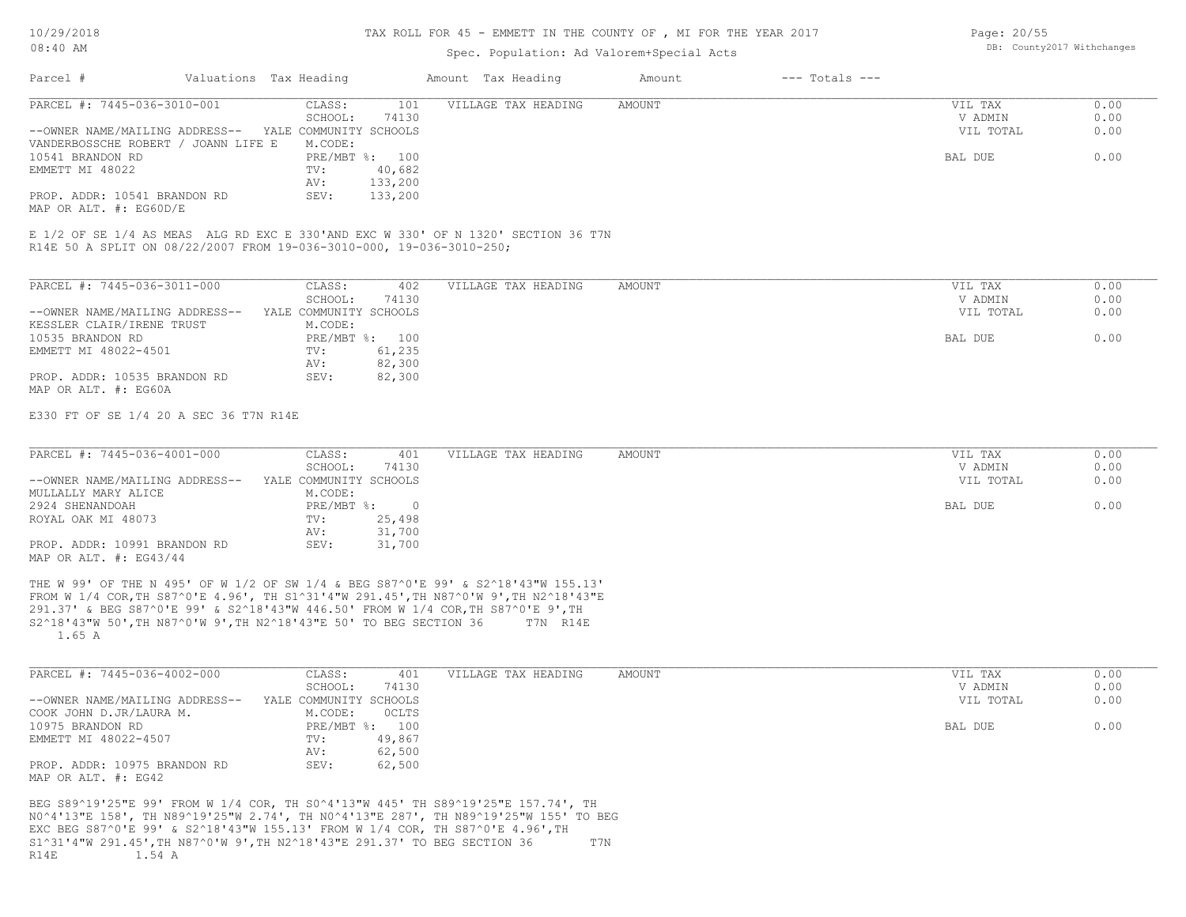### TAX ROLL FOR 45 - EMMETT IN THE COUNTY OF , MI FOR THE YEAR 2017

# Spec. Population: Ad Valorem+Special Acts

| Page: 20/55 |                            |
|-------------|----------------------------|
|             | DB: County2017 Withchanges |

|                                                                                             |                        |                                                              | spec. Population: Ad valorem+special Acts                                                                                                                                                                                                                                 |        |                    |                                 |                      |
|---------------------------------------------------------------------------------------------|------------------------|--------------------------------------------------------------|---------------------------------------------------------------------------------------------------------------------------------------------------------------------------------------------------------------------------------------------------------------------------|--------|--------------------|---------------------------------|----------------------|
| Parcel #                                                                                    | Valuations Tax Heading |                                                              | Amount Tax Heading                                                                                                                                                                                                                                                        | Amount | $---$ Totals $---$ |                                 |                      |
| PARCEL #: 7445-036-3010-001<br>--OWNER NAME/MAILING ADDRESS-- YALE COMMUNITY SCHOOLS        |                        | CLASS:<br>101<br>SCHOOL:<br>74130                            | VILLAGE TAX HEADING                                                                                                                                                                                                                                                       | AMOUNT |                    | VIL TAX<br>V ADMIN<br>VIL TOTAL | 0.00<br>0.00<br>0.00 |
| VANDERBOSSCHE ROBERT / JOANN LIFE E<br>10541 BRANDON RD<br>EMMETT MI 48022                  |                        | M.CODE:<br>PRE/MBT %: 100<br>40,682<br>TV:<br>133,200<br>AV: |                                                                                                                                                                                                                                                                           |        |                    | BAL DUE                         | 0.00                 |
| PROP. ADDR: 10541 BRANDON RD<br>MAP OR ALT. #: EG60D/E                                      |                        | 133,200<br>SEV:                                              |                                                                                                                                                                                                                                                                           |        |                    |                                 |                      |
| R14E 50 A SPLIT ON 08/22/2007 FROM 19-036-3010-000, 19-036-3010-250;                        |                        |                                                              | E 1/2 OF SE 1/4 AS MEAS ALG RD EXC E 330'AND EXC W 330' OF N 1320' SECTION 36 T7N                                                                                                                                                                                         |        |                    |                                 |                      |
| PARCEL #: 7445-036-3011-000                                                                 |                        | CLASS:<br>402<br>SCHOOL:<br>74130                            | VILLAGE TAX HEADING                                                                                                                                                                                                                                                       | AMOUNT |                    | VIL TAX<br>V ADMIN              | 0.00<br>0.00         |
| --OWNER NAME/MAILING ADDRESS--<br>KESSLER CLAIR/IRENE TRUST                                 |                        | YALE COMMUNITY SCHOOLS<br>M.CODE:                            |                                                                                                                                                                                                                                                                           |        |                    | VIL TOTAL                       | 0.00                 |
| 10535 BRANDON RD<br>EMMETT MI 48022-4501                                                    |                        | PRE/MBT %: 100<br>61,235<br>TV:                              |                                                                                                                                                                                                                                                                           |        |                    | BAL DUE                         | 0.00                 |
| PROP. ADDR: 10535 BRANDON RD<br>MAP OR ALT. #: EG60A                                        |                        | 82,300<br>AV:<br>SEV:<br>82,300                              |                                                                                                                                                                                                                                                                           |        |                    |                                 |                      |
| E330 FT OF SE 1/4 20 A SEC 36 T7N R14E                                                      |                        |                                                              |                                                                                                                                                                                                                                                                           |        |                    |                                 |                      |
| PARCEL #: 7445-036-4001-000                                                                 |                        | CLASS:<br>401<br>SCHOOL:<br>74130                            | VILLAGE TAX HEADING                                                                                                                                                                                                                                                       | AMOUNT |                    | VIL TAX<br>V ADMIN              | 0.00<br>0.00         |
| --OWNER NAME/MAILING ADDRESS--<br>MULLALLY MARY ALICE                                       |                        | YALE COMMUNITY SCHOOLS<br>M.CODE:                            |                                                                                                                                                                                                                                                                           |        |                    | VIL TOTAL                       | 0.00                 |
| 2924 SHENANDOAH<br>ROYAL OAK MI 48073                                                       |                        | $PRE/MBT$ %:<br>25,498<br>TV:                                | $\overline{\phantom{0}}$                                                                                                                                                                                                                                                  |        |                    | BAL DUE                         | 0.00                 |
| PROP. ADDR: 10991 BRANDON RD<br>MAP OR ALT. #: EG43/44                                      |                        | 31,700<br>AV:<br>31,700<br>SEV:                              |                                                                                                                                                                                                                                                                           |        |                    |                                 |                      |
| S2^18'43"W 50', TH N87^0'W 9', TH N2^18'43"E 50' TO BEG SECTION 36<br>1.65 A                |                        |                                                              | THE W 99' OF THE N 495' OF W 1/2 OF SW 1/4 & BEG S87^0'E 99' & S2^18'43"W 155.13'<br>FROM W 1/4 COR, TH S87^0'E 4.96', TH S1^31'4"W 291.45', TH N87^0'W 9', TH N2^18'43"E<br>291.37' & BEG S87^0'E 99' & S2^18'43"W 446.50' FROM W 1/4 COR, TH S87^0'E 9', TH<br>T7N R14E |        |                    |                                 |                      |
| PARCEL #: 7445-036-4002-000                                                                 |                        | CLASS:<br>401<br>SCHOOL:<br>74130                            | VILLAGE TAX HEADING                                                                                                                                                                                                                                                       | AMOUNT |                    | VIL TAX<br>V ADMIN              | 0.00<br>0.00         |
| --OWNER NAME/MAILING ADDRESS--<br>COOK JOHN D.JR/LAURA M.                                   |                        | YALE COMMUNITY SCHOOLS<br>M.CODE:<br>OCLTS                   |                                                                                                                                                                                                                                                                           |        |                    | VIL TOTAL                       | 0.00                 |
| 10975 BRANDON RD<br>EMMETT MI 48022-4507                                                    |                        | PRE/MBT %: 100<br>49,867<br>TV:                              |                                                                                                                                                                                                                                                                           |        |                    | BAL DUE                         | 0.00                 |
| PROP. ADDR: 10975 BRANDON RD<br>MAP OR ALT. #: EG42                                         |                        | 62,500<br>AV:<br>62,500<br>SEV:                              |                                                                                                                                                                                                                                                                           |        |                    |                                 |                      |
| S1^31'4"W 291.45', TH N87^0'W 9', TH N2^18'43"E 291.37' TO BEG SECTION 36<br>1.54 A<br>R14E |                        |                                                              | BEG S89^19'25"E 99' FROM W 1/4 COR, TH S0^4'13"W 445' TH S89^19'25"E 157.74', TH<br>NO^4'13"E 158', TH N89^19'25"W 2.74', TH NO^4'13"E 287', TH N89^19'25"W 155' TO BEG<br>EXC BEG S87^0'E 99' & S2^18'43"W 155.13' FROM W 1/4 COR, TH S87^0'E 4.96', TH                  | T7N    |                    |                                 |                      |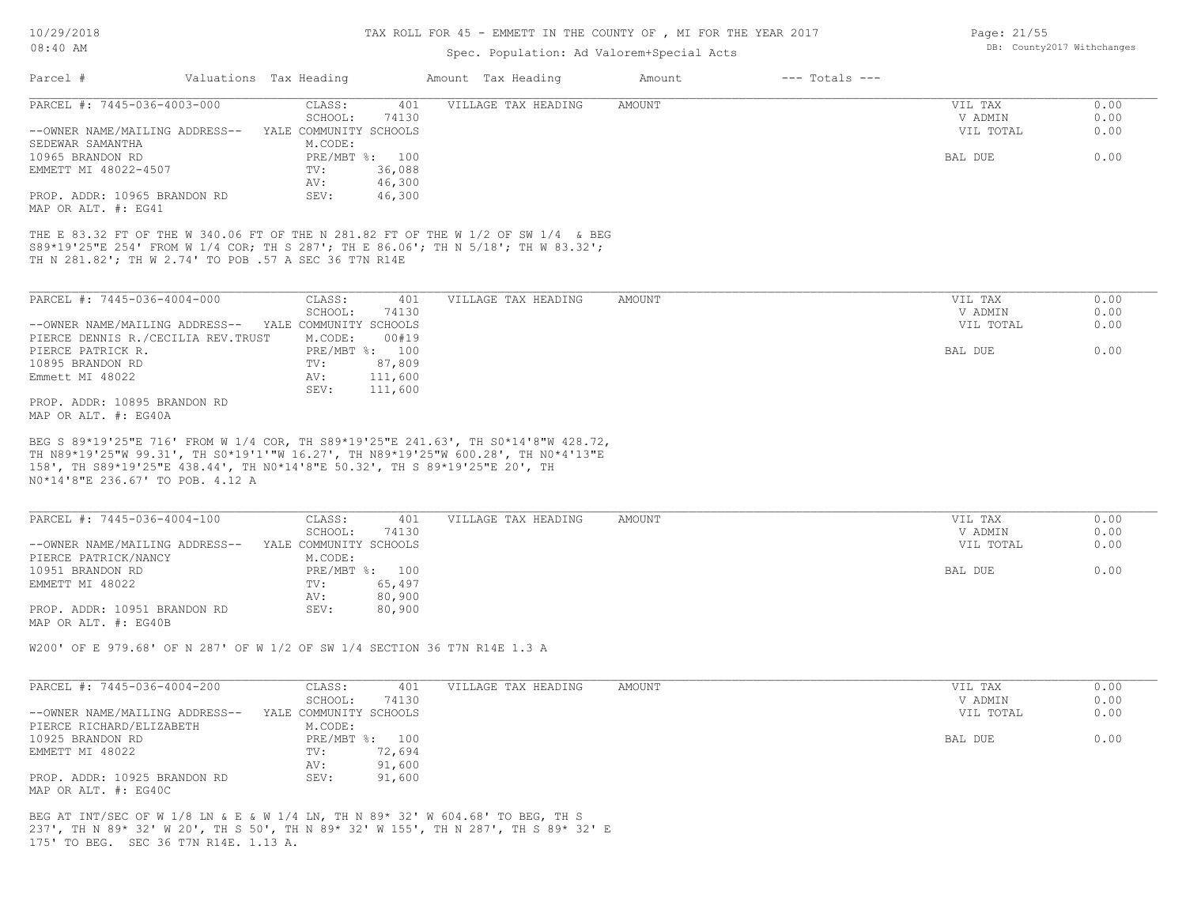#### TAX ROLL FOR 45 - EMMETT IN THE COUNTY OF , MI FOR THE YEAR 2017

# Spec. Population: Ad Valorem+Special Acts

| Parcel #                                                                                                                                                                                                                                                                                  | Valuations Tax Heading            | Amount Tax Heading  | Amount<br>$---$ Totals $---$ |                    |              |
|-------------------------------------------------------------------------------------------------------------------------------------------------------------------------------------------------------------------------------------------------------------------------------------------|-----------------------------------|---------------------|------------------------------|--------------------|--------------|
| PARCEL #: 7445-036-4003-000                                                                                                                                                                                                                                                               | CLASS:<br>401                     | VILLAGE TAX HEADING | AMOUNT                       | VIL TAX            | 0.00         |
|                                                                                                                                                                                                                                                                                           | SCHOOL:<br>74130                  |                     |                              | V ADMIN            | 0.00         |
| --OWNER NAME/MAILING ADDRESS--<br>SEDEWAR SAMANTHA                                                                                                                                                                                                                                        | YALE COMMUNITY SCHOOLS<br>M.CODE: |                     |                              | VIL TOTAL          | 0.00         |
| 10965 BRANDON RD                                                                                                                                                                                                                                                                          | PRE/MBT %: 100                    |                     |                              | BAL DUE            | 0.00         |
| EMMETT MI 48022-4507                                                                                                                                                                                                                                                                      | TV:<br>36,088                     |                     |                              |                    |              |
| PROP. ADDR: 10965 BRANDON RD                                                                                                                                                                                                                                                              | AV:<br>46,300<br>46,300<br>SEV:   |                     |                              |                    |              |
| MAP OR ALT. #: EG41                                                                                                                                                                                                                                                                       |                                   |                     |                              |                    |              |
| THE E 83.32 FT OF THE W 340.06 FT OF THE N 281.82 FT OF THE W 1/2 OF SW 1/4 & BEG                                                                                                                                                                                                         |                                   |                     |                              |                    |              |
| S89*19'25"E 254' FROM W 1/4 COR; TH S 287'; TH E 86.06'; TH N 5/18'; TH W 83.32';                                                                                                                                                                                                         |                                   |                     |                              |                    |              |
| TH N 281.82'; TH W 2.74' TO POB .57 A SEC 36 T7N R14E                                                                                                                                                                                                                                     |                                   |                     |                              |                    |              |
|                                                                                                                                                                                                                                                                                           |                                   |                     |                              |                    |              |
| PARCEL #: 7445-036-4004-000                                                                                                                                                                                                                                                               | CLASS:<br>401                     | VILLAGE TAX HEADING | AMOUNT                       | VIL TAX            | 0.00         |
|                                                                                                                                                                                                                                                                                           | SCHOOL:<br>74130                  |                     |                              | V ADMIN            | 0.00         |
| --OWNER NAME/MAILING ADDRESS-- YALE COMMUNITY SCHOOLS<br>PIERCE DENNIS R./CECILIA REV.TRUST                                                                                                                                                                                               | M.CODE:<br>00#19                  |                     |                              | VIL TOTAL          | 0.00         |
| PIERCE PATRICK R.                                                                                                                                                                                                                                                                         | PRE/MBT %: 100                    |                     |                              | BAL DUE            | 0.00         |
| 10895 BRANDON RD                                                                                                                                                                                                                                                                          | 87,809<br>TV:                     |                     |                              |                    |              |
| Emmett MI 48022                                                                                                                                                                                                                                                                           | 111,600<br>AV:                    |                     |                              |                    |              |
|                                                                                                                                                                                                                                                                                           | SEV:<br>111,600                   |                     |                              |                    |              |
| PROP. ADDR: 10895 BRANDON RD                                                                                                                                                                                                                                                              |                                   |                     |                              |                    |              |
| MAP OR ALT. #: EG40A                                                                                                                                                                                                                                                                      |                                   |                     |                              |                    |              |
|                                                                                                                                                                                                                                                                                           |                                   |                     |                              |                    |              |
| BEG S 89*19'25"E 716' FROM W 1/4 COR, TH S89*19'25"E 241.63', TH S0*14'8"W 428.72,<br>TH N89*19'25"W 99.31', TH SO*19'1'"W 16.27', TH N89*19'25"W 600.28', TH NO*4'13"E<br>158', TH S89*19'25"E 438.44', TH NO*14'8"E 50.32', TH S 89*19'25"E 20', TH<br>NO*14'8"E 236.67' TO POB. 4.12 A |                                   |                     |                              |                    |              |
| PARCEL #: 7445-036-4004-100                                                                                                                                                                                                                                                               | CLASS:<br>401                     | VILLAGE TAX HEADING | AMOUNT                       | VIL TAX            | 0.00         |
|                                                                                                                                                                                                                                                                                           | SCHOOL:<br>74130                  |                     |                              | V ADMIN            | 0.00         |
| --OWNER NAME/MAILING ADDRESS--                                                                                                                                                                                                                                                            | YALE COMMUNITY SCHOOLS            |                     |                              | VIL TOTAL          | 0.00         |
| PIERCE PATRICK/NANCY                                                                                                                                                                                                                                                                      | M.CODE:                           |                     |                              |                    |              |
| 10951 BRANDON RD<br>EMMETT MI 48022                                                                                                                                                                                                                                                       | PRE/MBT %: 100<br>65,497<br>TV:   |                     |                              | BAL DUE            | 0.00         |
|                                                                                                                                                                                                                                                                                           | AV:<br>80,900                     |                     |                              |                    |              |
| PROP. ADDR: 10951 BRANDON RD                                                                                                                                                                                                                                                              | SEV:<br>80,900                    |                     |                              |                    |              |
|                                                                                                                                                                                                                                                                                           |                                   |                     |                              |                    |              |
| MAP OR ALT. #: EG40B<br>W200' OF E 979.68' OF N 287' OF W 1/2 OF SW 1/4 SECTION 36 T7N R14E 1.3 A                                                                                                                                                                                         |                                   |                     |                              |                    |              |
|                                                                                                                                                                                                                                                                                           |                                   |                     |                              |                    |              |
|                                                                                                                                                                                                                                                                                           |                                   |                     |                              |                    |              |
| PARCEL #: 7445-036-4004-200                                                                                                                                                                                                                                                               | CLASS:<br>401<br>74130<br>SCHOOL: | VILLAGE TAX HEADING | AMOUNT                       | VIL TAX<br>V ADMIN | 0.00<br>0.00 |
| --OWNER NAME/MAILING ADDRESS--                                                                                                                                                                                                                                                            | YALE COMMUNITY SCHOOLS            |                     |                              | VIL TOTAL          | 0.00         |
| PIERCE RICHARD/ELIZABETH                                                                                                                                                                                                                                                                  | M.CODE:                           |                     |                              |                    |              |
| 10925 BRANDON RD                                                                                                                                                                                                                                                                          | PRE/MBT %: 100                    |                     |                              | BAL DUE            | 0.00         |
| EMMETT MI 48022                                                                                                                                                                                                                                                                           | 72,694<br>TV:                     |                     |                              |                    |              |
| PROP. ADDR: 10925 BRANDON RD                                                                                                                                                                                                                                                              | 91,600<br>AV:<br>SEV:<br>91,600   |                     |                              |                    |              |

175' TO BEG. SEC 36 T7N R14E. 1.13 A. 237', TH N 89\* 32' W 20', TH S 50', TH N 89\* 32' W 155', TH N 287', TH S 89\* 32' E BEG AT INT/SEC OF W 1/8 LN & E & W 1/4 LN, TH N 89\* 32' W 604.68' TO BEG, TH S

Page: 21/55 DB: County2017 Withchanges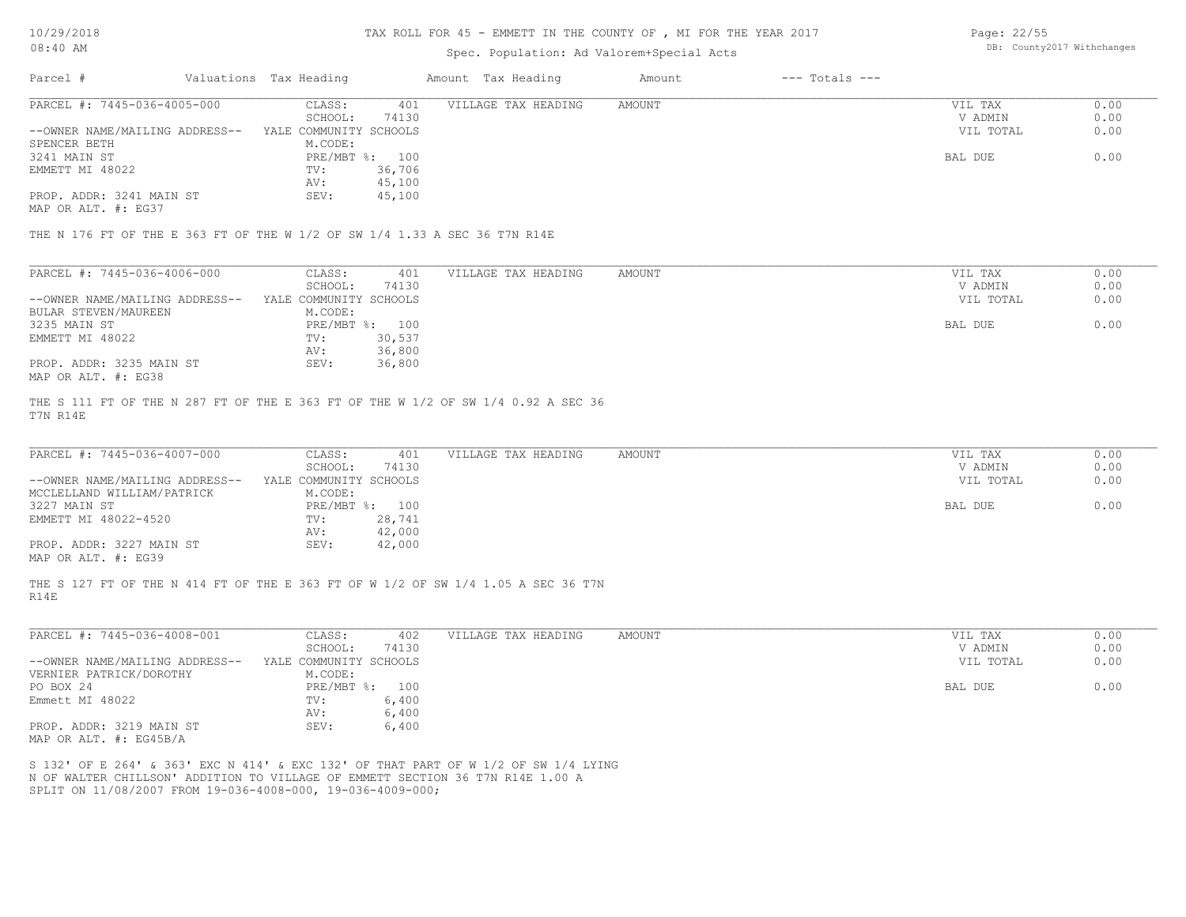#### TAX ROLL FOR 45 - EMMETT IN THE COUNTY OF , MI FOR THE YEAR 2017

### Spec. Population: Ad Valorem+Special Acts

Page: 22/55 DB: County2017 Withchanges

| Parcel #                       | Valuations Tax Heading |        | Amount Tax Heading  | Amount | $---$ Totals $---$ |           |      |
|--------------------------------|------------------------|--------|---------------------|--------|--------------------|-----------|------|
| PARCEL #: 7445-036-4005-000    | CLASS:                 | 401    | VILLAGE TAX HEADING | AMOUNT |                    | VIL TAX   | 0.00 |
|                                | SCHOOL:                | 74130  |                     |        |                    | V ADMIN   | 0.00 |
| --OWNER NAME/MAILING ADDRESS-- | YALE COMMUNITY SCHOOLS |        |                     |        |                    | VIL TOTAL | 0.00 |
| SPENCER BETH                   | M.CODE:                |        |                     |        |                    |           |      |
| 3241 MAIN ST                   | PRE/MBT %: 100         |        |                     |        |                    | BAL DUE   | 0.00 |
| EMMETT MI 48022                | TV:                    | 36,706 |                     |        |                    |           |      |
|                                | AV:                    | 45,100 |                     |        |                    |           |      |
| PROP. ADDR: 3241 MAIN ST       | SEV:                   | 45,100 |                     |        |                    |           |      |
|                                |                        |        |                     |        |                    |           |      |

MAP OR ALT. #: EG37

THE N 176 FT OF THE E 363 FT OF THE W 1/2 OF SW 1/4 1.33 A SEC 36 T7N R14E

| PARCEL #: 7445-036-4006-000    | CLASS:                 | 401    | VILLAGE TAX HEADING | AMOUNT | VIL TAX   | 0.00 |
|--------------------------------|------------------------|--------|---------------------|--------|-----------|------|
|                                | SCHOOL:                | 74130  |                     |        | V ADMIN   | 0.00 |
| --OWNER NAME/MAILING ADDRESS-- | YALE COMMUNITY SCHOOLS |        |                     |        | VIL TOTAL | 0.00 |
| BULAR STEVEN/MAUREEN           | M.CODE:                |        |                     |        |           |      |
| 3235 MAIN ST                   | PRE/MBT %: 100         |        |                     |        | BAL DUE   | 0.00 |
| EMMETT MI 48022                | TV:                    | 30,537 |                     |        |           |      |
|                                | AV:                    | 36,800 |                     |        |           |      |
| PROP. ADDR: 3235 MAIN ST       | SEV:                   | 36,800 |                     |        |           |      |
| MAP OR ALT. #: EG38            |                        |        |                     |        |           |      |

T7N R14E THE S 111 FT OF THE N 287 FT OF THE E 363 FT OF THE W 1/2 OF SW 1/4 0.92 A SEC 36

| PARCEL #: 7445-036-4007-000    | CLASS:                 | VILLAGE TAX HEADING<br>401 | AMOUNT | VIL TAX   | 0.00 |
|--------------------------------|------------------------|----------------------------|--------|-----------|------|
|                                | 74130<br>SCHOOL:       |                            |        | V ADMIN   | 0.00 |
| --OWNER NAME/MAILING ADDRESS-- | YALE COMMUNITY SCHOOLS |                            |        | VIL TOTAL | 0.00 |
| MCCLELLAND WILLIAM/PATRICK     | M.CODE:                |                            |        |           |      |
| 3227 MAIN ST                   | PRE/MBT %: 100         |                            |        | BAL DUE   | 0.00 |
| EMMETT MI 48022-4520           | 28,741<br>TV:          |                            |        |           |      |
|                                | 42,000<br>AV:          |                            |        |           |      |
| PROP. ADDR: 3227 MAIN ST       | 42,000<br>SEV:         |                            |        |           |      |
| MAP OR ALT. #: EG39            |                        |                            |        |           |      |

R14E THE S 127 FT OF THE N 414 FT OF THE E 363 FT OF W 1/2 OF SW 1/4 1.05 A SEC 36 T7N

| PARCEL #: 7445-036-4008-001    | CLASS:                 | 402   | VILLAGE TAX HEADING | AMOUNT | VIL TAX   | 0.00 |
|--------------------------------|------------------------|-------|---------------------|--------|-----------|------|
|                                | SCHOOL:                | 74130 |                     |        | V ADMIN   | 0.00 |
| --OWNER NAME/MAILING ADDRESS-- | YALE COMMUNITY SCHOOLS |       |                     |        | VIL TOTAL | 0.00 |
| VERNIER PATRICK/DOROTHY        | M.CODE:                |       |                     |        |           |      |
| PO BOX 24                      | $PRE/MBT$ %:           | 100   |                     |        | BAL DUE   | 0.00 |
| Emmett MI 48022                | TV:                    | 6,400 |                     |        |           |      |
|                                | AV:                    | 6,400 |                     |        |           |      |
| PROP. ADDR: 3219 MAIN ST       | SEV:                   | 6,400 |                     |        |           |      |
| MAP OR ALT. #: EG45B/A         |                        |       |                     |        |           |      |

SPLIT ON 11/08/2007 FROM 19-036-4008-000, 19-036-4009-000; N OF WALTER CHILLSON' ADDITION TO VILLAGE OF EMMETT SECTION 36 T7N R14E 1.00 A S 132' OF E 264' & 363' EXC N 414' & EXC 132' OF THAT PART OF W 1/2 OF SW 1/4 LYING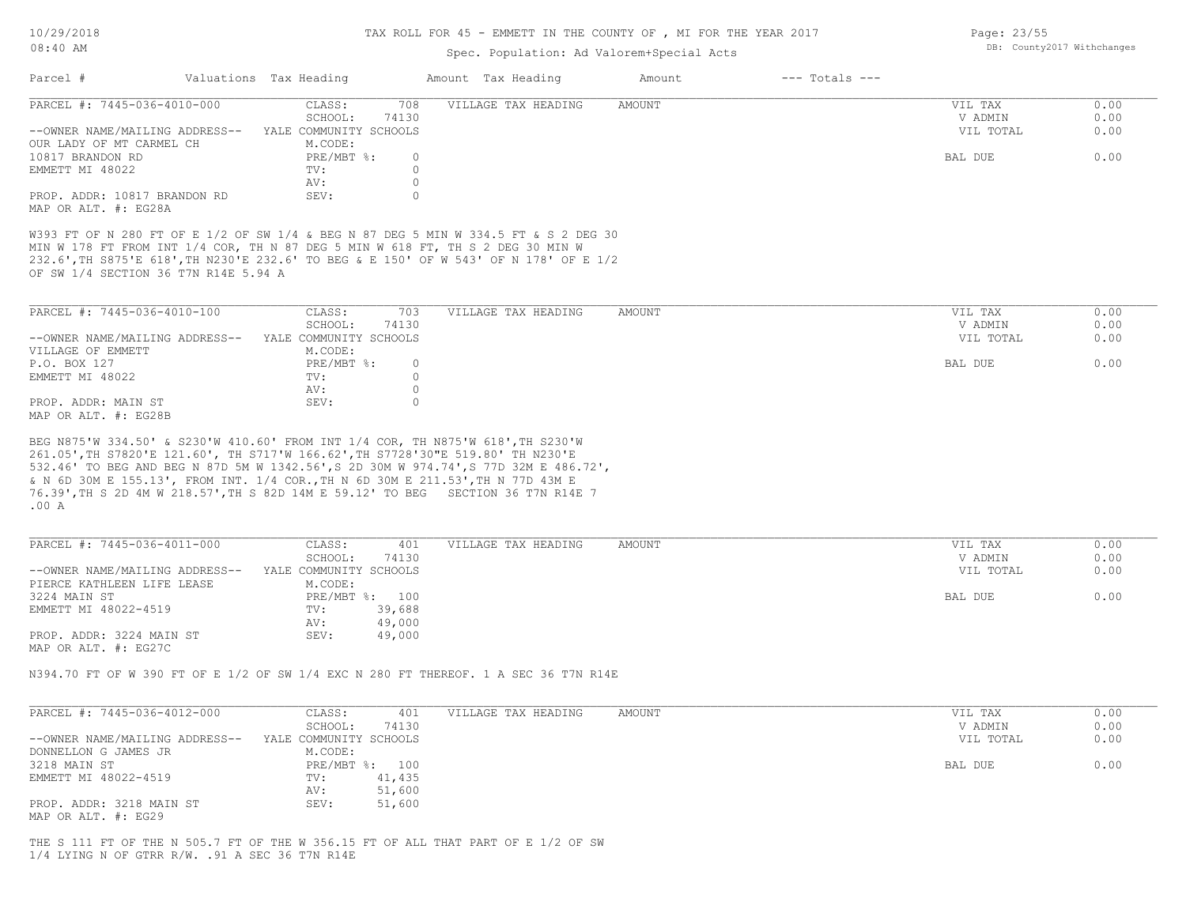## TAX ROLL FOR 45 - EMMETT IN THE COUNTY OF , MI FOR THE YEAR 2017

Page: 23/55

DB: County2017 Withchanges

## Spec. Population: Ad Valorem+Special Acts

| PARCEL #: 7445-036-4010-000<br>CLASS:<br>708<br>VILLAGE TAX HEADING<br>AMOUNT<br>VIL TAX<br>SCHOOL:<br>74130<br>V ADMIN<br>YALE COMMUNITY SCHOOLS<br>VIL TOTAL<br>--OWNER NAME/MAILING ADDRESS--<br>OUR LADY OF MT CARMEL CH<br>M.CODE:<br>10817 BRANDON RD<br>PRE/MBT %:<br>BAL DUE<br>0<br>EMMETT MI 48022<br>$\circ$<br>TV:<br>$\circ$<br>AV:<br>SEV:<br>$\circ$<br>PROP. ADDR: 10817 BRANDON RD<br>MAP OR ALT. #: EG28A<br>W393 FT OF N 280 FT OF E 1/2 OF SW 1/4 & BEG N 87 DEG 5 MIN W 334.5 FT & S 2 DEG 30<br>MIN W 178 FT FROM INT 1/4 COR, TH N 87 DEG 5 MIN W 618 FT, TH S 2 DEG 30 MIN W<br>232.6', TH S875'E 618', TH N230'E 232.6' TO BEG & E 150' OF W 543' OF N 178' OF E 1/2<br>OF SW 1/4 SECTION 36 T7N R14E 5.94 A<br>PARCEL #: 7445-036-4010-100<br>CLASS:<br>703<br>VILLAGE TAX HEADING<br>VIL TAX<br>AMOUNT<br>SCHOOL:<br>V ADMIN<br>74130<br>--OWNER NAME/MAILING ADDRESS-- YALE COMMUNITY SCHOOLS<br>VIL TOTAL<br>VILLAGE OF EMMETT<br>M.CODE:<br>PRE/MBT %:<br>BAL DUE<br>P.O. BOX 127<br>$\circ$<br>$\circ$<br>EMMETT MI 48022<br>TV:<br>$\circ$<br>AV:<br>SEV:<br>$\circ$<br>PROP. ADDR: MAIN ST<br>MAP OR ALT. #: EG28B<br>BEG N875'W 334.50' & S230'W 410.60' FROM INT 1/4 COR, TH N875'W 618', TH S230'W<br>261.05', TH S7820'E 121.60', TH S717'W 166.62', TH S7728'30"E 519.80' TH N230'E<br>532.46' TO BEG AND BEG N 87D 5M W 1342.56', S 2D 30M W 974.74', S 77D 32M E 486.72',<br>& N 6D 30M E 155.13', FROM INT. 1/4 COR., TH N 6D 30M E 211.53', TH N 77D 43M E<br>.00A<br>PARCEL #: 7445-036-4011-000<br>CLASS:<br>VILLAGE TAX HEADING<br>401<br>AMOUNT<br>VIL TAX<br>SCHOOL:<br>74130<br>V ADMIN<br>YALE COMMUNITY SCHOOLS<br>VIL TOTAL<br>--OWNER NAME/MAILING ADDRESS--<br>PIERCE KATHLEEN LIFE LEASE<br>M.CODE:<br>PRE/MBT %: 100<br>BAL DUE<br>3224 MAIN ST<br>39,688<br>EMMETT MI 48022-4519<br>TV:<br>49,000<br>AV:<br>SEV:<br>PROP. ADDR: 3224 MAIN ST<br>49,000<br>MAP OR ALT. #: EG27C | 0.00<br>0.00<br>0.00<br>0.00 |
|----------------------------------------------------------------------------------------------------------------------------------------------------------------------------------------------------------------------------------------------------------------------------------------------------------------------------------------------------------------------------------------------------------------------------------------------------------------------------------------------------------------------------------------------------------------------------------------------------------------------------------------------------------------------------------------------------------------------------------------------------------------------------------------------------------------------------------------------------------------------------------------------------------------------------------------------------------------------------------------------------------------------------------------------------------------------------------------------------------------------------------------------------------------------------------------------------------------------------------------------------------------------------------------------------------------------------------------------------------------------------------------------------------------------------------------------------------------------------------------------------------------------------------------------------------------------------------------------------------------------------------------------------------------------------------------------------------------------------------------------------------------------------------------------------------------------------------------------------------------------------------------------------------------------------------------|------------------------------|
| 76.39', TH S 2D 4M W 218.57', TH S 82D 14M E 59.12' TO BEG SECTION 36 T7N R14E 7                                                                                                                                                                                                                                                                                                                                                                                                                                                                                                                                                                                                                                                                                                                                                                                                                                                                                                                                                                                                                                                                                                                                                                                                                                                                                                                                                                                                                                                                                                                                                                                                                                                                                                                                                                                                                                                       |                              |
|                                                                                                                                                                                                                                                                                                                                                                                                                                                                                                                                                                                                                                                                                                                                                                                                                                                                                                                                                                                                                                                                                                                                                                                                                                                                                                                                                                                                                                                                                                                                                                                                                                                                                                                                                                                                                                                                                                                                        |                              |
|                                                                                                                                                                                                                                                                                                                                                                                                                                                                                                                                                                                                                                                                                                                                                                                                                                                                                                                                                                                                                                                                                                                                                                                                                                                                                                                                                                                                                                                                                                                                                                                                                                                                                                                                                                                                                                                                                                                                        |                              |
|                                                                                                                                                                                                                                                                                                                                                                                                                                                                                                                                                                                                                                                                                                                                                                                                                                                                                                                                                                                                                                                                                                                                                                                                                                                                                                                                                                                                                                                                                                                                                                                                                                                                                                                                                                                                                                                                                                                                        |                              |
|                                                                                                                                                                                                                                                                                                                                                                                                                                                                                                                                                                                                                                                                                                                                                                                                                                                                                                                                                                                                                                                                                                                                                                                                                                                                                                                                                                                                                                                                                                                                                                                                                                                                                                                                                                                                                                                                                                                                        | 0.00<br>0.00<br>0.00         |
|                                                                                                                                                                                                                                                                                                                                                                                                                                                                                                                                                                                                                                                                                                                                                                                                                                                                                                                                                                                                                                                                                                                                                                                                                                                                                                                                                                                                                                                                                                                                                                                                                                                                                                                                                                                                                                                                                                                                        |                              |
|                                                                                                                                                                                                                                                                                                                                                                                                                                                                                                                                                                                                                                                                                                                                                                                                                                                                                                                                                                                                                                                                                                                                                                                                                                                                                                                                                                                                                                                                                                                                                                                                                                                                                                                                                                                                                                                                                                                                        | 0.00                         |
|                                                                                                                                                                                                                                                                                                                                                                                                                                                                                                                                                                                                                                                                                                                                                                                                                                                                                                                                                                                                                                                                                                                                                                                                                                                                                                                                                                                                                                                                                                                                                                                                                                                                                                                                                                                                                                                                                                                                        |                              |
|                                                                                                                                                                                                                                                                                                                                                                                                                                                                                                                                                                                                                                                                                                                                                                                                                                                                                                                                                                                                                                                                                                                                                                                                                                                                                                                                                                                                                                                                                                                                                                                                                                                                                                                                                                                                                                                                                                                                        |                              |
|                                                                                                                                                                                                                                                                                                                                                                                                                                                                                                                                                                                                                                                                                                                                                                                                                                                                                                                                                                                                                                                                                                                                                                                                                                                                                                                                                                                                                                                                                                                                                                                                                                                                                                                                                                                                                                                                                                                                        |                              |
|                                                                                                                                                                                                                                                                                                                                                                                                                                                                                                                                                                                                                                                                                                                                                                                                                                                                                                                                                                                                                                                                                                                                                                                                                                                                                                                                                                                                                                                                                                                                                                                                                                                                                                                                                                                                                                                                                                                                        |                              |
|                                                                                                                                                                                                                                                                                                                                                                                                                                                                                                                                                                                                                                                                                                                                                                                                                                                                                                                                                                                                                                                                                                                                                                                                                                                                                                                                                                                                                                                                                                                                                                                                                                                                                                                                                                                                                                                                                                                                        | 0.00                         |
|                                                                                                                                                                                                                                                                                                                                                                                                                                                                                                                                                                                                                                                                                                                                                                                                                                                                                                                                                                                                                                                                                                                                                                                                                                                                                                                                                                                                                                                                                                                                                                                                                                                                                                                                                                                                                                                                                                                                        | 0.00                         |
|                                                                                                                                                                                                                                                                                                                                                                                                                                                                                                                                                                                                                                                                                                                                                                                                                                                                                                                                                                                                                                                                                                                                                                                                                                                                                                                                                                                                                                                                                                                                                                                                                                                                                                                                                                                                                                                                                                                                        | 0.00                         |
|                                                                                                                                                                                                                                                                                                                                                                                                                                                                                                                                                                                                                                                                                                                                                                                                                                                                                                                                                                                                                                                                                                                                                                                                                                                                                                                                                                                                                                                                                                                                                                                                                                                                                                                                                                                                                                                                                                                                        | 0.00                         |
|                                                                                                                                                                                                                                                                                                                                                                                                                                                                                                                                                                                                                                                                                                                                                                                                                                                                                                                                                                                                                                                                                                                                                                                                                                                                                                                                                                                                                                                                                                                                                                                                                                                                                                                                                                                                                                                                                                                                        |                              |
|                                                                                                                                                                                                                                                                                                                                                                                                                                                                                                                                                                                                                                                                                                                                                                                                                                                                                                                                                                                                                                                                                                                                                                                                                                                                                                                                                                                                                                                                                                                                                                                                                                                                                                                                                                                                                                                                                                                                        |                              |
|                                                                                                                                                                                                                                                                                                                                                                                                                                                                                                                                                                                                                                                                                                                                                                                                                                                                                                                                                                                                                                                                                                                                                                                                                                                                                                                                                                                                                                                                                                                                                                                                                                                                                                                                                                                                                                                                                                                                        |                              |
| N394.70 FT OF W 390 FT OF E 1/2 OF SW 1/4 EXC N 280 FT THEREOF. 1 A SEC 36 T7N R14E                                                                                                                                                                                                                                                                                                                                                                                                                                                                                                                                                                                                                                                                                                                                                                                                                                                                                                                                                                                                                                                                                                                                                                                                                                                                                                                                                                                                                                                                                                                                                                                                                                                                                                                                                                                                                                                    |                              |
| PARCEL #: 7445-036-4012-000<br>CLASS:<br>401<br>VILLAGE TAX HEADING<br>AMOUNT<br>VIL TAX                                                                                                                                                                                                                                                                                                                                                                                                                                                                                                                                                                                                                                                                                                                                                                                                                                                                                                                                                                                                                                                                                                                                                                                                                                                                                                                                                                                                                                                                                                                                                                                                                                                                                                                                                                                                                                               | 0.00                         |
| SCHOOL:<br>74130<br>V ADMIN                                                                                                                                                                                                                                                                                                                                                                                                                                                                                                                                                                                                                                                                                                                                                                                                                                                                                                                                                                                                                                                                                                                                                                                                                                                                                                                                                                                                                                                                                                                                                                                                                                                                                                                                                                                                                                                                                                            | 0.00                         |
| YALE COMMUNITY SCHOOLS<br>VIL TOTAL<br>--OWNER NAME/MAILING ADDRESS--                                                                                                                                                                                                                                                                                                                                                                                                                                                                                                                                                                                                                                                                                                                                                                                                                                                                                                                                                                                                                                                                                                                                                                                                                                                                                                                                                                                                                                                                                                                                                                                                                                                                                                                                                                                                                                                                  | 0.00                         |
| DONNELLON G JAMES JR<br>M.CODE:                                                                                                                                                                                                                                                                                                                                                                                                                                                                                                                                                                                                                                                                                                                                                                                                                                                                                                                                                                                                                                                                                                                                                                                                                                                                                                                                                                                                                                                                                                                                                                                                                                                                                                                                                                                                                                                                                                        |                              |
| 3218 MAIN ST<br>PRE/MBT %: 100<br>BAL DUE                                                                                                                                                                                                                                                                                                                                                                                                                                                                                                                                                                                                                                                                                                                                                                                                                                                                                                                                                                                                                                                                                                                                                                                                                                                                                                                                                                                                                                                                                                                                                                                                                                                                                                                                                                                                                                                                                              |                              |
| 41,435<br>EMMETT MI 48022-4519<br>TV:<br>51,600<br>AV:                                                                                                                                                                                                                                                                                                                                                                                                                                                                                                                                                                                                                                                                                                                                                                                                                                                                                                                                                                                                                                                                                                                                                                                                                                                                                                                                                                                                                                                                                                                                                                                                                                                                                                                                                                                                                                                                                 | 0.00                         |
| SEV:<br>51,600<br>PROP. ADDR: 3218 MAIN ST<br>MAP OR ALT. #: EG29                                                                                                                                                                                                                                                                                                                                                                                                                                                                                                                                                                                                                                                                                                                                                                                                                                                                                                                                                                                                                                                                                                                                                                                                                                                                                                                                                                                                                                                                                                                                                                                                                                                                                                                                                                                                                                                                      |                              |

1/4 LYING N OF GTRR R/W. .91 A SEC 36 T7N R14E THE S 111 FT OF THE N 505.7 FT OF THE W 356.15 FT OF ALL THAT PART OF E 1/2 OF SW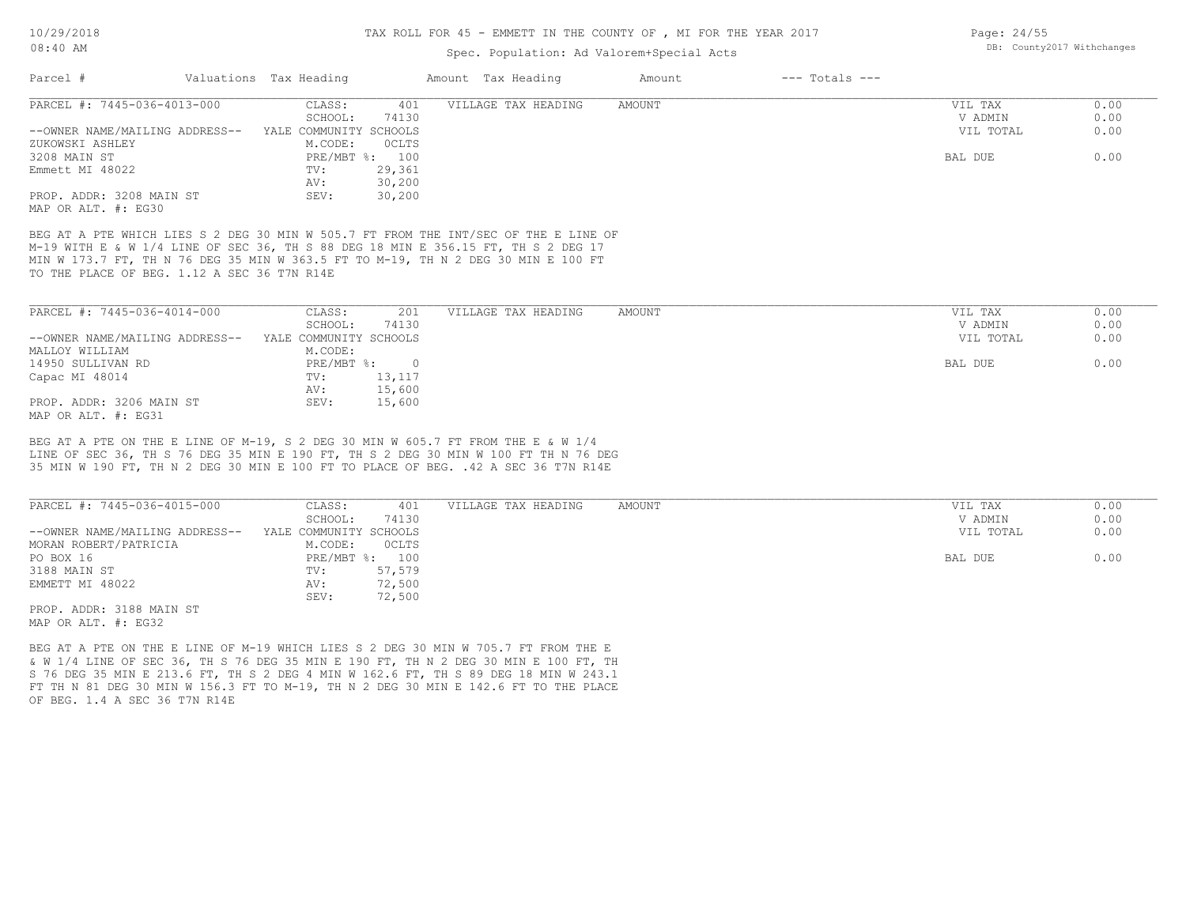10/29/2018

#### 08:40 AM

#### TAX ROLL FOR 45 - EMMETT IN THE COUNTY OF , MI FOR THE YEAR 2017

### Spec. Population: Ad Valorem+Special Acts

| Parcel #                                                                            | Valuations Tax Heading |                | Amount Tax Heading  | Amount | $---$ Totals $---$ |           |      |
|-------------------------------------------------------------------------------------|------------------------|----------------|---------------------|--------|--------------------|-----------|------|
| PARCEL #: 7445-036-4013-000                                                         | CLASS:                 | 401            | VILLAGE TAX HEADING | AMOUNT |                    | VIL TAX   | 0.00 |
|                                                                                     | SCHOOL:                | 74130          |                     |        |                    | V ADMIN   | 0.00 |
| --OWNER NAME/MAILING ADDRESS--                                                      | YALE COMMUNITY SCHOOLS |                |                     |        |                    | VIL TOTAL | 0.00 |
| ZUKOWSKI ASHLEY                                                                     | M.CODE:                | OCLTS          |                     |        |                    |           |      |
| 3208 MAIN ST                                                                        |                        | PRE/MBT %: 100 |                     |        |                    | BAL DUE   | 0.00 |
| Emmett MI 48022                                                                     | TV:                    | 29,361         |                     |        |                    |           |      |
|                                                                                     | AV:                    | 30,200         |                     |        |                    |           |      |
| PROP. ADDR: 3208 MAIN ST                                                            | SEV:                   | 30,200         |                     |        |                    |           |      |
| MAP OR ALT. #: EG30                                                                 |                        |                |                     |        |                    |           |      |
|                                                                                     |                        |                |                     |        |                    |           |      |
| BEG AT A PTE WHICH LIES S 2 DEG 30 MIN W 505.7 FT FROM THE INT/SEC OF THE E LINE OF |                        |                |                     |        |                    |           |      |
| M-19 WITH E & W 1/4 LINE OF SEC 36, TH S 88 DEG 18 MIN E 356.15 FT, TH S 2 DEG 17   |                        |                |                     |        |                    |           |      |
| MIN W 173.7 FT, TH N 76 DEG 35 MIN W 363.5 FT TO M-19, TH N 2 DEG 30 MIN E 100 FT   |                        |                |                     |        |                    |           |      |
| TO THE PLACE OF BEG. 1.12 A SEC 36 T7N R14E                                         |                        |                |                     |        |                    |           |      |
|                                                                                     |                        |                |                     |        |                    |           |      |
| PARCEL #: 7445-036-4014-000                                                         | CLASS:                 | 201            | VILLAGE TAX HEADING | AMOUNT |                    | VIL TAX   | 0.00 |
|                                                                                     | SCHOOL:                | 74130          |                     |        |                    | V ADMIN   | 0.00 |
| --OWNER NAME/MAILING ADDRESS--                                                      | YALE COMMUNITY SCHOOLS |                |                     |        |                    | VIL TOTAL | 0.00 |
| MALLOY WILLIAM                                                                      | M.CODE:                |                |                     |        |                    |           |      |
| 14950 SULLIVAN RD                                                                   | $PRE/MBT$ %:           | $\overline{0}$ |                     |        |                    | BAL DUE   | 0.00 |
|                                                                                     | TV:                    |                |                     |        |                    |           |      |
| Capac MI 48014                                                                      |                        | 13,117         |                     |        |                    |           |      |
|                                                                                     | AV:                    | 15,600         |                     |        |                    |           |      |

35 MIN W 190 FT, TH N 2 DEG 30 MIN E 100 FT TO PLACE OF BEG. .42 A SEC 36 T7N R14E LINE OF SEC 36, TH S 76 DEG 35 MIN E 190 FT, TH S 2 DEG 30 MIN W 100 FT TH N 76 DEG BEG AT A PTE ON THE E LINE OF M-19, S 2 DEG 30 MIN W 605.7 FT FROM THE E & W 1/4

PROP. ADDR: 3206 MAIN ST SEV: 15,600

| PARCEL #: 7445-036-4015-000    | CLASS:                 | 401          | VILLAGE TAX HEADING | AMOUNT | VIL TAX   | 0.00 |
|--------------------------------|------------------------|--------------|---------------------|--------|-----------|------|
|                                | SCHOOL:                | 74130        |                     |        | V ADMIN   | 0.00 |
| --OWNER NAME/MAILING ADDRESS-- | YALE COMMUNITY SCHOOLS |              |                     |        | VIL TOTAL | 0.00 |
| MORAN ROBERT/PATRICIA          | M.CODE:                | <b>OCLTS</b> |                     |        |           |      |
| PO BOX 16                      | PRE/MBT %: 100         |              |                     |        | BAL DUE   | 0.00 |
| 3188 MAIN ST                   | TV:                    | 57,579       |                     |        |           |      |
| EMMETT MI 48022                | AV:                    | 72,500       |                     |        |           |      |
|                                | SEV:                   | 72,500       |                     |        |           |      |
| PROP. ADDR: 3188 MAIN ST       |                        |              |                     |        |           |      |
|                                |                        |              |                     |        |           |      |

MAP OR ALT. #: EG32

MAP OR ALT. #: EG31

OF BEG. 1.4 A SEC 36 T7N R14E FT TH N 81 DEG 30 MIN W 156.3 FT TO M-19, TH N 2 DEG 30 MIN E 142.6 FT TO THE PLACE S 76 DEG 35 MIN E 213.6 FT, TH S 2 DEG 4 MIN W 162.6 FT, TH S 89 DEG 18 MIN W 243.1 & W 1/4 LINE OF SEC 36, TH S 76 DEG 35 MIN E 190 FT, TH N 2 DEG 30 MIN E 100 FT, TH BEG AT A PTE ON THE E LINE OF M-19 WHICH LIES S 2 DEG 30 MIN W 705.7 FT FROM THE E

Page: 24/55 DB: County2017 Withchanges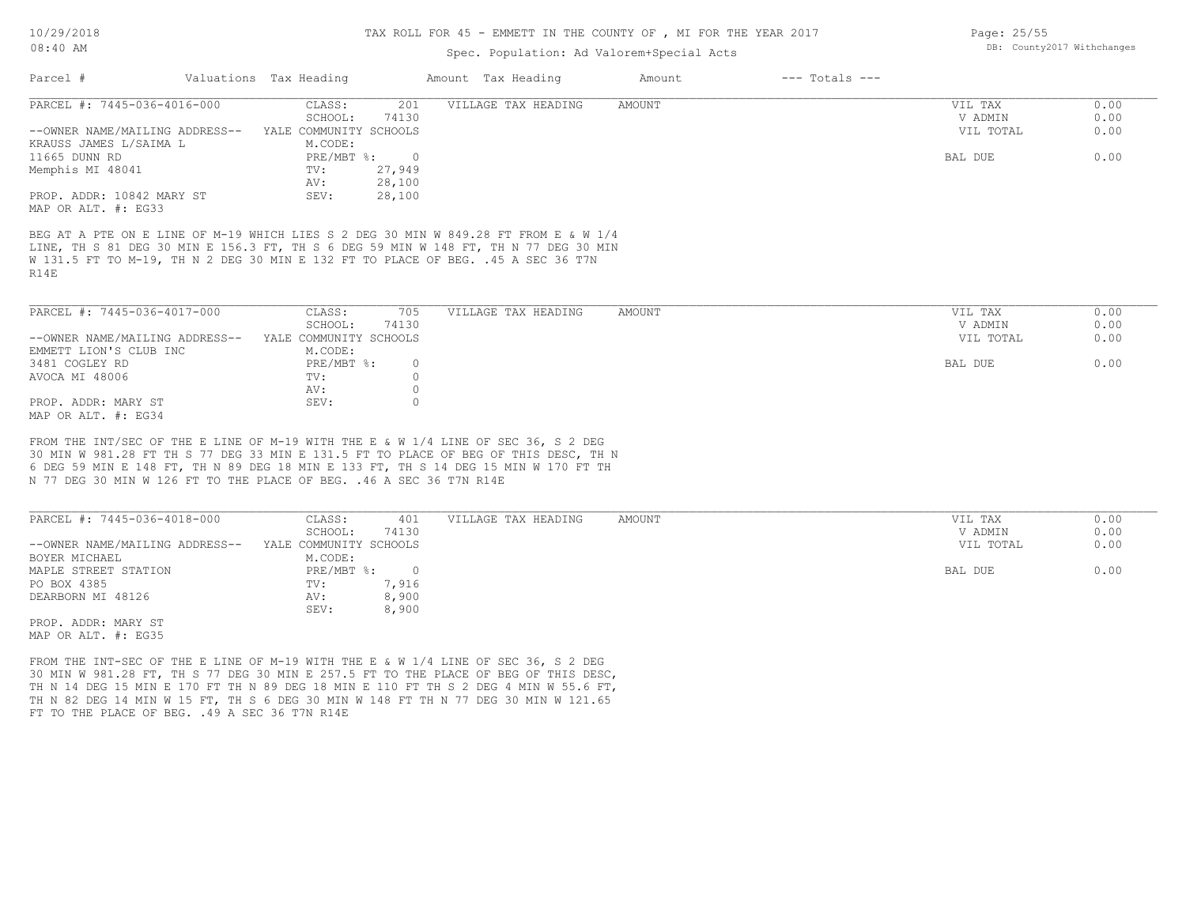### Spec. Population: Ad Valorem+Special Acts

| Parcel #                                                                                                                                                                                                                                                               | Valuations Tax Heading    | Amount Tax Heading         | Amount | $---$ Totals $---$ |           |      |
|------------------------------------------------------------------------------------------------------------------------------------------------------------------------------------------------------------------------------------------------------------------------|---------------------------|----------------------------|--------|--------------------|-----------|------|
| PARCEL #: 7445-036-4016-000                                                                                                                                                                                                                                            | CLASS:                    | 201<br>VILLAGE TAX HEADING | AMOUNT |                    | VIL TAX   | 0.00 |
|                                                                                                                                                                                                                                                                        | SCHOOL:                   | 74130                      |        |                    | V ADMIN   | 0.00 |
| --OWNER NAME/MAILING ADDRESS--                                                                                                                                                                                                                                         | YALE COMMUNITY SCHOOLS    |                            |        |                    | VIL TOTAL | 0.00 |
| KRAUSS JAMES L/SAIMA L                                                                                                                                                                                                                                                 | M.CODE:                   |                            |        |                    |           |      |
| 11665 DUNN RD                                                                                                                                                                                                                                                          | $PRE/MBT$ %:              | $\overline{0}$             |        |                    | BAL DUE   | 0.00 |
| Memphis MI 48041                                                                                                                                                                                                                                                       | TV:                       | 27,949                     |        |                    |           |      |
|                                                                                                                                                                                                                                                                        | AV:                       | 28,100                     |        |                    |           |      |
| PROP. ADDR: 10842 MARY ST                                                                                                                                                                                                                                              | SEV:                      | 28,100                     |        |                    |           |      |
| MAP OR ALT. #: EG33                                                                                                                                                                                                                                                    |                           |                            |        |                    |           |      |
| BEG AT A PTE ON E LINE OF M-19 WHICH LIES S 2 DEG 30 MIN W 849.28 FT FROM E & W 1/4<br>LINE, TH S 81 DEG 30 MIN E 156.3 FT, TH S 6 DEG 59 MIN W 148 FT, TH N 77 DEG 30 MIN<br>W 131.5 FT TO M-19, TH N 2 DEG 30 MIN E 132 FT TO PLACE OF BEG. .45 A SEC 36 T7N<br>R14E |                           |                            |        |                    |           |      |
| PARCEL #: 7445-036-4017-000                                                                                                                                                                                                                                            | CLASS:                    | 705<br>VILLAGE TAX HEADING | AMOUNT |                    | VIL TAX   | 0.00 |
|                                                                                                                                                                                                                                                                        | SCHOOL:                   | 74130                      |        |                    | V ADMIN   | 0.00 |
| --OWNER NAME/MAILING ADDRESS--                                                                                                                                                                                                                                         | YALE COMMUNITY SCHOOLS    |                            |        |                    | VIL TOTAL | 0.00 |
| EMMETT LION'S CLUB INC                                                                                                                                                                                                                                                 | M.CODE:                   |                            |        |                    |           |      |
| 3481 COGLEY RD                                                                                                                                                                                                                                                         | $PRE/MBT$ $\frac{1}{6}$ : | 0                          |        |                    | BAL DUE   | 0.00 |
| AVOCA MI 48006                                                                                                                                                                                                                                                         | TV:                       |                            |        |                    |           |      |
|                                                                                                                                                                                                                                                                        | AV.                       |                            |        |                    |           |      |

MAP OR ALT. #: EG34 PROP. ADDR: MARY ST SEV: SEV: 0

N 77 DEG 30 MIN W 126 FT TO THE PLACE OF BEG. .46 A SEC 36 T7N R14E 6 DEG 59 MIN E 148 FT, TH N 89 DEG 18 MIN E 133 FT, TH S 14 DEG 15 MIN W 170 FT TH 30 MIN W 981.28 FT TH S 77 DEG 33 MIN E 131.5 FT TO PLACE OF BEG OF THIS DESC, TH N FROM THE INT/SEC OF THE E LINE OF M-19 WITH THE E & W 1/4 LINE OF SEC 36, S 2 DEG

AV: 0

| PARCEL #: 7445-036-4018-000    | CLASS:                 | 401   | VILLAGE TAX HEADING | AMOUNT | VIL TAX   | 0.00 |
|--------------------------------|------------------------|-------|---------------------|--------|-----------|------|
|                                | SCHOOL:                | 74130 |                     |        | V ADMIN   | 0.00 |
| --OWNER NAME/MAILING ADDRESS-- | YALE COMMUNITY SCHOOLS |       |                     |        | VIL TOTAL | 0.00 |
| BOYER MICHAEL                  | M.CODE:                |       |                     |        |           |      |
| MAPLE STREET STATION           | PRE/MBT %:             |       |                     |        | BAL DUE   | 0.00 |
| PO BOX 4385                    | TV:                    | 7,916 |                     |        |           |      |
| DEARBORN MI 48126              | AV:                    | 8,900 |                     |        |           |      |
|                                | SEV:                   | 8,900 |                     |        |           |      |
| PROP. ADDR: MARY ST            |                        |       |                     |        |           |      |

MAP OR ALT. #: EG35

FT TO THE PLACE OF BEG. . 49 A SEC 36 T7N R14E TH N 82 DEG 14 MIN W 15 FT, TH S 6 DEG 30 MIN W 148 FT TH N 77 DEG 30 MIN W 121.65 TH N 14 DEG 15 MIN E 170 FT TH N 89 DEG 18 MIN E 110 FT TH S 2 DEG 4 MIN W 55.6 FT, 30 MIN W 981.28 FT, TH S 77 DEG 30 MIN E 257.5 FT TO THE PLACE OF BEG OF THIS DESC, FROM THE INT-SEC OF THE E LINE OF M-19 WITH THE E & W 1/4 LINE OF SEC 36, S 2 DEG

Page: 25/55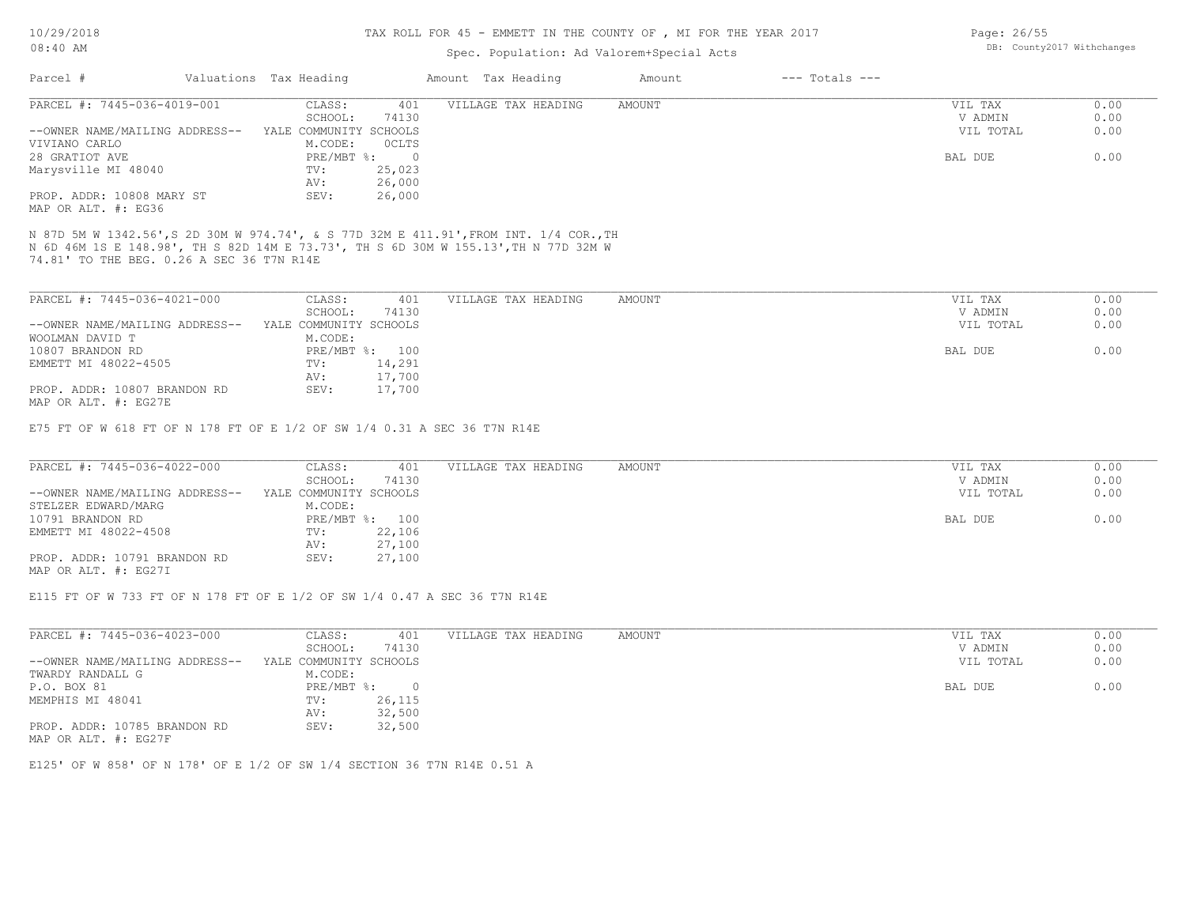MAP OR ALT. #: EG27I

### TAX ROLL FOR 45 - EMMETT IN THE COUNTY OF , MI FOR THE YEAR 2017

## Spec. Population: Ad Valorem+Special Acts

| Parcel #                                                                                                                                                                                                               | Valuations Tax Heading  | Amount Tax Heading  | Amount        | $---$ Totals $---$ |           |      |
|------------------------------------------------------------------------------------------------------------------------------------------------------------------------------------------------------------------------|-------------------------|---------------------|---------------|--------------------|-----------|------|
| PARCEL #: 7445-036-4019-001                                                                                                                                                                                            | CLASS:<br>401           | VILLAGE TAX HEADING | <b>AMOUNT</b> |                    | VIL TAX   | 0.00 |
|                                                                                                                                                                                                                        | SCHOOL:<br>74130        |                     |               |                    | V ADMIN   | 0.00 |
| --OWNER NAME/MAILING ADDRESS--                                                                                                                                                                                         | YALE COMMUNITY SCHOOLS  |                     |               |                    | VIL TOTAL | 0.00 |
| VIVIANO CARLO                                                                                                                                                                                                          | M.CODE:<br>OCLTS        |                     |               |                    |           |      |
| 28 GRATIOT AVE                                                                                                                                                                                                         | PRE/MBT %: 0            |                     |               |                    | BAL DUE   | 0.00 |
| Marysville MI 48040                                                                                                                                                                                                    | TV:<br>25,023           |                     |               |                    |           |      |
|                                                                                                                                                                                                                        | 26,000<br>AV:           |                     |               |                    |           |      |
| PROP. ADDR: 10808 MARY ST                                                                                                                                                                                              | 26,000<br>SEV:          |                     |               |                    |           |      |
| MAP OR ALT. #: EG36                                                                                                                                                                                                    |                         |                     |               |                    |           |      |
| N 87D 5M W 1342.56',S 2D 30M W 974.74', & S 77D 32M E 411.91',FROM INT. 1/4 COR.,TH<br>N 6D 46M 1S E 148.98', TH S 82D 14M E 73.73', TH S 6D 30M W 155.13',TH N 77D 32M W<br>74.81' TO THE BEG. 0.26 A SEC 36 T7N R14E |                         |                     |               |                    |           |      |
| PARCEL #: 7445-036-4021-000                                                                                                                                                                                            | 401<br>CLASS:           | VILLAGE TAX HEADING | AMOUNT        |                    | VIL TAX   | 0.00 |
|                                                                                                                                                                                                                        | 74130<br>SCHOOL:        |                     |               |                    | V ADMIN   | 0.00 |
| --OWNER NAME/MAILING ADDRESS-- YALE COMMUNITY SCHOOLS                                                                                                                                                                  |                         |                     |               |                    | VIL TOTAL | 0.00 |
| WOOLMAN DAVID T                                                                                                                                                                                                        | M.CODE:                 |                     |               |                    |           |      |
| 10807 BRANDON RD                                                                                                                                                                                                       | PRE/MBT %: 100          |                     |               |                    | BAL DUE   | 0.00 |
| EMMETT MI 48022-4505                                                                                                                                                                                                   | 14,291<br>$\text{TV}$ : |                     |               |                    |           |      |
|                                                                                                                                                                                                                        | 17,700<br>AV:           |                     |               |                    |           |      |
| PROP. ADDR: 10807 BRANDON RD                                                                                                                                                                                           | 17,700<br>SEV:          |                     |               |                    |           |      |
| MAP OR ALT. #: EG27E                                                                                                                                                                                                   |                         |                     |               |                    |           |      |
| E75 FT OF W 618 FT OF N 178 FT OF E 1/2 OF SW 1/4 0.31 A SEC 36 T7N R14E                                                                                                                                               |                         |                     |               |                    |           |      |
| PARCEL #: 7445-036-4022-000                                                                                                                                                                                            | CLASS:<br>401           | VILLAGE TAX HEADING | AMOUNT        |                    | VIL TAX   | 0.00 |
|                                                                                                                                                                                                                        | SCHOOL:<br>74130        |                     |               |                    | V ADMIN   | 0.00 |
| --OWNER NAME/MAILING ADDRESS--                                                                                                                                                                                         | YALE COMMUNITY SCHOOLS  |                     |               |                    | VIL TOTAL | 0.00 |
| STELZER EDWARD/MARG                                                                                                                                                                                                    | M.CODE:                 |                     |               |                    |           |      |
| 10791 BRANDON RD                                                                                                                                                                                                       | PRE/MBT %: 100          |                     |               |                    | BAL DUE   | 0.00 |
| EMMETT MI 48022-4508                                                                                                                                                                                                   | 22,106<br>TV:           |                     |               |                    |           |      |
|                                                                                                                                                                                                                        | 27,100<br>AV:           |                     |               |                    |           |      |
| PROP. ADDR: 10791 BRANDON RD                                                                                                                                                                                           | 27,100<br>SEV:          |                     |               |                    |           |      |

E115 FT OF W 733 FT OF N 178 FT OF E 1/2 OF SW 1/4 0.47 A SEC 36 T7N R14E

| PARCEL #: 7445-036-4023-000    | CLASS:                 | 401      | VILLAGE TAX HEADING | AMOUNT | 0.00<br>VIL TAX   |
|--------------------------------|------------------------|----------|---------------------|--------|-------------------|
|                                | SCHOOL:                | 74130    |                     |        | 0.00<br>V ADMIN   |
| --OWNER NAME/MAILING ADDRESS-- | YALE COMMUNITY SCHOOLS |          |                     |        | 0.00<br>VIL TOTAL |
| TWARDY RANDALL G               | M.CODE:                |          |                     |        |                   |
| P.O. BOX 81                    | PRE/MBT %:             | $\Omega$ |                     |        | 0.00<br>BAL DUE   |
| MEMPHIS MI 48041               | TV:                    | 26,115   |                     |        |                   |
|                                | AV:                    | 32,500   |                     |        |                   |
| PROP. ADDR: 10785 BRANDON RD   | SEV:                   | 32,500   |                     |        |                   |
| MAP OR ALT. #: EG27F           |                        |          |                     |        |                   |

E125' OF W 858' OF N 178' OF E 1/2 OF SW 1/4 SECTION 36 T7N R14E 0.51 A

Page: 26/55 DB: County2017 Withchanges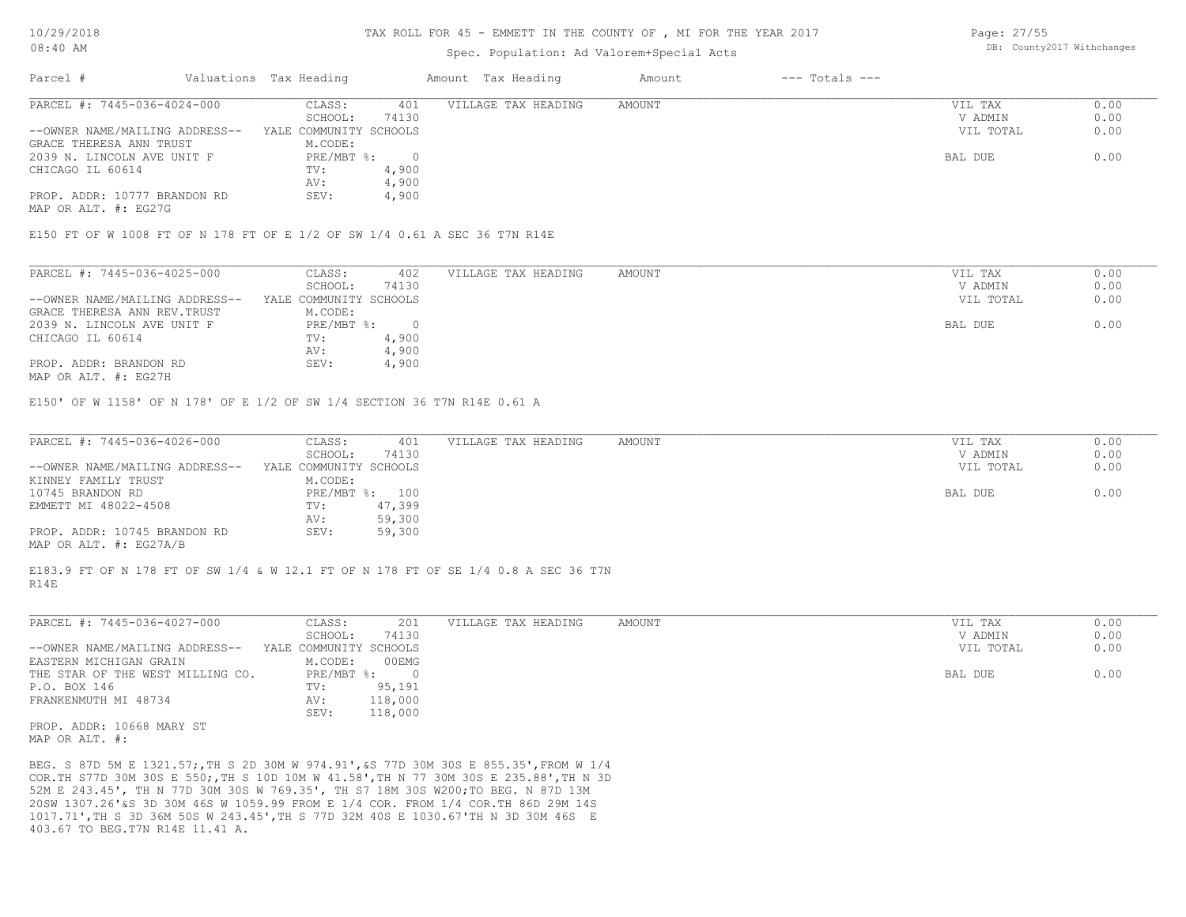#### TAX ROLL FOR 45 - EMMETT IN THE COUNTY OF , MI FOR THE YEAR 2017

### Spec. Population: Ad Valorem+Special Acts

Page: 27/55 DB: County2017 Withchanges

| Parcel #                       | Valuations Tax Heading |       | Amount Tax Heading  | Amount | $---$ Totals $---$ |           |      |
|--------------------------------|------------------------|-------|---------------------|--------|--------------------|-----------|------|
| PARCEL #: 7445-036-4024-000    | CLASS:                 | 401   | VILLAGE TAX HEADING | AMOUNT |                    | VIL TAX   | 0.00 |
|                                | SCHOOL:                | 74130 |                     |        |                    | V ADMIN   | 0.00 |
| --OWNER NAME/MAILING ADDRESS-- | YALE COMMUNITY SCHOOLS |       |                     |        |                    | VIL TOTAL | 0.00 |
| GRACE THERESA ANN TRUST        | M.CODE:                |       |                     |        |                    |           |      |
| 2039 N. LINCOLN AVE UNIT F     | $PRE/MBT$ %:           |       |                     |        |                    | BAL DUE   | 0.00 |
| CHICAGO IL 60614               | TV:                    | 4,900 |                     |        |                    |           |      |
|                                | AV:                    | 4,900 |                     |        |                    |           |      |
| PROP. ADDR: 10777 BRANDON RD   | SEV:                   | 4,900 |                     |        |                    |           |      |
|                                |                        |       |                     |        |                    |           |      |

MAP OR ALT. #: EG27G

E150 FT OF W 1008 FT OF N 178 FT OF E 1/2 OF SW 1/4 0.61 A SEC 36 T7N R14E

| PARCEL #: 7445-036-4025-000    | CLASS:                 | 402   | VILLAGE TAX HEADING | AMOUNT | VIL TAX   | 0.00 |
|--------------------------------|------------------------|-------|---------------------|--------|-----------|------|
|                                | SCHOOL:                | 74130 |                     |        | V ADMIN   | 0.00 |
| --OWNER NAME/MAILING ADDRESS-- | YALE COMMUNITY SCHOOLS |       |                     |        | VIL TOTAL | 0.00 |
| GRACE THERESA ANN REV. TRUST   | M.CODE:                |       |                     |        |           |      |
| 2039 N. LINCOLN AVE UNIT F     | PRE/MBT %:             |       |                     |        | BAL DUE   | 0.00 |
| CHICAGO IL 60614               | TV:                    | 4,900 |                     |        |           |      |
|                                | AV:                    | 4,900 |                     |        |           |      |
| PROP. ADDR: BRANDON RD         | SEV:                   | 4,900 |                     |        |           |      |
|                                |                        |       |                     |        |           |      |

MAP OR ALT. #: EG27H

E150' OF W 1158' OF N 178' OF E 1/2 OF SW 1/4 SECTION 36 T7N R14E 0.61 A

| PARCEL #: 7445-036-4026-000    | CLASS:                 | 401            | VILLAGE TAX HEADING | AMOUNT | VIL TAX   | 0.00 |
|--------------------------------|------------------------|----------------|---------------------|--------|-----------|------|
|                                | SCHOOL:                | 74130          |                     |        | V ADMIN   | 0.00 |
| --OWNER NAME/MAILING ADDRESS-- | YALE COMMUNITY SCHOOLS |                |                     |        | VIL TOTAL | 0.00 |
| KINNEY FAMILY TRUST            | M.CODE:                |                |                     |        |           |      |
| 10745 BRANDON RD               |                        | PRE/MBT %: 100 |                     |        | BAL DUE   | 0.00 |
| EMMETT MI 48022-4508           | TV:                    | 47,399         |                     |        |           |      |
|                                | AV:                    | 59,300         |                     |        |           |      |
| PROP. ADDR: 10745 BRANDON RD   | SEV:                   | 59,300         |                     |        |           |      |
| MAP OR ALT. #: EG27A/B         |                        |                |                     |        |           |      |

R14E E183.9 FT OF N 178 FT OF SW 1/4 & W 12.1 FT OF N 178 FT OF SE 1/4 0.8 A SEC 36 T7N

| PARCEL #: 7445-036-4027-000                 | CLASS:                 | 201     | VILLAGE TAX HEADING | AMOUNT | VIL TAX   | 0.00 |
|---------------------------------------------|------------------------|---------|---------------------|--------|-----------|------|
|                                             | SCHOOL:                | 74130   |                     |        | V ADMIN   | 0.00 |
| --OWNER NAME/MAILING ADDRESS--              | YALE COMMUNITY SCHOOLS |         |                     |        | VIL TOTAL | 0.00 |
| EASTERN MICHIGAN GRAIN                      | M.CODE:                | 00EMG   |                     |        |           |      |
| THE STAR OF THE WEST MILLING CO.            | PRE/MBT %:             |         |                     |        | BAL DUE   | 0.00 |
| P.O. BOX 146                                | TV:                    | 95,191  |                     |        |           |      |
| FRANKENMUTH MI 48734                        | AV:                    | 118,000 |                     |        |           |      |
|                                             | SEV:                   | 118,000 |                     |        |           |      |
| PROP. ADDR: 10668 MARY ST<br>MAP OR ALT. #: |                        |         |                     |        |           |      |

 $\_$  , and the state of the state of the state of the state of the state of the state of the state of the state of the state of the state of the state of the state of the state of the state of the state of the state of the

403.67 TO BEG.T7N R14E 11.41 A. 1017.71',TH S 3D 36M 50S W 243.45',TH S 77D 32M 40S E 1030.67'TH N 3D 30M 46S E 20SW 1307.26'&S 3D 30M 46S W 1059.99 FROM E 1/4 COR. FROM 1/4 COR.TH 86D 29M 14S 52M E 243.45', TH N 77D 30M 30S W 769.35', TH S7 18M 30S W200;TO BEG. N 87D 13M COR.TH S77D 30M 30S E 550;,TH S 10D 10M W 41.58',TH N 77 30M 30S E 235.88',TH N 3D BEG. S 87D 5M E 1321.57;,TH S 2D 30M W 974.91',&S 77D 30M 30S E 855.35',FROM W 1/4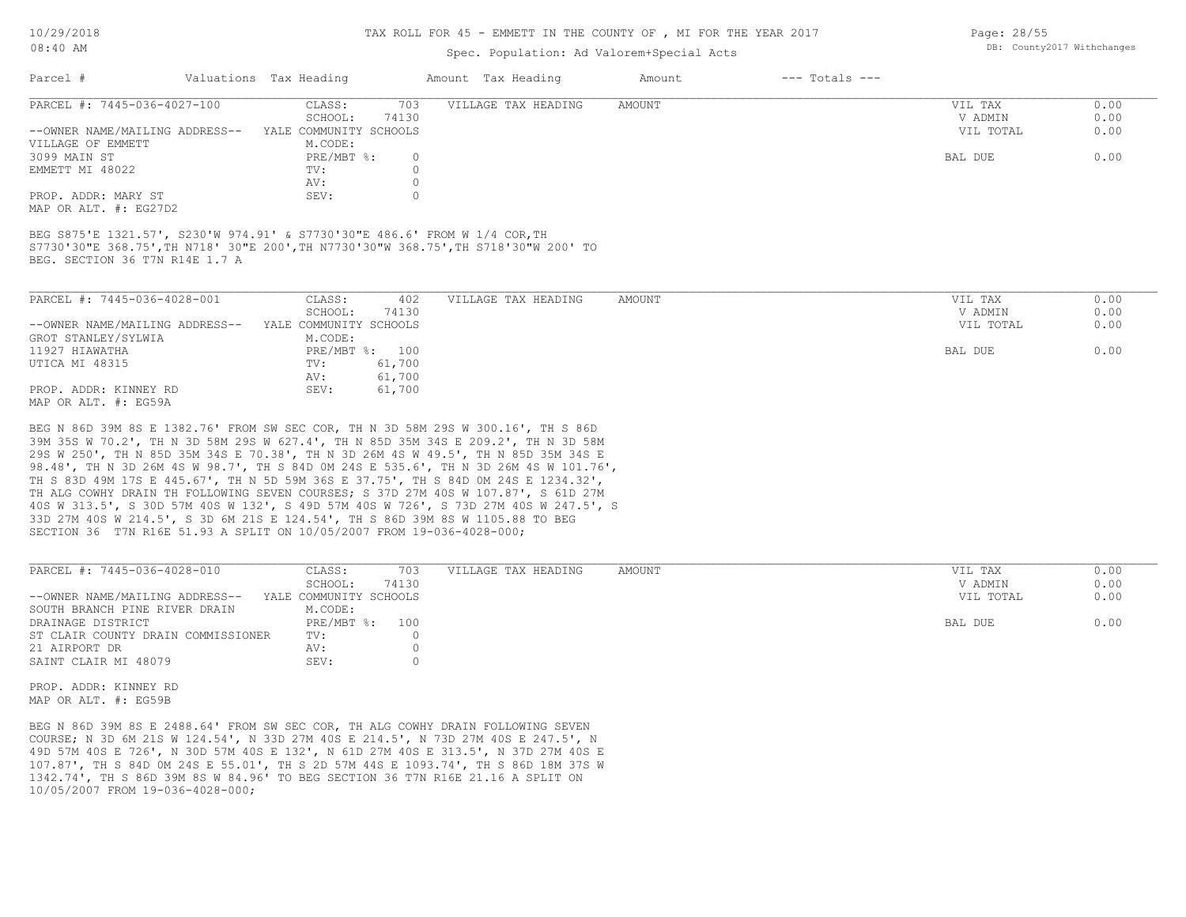#### TAX ROLL FOR 45 - EMMETT IN THE COUNTY OF , MI FOR THE YEAR 2017

### Spec. Population: Ad Valorem+Special Acts

|  | raye: 20/JJ |                            |  |
|--|-------------|----------------------------|--|
|  |             | DB: County2017 Withchanges |  |
|  |             |                            |  |

| Parcel #                       | Valuations Tax Heading |       | Amount Tax Heading  | Amount | $---$ Totals $---$ |           |      |
|--------------------------------|------------------------|-------|---------------------|--------|--------------------|-----------|------|
| PARCEL #: 7445-036-4027-100    | CLASS:                 | 703   | VILLAGE TAX HEADING | AMOUNT |                    | VIL TAX   | 0.00 |
|                                | SCHOOL:                | 74130 |                     |        |                    | V ADMIN   | 0.00 |
| --OWNER NAME/MAILING ADDRESS-- | YALE COMMUNITY SCHOOLS |       |                     |        |                    | VIL TOTAL | 0.00 |
| VILLAGE OF EMMETT              | M.CODE:                |       |                     |        |                    |           |      |
| 3099 MAIN ST                   | $PRE/MBT$ %:           |       |                     |        |                    | BAL DUE   | 0.00 |
| EMMETT MI 48022                | TV:                    |       |                     |        |                    |           |      |
|                                | AV:                    |       |                     |        |                    |           |      |
| PROP. ADDR: MARY ST            | SEV:                   |       |                     |        |                    |           |      |
|                                |                        |       |                     |        |                    |           |      |

MAP OR ALT. #: EG27D2

BEG. SECTION 36 T7N R14E 1.7 A S7730'30"E 368.75',TH N718' 30"E 200',TH N7730'30"W 368.75',TH S718'30"W 200' TO BEG S875'E 1321.57', S230'W 974.91' & S7730'30"E 486.6' FROM W 1/4 COR,TH

| PARCEL #: 7445-036-4028-001    | CLASS:<br>402          | VILLAGE TAX HEADING | AMOUNT | VIL TAX   | 0.00 |
|--------------------------------|------------------------|---------------------|--------|-----------|------|
|                                | 74130<br>SCHOOL:       |                     |        | V ADMIN   | 0.00 |
| --OWNER NAME/MAILING ADDRESS-- | YALE COMMUNITY SCHOOLS |                     |        | VIL TOTAL | 0.00 |
| GROT STANLEY/SYLWIA            | M.CODE:                |                     |        |           |      |
| 11927 HIAWATHA                 | PRE/MBT %: 100         |                     |        | BAL DUE   | 0.00 |
| UTICA MI 48315                 | 61,700<br>TV:          |                     |        |           |      |
|                                | 61,700<br>AV:          |                     |        |           |      |
| PROP. ADDR: KINNEY RD          | 61,700<br>SEV:         |                     |        |           |      |
| MAP OR ALT. #: EG59A           |                        |                     |        |           |      |

SECTION 36 T7N R16E 51.93 A SPLIT ON 10/05/2007 FROM 19-036-4028-000; 33D 27M 40S W 214.5', S 3D 6M 21S E 124.54', TH S 86D 39M 8S W 1105.88 TO BEG 40S W 313.5', S 30D 57M 40S W 132', S 49D 57M 40S W 726', S 73D 27M 40S W 247.5', S TH ALG COWHY DRAIN TH FOLLOWING SEVEN COURSES; S 37D 27M 40S W 107.87', S 61D 27M TH S 83D 49M 17S E 445.67', TH N 5D 59M 36S E 37.75', TH S 84D 0M 24S E 1234.32', 98.48', TH N 3D 26M 4S W 98.7', TH S 84D 0M 24S E 535.6', TH N 3D 26M 4S W 101.76', 29S W 250', TH N 85D 35M 34S E 70.38', TH N 3D 26M 4S W 49.5', TH N 85D 35M 34S E 39M 35S W 70.2', TH N 3D 58M 29S W 627.4', TH N 85D 35M 34S E 209.2', TH N 3D 58M BEG N 86D 39M 8S E 1382.76' FROM SW SEC COR, TH N 3D 58M 29S W 300.16', TH S 86D

| PARCEL #: 7445-036-4028-010        | CLASS:                 | 703   | VILLAGE TAX HEADING | AMOUNT | VIL TAX   | 0.00 |
|------------------------------------|------------------------|-------|---------------------|--------|-----------|------|
|                                    | SCHOOL:                | 74130 |                     |        | V ADMIN   | 0.00 |
| --OWNER NAME/MAILING ADDRESS--     | YALE COMMUNITY SCHOOLS |       |                     |        | VIL TOTAL | 0.00 |
| SOUTH BRANCH PINE RIVER DRAIN      | M.CODE:                |       |                     |        |           |      |
| DRAINAGE DISTRICT                  | PRE/MBT %:             | 100   |                     |        | BAL DUE   | 0.00 |
| ST CLAIR COUNTY DRAIN COMMISSIONER | TV:                    |       |                     |        |           |      |
| 21 AIRPORT DR                      | AV:                    |       |                     |        |           |      |
| SAINT CLAIR MI 48079               | SEV:                   |       |                     |        |           |      |
|                                    |                        |       |                     |        |           |      |

 $\_$  , and the state of the state of the state of the state of the state of the state of the state of the state of the state of the state of the state of the state of the state of the state of the state of the state of the

MAP OR ALT. #: EG59B PROP. ADDR: KINNEY RD

10/05/2007 FROM 19-036-4028-000; 1342.74', TH S 86D 39M 8S W 84.96' TO BEG SECTION 36 T7N R16E 21.16 A SPLIT ON 107.87', TH S 84D 0M 24S E 55.01', TH S 2D 57M 44S E 1093.74', TH S 86D 18M 37S W 49D 57M 40S E 726', N 30D 57M 40S E 132', N 61D 27M 40S E 313.5', N 37D 27M 40S E COURSE; N 3D 6M 21S W 124.54', N 33D 27M 40S E 214.5', N 73D 27M 40S E 247.5', N BEG N 86D 39M 8S E 2488.64' FROM SW SEC COR, TH ALG COWHY DRAIN FOLLOWING SEVEN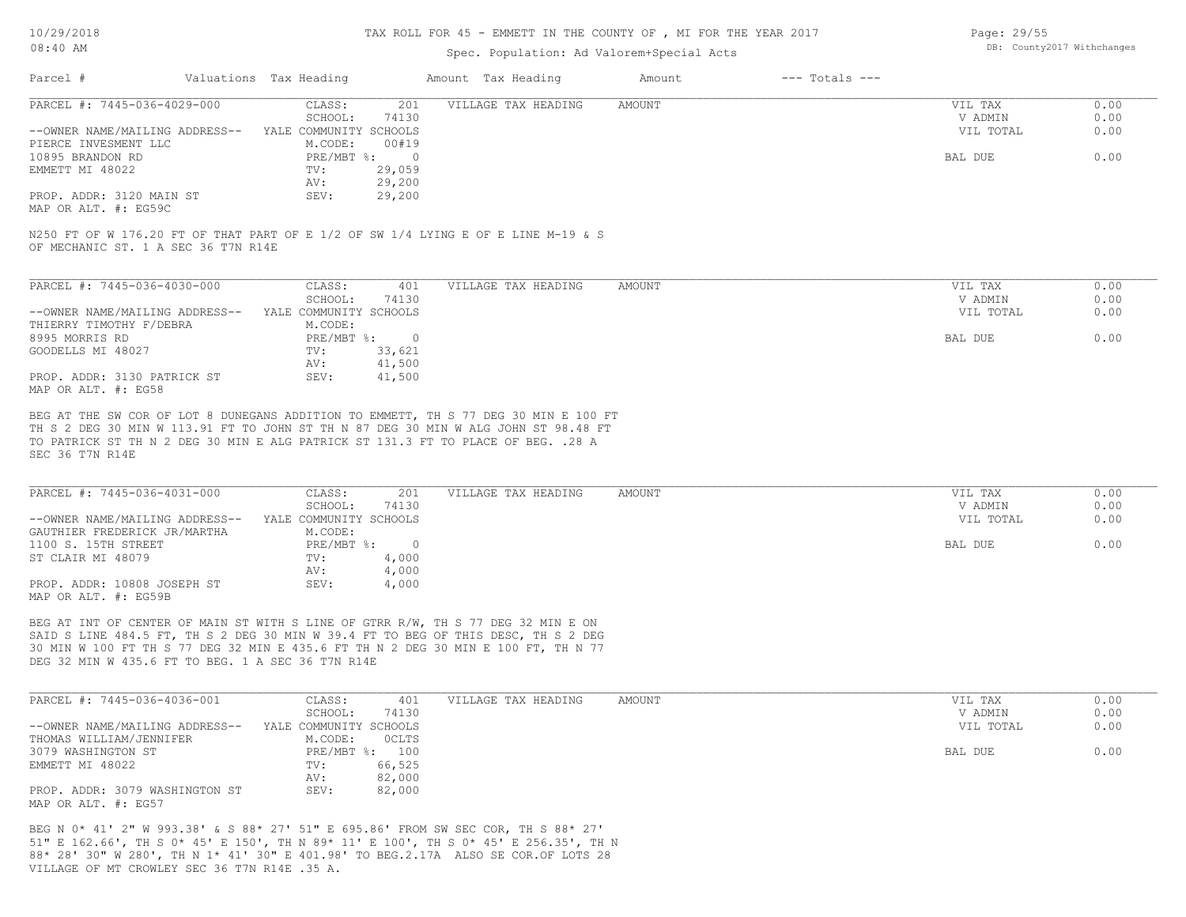### TAX ROLL FOR 45 - EMMETT IN THE COUNTY OF , MI FOR THE YEAR 2017

### Spec. Population: Ad Valorem+Special Acts

| Page: 29/55 |                            |
|-------------|----------------------------|
|             | DB: County2017 Withchanges |

|                                                                                                                                                                                            | Valuations Tax Heading            | Amount Tax Heading  | Amount        | $---$ Totals $---$ |                    |              |
|--------------------------------------------------------------------------------------------------------------------------------------------------------------------------------------------|-----------------------------------|---------------------|---------------|--------------------|--------------------|--------------|
| PARCEL #: 7445-036-4029-000                                                                                                                                                                | CLASS:<br>201<br>SCHOOL:<br>74130 | VILLAGE TAX HEADING | AMOUNT        |                    | VIL TAX<br>V ADMIN | 0.00<br>0.00 |
| --OWNER NAME/MAILING ADDRESS-- YALE COMMUNITY SCHOOLS                                                                                                                                      |                                   |                     |               |                    | VIL TOTAL          | 0.00         |
| PIERCE INVESMENT LLC                                                                                                                                                                       | M.CODE:<br>00#19                  |                     |               |                    |                    |              |
| 10895 BRANDON RD                                                                                                                                                                           | PRE/MBT %: 0                      |                     |               |                    | BAL DUE            | 0.00         |
| EMMETT MI 48022                                                                                                                                                                            | 29,059<br>TV:                     |                     |               |                    |                    |              |
| PROP. ADDR: 3120 MAIN ST                                                                                                                                                                   | 29,200<br>AV:<br>SEV:<br>29,200   |                     |               |                    |                    |              |
| MAP OR ALT. #: EG59C                                                                                                                                                                       |                                   |                     |               |                    |                    |              |
| N250 FT OF W 176.20 FT OF THAT PART OF E 1/2 OF SW 1/4 LYING E OF E LINE M-19 & S<br>OF MECHANIC ST. 1 A SEC 36 T7N R14E                                                                   |                                   |                     |               |                    |                    |              |
|                                                                                                                                                                                            |                                   |                     |               |                    |                    |              |
| PARCEL #: 7445-036-4030-000                                                                                                                                                                | CLASS:<br>401                     | VILLAGE TAX HEADING | AMOUNT        |                    | VIL TAX            | 0.00         |
|                                                                                                                                                                                            | SCHOOL:<br>74130                  |                     |               |                    | V ADMIN            | 0.00         |
| --OWNER NAME/MAILING ADDRESS--                                                                                                                                                             | YALE COMMUNITY SCHOOLS<br>M.CODE: |                     |               |                    | VIL TOTAL          | 0.00         |
| THIERRY TIMOTHY F/DEBRA<br>8995 MORRIS RD                                                                                                                                                  | PRE/MBT %: 0                      |                     |               |                    | BAL DUE            | 0.00         |
| GOODELLS MI 48027                                                                                                                                                                          | 33,621<br>TV:                     |                     |               |                    |                    |              |
|                                                                                                                                                                                            | 41,500<br>AV:                     |                     |               |                    |                    |              |
| PROP. ADDR: 3130 PATRICK ST<br>MAP OR ALT. #: EG58                                                                                                                                         | SEV:<br>41,500                    |                     |               |                    |                    |              |
| TH S 2 DEG 30 MIN W 113.91 FT TO JOHN ST TH N 87 DEG 30 MIN W ALG JOHN ST 98.48 FT<br>TO PATRICK ST TH N 2 DEG 30 MIN E ALG PATRICK ST 131.3 FT TO PLACE OF BEG. . 28 A<br>SEC 36 T7N R14E |                                   |                     |               |                    |                    |              |
|                                                                                                                                                                                            |                                   |                     |               |                    |                    |              |
| PARCEL #: 7445-036-4031-000                                                                                                                                                                | CLASS:<br>201                     | VILLAGE TAX HEADING | <b>AMOUNT</b> |                    | VIL TAX            | 0.00         |
|                                                                                                                                                                                            | SCHOOL:<br>74130                  |                     |               |                    | V ADMIN            | 0.00         |
| --OWNER NAME/MAILING ADDRESS-- YALE COMMUNITY SCHOOLS                                                                                                                                      |                                   |                     |               |                    | VIL TOTAL          | 0.00         |
| GAUTHIER FREDERICK JR/MARTHA                                                                                                                                                               | M.CODE:                           |                     |               |                    |                    |              |
| 1100 S. 15TH STREET                                                                                                                                                                        | PRE/MBT %: 0                      |                     |               |                    | BAL DUE            | 0.00         |
| ST CLAIR MI 48079                                                                                                                                                                          | 4,000<br>TV:<br>4,000<br>AV:      |                     |               |                    |                    |              |
| PROP. ADDR: 10808 JOSEPH ST<br>MAP OR ALT. #: EG59B                                                                                                                                        | SEV:<br>4,000                     |                     |               |                    |                    |              |
| BEG AT INT OF CENTER OF MAIN ST WITH S LINE OF GTRR R/W, TH S 77 DEG 32 MIN E ON<br>SAID S LINE 484.5 FT, TH S 2 DEG 30 MIN W 39.4 FT TO BEG OF THIS DESC, TH S 2 DEG                      |                                   |                     |               |                    |                    |              |
| 30 MIN W 100 FT TH S 77 DEG 32 MIN E 435.6 FT TH N 2 DEG 30 MIN E 100 FT, TH N 77                                                                                                          |                                   |                     |               |                    |                    |              |
| DEG 32 MIN W 435.6 FT TO BEG. 1 A SEC 36 T7N R14E                                                                                                                                          |                                   |                     |               |                    |                    |              |
| PARCEL #: 7445-036-4036-001                                                                                                                                                                | CLASS:<br>401                     | VILLAGE TAX HEADING | <b>AMOUNT</b> |                    | VIL TAX            | 0.00         |
|                                                                                                                                                                                            | SCHOOL:<br>74130                  |                     |               |                    | V ADMIN            | 0.00         |
| --OWNER NAME/MAILING ADDRESS-- YALE COMMUNITY SCHOOLS                                                                                                                                      |                                   |                     |               |                    | VIL TOTAL          | 0.00         |
| THOMAS WILLIAM/JENNIFER                                                                                                                                                                    | M.CODE:<br>OCLTS                  |                     |               |                    |                    |              |
| 3079 WASHINGTON ST<br>EMMETT MI 48022                                                                                                                                                      | PRE/MBT %: 100<br>TV:             |                     |               |                    | BAL DUE            | 0.00         |
|                                                                                                                                                                                            | 66,525<br>AV:<br>82,000           |                     |               |                    |                    |              |

VILLAGE OF MT CROWLEY SEC 36 T7N R14E .35 A. 88\* 28' 30" W 280', TH N 1\* 41' 30" E 401.98' TO BEG.2.17A ALSO SE COR.OF LOTS 28 51" E 162.66', TH S 0\* 45' E 150', TH N 89\* 11' E 100', TH S 0\* 45' E 256.35', TH N BEG N 0\* 41' 2" W 993.38' & S 88\* 27' 51" E 695.86' FROM SW SEC COR, TH S 88\* 27'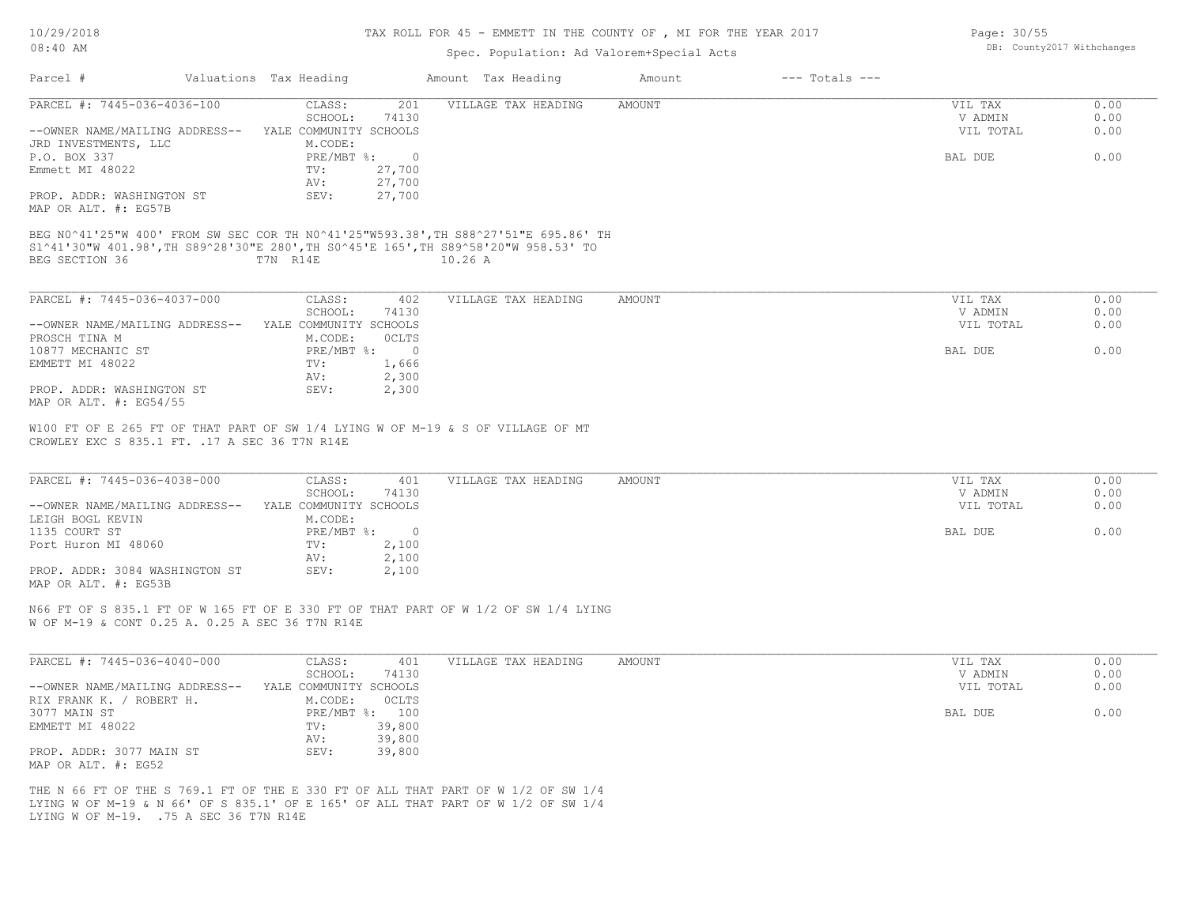#### TAX ROLL FOR 45 - EMMETT IN THE COUNTY OF , MI FOR THE YEAR 2017

## Spec. Population: Ad Valorem+Special Acts

| Valuations Tax Heading<br>Parcel #                                                                                                |                                    | Amount Tax Heading  | $---$ Totals $---$<br>Amount |           |      |
|-----------------------------------------------------------------------------------------------------------------------------------|------------------------------------|---------------------|------------------------------|-----------|------|
| PARCEL #: 7445-036-4036-100                                                                                                       | CLASS:<br>201                      | VILLAGE TAX HEADING | AMOUNT                       | VIL TAX   | 0.00 |
|                                                                                                                                   | SCHOOL:<br>74130                   |                     |                              | V ADMIN   | 0.00 |
| --OWNER NAME/MAILING ADDRESS-- YALE COMMUNITY SCHOOLS                                                                             |                                    |                     |                              | VIL TOTAL | 0.00 |
| JRD INVESTMENTS, LLC                                                                                                              | M.CODE:                            |                     |                              |           |      |
| P.O. BOX 337                                                                                                                      | $PRE/MBT$ $\div$<br>$\overline{0}$ |                     |                              | BAL DUE   | 0.00 |
| Emmett MI 48022                                                                                                                   | 27,700<br>TV:<br>27,700<br>AV:     |                     |                              |           |      |
| PROP. ADDR: WASHINGTON ST                                                                                                         | SEV:<br>27,700                     |                     |                              |           |      |
| MAP OR ALT. #: EG57B                                                                                                              |                                    |                     |                              |           |      |
|                                                                                                                                   |                                    |                     |                              |           |      |
| BEG N0^41'25"W 400' FROM SW SEC COR TH N0^41'25"W593.38', TH S88^27'51"E 695.86' TH                                               |                                    |                     |                              |           |      |
| S1^41'30"W 401.98',TH S89^28'30"E 280',TH S0^45'E 165',TH S89^58'20"W 958.53' TO                                                  |                                    |                     |                              |           |      |
| BEG SECTION 36                                                                                                                    | T7N R14E<br>10.26 A                |                     |                              |           |      |
|                                                                                                                                   |                                    |                     |                              |           |      |
| PARCEL #: 7445-036-4037-000                                                                                                       | CLASS:<br>402                      | VILLAGE TAX HEADING | AMOUNT                       | VIL TAX   | 0.00 |
|                                                                                                                                   | SCHOOL:<br>74130                   |                     |                              | V ADMIN   | 0.00 |
| --OWNER NAME/MAILING ADDRESS-- YALE COMMUNITY SCHOOLS                                                                             |                                    |                     |                              | VIL TOTAL | 0.00 |
| PROSCH TINA M                                                                                                                     | M.CODE:<br>OCLTS                   |                     |                              |           |      |
| 10877 MECHANIC ST                                                                                                                 | PRE/MBT %:<br>$\Omega$             |                     |                              | BAL DUE   | 0.00 |
| EMMETT MI 48022                                                                                                                   | 1,666<br>TV:                       |                     |                              |           |      |
|                                                                                                                                   | 2,300<br>AV:                       |                     |                              |           |      |
| PROP. ADDR: WASHINGTON ST                                                                                                         | SEV:<br>2,300                      |                     |                              |           |      |
| MAP OR ALT. #: EG54/55                                                                                                            |                                    |                     |                              |           |      |
| W100 FT OF E 265 FT OF THAT PART OF SW 1/4 LYING W OF M-19 & S OF VILLAGE OF MT<br>CROWLEY EXC S 835.1 FT. . 17 A SEC 36 T7N R14E |                                    |                     |                              |           |      |
| PARCEL #: 7445-036-4038-000                                                                                                       | CLASS:<br>401                      | VILLAGE TAX HEADING | <b>AMOUNT</b>                | VIL TAX   | 0.00 |
|                                                                                                                                   | 74130<br>SCHOOL:                   |                     |                              | V ADMIN   | 0.00 |
| --OWNER NAME/MAILING ADDRESS-- YALE COMMUNITY SCHOOLS                                                                             |                                    |                     |                              | VIL TOTAL | 0.00 |
| LEIGH BOGL KEVIN                                                                                                                  | M.CODE:                            |                     |                              |           |      |
| 1135 COURT ST                                                                                                                     | PRE/MBT %: 0                       |                     |                              | BAL DUE   | 0.00 |
| Port Huron MI 48060                                                                                                               | 2,100<br>TV:                       |                     |                              |           |      |
|                                                                                                                                   | 2,100<br>AV:                       |                     |                              |           |      |
| PROP. ADDR: 3084 WASHINGTON ST<br>MAP OR ALT. #: EG53B                                                                            | SEV:<br>2,100                      |                     |                              |           |      |
|                                                                                                                                   |                                    |                     |                              |           |      |
| N66 FT OF S 835.1 FT OF W 165 FT OF E 330 FT OF THAT PART OF W 1/2 OF SW 1/4 LYING                                                |                                    |                     |                              |           |      |
| W OF M-19 & CONT 0.25 A. 0.25 A SEC 36 T7N R14E                                                                                   |                                    |                     |                              |           |      |
|                                                                                                                                   |                                    |                     |                              |           |      |
| PARCEL #: 7445-036-4040-000                                                                                                       | CLASS:<br>401                      | VILLAGE TAX HEADING | AMOUNT                       | VIL TAX   | 0.00 |
|                                                                                                                                   | SCHOOL:<br>74130                   |                     |                              | V ADMIN   | 0.00 |
| --OWNER NAME/MAILING ADDRESS--                                                                                                    | YALE COMMUNITY SCHOOLS             |                     |                              | VIL TOTAL | 0.00 |
| RIX FRANK K. / ROBERT H.                                                                                                          | M.CODE:<br>OCLTS                   |                     |                              |           |      |
| 3077 MAIN ST                                                                                                                      | PRE/MBT %: 100                     |                     |                              | BAL DUE   | 0.00 |
| EMMETT MI 48022                                                                                                                   | 39,800<br>TV:                      |                     |                              |           |      |
|                                                                                                                                   | 39,800<br>AV:                      |                     |                              |           |      |
| PROP. ADDR: 3077 MAIN ST                                                                                                          | SEV:<br>39,800                     |                     |                              |           |      |
| MAP OR ALT. #: EG52                                                                                                               |                                    |                     |                              |           |      |
|                                                                                                                                   |                                    |                     |                              |           |      |

LYING W OF M-19. .75 A SEC 36 T7N R14E LYING W OF M-19 & N 66' OF S 835.1' OF E 165' OF ALL THAT PART OF W 1/2 OF SW 1/4 THE N 66 FT OF THE S 769.1 FT OF THE E 330 FT OF ALL THAT PART OF W 1/2 OF SW 1/4 Page: 30/55 DB: County2017 Withchanges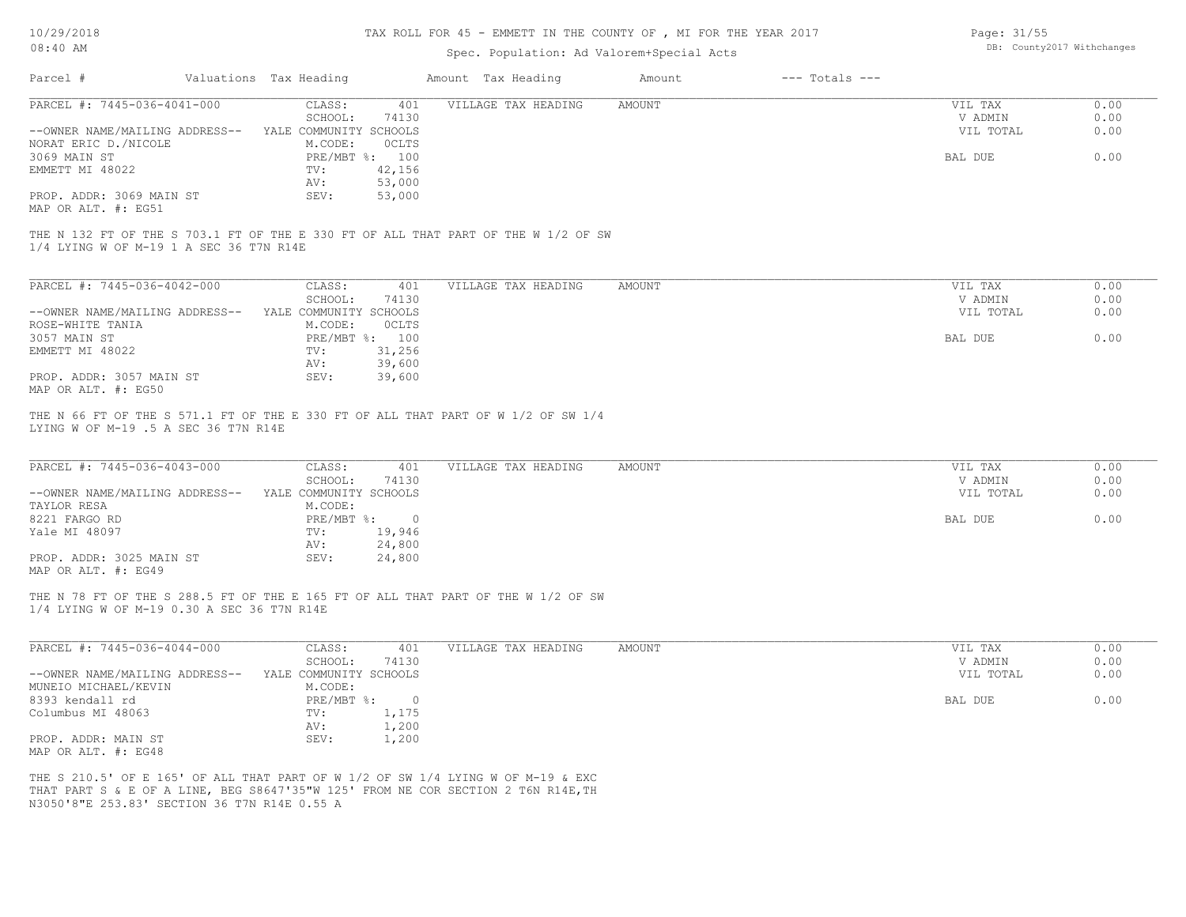## TAX ROLL FOR 45 - EMMETT IN THE COUNTY OF , MI FOR THE YEAR 2017

# Spec. Population: Ad Valorem+Special Acts

| Parcel #                                                                                                                      | Valuations Tax Heading             | Amount Tax Heading  | $---$ Totals $---$<br>Amount |           |      |
|-------------------------------------------------------------------------------------------------------------------------------|------------------------------------|---------------------|------------------------------|-----------|------|
| PARCEL #: 7445-036-4041-000                                                                                                   | CLASS:<br>401                      | VILLAGE TAX HEADING | <b>AMOUNT</b>                | VIL TAX   | 0.00 |
|                                                                                                                               | SCHOOL:<br>74130                   |                     |                              | V ADMIN   | 0.00 |
| --OWNER NAME/MAILING ADDRESS--                                                                                                | YALE COMMUNITY SCHOOLS             |                     |                              | VIL TOTAL | 0.00 |
| NORAT ERIC D./NICOLE<br>3069 MAIN ST                                                                                          | M.CODE:<br>OCLTS<br>PRE/MBT %: 100 |                     |                              | BAL DUE   | 0.00 |
|                                                                                                                               |                                    |                     |                              |           |      |
| EMMETT MI 48022                                                                                                               | 42,156<br>TV:<br>53,000            |                     |                              |           |      |
| PROP. ADDR: 3069 MAIN ST                                                                                                      | AV:<br>SEV:<br>53,000              |                     |                              |           |      |
| MAP OR ALT. #: EG51                                                                                                           |                                    |                     |                              |           |      |
| THE N 132 FT OF THE S 703.1 FT OF THE E 330 FT OF ALL THAT PART OF THE W 1/2 OF SW<br>1/4 LYING W OF M-19 1 A SEC 36 T7N R14E |                                    |                     |                              |           |      |
|                                                                                                                               |                                    |                     |                              |           |      |
| PARCEL #: 7445-036-4042-000                                                                                                   | CLASS:<br>401                      | VILLAGE TAX HEADING | AMOUNT                       | VIL TAX   | 0.00 |
|                                                                                                                               | SCHOOL:<br>74130                   |                     |                              | V ADMIN   | 0.00 |
| --OWNER NAME/MAILING ADDRESS--                                                                                                | YALE COMMUNITY SCHOOLS             |                     |                              | VIL TOTAL | 0.00 |
| ROSE-WHITE TANIA                                                                                                              | M.CODE:<br>OCLTS                   |                     |                              |           |      |
| 3057 MAIN ST                                                                                                                  | PRE/MBT %: 100                     |                     |                              | BAL DUE   | 0.00 |
| EMMETT MI 48022                                                                                                               | 31,256<br>TV:                      |                     |                              |           |      |
|                                                                                                                               | AV:<br>39,600                      |                     |                              |           |      |
| PROP. ADDR: 3057 MAIN ST<br>MAP OR ALT. #: EG50                                                                               | SEV:<br>39,600                     |                     |                              |           |      |
| PARCEL #: 7445-036-4043-000                                                                                                   | CLASS:<br>401                      | VILLAGE TAX HEADING | <b>AMOUNT</b>                | VIL TAX   | 0.00 |
|                                                                                                                               | SCHOOL:<br>74130                   |                     |                              | V ADMIN   | 0.00 |
| --OWNER NAME/MAILING ADDRESS--                                                                                                | YALE COMMUNITY SCHOOLS             |                     |                              | VIL TOTAL | 0.00 |
| TAYLOR RESA                                                                                                                   | M.CODE:                            |                     |                              |           |      |
| 8221 FARGO RD                                                                                                                 | PRE/MBT %:<br>$\overline{0}$       |                     |                              | BAL DUE   | 0.00 |
| Yale MI 48097                                                                                                                 | 19,946<br>TV:                      |                     |                              |           |      |
|                                                                                                                               | 24,800<br>AV:                      |                     |                              |           |      |
| PROP. ADDR: 3025 MAIN ST<br>MAP OR ALT. #: EG49                                                                               | SEV:<br>24,800                     |                     |                              |           |      |
| THE N 78 FT OF THE S 288.5 FT OF THE E 165 FT OF ALL THAT PART OF THE W 1/2 OF SW                                             |                                    |                     |                              |           |      |
| 1/4 LYING W OF M-19 0.30 A SEC 36 T7N R14E                                                                                    |                                    |                     |                              |           |      |
| PARCEL #: 7445-036-4044-000                                                                                                   | CLASS:<br>401                      | VILLAGE TAX HEADING | <b>AMOUNT</b>                | VIL TAX   | 0.00 |
|                                                                                                                               | SCHOOL:<br>74130                   |                     |                              | V ADMIN   | 0.00 |
| --OWNER NAME/MAILING ADDRESS--                                                                                                | YALE COMMUNITY SCHOOLS             |                     |                              | VIL TOTAL | 0.00 |
|                                                                                                                               | M.CODE:                            |                     |                              |           |      |
| MUNEIO MICHAEL/KEVIN<br>8393 kendall rd                                                                                       | $PRE/MBT$ $\frac{1}{6}$ : 0        |                     |                              | BAL DUE   | 0.00 |
| Columbus MI 48063                                                                                                             | 1,175<br>TV:                       |                     |                              |           |      |
|                                                                                                                               | AV:<br>1,200                       |                     |                              |           |      |
| PROP. ADDR: MAIN ST                                                                                                           | SEV:<br>1,200                      |                     |                              |           |      |
| MAP OR ALT. #: EG48                                                                                                           |                                    |                     |                              |           |      |
|                                                                                                                               |                                    |                     |                              |           |      |
| THE S 210.5' OF E 165' OF ALL THAT PART OF W 1/2 OF SW 1/4 LYING W OF M-19 & EXC                                              |                                    |                     |                              |           |      |
| THAT PART S & E OF A LINE, BEG S8647'35"W 125' FROM NE COR SECTION 2 T6N R14E, TH                                             |                                    |                     |                              |           |      |
|                                                                                                                               |                                    |                     |                              |           |      |

N3050'8"E 253.83' SECTION 36 T7N R14E 0.55 A

Page: 31/55 DB: County2017 Withchanges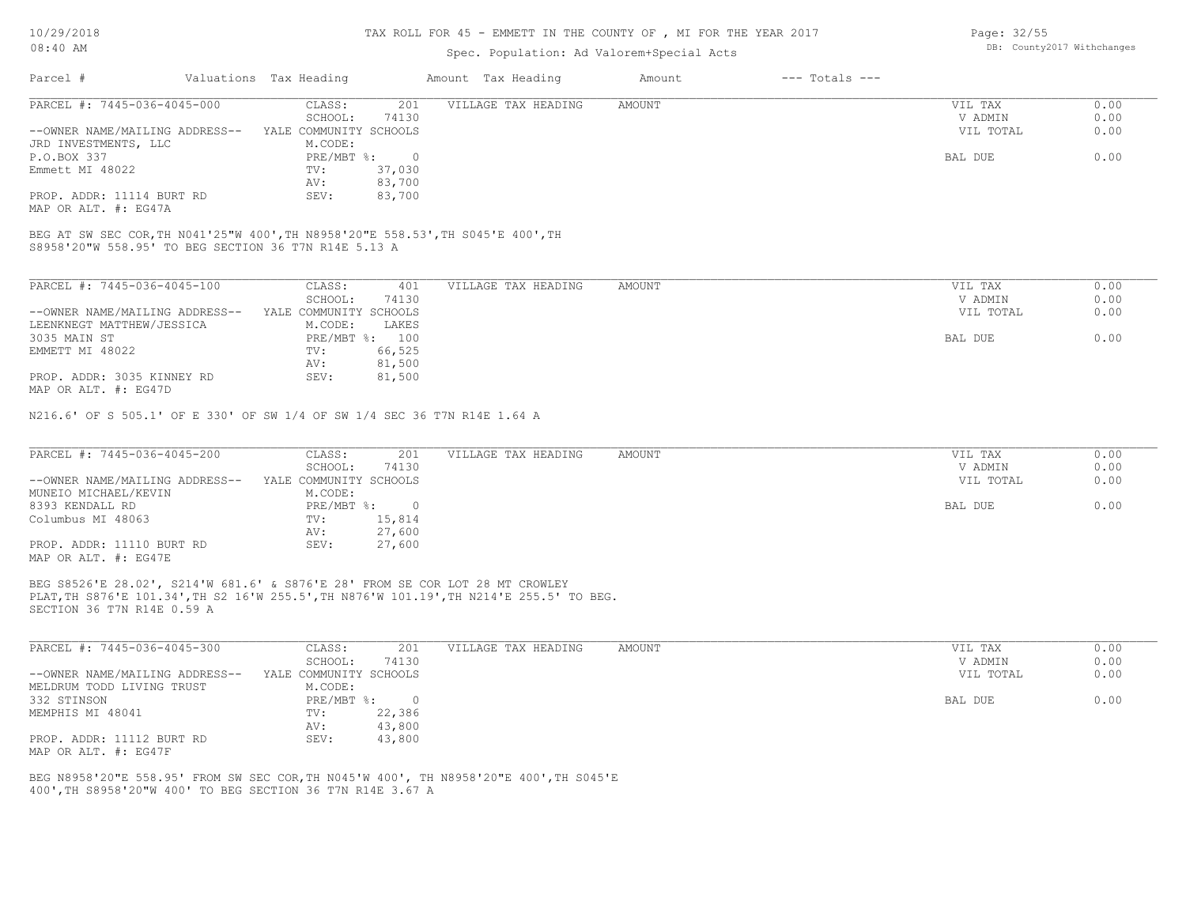#### TAX ROLL FOR 45 - EMMETT IN THE COUNTY OF , MI FOR THE YEAR 2017

## Spec. Population: Ad Valorem+Special Acts

| Parcel #                                                                                                                                | Valuations Tax Heading    |        | Amount Tax Heading  | Amount | $---$ Totals $---$ |           |      |
|-----------------------------------------------------------------------------------------------------------------------------------------|---------------------------|--------|---------------------|--------|--------------------|-----------|------|
| PARCEL #: 7445-036-4045-000                                                                                                             | CLASS:                    | 201    | VILLAGE TAX HEADING | AMOUNT |                    | VIL TAX   | 0.00 |
|                                                                                                                                         | SCHOOL:                   | 74130  |                     |        |                    | V ADMIN   | 0.00 |
| --OWNER NAME/MAILING ADDRESS--                                                                                                          | YALE COMMUNITY SCHOOLS    |        |                     |        |                    | VIL TOTAL | 0.00 |
| JRD INVESTMENTS, LLC                                                                                                                    | M.CODE:                   |        |                     |        |                    |           |      |
| P.O.BOX 337                                                                                                                             | $PRE/MBT$ $\frac{1}{6}$ : | - 0    |                     |        |                    | BAL DUE   | 0.00 |
| Emmett MI 48022                                                                                                                         | TV:                       | 37,030 |                     |        |                    |           |      |
|                                                                                                                                         | AV:                       | 83,700 |                     |        |                    |           |      |
| PROP. ADDR: 11114 BURT RD                                                                                                               | SEV:                      | 83,700 |                     |        |                    |           |      |
| MAP OR ALT. #: EG47A                                                                                                                    |                           |        |                     |        |                    |           |      |
| BEG AT SW SEC COR, TH N041'25"W 400', TH N8958'20"E 558.53', TH S045'E 400', TH<br>S8958'20"W 558.95' TO BEG SECTION 36 T7N R14E 5.13 A |                           |        |                     |        |                    |           |      |
|                                                                                                                                         |                           |        |                     |        |                    |           |      |
| PARCEL #: 7445-036-4045-100                                                                                                             | CLASS:                    | 401    | VILLAGE TAX HEADING | AMOUNT |                    | VIL TAX   | 0.00 |
|                                                                                                                                         | SCHOOL:                   | 74130  |                     |        |                    | V ADMIN   | 0.00 |
| --OWNER NAME/MAILING ADDRESS--                                                                                                          | YALE COMMUNITY SCHOOLS    |        |                     |        |                    | VIL TOTAL | 0.00 |

| --UWNLR NAML/MAILIING ADDRESS- | LALE CUMMUNIII SCAUULS |                | VID IVIAD | v.vv |
|--------------------------------|------------------------|----------------|-----------|------|
| LEENKNEGT MATTHEW/JESSICA      | M.CODE:                | LAKES          |           |      |
| 3035 MAIN ST                   |                        | PRE/MBT %: 100 | BAL DUE   | 0.00 |
| EMMETT MI 48022                | TV:                    | 66,525         |           |      |
|                                | AV:                    | 81,500         |           |      |
| PROP. ADDR: 3035 KINNEY RD     | SEV:                   | 81,500         |           |      |
|                                |                        |                |           |      |

MAP OR ALT. #: EG47D

N216.6' OF S 505.1' OF E 330' OF SW 1/4 OF SW 1/4 SEC 36 T7N R14E 1.64 A

| PARCEL #: 7445-036-4045-200    | CLASS:                 | 201    | VILLAGE TAX HEADING | AMOUNT | VIL TAX   | 0.00 |
|--------------------------------|------------------------|--------|---------------------|--------|-----------|------|
|                                | SCHOOL:                | 74130  |                     |        | V ADMIN   | 0.00 |
| --OWNER NAME/MAILING ADDRESS-- | YALE COMMUNITY SCHOOLS |        |                     |        | VIL TOTAL | 0.00 |
| MUNEIO MICHAEL/KEVIN           | M.CODE:                |        |                     |        |           |      |
| 8393 KENDALL RD                | PRE/MBT %:             |        |                     |        | BAL DUE   | 0.00 |
| Columbus MI 48063              | TV:                    | 15,814 |                     |        |           |      |
|                                | AV:                    | 27,600 |                     |        |           |      |
| PROP. ADDR: 11110 BURT RD      | SEV:                   | 27,600 |                     |        |           |      |
| MAP OR ALT. #: EG47E           |                        |        |                     |        |           |      |

SECTION 36 T7N R14E 0.59 A PLAT,TH S876'E 101.34',TH S2 16'W 255.5',TH N876'W 101.19',TH N214'E 255.5' TO BEG. BEG S8526'E 28.02', S214'W 681.6' & S876'E 28' FROM SE COR LOT 28 MT CROWLEY

| PARCEL #: 7445-036-4045-300    | CLASS:                 | 201    | VILLAGE TAX HEADING | AMOUNT | VIL TAX   | 0.00 |
|--------------------------------|------------------------|--------|---------------------|--------|-----------|------|
|                                | SCHOOL:                | 74130  |                     |        | V ADMIN   | 0.00 |
| --OWNER NAME/MAILING ADDRESS-- | YALE COMMUNITY SCHOOLS |        |                     |        | VIL TOTAL | 0.00 |
| MELDRUM TODD LIVING TRUST      | M.CODE:                |        |                     |        |           |      |
| 332 STINSON                    | PRE/MBT %:             |        |                     |        | BAL DUE   | 0.00 |
| MEMPHIS MI 48041               | TV:                    | 22,386 |                     |        |           |      |
|                                | AV:                    | 43,800 |                     |        |           |      |
| PROP. ADDR: 11112 BURT RD      | SEV:                   | 43,800 |                     |        |           |      |
| MAP OR ALT. #: EG47F           |                        |        |                     |        |           |      |

400',TH S8958'20"W 400' TO BEG SECTION 36 T7N R14E 3.67 A BEG N8958'20"E 558.95' FROM SW SEC COR,TH N045'W 400', TH N8958'20"E 400',TH S045'E Page: 32/55 DB: County2017 Withchanges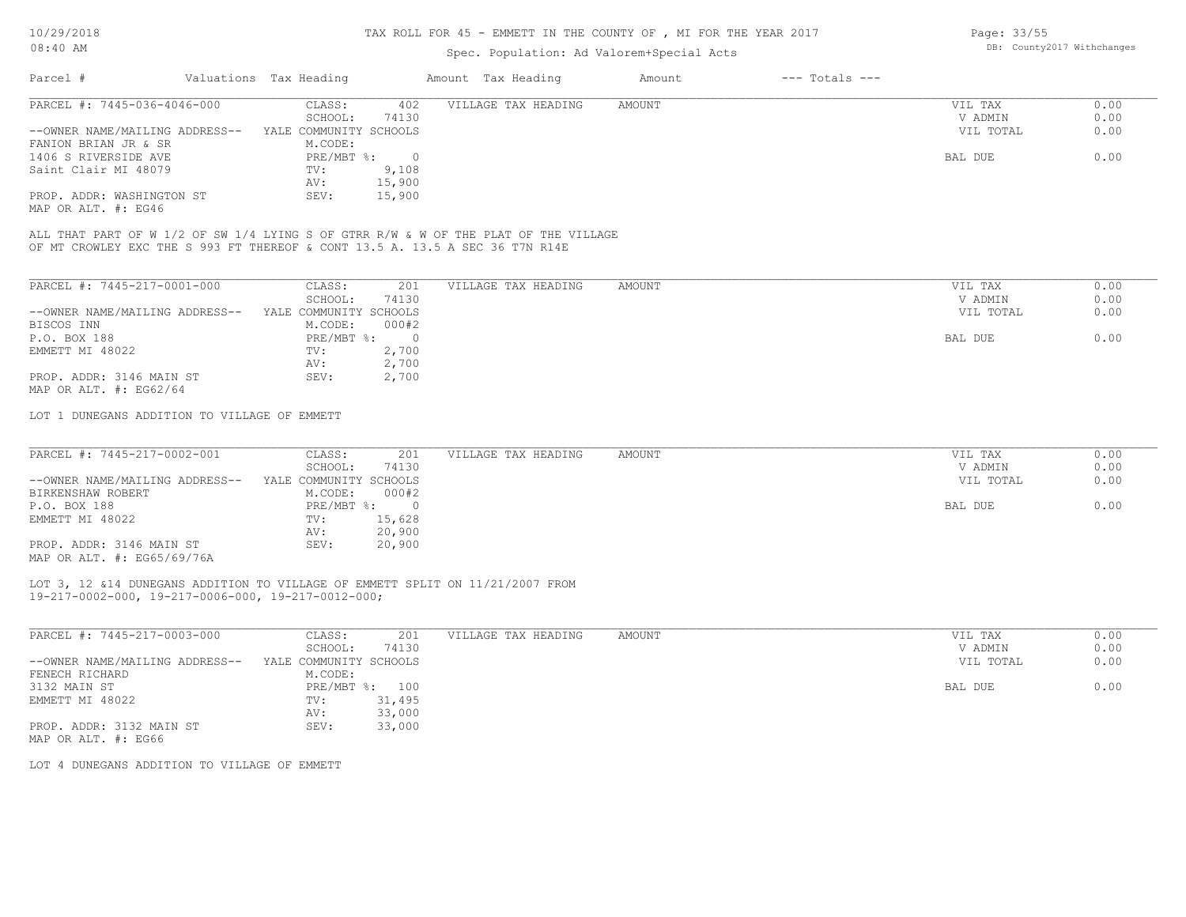| Valuations Tax Heading<br>Amount Tax Heading<br>--- Totals ---<br>Amount | <b>UO: 40 AM</b> | Spec. Population: Ad Valorem+Special Acts |  | bb. Countyzer withthanges |
|--------------------------------------------------------------------------|------------------|-------------------------------------------|--|---------------------------|
|                                                                          | Parcel           |                                           |  |                           |

| PARCEL #: 7445-036-4046-000                | CLASS:                 | 402      | VILLAGE TAX HEADING | AMOUNT | VIL TAX   | 0.00 |
|--------------------------------------------|------------------------|----------|---------------------|--------|-----------|------|
|                                            | SCHOOL:                | 74130    |                     |        | V ADMIN   | 0.00 |
| --OWNER NAME/MAILING ADDRESS--             | YALE COMMUNITY SCHOOLS |          |                     |        | VIL TOTAL | 0.00 |
| FANION BRIAN JR & SR                       | M.CODE:                |          |                     |        |           |      |
| 1406 S RIVERSIDE AVE                       | PRE/MBT %:             | $\Omega$ |                     |        | BAL DUE   | 0.00 |
| Saint Clair MI 48079                       | TV:                    | 9,108    |                     |        |           |      |
|                                            | AV:                    | 15,900   |                     |        |           |      |
| PROP. ADDR: WASHINGTON ST<br>$\frac{1}{2}$ | SEV:                   | 15,900   |                     |        |           |      |

MAP OR ALT. #: EG46

OF MT CROWLEY EXC THE S 993 FT THEREOF & CONT 13.5 A. 13.5 A SEC 36 T7N R14E ALL THAT PART OF W 1/2 OF SW 1/4 LYING S OF GTRR R/W & W OF THE PLAT OF THE VILLAGE

| PARCEL #: 7445-217-0001-000    | CLASS:                 | 201      | VILLAGE TAX HEADING | AMOUNT | VIL TAX   | 0.00 |
|--------------------------------|------------------------|----------|---------------------|--------|-----------|------|
|                                | SCHOOL:                | 74130    |                     |        | V ADMIN   | 0.00 |
| --OWNER NAME/MAILING ADDRESS-- | YALE COMMUNITY SCHOOLS |          |                     |        | VIL TOTAL | 0.00 |
| BISCOS INN                     | M.CODE:                | 000#2    |                     |        |           |      |
| P.O. BOX 188                   | $PRE/MBT$ %:           | $\Omega$ |                     |        | BAL DUE   | 0.00 |
| EMMETT MI 48022                | TV:                    | 2,700    |                     |        |           |      |
|                                | AV:                    | 2,700    |                     |        |           |      |
| PROP. ADDR: 3146 MAIN ST       | SEV:                   | 2,700    |                     |        |           |      |
| MAP OR ALT. $\#$ : EG62/64     |                        |          |                     |        |           |      |

LOT 1 DUNEGANS ADDITION TO VILLAGE OF EMMETT

| PARCEL #: 7445-217-0002-001    | CLASS:                 | 201    | VILLAGE TAX HEADING | AMOUNT | VIL TAX   | 0.00 |
|--------------------------------|------------------------|--------|---------------------|--------|-----------|------|
|                                | SCHOOL:                | 74130  |                     |        | V ADMIN   | 0.00 |
| --OWNER NAME/MAILING ADDRESS-- | YALE COMMUNITY SCHOOLS |        |                     |        | VIL TOTAL | 0.00 |
| BIRKENSHAW ROBERT              | M.CODE:                | 000#2  |                     |        |           |      |
| P.O. BOX 188                   | PRE/MBT %:             |        |                     |        | BAL DUE   | 0.00 |
| EMMETT MI 48022                | TV:                    | 15,628 |                     |        |           |      |
|                                | AV:                    | 20,900 |                     |        |           |      |
| PROP. ADDR: 3146 MAIN ST       | SEV:                   | 20,900 |                     |        |           |      |
| MAP OR ALT. #: EG65/69/76A     |                        |        |                     |        |           |      |

19-217-0002-000, 19-217-0006-000, 19-217-0012-000; LOT 3, 12 &14 DUNEGANS ADDITION TO VILLAGE OF EMMETT SPLIT ON 11/21/2007 FROM

| PARCEL #: 7445-217-0003-000    | CLASS:                 | 201    | VILLAGE TAX HEADING | AMOUNT | 0.00<br>VIL TAX   |
|--------------------------------|------------------------|--------|---------------------|--------|-------------------|
|                                | SCHOOL:                | 74130  |                     |        | 0.00<br>V ADMIN   |
| --OWNER NAME/MAILING ADDRESS-- | YALE COMMUNITY SCHOOLS |        |                     |        | 0.00<br>VIL TOTAL |
| FENECH RICHARD                 | M.CODE:                |        |                     |        |                   |
| 3132 MAIN ST                   | $PRE/MBT$ %:           | 100    |                     |        | 0.00<br>BAL DUE   |
| EMMETT MI 48022                | TV:                    | 31,495 |                     |        |                   |
|                                | AV:                    | 33,000 |                     |        |                   |
| PROP. ADDR: 3132 MAIN ST       | SEV:                   | 33,000 |                     |        |                   |
| MAP OR ALT. #: EG66            |                        |        |                     |        |                   |

LOT 4 DUNEGANS ADDITION TO VILLAGE OF EMMETT

Page: 33/55 DB: County2017 Withchanges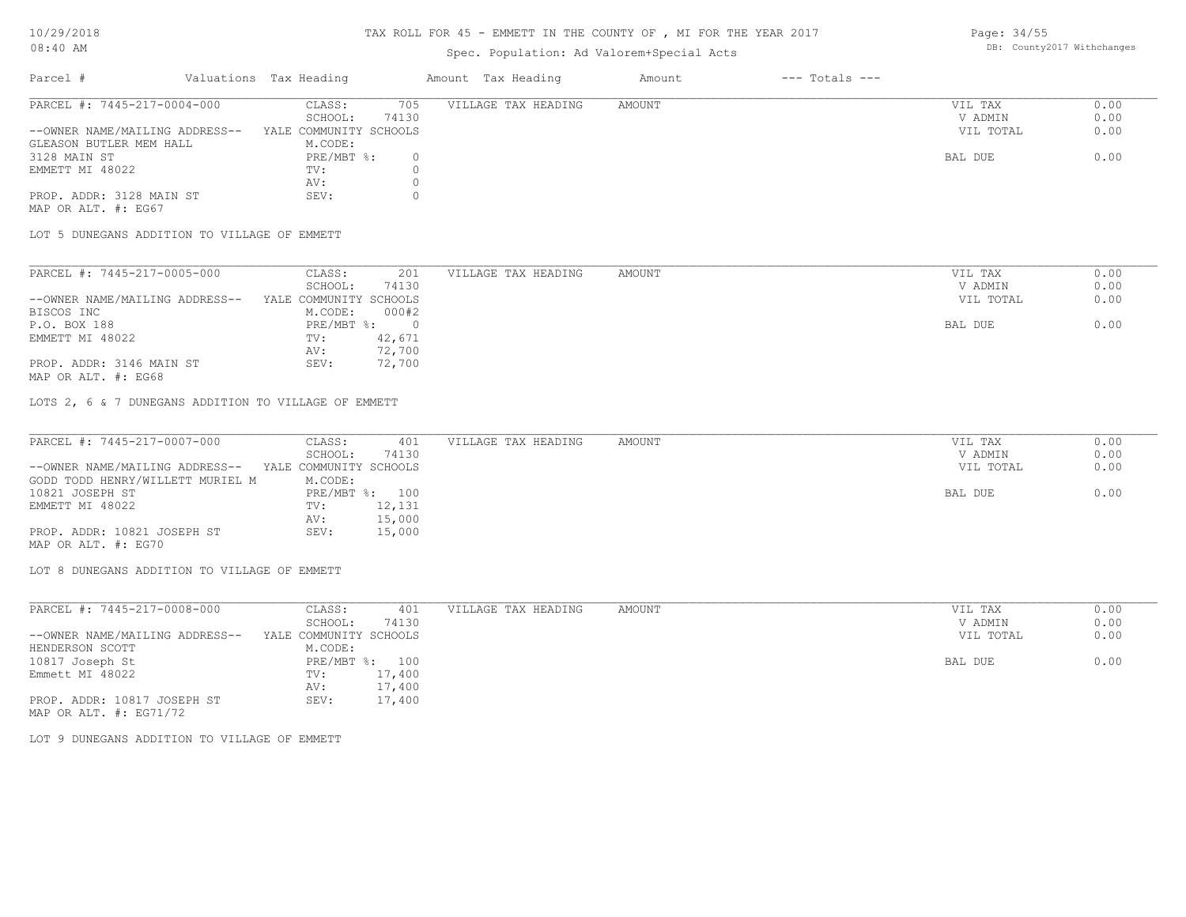### TAX ROLL FOR 45 - EMMETT IN THE COUNTY OF , MI FOR THE YEAR 2017

## Spec. Population: Ad Valorem+Special Acts

Parcel # Valuations Tax Heading Amount Tax Heading Amount --- Totals ---

| ------ | $-$ - $-$ - $-$ - $-$ - $-$ - $-$ - $-$ - $-$ - $-$ - $-$ - $-$ - $-$ - $-$ - $-$ - $-$ - $-$ - $-$ - $-$ - $-$ - $-$ - $-$ - $-$ - $-$ - $-$ - $-$ - $-$ - $-$ - $-$ - $-$ - $-$ - $-$ - $-$ - $-$ - $-$ - $-$ - $-$ - $-$ - |                            |  |
|--------|-------------------------------------------------------------------------------------------------------------------------------------------------------------------------------------------------------------------------------|----------------------------|--|
|        |                                                                                                                                                                                                                               | DB: County2017 Withchanges |  |
|        |                                                                                                                                                                                                                               |                            |  |

| PARCEL #: 7445-217-0004-000    | CLASS:<br>705          | VILLAGE TAX HEADING | AMOUNT | VIL TAX   | 0.00 |
|--------------------------------|------------------------|---------------------|--------|-----------|------|
|                                | 74130<br>SCHOOL:       |                     |        | V ADMIN   | 0.00 |
| --OWNER NAME/MAILING ADDRESS-- | YALE COMMUNITY SCHOOLS |                     |        | VIL TOTAL | 0.00 |
| GLEASON BUTLER MEM HALL        | M.CODE:                |                     |        |           |      |
| 3128 MAIN ST                   | $PRE/MBT$ %:           |                     |        | BAL DUE   | 0.00 |
| EMMETT MI 48022                | TV:                    |                     |        |           |      |
|                                | AV:                    |                     |        |           |      |
| PROP. ADDR: 3128 MAIN ST       | SEV:                   |                     |        |           |      |
| MAP OR ALT. #: EG67            |                        |                     |        |           |      |

LOT 5 DUNEGANS ADDITION TO VILLAGE OF EMMETT

| PARCEL #: 7445-217-0005-000    | CLASS:                 | 201    | VILLAGE TAX HEADING | AMOUNT | VIL TAX   | 0.00 |
|--------------------------------|------------------------|--------|---------------------|--------|-----------|------|
|                                | SCHOOL:                | 74130  |                     |        | V ADMIN   | 0.00 |
| --OWNER NAME/MAILING ADDRESS-- | YALE COMMUNITY SCHOOLS |        |                     |        | VIL TOTAL | 0.00 |
| BISCOS INC                     | M.CODE:                | 000#2  |                     |        |           |      |
| P.O. BOX 188                   | $PRE/MBT$ %:           |        |                     |        | BAL DUE   | 0.00 |
| EMMETT MI 48022                | TV:                    | 42,671 |                     |        |           |      |
|                                | AV:                    | 72,700 |                     |        |           |      |
| PROP. ADDR: 3146 MAIN ST       | SEV:                   | 72,700 |                     |        |           |      |
|                                |                        |        |                     |        |           |      |

MAP OR ALT. #: EG68

LOTS 2, 6 & 7 DUNEGANS ADDITION TO VILLAGE OF EMMETT

| PARCEL #: 7445-217-0007-000      | CLASS:                 | 401            | VILLAGE TAX HEADING | AMOUNT | VIL TAX   | 0.00 |
|----------------------------------|------------------------|----------------|---------------------|--------|-----------|------|
|                                  | SCHOOL:                | 74130          |                     |        | V ADMIN   | 0.00 |
| --OWNER NAME/MAILING ADDRESS--   | YALE COMMUNITY SCHOOLS |                |                     |        | VIL TOTAL | 0.00 |
| GODD TODD HENRY/WILLETT MURIEL M | M.CODE:                |                |                     |        |           |      |
| 10821 JOSEPH ST                  |                        | PRE/MBT %: 100 |                     |        | BAL DUE   | 0.00 |
| EMMETT MI 48022                  | TV:                    | 12,131         |                     |        |           |      |
|                                  | AV:                    | 15,000         |                     |        |           |      |
| PROP. ADDR: 10821 JOSEPH ST      | SEV:                   | 15,000         |                     |        |           |      |
| MAP OR ALT. #: EG70              |                        |                |                     |        |           |      |

LOT 8 DUNEGANS ADDITION TO VILLAGE OF EMMETT

| PARCEL #: 7445-217-0008-000    | CLASS:                 | 401    | VILLAGE TAX HEADING | AMOUNT | VIL TAX   | 0.00 |
|--------------------------------|------------------------|--------|---------------------|--------|-----------|------|
|                                | SCHOOL:                | 74130  |                     |        | V ADMIN   | 0.00 |
| --OWNER NAME/MAILING ADDRESS-- | YALE COMMUNITY SCHOOLS |        |                     |        | VIL TOTAL | 0.00 |
| HENDERSON SCOTT                | M.CODE:                |        |                     |        |           |      |
| 10817 Joseph St                | $PRE/MBT$ %:           | 100    |                     |        | BAL DUE   | 0.00 |
| Emmett MI 48022                | TV:                    | 17,400 |                     |        |           |      |
|                                | AV:                    | 17,400 |                     |        |           |      |
| PROP. ADDR: 10817 JOSEPH ST    | SEV:                   | 17,400 |                     |        |           |      |
| MAP OR ALT. $\#$ : EG71/72     |                        |        |                     |        |           |      |

LOT 9 DUNEGANS ADDITION TO VILLAGE OF EMMETT

Page: 34/55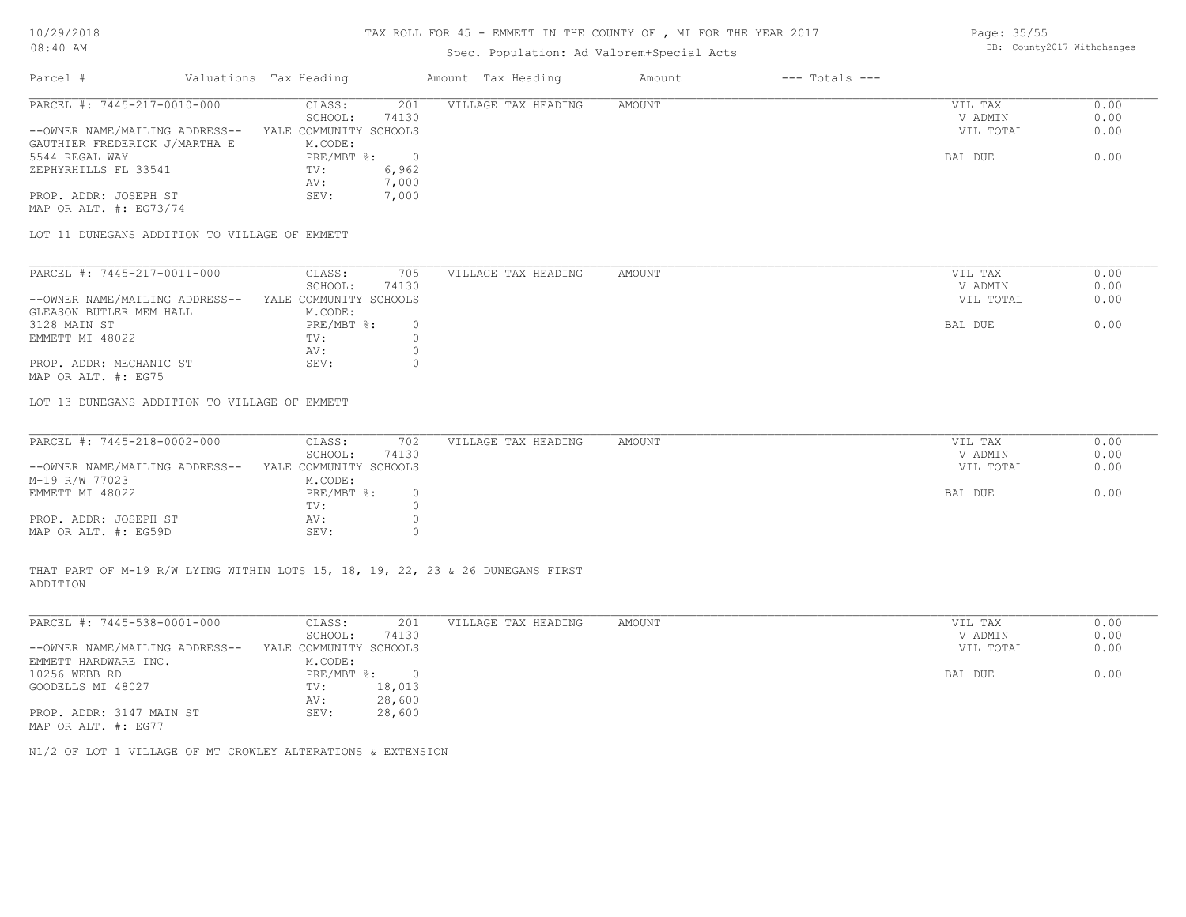### TAX ROLL FOR 45 - EMMETT IN THE COUNTY OF , MI FOR THE YEAR 2017

## Spec. Population: Ad Valorem

| 08:40 AM |                        | DB: County2017 Withchanges<br>Spec. Population: Ad Valorem+Special Acts |        |                |  |  |  |  |
|----------|------------------------|-------------------------------------------------------------------------|--------|----------------|--|--|--|--|
| Parcel # | Valuations Tax Heading | Amount Tax Heading                                                      | Amount | --- Totals --- |  |  |  |  |

| PARCEL #: 7445-217-0010-000    | CLASS:                 | 201   | VILLAGE TAX HEADING | AMOUNT | VIL TAX   | 0.00 |
|--------------------------------|------------------------|-------|---------------------|--------|-----------|------|
|                                | SCHOOL:                | 74130 |                     |        | V ADMIN   | 0.00 |
| --OWNER NAME/MAILING ADDRESS-- | YALE COMMUNITY SCHOOLS |       |                     |        | VIL TOTAL | 0.00 |
| GAUTHIER FREDERICK J/MARTHA E  | M.CODE:                |       |                     |        |           |      |
| 5544 REGAL WAY                 | $PRE/MBT$ %:           |       |                     |        | BAL DUE   | 0.00 |
| ZEPHYRHILLS FL 33541           | TV:                    | 6,962 |                     |        |           |      |
|                                | AV:                    | 7,000 |                     |        |           |      |
| PROP. ADDR: JOSEPH ST          | SEV:                   | 7,000 |                     |        |           |      |
| MAP OR ALT. #: EG73/74         |                        |       |                     |        |           |      |

LOT 11 DUNEGANS ADDITION TO VILLAGE OF EMMETT

| PARCEL #: 7445-217-0011-000    | CLASS:<br>705          | VILLAGE TAX HEADING | AMOUNT | VIL TAX   | 0.00 |
|--------------------------------|------------------------|---------------------|--------|-----------|------|
|                                | 74130<br>SCHOOL:       |                     |        | V ADMIN   | 0.00 |
| --OWNER NAME/MAILING ADDRESS-- | YALE COMMUNITY SCHOOLS |                     |        | VIL TOTAL | 0.00 |
| GLEASON BUTLER MEM HALL        | M.CODE:                |                     |        |           |      |
| 3128 MAIN ST                   | PRE/MBT %:             |                     |        | BAL DUE   | 0.00 |
| EMMETT MI 48022                | TV:                    |                     |        |           |      |
|                                | AV:                    |                     |        |           |      |
| PROP. ADDR: MECHANIC ST        | SEV:                   |                     |        |           |      |
| MAP OR ALT. #: EG75            |                        |                     |        |           |      |

LOT 13 DUNEGANS ADDITION TO VILLAGE OF EMMETT

| PARCEL #: 7445-218-0002-000    | CLASS:                 | 702   | VILLAGE TAX HEADING | AMOUNT | VIL TAX   | 0.00 |
|--------------------------------|------------------------|-------|---------------------|--------|-----------|------|
|                                | SCHOOL:                | 74130 |                     |        | V ADMIN   | 0.00 |
| --OWNER NAME/MAILING ADDRESS-- | YALE COMMUNITY SCHOOLS |       |                     |        | VIL TOTAL | 0.00 |
| M-19 R/W 77023                 | M.CODE:                |       |                     |        |           |      |
| EMMETT MI 48022                | $PRE/MBT$ %:           |       |                     |        | BAL DUE   | 0.00 |
|                                | TV:                    |       |                     |        |           |      |
| PROP. ADDR: JOSEPH ST          | AV:                    |       |                     |        |           |      |
| MAP OR ALT. #: EG59D           | SEV:                   |       |                     |        |           |      |

ADDITION THAT PART OF M-19 R/W LYING WITHIN LOTS 15, 18, 19, 22, 23 & 26 DUNEGANS FIRST

| PARCEL #: 7445-538-0001-000    | CLASS:                 | 201    | VILLAGE TAX HEADING | AMOUNT | VIL TAX   | 0.00 |
|--------------------------------|------------------------|--------|---------------------|--------|-----------|------|
|                                | SCHOOL:                | 74130  |                     |        | V ADMIN   | 0.00 |
| --OWNER NAME/MAILING ADDRESS-- | YALE COMMUNITY SCHOOLS |        |                     |        | VIL TOTAL | 0.00 |
| EMMETT HARDWARE INC.           | M.CODE:                |        |                     |        |           |      |
| 10256 WEBB RD                  | PRE/MBT %:             | $\cap$ |                     |        | BAL DUE   | 0.00 |
| GOODELLS MI 48027              | TV:                    | 18,013 |                     |        |           |      |
|                                | AV:                    | 28,600 |                     |        |           |      |
| PROP. ADDR: 3147 MAIN ST       | SEV:                   | 28,600 |                     |        |           |      |
| MAP OR ALT. #: EG77            |                        |        |                     |        |           |      |

 $\_$  , and the state of the state of the state of the state of the state of the state of the state of the state of the state of the state of the state of the state of the state of the state of the state of the state of the

N1/2 OF LOT 1 VILLAGE OF MT CROWLEY ALTERATIONS & EXTENSION

Page: 35/55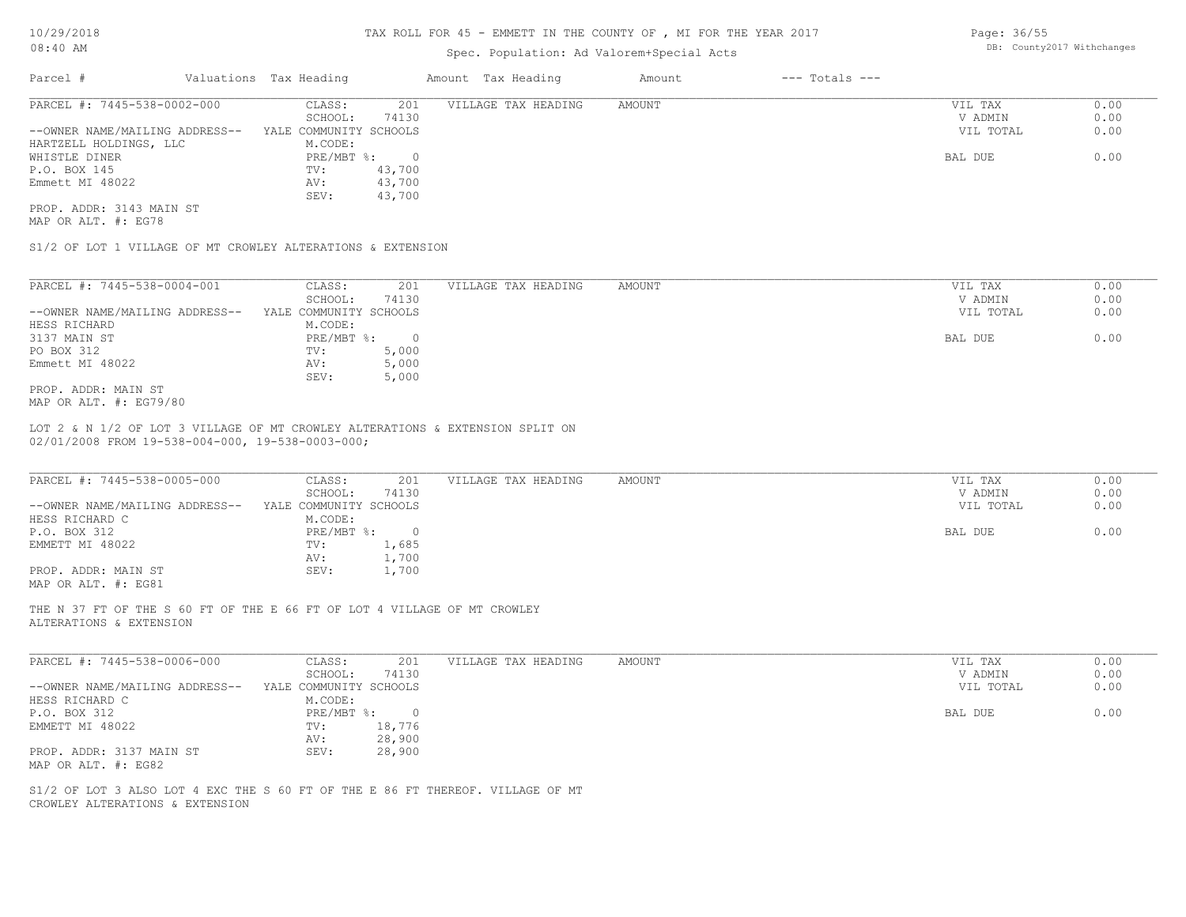## Spec. Population: Ad Valorem+Special Acts

| Parcel #                       | Valuations Tax Heading |        | Amount Tax Heading  | Amount | $---$ Totals $---$ |           |      |
|--------------------------------|------------------------|--------|---------------------|--------|--------------------|-----------|------|
| PARCEL #: 7445-538-0002-000    | CLASS:                 | 201    | VILLAGE TAX HEADING | AMOUNT |                    | VIL TAX   | 0.00 |
|                                | SCHOOL:                | 74130  |                     |        |                    | V ADMIN   | 0.00 |
| --OWNER NAME/MAILING ADDRESS-- | YALE COMMUNITY SCHOOLS |        |                     |        |                    | VIL TOTAL | 0.00 |
| HARTZELL HOLDINGS, LLC         | M.CODE:                |        |                     |        |                    |           |      |
| WHISTLE DINER                  | $PRE/MBT$ %:           |        |                     |        |                    | BAL DUE   | 0.00 |
| P.O. BOX 145                   | TV:                    | 43,700 |                     |        |                    |           |      |
| Emmett MI 48022                | AV:                    | 43,700 |                     |        |                    |           |      |
|                                | SEV:                   | 43,700 |                     |        |                    |           |      |
|                                |                        |        |                     |        |                    |           |      |

MAP OR ALT. #: EG78 PROP. ADDR: 3143 MAIN ST

S1/2 OF LOT 1 VILLAGE OF MT CROWLEY ALTERATIONS & EXTENSION

| PARCEL #: 7445-538-0004-001    | CLASS:                 | 201   | VILLAGE TAX HEADING | AMOUNT | 0.00<br>VIL TAX   |
|--------------------------------|------------------------|-------|---------------------|--------|-------------------|
|                                | SCHOOL:                | 74130 |                     |        | 0.00<br>V ADMIN   |
| --OWNER NAME/MAILING ADDRESS-- | YALE COMMUNITY SCHOOLS |       |                     |        | 0.00<br>VIL TOTAL |
| HESS RICHARD                   | M.CODE:                |       |                     |        |                   |
| 3137 MAIN ST                   | PRE/MBT %:             |       |                     |        | 0.00<br>BAL DUE   |
| PO BOX 312                     | TV:                    | 5,000 |                     |        |                   |
| Emmett MI 48022                | AV:                    | 5,000 |                     |        |                   |
|                                | SEV:                   | 5,000 |                     |        |                   |
| PROP. ADDR: MAIN ST            |                        |       |                     |        |                   |

MAP OR ALT. #: EG79/80

02/01/2008 FROM 19-538-004-000, 19-538-0003-000; LOT 2 & N 1/2 OF LOT 3 VILLAGE OF MT CROWLEY ALTERATIONS & EXTENSION SPLIT ON

| PARCEL #: 7445-538-0005-000    | CLASS:                 | 201   | VILLAGE TAX HEADING | AMOUNT | VIL TAX   | 0.00 |
|--------------------------------|------------------------|-------|---------------------|--------|-----------|------|
|                                | SCHOOL:                | 74130 |                     |        | V ADMIN   | 0.00 |
| --OWNER NAME/MAILING ADDRESS-- | YALE COMMUNITY SCHOOLS |       |                     |        | VIL TOTAL | 0.00 |
| HESS RICHARD C                 | M.CODE:                |       |                     |        |           |      |
| P.O. BOX 312                   | $PRE/MBT$ %:           |       |                     |        | BAL DUE   | 0.00 |
| EMMETT MI 48022                | TV:                    | 1,685 |                     |        |           |      |
|                                | AV:                    | 1,700 |                     |        |           |      |
| PROP. ADDR: MAIN ST            | SEV:                   | 1,700 |                     |        |           |      |
| MAP OR ALT. #: EG81            |                        |       |                     |        |           |      |

ALTERATIONS & EXTENSION THE N 37 FT OF THE S 60 FT OF THE E 66 FT OF LOT 4 VILLAGE OF MT CROWLEY

| PARCEL #: 7445-538-0006-000    | CLASS:                 | 201    | VILLAGE TAX HEADING | AMOUNT | VIL TAX   | 0.00 |
|--------------------------------|------------------------|--------|---------------------|--------|-----------|------|
|                                | SCHOOL:                | 74130  |                     |        | V ADMIN   | 0.00 |
| --OWNER NAME/MAILING ADDRESS-- | YALE COMMUNITY SCHOOLS |        |                     |        | VIL TOTAL | 0.00 |
| HESS RICHARD C                 | M.CODE:                |        |                     |        |           |      |
| P.O. BOX 312                   | PRE/MBT %:             |        |                     |        | BAL DUE   | 0.00 |
| EMMETT MI 48022                | TV:                    | 18,776 |                     |        |           |      |
|                                | AV:                    | 28,900 |                     |        |           |      |
| PROP. ADDR: 3137 MAIN ST       | SEV:                   | 28,900 |                     |        |           |      |
| MAP OR ALT. #: EG82            |                        |        |                     |        |           |      |
|                                |                        |        |                     |        |           |      |

\_\_\_\_\_\_\_\_\_\_\_\_\_\_\_\_\_\_\_\_\_\_\_\_\_\_\_\_\_\_\_\_\_\_\_\_\_\_\_\_\_\_\_\_\_\_\_\_\_\_\_\_\_\_\_\_\_\_\_\_\_\_\_\_\_\_\_\_\_\_\_\_\_\_\_\_\_\_\_\_\_\_\_\_\_\_\_\_\_\_\_\_\_\_\_\_\_\_\_\_\_\_\_\_\_\_\_\_\_\_\_\_\_\_\_\_\_\_\_\_\_\_\_\_\_\_\_\_\_\_\_\_\_\_\_\_\_\_\_\_\_\_\_\_\_\_\_\_\_\_\_\_\_\_\_\_\_\_\_\_\_\_\_\_\_\_\_\_\_\_\_\_\_\_\_

CROWLEY ALTERATIONS & EXTENSION S1/2 OF LOT 3 ALSO LOT 4 EXC THE S 60 FT OF THE E 86 FT THEREOF. VILLAGE OF MT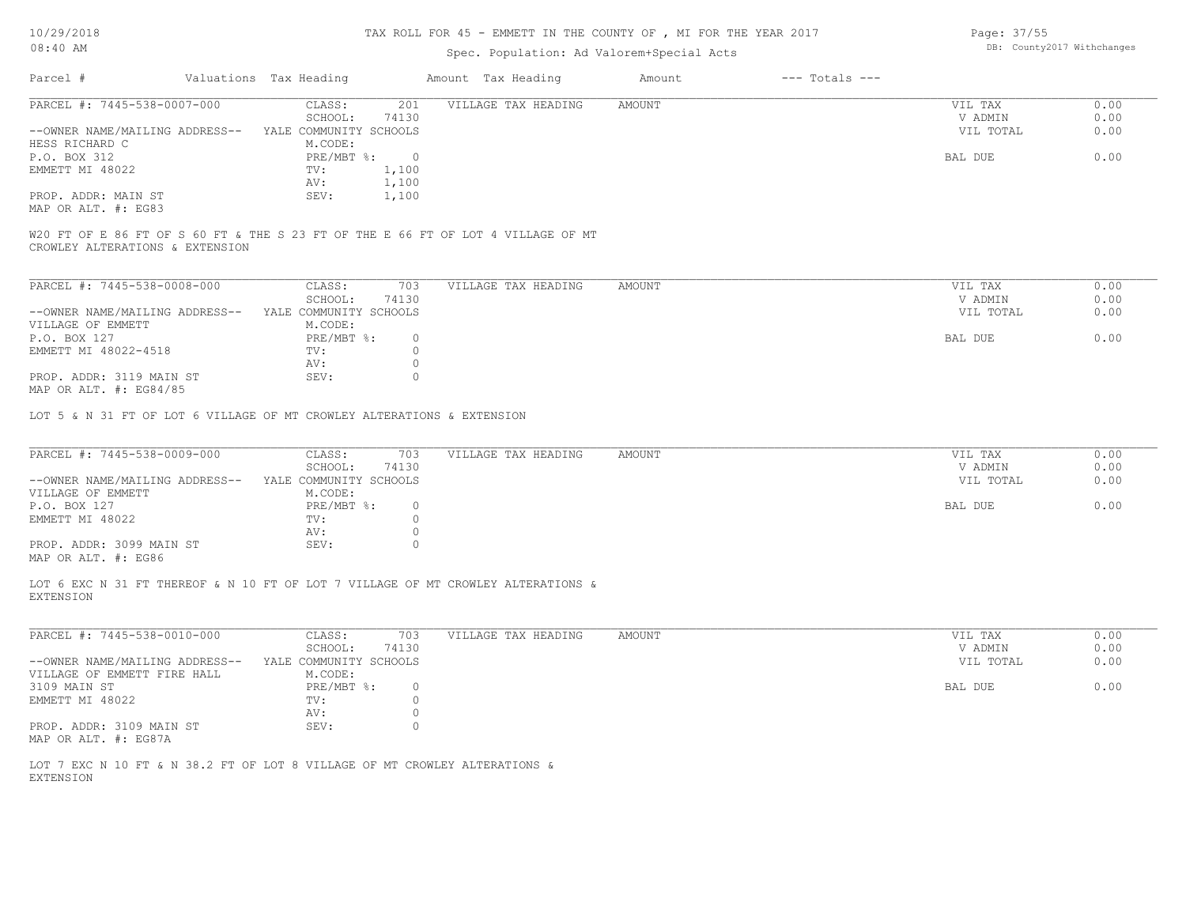10/29/2018

## TAX ROLL FOR 45 - EMMETT IN THE COUNTY OF , MI FOR THE YEAR 2017

| $08:40$ AM                                                                                     |  |                                             |                    | Spec. Population: Ad Valorem+Special Acts                                        | DB: County2017 Withchanges |                    |                                 |                      |
|------------------------------------------------------------------------------------------------|--|---------------------------------------------|--------------------|----------------------------------------------------------------------------------|----------------------------|--------------------|---------------------------------|----------------------|
| Parcel #                                                                                       |  | Valuations Tax Heading                      |                    | Amount Tax Heading                                                               | Amount                     | $---$ Totals $---$ |                                 |                      |
| PARCEL #: 7445-538-0007-000                                                                    |  | CLASS:<br>SCHOOL:                           | 201<br>74130       | VILLAGE TAX HEADING                                                              | <b>AMOUNT</b>              |                    | VIL TAX<br>V ADMIN              | 0.00<br>0.00         |
| --OWNER NAME/MAILING ADDRESS-- YALE COMMUNITY SCHOOLS<br>HESS RICHARD C                        |  | M.CODE:                                     |                    |                                                                                  |                            |                    | VIL TOTAL                       | 0.00                 |
| P.O. BOX 312                                                                                   |  | PRE/MBT %:                                  | $\bigcirc$         |                                                                                  |                            |                    | BAL DUE                         | 0.00                 |
| EMMETT MI 48022                                                                                |  | TV:                                         | 1,100              |                                                                                  |                            |                    |                                 |                      |
| PROP. ADDR: MAIN ST                                                                            |  | AV:<br>SEV:                                 | 1,100<br>1,100     |                                                                                  |                            |                    |                                 |                      |
| MAP OR ALT. #: EG83                                                                            |  |                                             |                    |                                                                                  |                            |                    |                                 |                      |
| CROWLEY ALTERATIONS & EXTENSION                                                                |  |                                             |                    | W20 FT OF E 86 FT OF S 60 FT & THE S 23 FT OF THE E 66 FT OF LOT 4 VILLAGE OF MT |                            |                    |                                 |                      |
|                                                                                                |  |                                             |                    |                                                                                  |                            |                    |                                 |                      |
| PARCEL #: 7445-538-0008-000                                                                    |  | CLASS:                                      | 703                | VILLAGE TAX HEADING                                                              | <b>AMOUNT</b>              |                    | VIL TAX                         | 0.00                 |
| --OWNER NAME/MAILING ADDRESS-- YALE COMMUNITY SCHOOLS                                          |  | SCHOOL:                                     | 74130              |                                                                                  |                            |                    | V ADMIN<br>VIL TOTAL            | 0.00<br>0.00         |
| VILLAGE OF EMMETT                                                                              |  | M.CODE:                                     |                    |                                                                                  |                            |                    |                                 |                      |
| P.O. BOX 127                                                                                   |  | PRE/MBT %:                                  | $\circ$            |                                                                                  |                            |                    | BAL DUE                         | 0.00                 |
| EMMETT MI 48022-4518                                                                           |  | TV:                                         | $\circ$            |                                                                                  |                            |                    |                                 |                      |
|                                                                                                |  | AV:                                         | $\circ$            |                                                                                  |                            |                    |                                 |                      |
| PROP. ADDR: 3119 MAIN ST                                                                       |  | SEV:                                        | $\circ$            |                                                                                  |                            |                    |                                 |                      |
| MAP OR ALT. #: EG84/85                                                                         |  |                                             |                    |                                                                                  |                            |                    |                                 |                      |
| PARCEL #: 7445-538-0009-000<br>--OWNER NAME/MAILING ADDRESS--                                  |  | CLASS:<br>SCHOOL:<br>YALE COMMUNITY SCHOOLS | 703<br>74130       | VILLAGE TAX HEADING                                                              | <b>AMOUNT</b>              |                    | VIL TAX<br>V ADMIN<br>VIL TOTAL | 0.00<br>0.00<br>0.00 |
| VILLAGE OF EMMETT                                                                              |  | M.CODE:                                     |                    |                                                                                  |                            |                    |                                 |                      |
| P.O. BOX 127                                                                                   |  | PRE/MBT %:                                  | $\circ$            |                                                                                  |                            |                    | BAL DUE                         | 0.00                 |
| EMMETT MI 48022                                                                                |  | TV:                                         | $\circ$<br>$\circ$ |                                                                                  |                            |                    |                                 |                      |
| PROP. ADDR: 3099 MAIN ST                                                                       |  | AV:<br>SEV:                                 | $\circ$            |                                                                                  |                            |                    |                                 |                      |
| MAP OR ALT. #: EG86                                                                            |  |                                             |                    |                                                                                  |                            |                    |                                 |                      |
| <b>EXTENSION</b>                                                                               |  |                                             |                    | LOT 6 EXC N 31 FT THEREOF & N 10 FT OF LOT 7 VILLAGE OF MT CROWLEY ALTERATIONS & |                            |                    |                                 |                      |
| PARCEL #: 7445-538-0010-000                                                                    |  | CLASS:                                      | 703                | VILLAGE TAX HEADING                                                              | AMOUNT                     |                    | VIL TAX                         | 0.00                 |
|                                                                                                |  | SCHOOL:                                     | 74130              |                                                                                  |                            |                    | V ADMIN                         | 0.00                 |
| --OWNER NAME/MAILING ADDRESS-- YALE COMMUNITY SCHOOLS                                          |  |                                             |                    |                                                                                  |                            |                    | VIL TOTAL                       | 0.00                 |
| VILLAGE OF EMMETT FIRE HALL                                                                    |  | M.CODE:                                     |                    |                                                                                  |                            |                    |                                 |                      |
| 3109 MAIN ST<br>EMMETT MI 48022                                                                |  | PRE/MBT %:<br>TV:                           | $\circ$<br>$\circ$ |                                                                                  |                            |                    | BAL DUE                         | 0.00                 |
|                                                                                                |  | AV:                                         | $\circ$            |                                                                                  |                            |                    |                                 |                      |
| PROP. ADDR: 3109 MAIN ST<br>MAP OR ALT. #: EG87A                                               |  | SEV:                                        | $\circ$            |                                                                                  |                            |                    |                                 |                      |
| LOT 7 EXC N 10 FT & N 38.2 FT OF LOT 8 VILLAGE OF MT CROWLEY ALTERATIONS &<br><b>EXTENSION</b> |  |                                             |                    |                                                                                  |                            |                    |                                 |                      |
|                                                                                                |  |                                             |                    |                                                                                  |                            |                    |                                 |                      |

Page: DB: County2017 Withchanges 37/55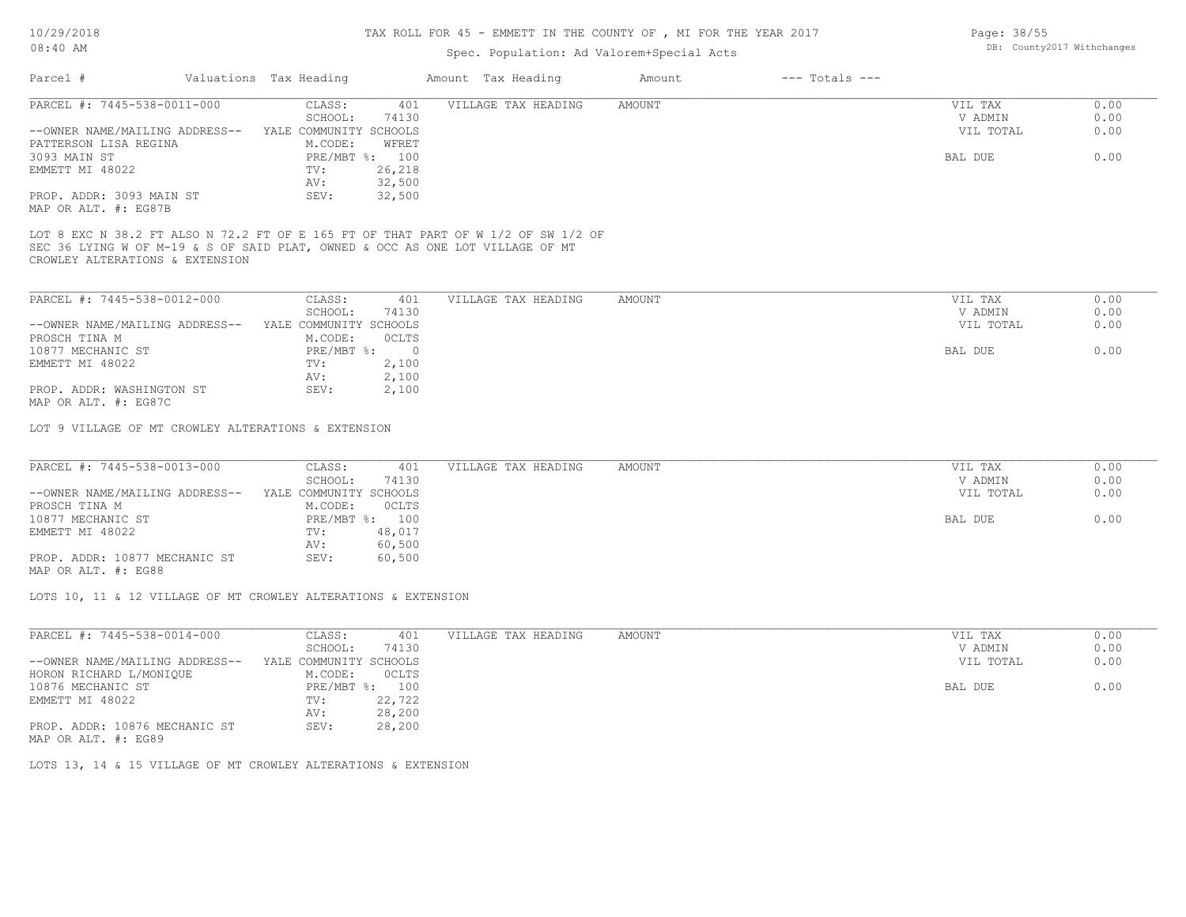## TAX ROLL FOR 45 - EMMETT IN THE COUNTY OF , MI FOR THE YEAR 2017

### Spec. Population: Ad Valorem+Special Acts

| Parcel #                       | Valuations Tax Heading |        | Amount Tax Heading  | Amount | $---$ Totals $---$ |           |      |
|--------------------------------|------------------------|--------|---------------------|--------|--------------------|-----------|------|
| PARCEL #: 7445-538-0011-000    | CLASS:                 | 401    | VILLAGE TAX HEADING | AMOUNT |                    | VIL TAX   | 0.00 |
|                                | SCHOOL:                | 74130  |                     |        |                    | V ADMIN   | 0.00 |
| --OWNER NAME/MAILING ADDRESS-- | YALE COMMUNITY SCHOOLS |        |                     |        |                    | VIL TOTAL | 0.00 |
| PATTERSON LISA REGINA          | M.CODE:                | WFRET  |                     |        |                    |           |      |
| 3093 MAIN ST                   | PRE/MBT %: 100         |        |                     |        |                    | BAL DUE   | 0.00 |
| EMMETT MI 48022                | TV:                    | 26,218 |                     |        |                    |           |      |
|                                | AV:                    | 32,500 |                     |        |                    |           |      |
| PROP. ADDR: 3093 MAIN ST       | SEV:                   | 32,500 |                     |        |                    |           |      |
| MAP OR ALT. #: EG87B           |                        |        |                     |        |                    |           |      |
|                                |                        |        |                     |        |                    |           |      |

CROWLEY ALTERATIONS & EXTENSION SEC 36 LYING W OF M-19 & S OF SAID PLAT, OWNED & OCC AS ONE LOT VILLAGE OF MT LOT 8 EXC N 38.2 FT ALSO N 72.2 FT OF E 165 FT OF THAT PART OF W 1/2 OF SW 1/2 OF

| PARCEL #: 7445-538-0012-000    | CLASS:                 | 401   | VILLAGE TAX HEADING | AMOUNT | VIL TAX   | 0.00 |
|--------------------------------|------------------------|-------|---------------------|--------|-----------|------|
|                                | SCHOOL:                | 74130 |                     |        | V ADMIN   | 0.00 |
| --OWNER NAME/MAILING ADDRESS-- | YALE COMMUNITY SCHOOLS |       |                     |        | VIL TOTAL | 0.00 |
| PROSCH TINA M                  | M.CODE:                | OCLTS |                     |        |           |      |
| 10877 MECHANIC ST              | $PRE/MBT$ %:           |       |                     |        | BAL DUE   | 0.00 |
| EMMETT MI 48022                | TV:                    | 2,100 |                     |        |           |      |
|                                | AV:                    | 2,100 |                     |        |           |      |
| PROP. ADDR: WASHINGTON ST      | SEV:                   | 2,100 |                     |        |           |      |
| MAP OR ALT. #: EG87C           |                        |       |                     |        |           |      |

LOT 9 VILLAGE OF MT CROWLEY ALTERATIONS & EXTENSION

| PARCEL #: 7445-538-0013-000    | CLASS:                 | 401            | VILLAGE TAX HEADING | AMOUNT | VIL TAX   | 0.00 |
|--------------------------------|------------------------|----------------|---------------------|--------|-----------|------|
|                                | SCHOOL:                | 74130          |                     |        | V ADMIN   | 0.00 |
| --OWNER NAME/MAILING ADDRESS-- | YALE COMMUNITY SCHOOLS |                |                     |        | VIL TOTAL | 0.00 |
| PROSCH TINA M                  | M.CODE:                | <b>OCLTS</b>   |                     |        |           |      |
| 10877 MECHANIC ST              |                        | PRE/MBT %: 100 |                     |        | BAL DUE   | 0.00 |
| EMMETT MI 48022                | TV:                    | 48,017         |                     |        |           |      |
|                                | AV:                    | 60,500         |                     |        |           |      |
| PROP. ADDR: 10877 MECHANIC ST  | SEV:                   | 60,500         |                     |        |           |      |
|                                |                        |                |                     |        |           |      |

MAP OR ALT. #: EG88

LOTS 10, 11 & 12 VILLAGE OF MT CROWLEY ALTERATIONS & EXTENSION

| PARCEL #: 7445-538-0014-000    | CLASS:                 | 401    | VILLAGE TAX HEADING | AMOUNT | VIL TAX<br>0.00   |
|--------------------------------|------------------------|--------|---------------------|--------|-------------------|
|                                | SCHOOL:                | 74130  |                     |        | 0.00<br>V ADMIN   |
| --OWNER NAME/MAILING ADDRESS-- | YALE COMMUNITY SCHOOLS |        |                     |        | 0.00<br>VIL TOTAL |
| HORON RICHARD L/MONIOUE        | M.CODE:                | OCLTS  |                     |        |                   |
| 10876 MECHANIC ST              | $PRE/MBT$ %:           | 100    |                     |        | 0.00<br>BAL DUE   |
| EMMETT MI 48022                | TV:                    | 22,722 |                     |        |                   |
|                                | AV:                    | 28,200 |                     |        |                   |
| PROP. ADDR: 10876 MECHANIC ST  | SEV:                   | 28,200 |                     |        |                   |
| MAP OR ALT. #: EG89            |                        |        |                     |        |                   |

LOTS 13, 14 & 15 VILLAGE OF MT CROWLEY ALTERATIONS & EXTENSION

Page: 38/55 DB: County2017 Withchanges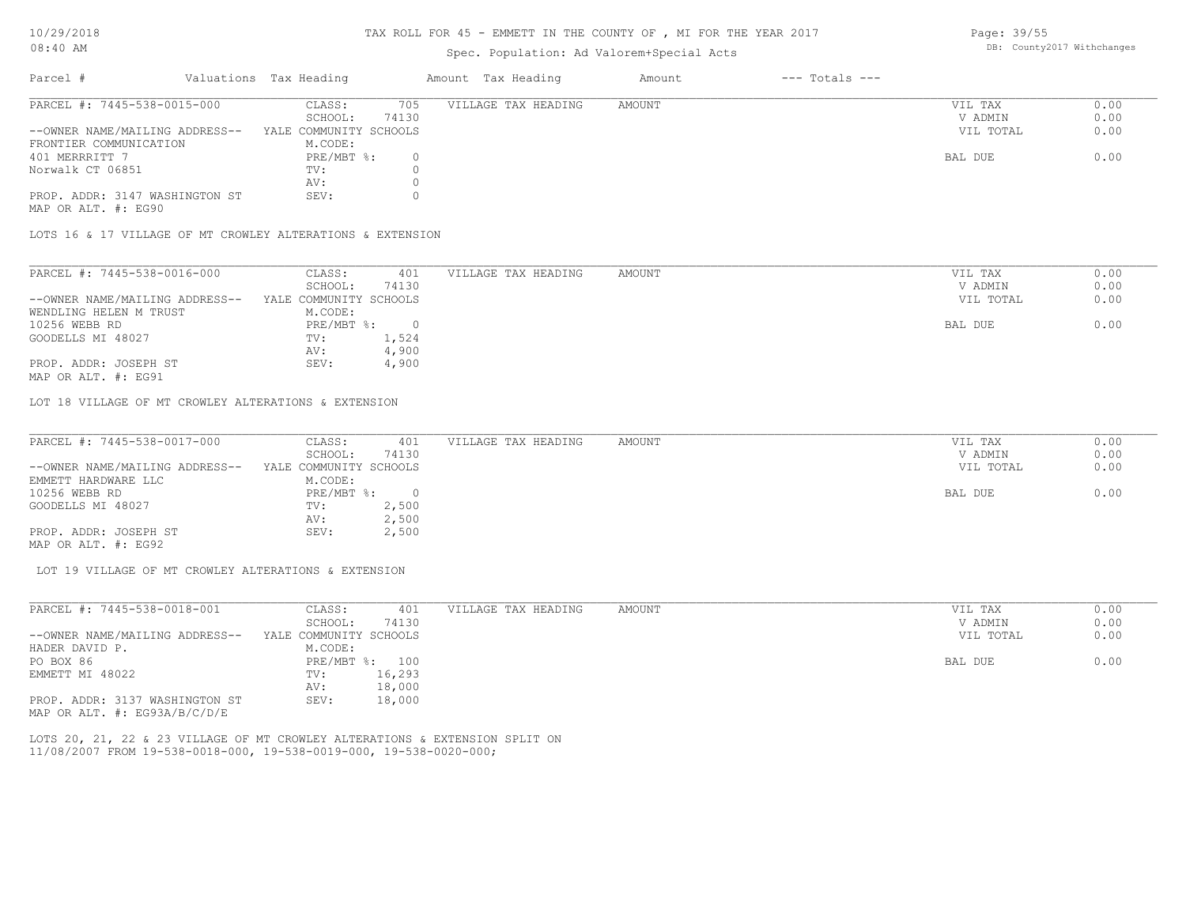#### TAX ROLL FOR 45 - EMMETT IN THE COUNTY OF , MI FOR THE YEAR 2017

### Spec. Population: Ad Valorem+Special Acts

Page: 39/55 DB: County2017 Withchanges

| Parcel #                       | Valuations Tax Heading |       | Amount Tax Heading  | Amount | $---$ Totals $---$ |           |      |
|--------------------------------|------------------------|-------|---------------------|--------|--------------------|-----------|------|
| PARCEL #: 7445-538-0015-000    | CLASS:                 | 705   | VILLAGE TAX HEADING | AMOUNT |                    | VIL TAX   | 0.00 |
|                                | SCHOOL:                | 74130 |                     |        |                    | V ADMIN   | 0.00 |
| --OWNER NAME/MAILING ADDRESS-- | YALE COMMUNITY SCHOOLS |       |                     |        |                    | VIL TOTAL | 0.00 |
| FRONTIER COMMUNICATION         | M.CODE:                |       |                     |        |                    |           |      |
| 401 MERRRITT 7                 | $PRE/MBT$ %:           |       |                     |        |                    | BAL DUE   | 0.00 |
| Norwalk CT 06851               | TV:                    |       |                     |        |                    |           |      |
|                                | AV:                    |       |                     |        |                    |           |      |
| PROP. ADDR: 3147 WASHINGTON ST | SEV:                   |       |                     |        |                    |           |      |

MAP OR ALT. #: EG90

LOTS 16 & 17 VILLAGE OF MT CROWLEY ALTERATIONS & EXTENSION

| PARCEL #: 7445-538-0016-000    | CLASS:                 | 401   | VILLAGE TAX HEADING | AMOUNT | VIL TAX   | 0.00 |
|--------------------------------|------------------------|-------|---------------------|--------|-----------|------|
|                                | SCHOOL:                | 74130 |                     |        | V ADMIN   | 0.00 |
| --OWNER NAME/MAILING ADDRESS-- | YALE COMMUNITY SCHOOLS |       |                     |        | VIL TOTAL | 0.00 |
| WENDLING HELEN M TRUST         | M.CODE:                |       |                     |        |           |      |
| 10256 WEBB RD                  | PRE/MBT %:             |       |                     |        | BAL DUE   | 0.00 |
| GOODELLS MI 48027              | TV:                    | 1,524 |                     |        |           |      |
|                                | AV:                    | 4,900 |                     |        |           |      |
| PROP. ADDR: JOSEPH ST          | SEV:                   | 4,900 |                     |        |           |      |
|                                |                        |       |                     |        |           |      |

MAP OR ALT. #: EG91

LOT 18 VILLAGE OF MT CROWLEY ALTERATIONS & EXTENSION

| PARCEL #: 7445-538-0017-000    | CLASS:                 | 401   | VILLAGE TAX HEADING | AMOUNT | VIL TAX   | 0.00 |
|--------------------------------|------------------------|-------|---------------------|--------|-----------|------|
|                                | SCHOOL:                | 74130 |                     |        | V ADMIN   | 0.00 |
| --OWNER NAME/MAILING ADDRESS-- | YALE COMMUNITY SCHOOLS |       |                     |        | VIL TOTAL | 0.00 |
| EMMETT HARDWARE LLC            | M.CODE:                |       |                     |        |           |      |
| 10256 WEBB RD                  | $PRE/MBT$ %:           |       |                     |        | BAL DUE   | 0.00 |
| GOODELLS MI 48027              | TV:                    | 2,500 |                     |        |           |      |
|                                | AV:                    | 2,500 |                     |        |           |      |
| PROP. ADDR: JOSEPH ST          | SEV:                   | 2,500 |                     |        |           |      |
| MAP OR ALT. #: EG92            |                        |       |                     |        |           |      |

LOT 19 VILLAGE OF MT CROWLEY ALTERATIONS & EXTENSION

| PARCEL #: 7445-538-0018-001      | CLASS:                 | 401    | VILLAGE TAX HEADING | AMOUNT | VIL TAX<br>0.00   |
|----------------------------------|------------------------|--------|---------------------|--------|-------------------|
|                                  | SCHOOL:                | 74130  |                     |        | 0.00<br>V ADMIN   |
| --OWNER NAME/MAILING ADDRESS--   | YALE COMMUNITY SCHOOLS |        |                     |        | 0.00<br>VIL TOTAL |
| HADER DAVID P.                   | M.CODE:                |        |                     |        |                   |
| PO BOX 86                        | $PRE/MBT$ %:           | 100    |                     |        | 0.00<br>BAL DUE   |
| EMMETT MI 48022                  | TV:                    | 16,293 |                     |        |                   |
|                                  | AV:                    | 18,000 |                     |        |                   |
| PROP. ADDR: 3137 WASHINGTON ST   | SEV:                   | 18,000 |                     |        |                   |
| MAP OR ALT. $\#$ : EG93A/B/C/D/E |                        |        |                     |        |                   |

11/08/2007 FROM 19-538-0018-000, 19-538-0019-000, 19-538-0020-000; LOTS 20, 21, 22 & 23 VILLAGE OF MT CROWLEY ALTERATIONS & EXTENSION SPLIT ON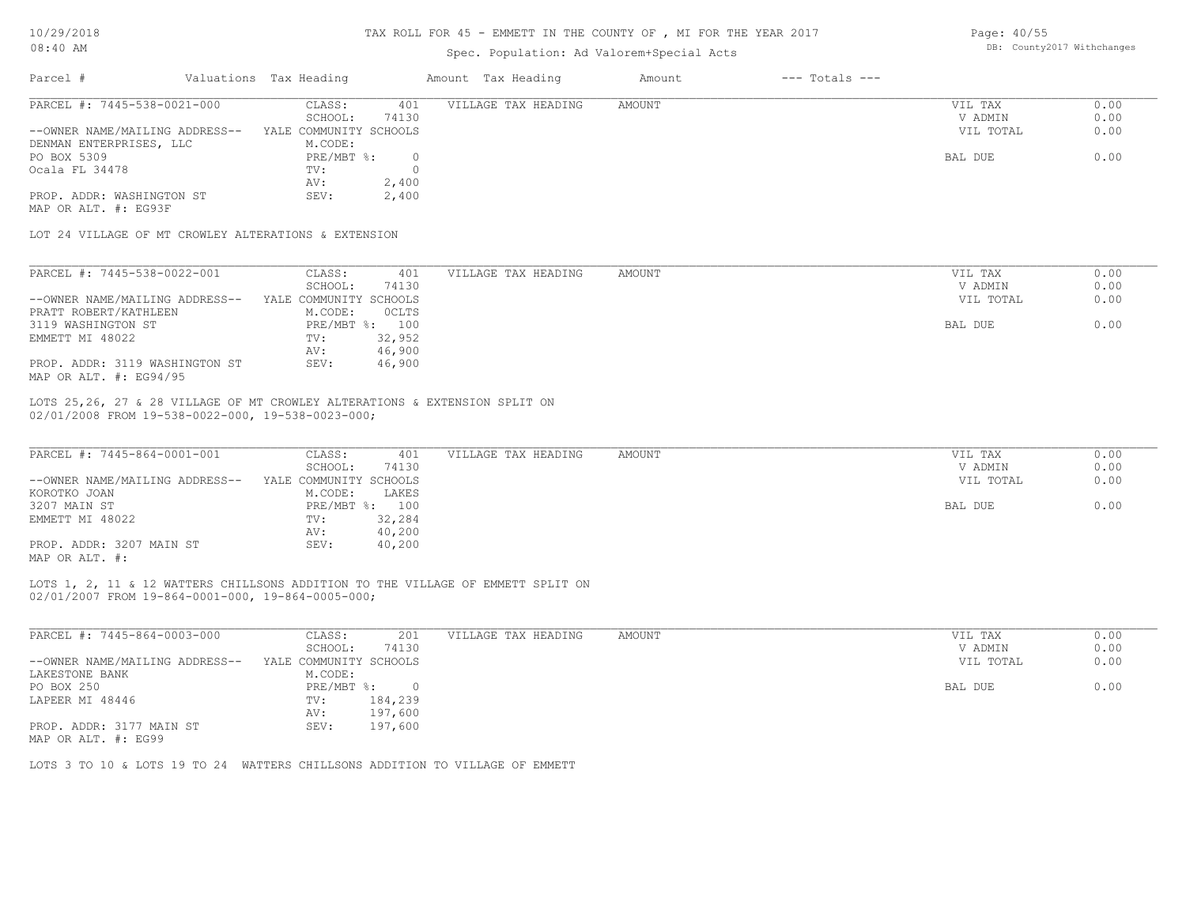#### TAX ROLL FOR 45 - EMMETT IN THE COUNTY OF , MI FOR THE YEAR 2017

## Spec. Population: Ad Valorem+Special Acts

| Page: 40/55 |                            |
|-------------|----------------------------|
|             | DB: County2017 Withchanges |

| Parcel #                                             | Valuations Tax Heading |          | Amount Tax Heading  | Amount | $---$ Totals $---$ |           |      |
|------------------------------------------------------|------------------------|----------|---------------------|--------|--------------------|-----------|------|
| PARCEL #: 7445-538-0021-000                          | CLASS:                 | 401      | VILLAGE TAX HEADING | AMOUNT |                    | VIL TAX   | 0.00 |
|                                                      | SCHOOL:                | 74130    |                     |        |                    | V ADMIN   | 0.00 |
| --OWNER NAME/MAILING ADDRESS--                       | YALE COMMUNITY SCHOOLS |          |                     |        |                    | VIL TOTAL | 0.00 |
| DENMAN ENTERPRISES, LLC                              | M.CODE:                |          |                     |        |                    |           |      |
| PO BOX 5309                                          | $PRE/MBT$ %:           | $\Omega$ |                     |        |                    | BAL DUE   | 0.00 |
| Ocala FL 34478                                       | TV:                    |          |                     |        |                    |           |      |
|                                                      | AV:                    | 2,400    |                     |        |                    |           |      |
| PROP. ADDR: WASHINGTON ST                            | SEV:                   | 2,400    |                     |        |                    |           |      |
| MAP OR ALT. #: EG93F                                 |                        |          |                     |        |                    |           |      |
| LOT 24 VILLAGE OF MT CROWLEY ALTERATIONS & EXTENSION |                        |          |                     |        |                    |           |      |
|                                                      |                        |          |                     |        |                    |           |      |
| PARCEL #: 7445-538-0022-001                          | CLASS:                 | 401      | VILLAGE TAX HEADING | AMOUNT |                    | VIL TAX   | 0.00 |
|                                                      | SCHOOL:                | 74130    |                     |        |                    | V ADMIN   | 0.00 |
| --OWNER NAME/MAILING ADDRESS--                       | YALE COMMUNITY SCHOOLS |          |                     |        |                    | VIL TOTAL | 0.00 |

| --OWNER NAME/MAILING ADDRESS-- YALE COMMUNITY SCHOOLS        |                |        |
|--------------------------------------------------------------|----------------|--------|
| PRATT ROBERT/KATHLEEN                                        | M.CODE:        | OCLTS  |
| 3119 WASHINGTON ST                                           | PRE/MBT %: 100 |        |
| EMMETT MI 48022                                              | TV:            | 32,952 |
|                                                              | AV:            | 46,900 |
| PROP. ADDR: 3119 WASHINGTON ST<br>MAP OR ALT. $\#$ : EG94/95 | SEV:           | 46,900 |

02/01/2008 FROM 19-538-0022-000, 19-538-0023-000; LOTS 25,26, 27 & 28 VILLAGE OF MT CROWLEY ALTERATIONS & EXTENSION SPLIT ON

| PARCEL #: 7445-864-0001-001    | CLASS:                 | 401    | VILLAGE TAX HEADING | AMOUNT | VIL TAX   | 0.00 |
|--------------------------------|------------------------|--------|---------------------|--------|-----------|------|
|                                | SCHOOL:                | 74130  |                     |        | V ADMIN   | 0.00 |
| --OWNER NAME/MAILING ADDRESS-- | YALE COMMUNITY SCHOOLS |        |                     |        | VIL TOTAL | 0.00 |
| KOROTKO JOAN                   | M.CODE:                | LAKES  |                     |        |           |      |
| 3207 MAIN ST                   | PRE/MBT %: 100         |        |                     |        | BAL DUE   | 0.00 |
| EMMETT MI 48022                | TV:                    | 32,284 |                     |        |           |      |
|                                | AV:                    | 40,200 |                     |        |           |      |
| PROP. ADDR: 3207 MAIN ST       | SEV:                   | 40,200 |                     |        |           |      |
| MAP OR ALT. #:                 |                        |        |                     |        |           |      |

02/01/2007 FROM 19-864-0001-000, 19-864-0005-000; LOTS 1, 2, 11 & 12 WATTERS CHILLSONS ADDITION TO THE VILLAGE OF EMMETT SPLIT ON

| PARCEL #: 7445-864-0003-000    | CLASS:                 | 201      | VILLAGE TAX HEADING | AMOUNT | 0.00<br>VIL TAX   |
|--------------------------------|------------------------|----------|---------------------|--------|-------------------|
|                                | SCHOOL:                | 74130    |                     |        | 0.00<br>V ADMIN   |
| --OWNER NAME/MAILING ADDRESS-- | YALE COMMUNITY SCHOOLS |          |                     |        | 0.00<br>VIL TOTAL |
| LAKESTONE BANK                 | M.CODE:                |          |                     |        |                   |
| PO BOX 250                     | PRE/MBT %:             | $\Omega$ |                     |        | 0.00<br>BAL DUE   |
| LAPEER MI 48446                | TV:                    | 184,239  |                     |        |                   |
|                                | AV:                    | 197,600  |                     |        |                   |
| PROP. ADDR: 3177 MAIN ST       | SEV:                   | 197,600  |                     |        |                   |
| MAP OR ALT. #: EG99            |                        |          |                     |        |                   |

LOTS 3 TO 10 & LOTS 19 TO 24 WATTERS CHILLSONS ADDITION TO VILLAGE OF EMMETT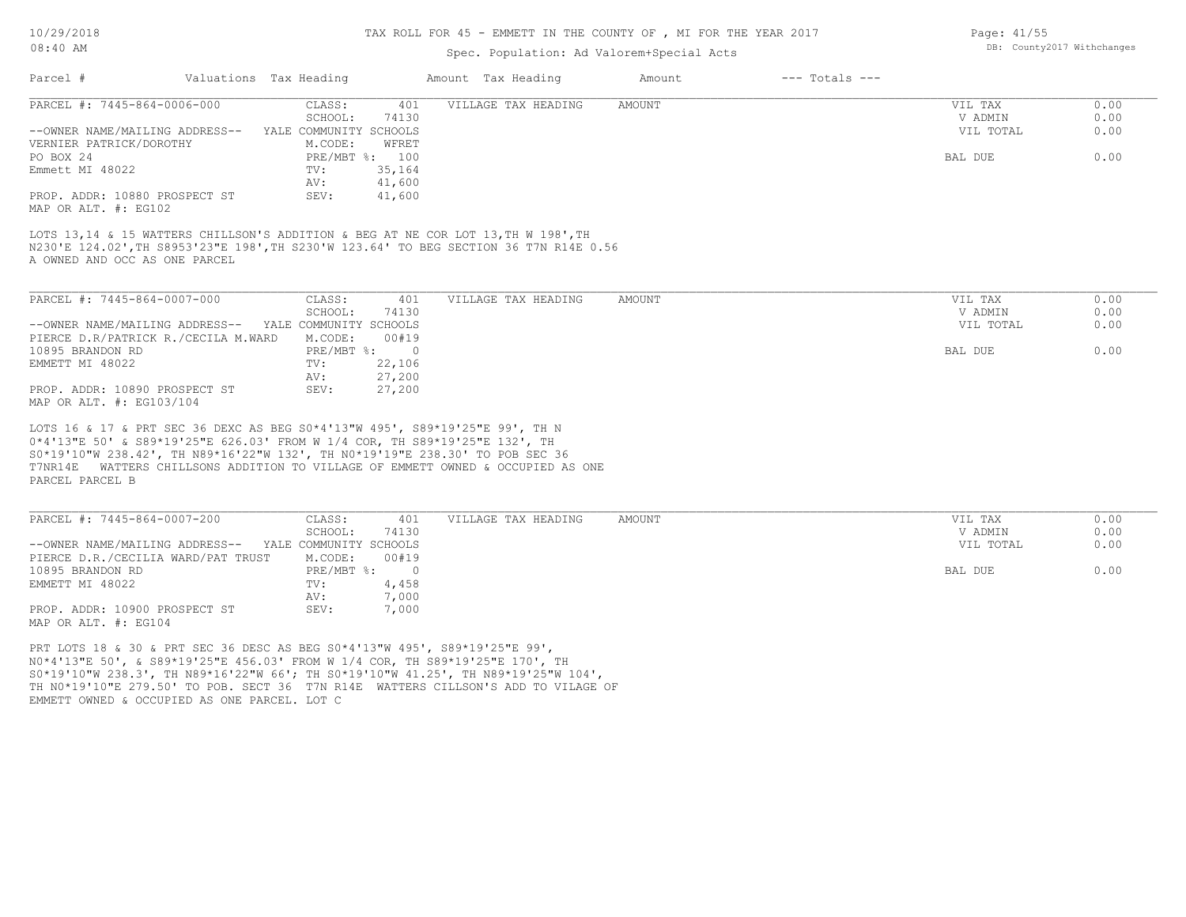MAP OR ALT. #: EG104

#### TAX ROLL FOR 45 - EMMETT IN THE COUNTY OF , MI FOR THE YEAR 2017

Page: 41/55

DB: County2017 Withchanges

## Spec. Population: Ad Valorem+Special Acts

| Parcel #                                              | Valuations Tax Heading<br>Amount Tax Heading                                                                                                                               | $---$ Totals $---$<br>Amount |                |      |
|-------------------------------------------------------|----------------------------------------------------------------------------------------------------------------------------------------------------------------------------|------------------------------|----------------|------|
| PARCEL #: 7445-864-0006-000                           | VILLAGE TAX HEADING<br>CLASS:<br>401                                                                                                                                       | <b>AMOUNT</b>                | VIL TAX        | 0.00 |
|                                                       | 74130<br>SCHOOL:                                                                                                                                                           |                              | V ADMIN        | 0.00 |
| --OWNER NAME/MAILING ADDRESS--                        | YALE COMMUNITY SCHOOLS                                                                                                                                                     |                              | VIL TOTAL      | 0.00 |
| VERNIER PATRICK/DOROTHY                               | M.CODE:<br>WFRET                                                                                                                                                           |                              |                |      |
| PO BOX 24                                             | PRE/MBT %: 100                                                                                                                                                             |                              | <b>BAL DUE</b> | 0.00 |
| Emmett MI 48022                                       | 35,164<br>TV:                                                                                                                                                              |                              |                |      |
|                                                       | 41,600<br>AV:                                                                                                                                                              |                              |                |      |
| PROP. ADDR: 10880 PROSPECT ST                         | SEV:<br>41,600                                                                                                                                                             |                              |                |      |
| MAP OR ALT. #: EG102                                  |                                                                                                                                                                            |                              |                |      |
|                                                       | LOTS 13,14 & 15 WATTERS CHILLSON'S ADDITION & BEG AT NE COR LOT 13, TH W 198', TH<br>N230'E 124.02', TH S8953'23"E 198', TH S230'W 123.64' TO BEG SECTION 36 T7N R14E 0.56 |                              |                |      |
| A OWNED AND OCC AS ONE PARCEL                         |                                                                                                                                                                            |                              |                |      |
|                                                       |                                                                                                                                                                            |                              |                |      |
| PARCEL #: 7445-864-0007-000                           | CLASS:<br>401<br>VILLAGE TAX HEADING                                                                                                                                       | <b>AMOUNT</b>                | VIL TAX        | 0.00 |
|                                                       | SCHOOL:<br>74130                                                                                                                                                           |                              | V ADMIN        | 0.00 |
| --OWNER NAME/MAILING ADDRESS-- YALE COMMUNITY SCHOOLS |                                                                                                                                                                            |                              | VIL TOTAL      | 0.00 |
| PIERCE D.R/PATRICK R./CECILA M.WARD                   | M.CODE:<br>00#19                                                                                                                                                           |                              |                |      |
| 10895 BRANDON RD                                      | PRE/MBT %: 0                                                                                                                                                               |                              | BAL DUE        | 0.00 |
| EMMETT MI 48022                                       | 22,106<br>TV:                                                                                                                                                              |                              |                |      |
|                                                       | 27,200<br>AV:                                                                                                                                                              |                              |                |      |
| PROP. ADDR: 10890 PROSPECT ST                         | 27,200<br>SEV:                                                                                                                                                             |                              |                |      |
| MAP OR ALT. #: EG103/104                              |                                                                                                                                                                            |                              |                |      |
|                                                       |                                                                                                                                                                            |                              |                |      |
|                                                       | LOTS 16 & 17 & PRT SEC 36 DEXC AS BEG S0*4'13"W 495', S89*19'25"E 99', TH N                                                                                                |                              |                |      |
|                                                       | 0*4'13"E 50' & S89*19'25"E 626.03' FROM W 1/4 COR, TH S89*19'25"E 132', TH                                                                                                 |                              |                |      |
|                                                       | S0*19'10"W 238.42', TH N89*16'22"W 132', TH N0*19'19"E 238.30' TO POB SEC 36                                                                                               |                              |                |      |
|                                                       | T7NR14E WATTERS CHILLSONS ADDITION TO VILLAGE OF EMMETT OWNED & OCCUPIED AS ONE                                                                                            |                              |                |      |
| PARCEL PARCEL B                                       |                                                                                                                                                                            |                              |                |      |
|                                                       |                                                                                                                                                                            |                              |                |      |
|                                                       |                                                                                                                                                                            |                              |                |      |
| PARCEL #: 7445-864-0007-200                           | CLASS:<br>401<br>VILLAGE TAX HEADING                                                                                                                                       | <b>AMOUNT</b>                | VIL TAX        | 0.00 |
|                                                       | SCHOOL:<br>74130                                                                                                                                                           |                              | V ADMIN        | 0.00 |
| --OWNER NAME/MAILING ADDRESS-- YALE COMMUNITY SCHOOLS |                                                                                                                                                                            |                              | VIL TOTAL      | 0.00 |
| PIERCE D.R./CECILIA WARD/PAT TRUST                    | M.CODE:<br>00#19                                                                                                                                                           |                              |                |      |
| 10895 BRANDON RD                                      | PRE/MBT %:<br>$\overline{0}$                                                                                                                                               |                              | BAL DUE        | 0.00 |
| EMMETT MI 48022                                       | 4,458<br>TV:                                                                                                                                                               |                              |                |      |

EMMETT OWNED & OCCUPIED AS ONE PARCEL. LOT C TH N0\*19'10"E 279.50' TO POB. SECT 36 T7N R14E WATTERS CILLSON'S ADD TO VILAGE OF S0\*19'10"W 238.3', TH N89\*16'22"W 66'; TH S0\*19'10"W 41.25', TH N89\*19'25"W 104', N0\*4'13"E 50', & S89\*19'25"E 456.03' FROM W 1/4 COR, TH S89\*19'25"E 170', TH PRT LOTS 18 & 30 & PRT SEC 36 DESC AS BEG S0\*4'13"W 495', S89\*19'25"E 99',

PROP. ADDR: 10900 PROSPECT ST SEV: 7,000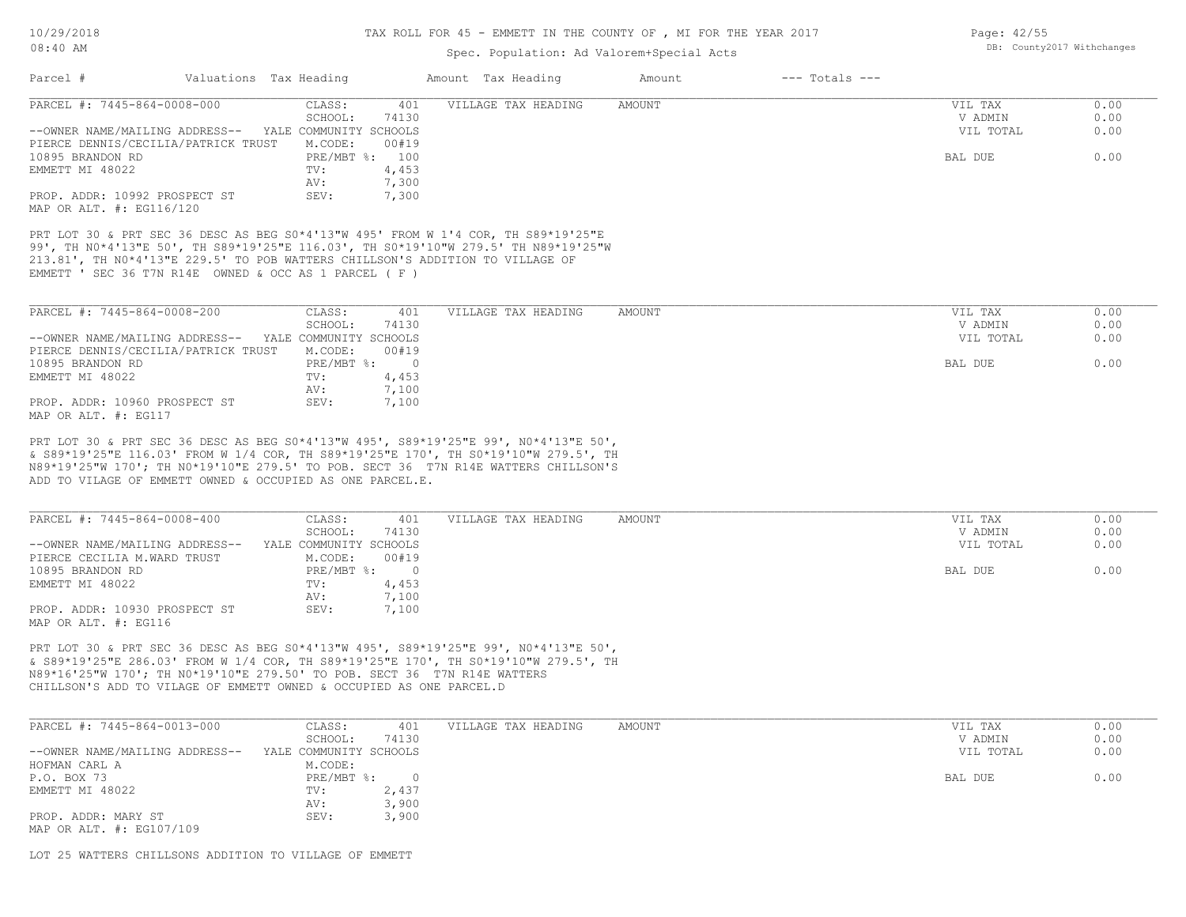## Spec. Population: Ad Valorem+Special Acts

|                                                                                                                                                                                                                                                                                                                    | Valuations Tax Heading |                | Amount Tax Heading  | Amount        | $---$ Totals $---$ |           |      |
|--------------------------------------------------------------------------------------------------------------------------------------------------------------------------------------------------------------------------------------------------------------------------------------------------------------------|------------------------|----------------|---------------------|---------------|--------------------|-----------|------|
| PARCEL #: 7445-864-0008-000                                                                                                                                                                                                                                                                                        | CLASS:                 | 401            | VILLAGE TAX HEADING | <b>AMOUNT</b> |                    | VIL TAX   | 0.00 |
|                                                                                                                                                                                                                                                                                                                    | SCHOOL:                | 74130          |                     |               |                    | V ADMIN   | 0.00 |
| --OWNER NAME/MAILING ADDRESS-- YALE COMMUNITY SCHOOLS                                                                                                                                                                                                                                                              |                        |                |                     |               |                    | VIL TOTAL | 0.00 |
| PIERCE DENNIS/CECILIA/PATRICK TRUST                                                                                                                                                                                                                                                                                | M.CODE:                | 00#19          |                     |               |                    |           |      |
| 10895 BRANDON RD                                                                                                                                                                                                                                                                                                   | PRE/MBT %: 100         |                |                     |               |                    | BAL DUE   | 0.00 |
| EMMETT MI 48022                                                                                                                                                                                                                                                                                                    | TV:                    | 4,453          |                     |               |                    |           |      |
|                                                                                                                                                                                                                                                                                                                    | AV:                    | 7,300          |                     |               |                    |           |      |
| PROP. ADDR: 10992 PROSPECT ST                                                                                                                                                                                                                                                                                      | SEV:                   | 7,300          |                     |               |                    |           |      |
| MAP OR ALT. #: EG116/120                                                                                                                                                                                                                                                                                           |                        |                |                     |               |                    |           |      |
| PRT LOT 30 & PRT SEC 36 DESC AS BEG S0*4'13"W 495' FROM W 1'4 COR, TH S89*19'25"E<br>99', TH NO*4'13"E 50', TH S89*19'25"E 116.03', TH SO*19'10"W 279.5' TH N89*19'25"W<br>213.81', TH NO*4'13"E 229.5' TO POB WATTERS CHILLSON'S ADDITION TO VILLAGE OF<br>EMMETT ' SEC 36 T7N R14E OWNED & OCC AS 1 PARCEL ( F ) |                        |                |                     |               |                    |           |      |
| PARCEL #: 7445-864-0008-200                                                                                                                                                                                                                                                                                        | CLASS:                 | 401            | VILLAGE TAX HEADING | <b>AMOUNT</b> |                    | VIL TAX   | 0.00 |
|                                                                                                                                                                                                                                                                                                                    | SCHOOL:                | 74130          |                     |               |                    | V ADMIN   | 0.00 |
| --OWNER NAME/MAILING ADDRESS-- YALE COMMUNITY SCHOOLS                                                                                                                                                                                                                                                              |                        |                |                     |               |                    | VIL TOTAL | 0.00 |
| PIERCE DENNIS/CECILIA/PATRICK TRUST                                                                                                                                                                                                                                                                                | M.CODE:                | 00#19          |                     |               |                    |           |      |
| 10895 BRANDON RD                                                                                                                                                                                                                                                                                                   | $PRE/MBT$ %:           | $\overline{0}$ |                     |               |                    | BAL DUE   | 0.00 |
| EMMETT MI 48022                                                                                                                                                                                                                                                                                                    | TV:                    | 4,453          |                     |               |                    |           |      |
|                                                                                                                                                                                                                                                                                                                    | AV:                    | 7,100          |                     |               |                    |           |      |
| PROP. ADDR: 10960 PROSPECT ST<br>MAP OR ALT. #: EG117                                                                                                                                                                                                                                                              | SEV:                   | 7,100          |                     |               |                    |           |      |

ADD TO VILAGE OF EMMETT OWNED & OCCUPIED AS ONE PARCEL.E. N89\*19'25"W 170'; TH N0\*19'10"E 279.5' TO POB. SECT 36 T7N R14E WATTERS CHILLSON'S

| PARCEL #: 7445-864-0008-400    | CLASS:                 | 401   | VILLAGE TAX HEADING | AMOUNT | VIL TAX   | 0.00 |
|--------------------------------|------------------------|-------|---------------------|--------|-----------|------|
|                                | SCHOOL:                | 74130 |                     |        | V ADMIN   | 0.00 |
| --OWNER NAME/MAILING ADDRESS-- | YALE COMMUNITY SCHOOLS |       |                     |        | VIL TOTAL | 0.00 |
| PIERCE CECILIA M.WARD TRUST    | M.CODE:                | 00#19 |                     |        |           |      |
| 10895 BRANDON RD               | PRE/MBT %:             |       |                     |        | BAL DUE   | 0.00 |
| EMMETT MI 48022                | TV:                    | 4,453 |                     |        |           |      |
|                                | AV:                    | 7,100 |                     |        |           |      |
| PROP. ADDR: 10930 PROSPECT ST  | SEV:                   | 7,100 |                     |        |           |      |
| MAP OR ALT. #: EG116           |                        |       |                     |        |           |      |

CHILLSON'S ADD TO VILAGE OF EMMETT OWNED & OCCUPIED AS ONE PARCEL.D N89\*16'25"W 170'; TH N0\*19'10"E 279.50' TO POB. SECT 36 T7N R14E WATTERS & S89\*19'25"E 286.03' FROM W 1/4 COR, TH S89\*19'25"E 170', TH S0\*19'10"W 279.5', TH PRT LOT 30 & PRT SEC 36 DESC AS BEG S0\*4'13"W 495', S89\*19'25"E 99', N0\*4'13"E 50',

| PARCEL #: 7445-864-0013-000    | CLASS:                 | 401   | VILLAGE TAX HEADING | AMOUNT | VIL TAX   | 0.00 |
|--------------------------------|------------------------|-------|---------------------|--------|-----------|------|
|                                | SCHOOL:                | 74130 |                     |        | V ADMIN   | 0.00 |
| --OWNER NAME/MAILING ADDRESS-- | YALE COMMUNITY SCHOOLS |       |                     |        | VIL TOTAL | 0.00 |
| HOFMAN CARL A                  | M.CODE:                |       |                     |        |           |      |
| P.O. BOX 73                    | PRE/MBT %:             |       |                     |        | BAL DUE   | 0.00 |
| EMMETT MI 48022                | TV:                    | 2,437 |                     |        |           |      |
|                                | AV:                    | 3,900 |                     |        |           |      |
| PROP. ADDR: MARY ST            | SEV:                   | 3,900 |                     |        |           |      |
| MAP OR ALT. #: EG107/109       |                        |       |                     |        |           |      |

LOT 25 WATTERS CHILLSONS ADDITION TO VILLAGE OF EMMETT

Page: 42/55 DB: County2017 Withchanges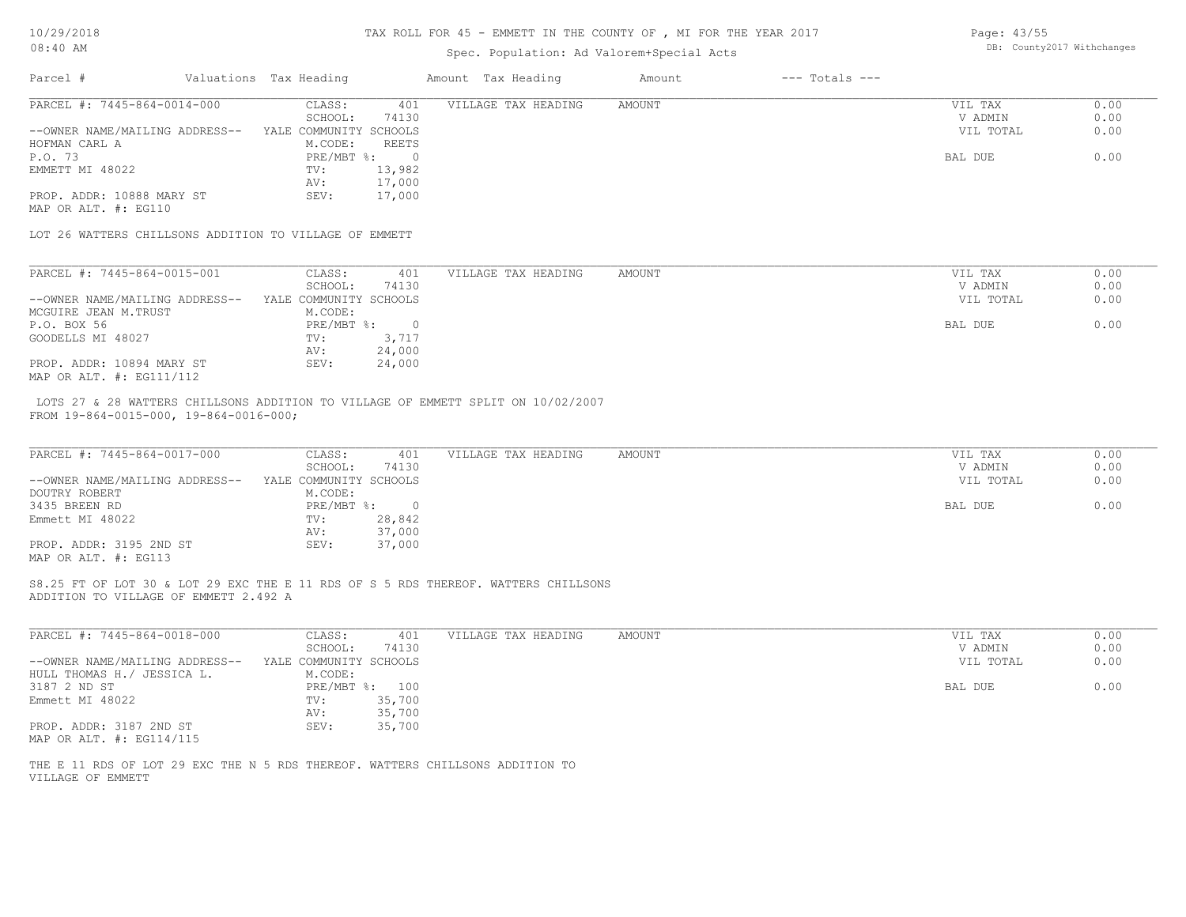10/29/2018

## TAX ROLL FOR 45 - EMMETT IN THE COUNTY OF , MI FOR THE YEAR 2017

| Page: 43/55                |  |
|----------------------------|--|
| DB: County2017 Withchanges |  |

| T0172750T9                                                            |                                   |                          | TAX KULL FUK 45 - EMMETT IN THE COUNTI OF , MI FUK THE IEAK ZUI/                   |        |                    | Page: 43/33          |                            |
|-----------------------------------------------------------------------|-----------------------------------|--------------------------|------------------------------------------------------------------------------------|--------|--------------------|----------------------|----------------------------|
| $08:40$ AM                                                            |                                   |                          | Spec. Population: Ad Valorem+Special Acts                                          |        |                    |                      | DB: County2017 Withchanges |
| Parcel #                                                              | Valuations Tax Heading            |                          | Amount Tax Heading                                                                 | Amount | $---$ Totals $---$ |                      |                            |
| PARCEL #: 7445-864-0014-000                                           | CLASS:                            | 401                      | VILLAGE TAX HEADING                                                                | AMOUNT |                    | VIL TAX              | 0.00                       |
|                                                                       | SCHOOL:                           | 74130                    |                                                                                    |        |                    | V ADMIN              | 0.00                       |
| --OWNER NAME/MAILING ADDRESS--                                        | YALE COMMUNITY SCHOOLS            |                          |                                                                                    |        |                    | VIL TOTAL            | 0.00                       |
| HOFMAN CARL A                                                         | M.CODE:                           | <b>REETS</b>             |                                                                                    |        |                    |                      |                            |
| P.O. 73                                                               | $PRE/MBT$ %:                      | $\overline{0}$           |                                                                                    |        |                    | BAL DUE              | 0.00                       |
| EMMETT MI 48022                                                       | TV:                               | 13,982                   |                                                                                    |        |                    |                      |                            |
|                                                                       | AV:                               | 17,000                   |                                                                                    |        |                    |                      |                            |
| PROP. ADDR: 10888 MARY ST<br>MAP OR ALT. #: EG110                     | SEV:                              | 17,000                   |                                                                                    |        |                    |                      |                            |
| LOT 26 WATTERS CHILLSONS ADDITION TO VILLAGE OF EMMETT                |                                   |                          |                                                                                    |        |                    |                      |                            |
| PARCEL #: 7445-864-0015-001                                           | CLASS:                            | 401                      | VILLAGE TAX HEADING                                                                | AMOUNT |                    | VIL TAX              | 0.00                       |
|                                                                       | SCHOOL:                           | 74130                    |                                                                                    |        |                    | V ADMIN              | 0.00                       |
| --OWNER NAME/MAILING ADDRESS--                                        | YALE COMMUNITY SCHOOLS            |                          |                                                                                    |        |                    | VIL TOTAL            | 0.00                       |
| MCGUIRE JEAN M.TRUST                                                  | M.CODE:                           |                          |                                                                                    |        |                    |                      |                            |
| P.O. BOX 56                                                           | $PRE/MBT$ $\div$                  | $\overline{\phantom{0}}$ |                                                                                    |        |                    | BAL DUE              | 0.00                       |
| GOODELLS MI 48027                                                     | TV:                               | 3,717                    |                                                                                    |        |                    |                      |                            |
|                                                                       | AV:                               | 24,000                   |                                                                                    |        |                    |                      |                            |
| PROP. ADDR: 10894 MARY ST                                             | SEV:                              | 24,000                   |                                                                                    |        |                    |                      |                            |
| MAP OR ALT. #: EG111/112                                              |                                   |                          |                                                                                    |        |                    |                      |                            |
| FROM 19-864-0015-000, 19-864-0016-000;<br>PARCEL #: 7445-864-0017-000 | CLASS:                            | 401                      | VILLAGE TAX HEADING                                                                | AMOUNT |                    | VIL TAX              | 0.00                       |
| --OWNER NAME/MAILING ADDRESS--                                        | SCHOOL:<br>YALE COMMUNITY SCHOOLS | 74130                    |                                                                                    |        |                    | V ADMIN<br>VIL TOTAL | 0.00<br>0.00               |
| DOUTRY ROBERT                                                         | M.CODE:                           |                          |                                                                                    |        |                    |                      |                            |
| 3435 BREEN RD                                                         | $PRE/MBT$ %:                      | $\overline{0}$           |                                                                                    |        |                    | BAL DUE              | 0.00                       |
| Emmett MI 48022                                                       | TV:                               | 28,842                   |                                                                                    |        |                    |                      |                            |
|                                                                       | AV:                               | 37,000                   |                                                                                    |        |                    |                      |                            |
| PROP. ADDR: 3195 2ND ST                                               | SEV:                              | 37,000                   |                                                                                    |        |                    |                      |                            |
| MAP OR ALT. #: EG113                                                  |                                   |                          |                                                                                    |        |                    |                      |                            |
| ADDITION TO VILLAGE OF EMMETT 2.492 A                                 |                                   |                          | S8.25 FT OF LOT 30 & LOT 29 EXC THE E 11 RDS OF S 5 RDS THEREOF. WATTERS CHILLSONS |        |                    |                      |                            |
| PARCEL #: 7445-864-0018-000                                           | CLASS:                            | 401                      | VILLAGE TAX HEADING                                                                | AMOUNT |                    | VIL TAX              | 0.00                       |
|                                                                       | SCHOOL:                           | 74130                    |                                                                                    |        |                    | V ADMIN              | 0.00                       |
| --OWNER NAME/MAILING ADDRESS--                                        | YALE COMMUNITY SCHOOLS            |                          |                                                                                    |        |                    | VIL TOTAL            | 0.00                       |
| HULL THOMAS H. / JESSICA L.                                           | M.CODE:                           |                          |                                                                                    |        |                    |                      |                            |
| 3187 2 ND ST                                                          | PRE/MBT %: 100                    |                          |                                                                                    |        |                    | BAL DUE              | 0.00                       |
| Emmett MI 48022                                                       | TV:                               | 35,700                   |                                                                                    |        |                    |                      |                            |
|                                                                       | AV:                               | 35,700                   |                                                                                    |        |                    |                      |                            |
| PROP. ADDR: 3187 2ND ST<br>MAP OR ALT. #: EG114/115                   | SEV:                              | 35,700                   |                                                                                    |        |                    |                      |                            |
|                                                                       |                                   |                          | THE E 11 RDS OF LOT 29 EXC THE N 5 RDS THEREOF. WATTERS CHILLSONS ADDITION TO      |        |                    |                      |                            |
| VILLAGE OF EMMETT                                                     |                                   |                          |                                                                                    |        |                    |                      |                            |
|                                                                       |                                   |                          |                                                                                    |        |                    |                      |                            |
|                                                                       |                                   |                          |                                                                                    |        |                    |                      |                            |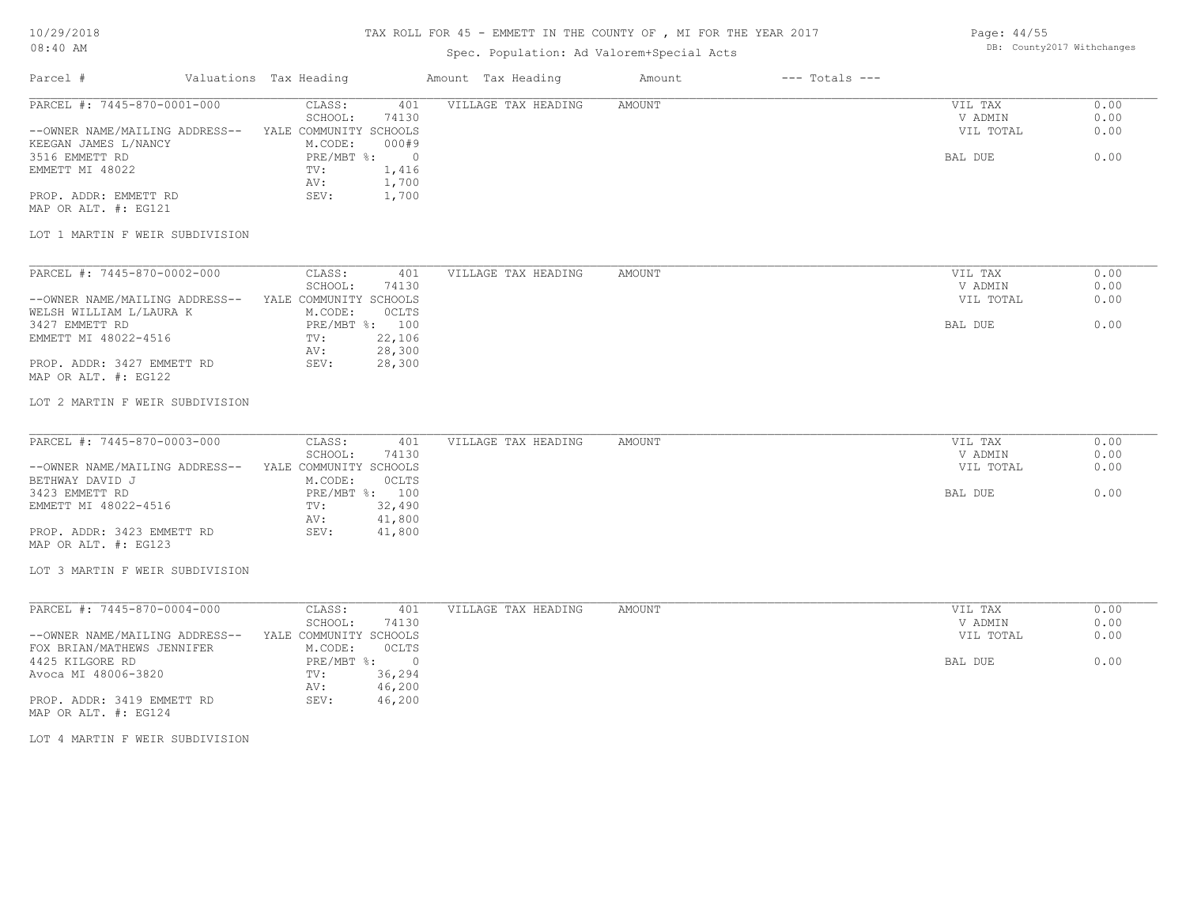## Spec. Population: Ad Valorem+Special Acts

| Parcel #                       | Valuations Tax Heading |       | Amount Tax Heading  | Amount | $---$ Totals $---$ |           |      |
|--------------------------------|------------------------|-------|---------------------|--------|--------------------|-----------|------|
| PARCEL #: 7445-870-0001-000    | CLASS:                 | 401   | VILLAGE TAX HEADING | AMOUNT |                    | VIL TAX   | 0.00 |
|                                | SCHOOL:                | 74130 |                     |        |                    | V ADMIN   | 0.00 |
| --OWNER NAME/MAILING ADDRESS-- | YALE COMMUNITY SCHOOLS |       |                     |        |                    | VIL TOTAL | 0.00 |
| KEEGAN JAMES L/NANCY           | M.CODE:                | 000#9 |                     |        |                    |           |      |
| 3516 EMMETT RD                 | PRE/MBT %:             |       |                     |        |                    | BAL DUE   | 0.00 |

MAP OR ALT. #: EG121 PROP. ADDR: EMMETT RD SEV: 1,700

#### LOT 1 MARTIN F WEIR SUBDIVISION

EMMETT MI 48022 TV: 1,416

AV: 1,700

| PARCEL #: 7445-870-0002-000    | CLASS:                 | 401            | VILLAGE TAX HEADING | AMOUNT | VIL TAX   | 0.00 |
|--------------------------------|------------------------|----------------|---------------------|--------|-----------|------|
|                                | SCHOOL:                | 74130          |                     |        | V ADMIN   | 0.00 |
| --OWNER NAME/MAILING ADDRESS-- | YALE COMMUNITY SCHOOLS |                |                     |        | VIL TOTAL | 0.00 |
| WELSH WILLIAM L/LAURA K        | M.CODE:                | OCLTS          |                     |        |           |      |
| 3427 EMMETT RD                 |                        | PRE/MBT %: 100 |                     |        | BAL DUE   | 0.00 |
| EMMETT MI 48022-4516           | TV:                    | 22,106         |                     |        |           |      |
|                                | AV:                    | 28,300         |                     |        |           |      |
| PROP. ADDR: 3427 EMMETT RD     | SEV:                   | 28,300         |                     |        |           |      |
| MAP OR ALT. #: EG122           |                        |                |                     |        |           |      |

### LOT 2 MARTIN F WEIR SUBDIVISION

| AMOUNT<br>401                                                | VIL TAX   | 0.00 |
|--------------------------------------------------------------|-----------|------|
| PARCEL #: 7445-870-0003-000<br>CLASS:<br>VILLAGE TAX HEADING |           |      |
| 74130<br>SCHOOL:                                             | V ADMIN   | 0.00 |
| --OWNER NAME/MAILING ADDRESS--<br>YALE COMMUNITY SCHOOLS     | VIL TOTAL | 0.00 |
| OCLTS<br>BETHWAY DAVID J<br>M.CODE:                          |           |      |
| 3423 EMMETT RD<br>PRE/MBT %: 100                             | BAL DUE   | 0.00 |
| EMMETT MI 48022-4516<br>32,490<br>TV:                        |           |      |
| 41,800<br>AV:                                                |           |      |
| PROP. ADDR: 3423 EMMETT RD<br>41,800<br>SEV:                 |           |      |

MAP OR ALT. #: EG123

LOT 3 MARTIN F WEIR SUBDIVISION

| PARCEL #: 7445-870-0004-000    | CLASS:                 | 401      | VILLAGE TAX HEADING | AMOUNT | VIL TAX   | 0.00 |
|--------------------------------|------------------------|----------|---------------------|--------|-----------|------|
|                                | SCHOOL:                | 74130    |                     |        | V ADMIN   | 0.00 |
| --OWNER NAME/MAILING ADDRESS-- | YALE COMMUNITY SCHOOLS |          |                     |        | VIL TOTAL | 0.00 |
| FOX BRIAN/MATHEWS JENNIFER     | M.CODE:                | OCLTS    |                     |        |           |      |
| 4425 KILGORE RD                | $PRE/MBT$ %:           | $\Omega$ |                     |        | BAL DUE   | 0.00 |
| Avoca MI 48006-3820            | TV:                    | 36,294   |                     |        |           |      |
|                                | AV:                    | 46,200   |                     |        |           |      |
| PROP. ADDR: 3419 EMMETT RD     | SEV:                   | 46,200   |                     |        |           |      |

MAP OR ALT. #: EG124

LOT 4 MARTIN F WEIR SUBDIVISION

Page: 44/55 DB: County2017 Withchanges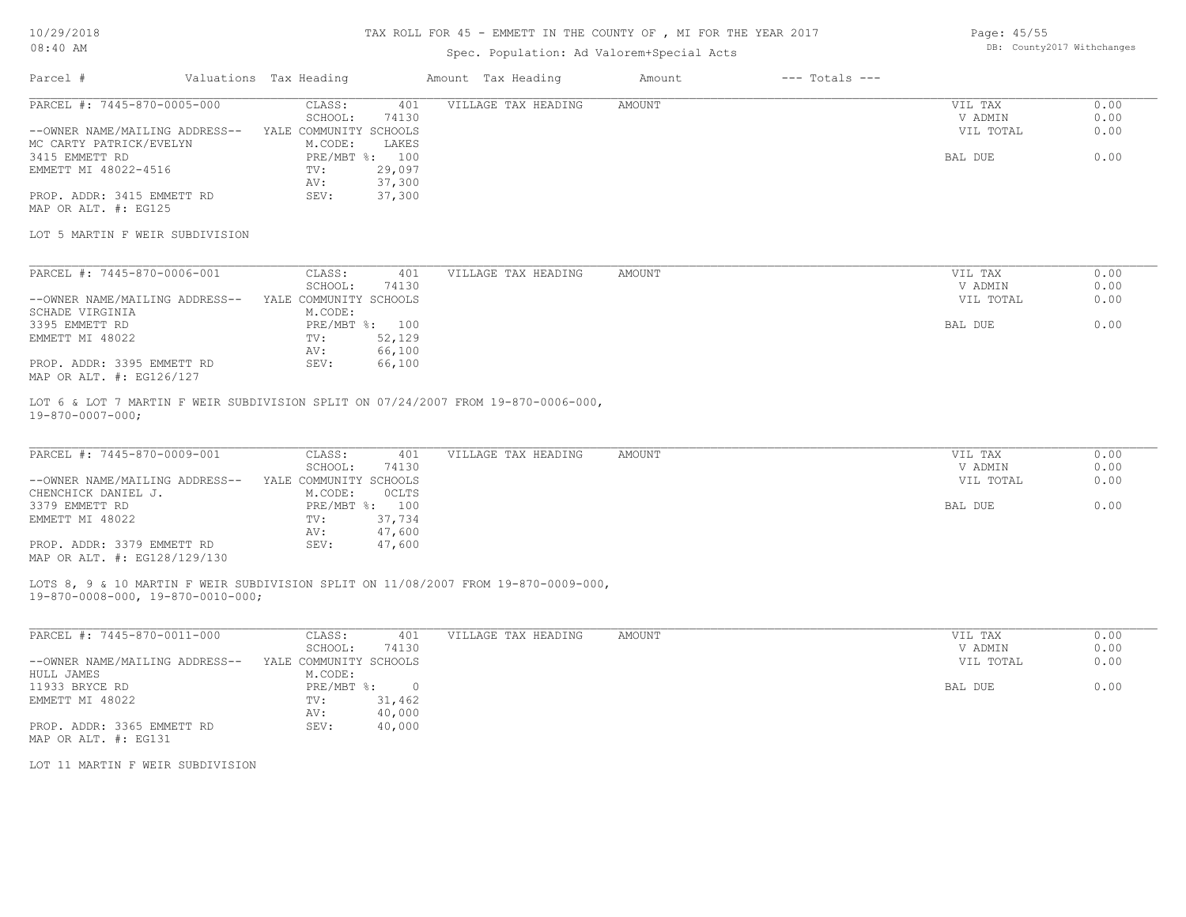### Spec. Population: Ad Valorem+Special Acts

| Page: 45/55 |                            |
|-------------|----------------------------|
|             | DB: County2017 Withchanges |

| Parcel #                       | Valuations Tax Heading |        | Amount Tax Heading  | Amount | $---$ Totals $---$ |           |      |
|--------------------------------|------------------------|--------|---------------------|--------|--------------------|-----------|------|
| PARCEL #: 7445-870-0005-000    | CLASS:                 | 401    | VILLAGE TAX HEADING | AMOUNT |                    | VIL TAX   | 0.00 |
|                                | SCHOOL:                | 74130  |                     |        |                    | V ADMIN   | 0.00 |
| --OWNER NAME/MAILING ADDRESS-- | YALE COMMUNITY SCHOOLS |        |                     |        |                    | VIL TOTAL | 0.00 |
| MC CARTY PATRICK/EVELYN        | M.CODE:                | LAKES  |                     |        |                    |           |      |
| 3415 EMMETT RD                 | PRE/MBT %: 100         |        |                     |        |                    | BAL DUE   | 0.00 |
| EMMETT MI 48022-4516           | TV:                    | 29,097 |                     |        |                    |           |      |
|                                | AV:                    | 37,300 |                     |        |                    |           |      |
| PROP. ADDR: 3415 EMMETT RD     | SEV:                   | 37,300 |                     |        |                    |           |      |

MAP OR ALT. #: EG125

LOT 5 MARTIN F WEIR SUBDIVISION

| PARCEL #: 7445-870-0006-001    | CLASS:                 | 401    | VILLAGE TAX HEADING | AMOUNT | VIL TAX   | 0.00 |
|--------------------------------|------------------------|--------|---------------------|--------|-----------|------|
|                                | SCHOOL:                | 74130  |                     |        | V ADMIN   | 0.00 |
| --OWNER NAME/MAILING ADDRESS-- | YALE COMMUNITY SCHOOLS |        |                     |        | VIL TOTAL | 0.00 |
| SCHADE VIRGINIA                | M.CODE:                |        |                     |        |           |      |
| 3395 EMMETT RD                 | PRE/MBT %: 100         |        |                     |        | BAL DUE   | 0.00 |
| EMMETT MI 48022                | TV:                    | 52,129 |                     |        |           |      |
|                                | AV:                    | 66,100 |                     |        |           |      |
| PROP. ADDR: 3395 EMMETT RD     | SEV:                   | 66,100 |                     |        |           |      |
| MAP OR ALT. #: EG126/127       |                        |        |                     |        |           |      |

19-870-0007-000; LOT 6 & LOT 7 MARTIN F WEIR SUBDIVISION SPLIT ON 07/24/2007 FROM 19-870-0006-000,

| PARCEL #: 7445-870-0009-001    | CLASS:                 | VILLAGE TAX HEADING<br>401 | AMOUNT | VIL TAX   | 0.00 |
|--------------------------------|------------------------|----------------------------|--------|-----------|------|
|                                | 74130<br>SCHOOL:       |                            |        | V ADMIN   | 0.00 |
| --OWNER NAME/MAILING ADDRESS-- | YALE COMMUNITY SCHOOLS |                            |        | VIL TOTAL | 0.00 |
| CHENCHICK DANIEL J.            | OCLTS<br>M.CODE:       |                            |        |           |      |
| 3379 EMMETT RD                 | PRE/MBT %: 100         |                            |        | BAL DUE   | 0.00 |
| EMMETT MI 48022                | 37,734<br>TV:          |                            |        |           |      |
|                                | 47,600<br>AV:          |                            |        |           |      |
| PROP. ADDR: 3379 EMMETT RD     | 47,600<br>SEV:         |                            |        |           |      |
| MAP OR ALT. #: EG128/129/130   |                        |                            |        |           |      |

19-870-0008-000, 19-870-0010-000; LOTS 8, 9 & 10 MARTIN F WEIR SUBDIVISION SPLIT ON 11/08/2007 FROM 19-870-0009-000,

| PARCEL #: 7445-870-0011-000    | CLASS:                 | 401    | VILLAGE TAX HEADING | AMOUNT | 0.00<br>VIL TAX   |
|--------------------------------|------------------------|--------|---------------------|--------|-------------------|
|                                | SCHOOL:                | 74130  |                     |        | 0.00<br>V ADMIN   |
| --OWNER NAME/MAILING ADDRESS-- | YALE COMMUNITY SCHOOLS |        |                     |        | 0.00<br>VIL TOTAL |
| HULL JAMES                     | M.CODE:                |        |                     |        |                   |
| 11933 BRYCE RD                 | PRE/MBT %:             | - 0    |                     |        | 0.00<br>BAL DUE   |
| EMMETT MI 48022                | TV:                    | 31,462 |                     |        |                   |
|                                | AV:                    | 40,000 |                     |        |                   |
| PROP. ADDR: 3365 EMMETT RD     | SEV:                   | 40,000 |                     |        |                   |
| MAP OR ALT. #: EG131           |                        |        |                     |        |                   |

LOT 11 MARTIN F WEIR SUBDIVISION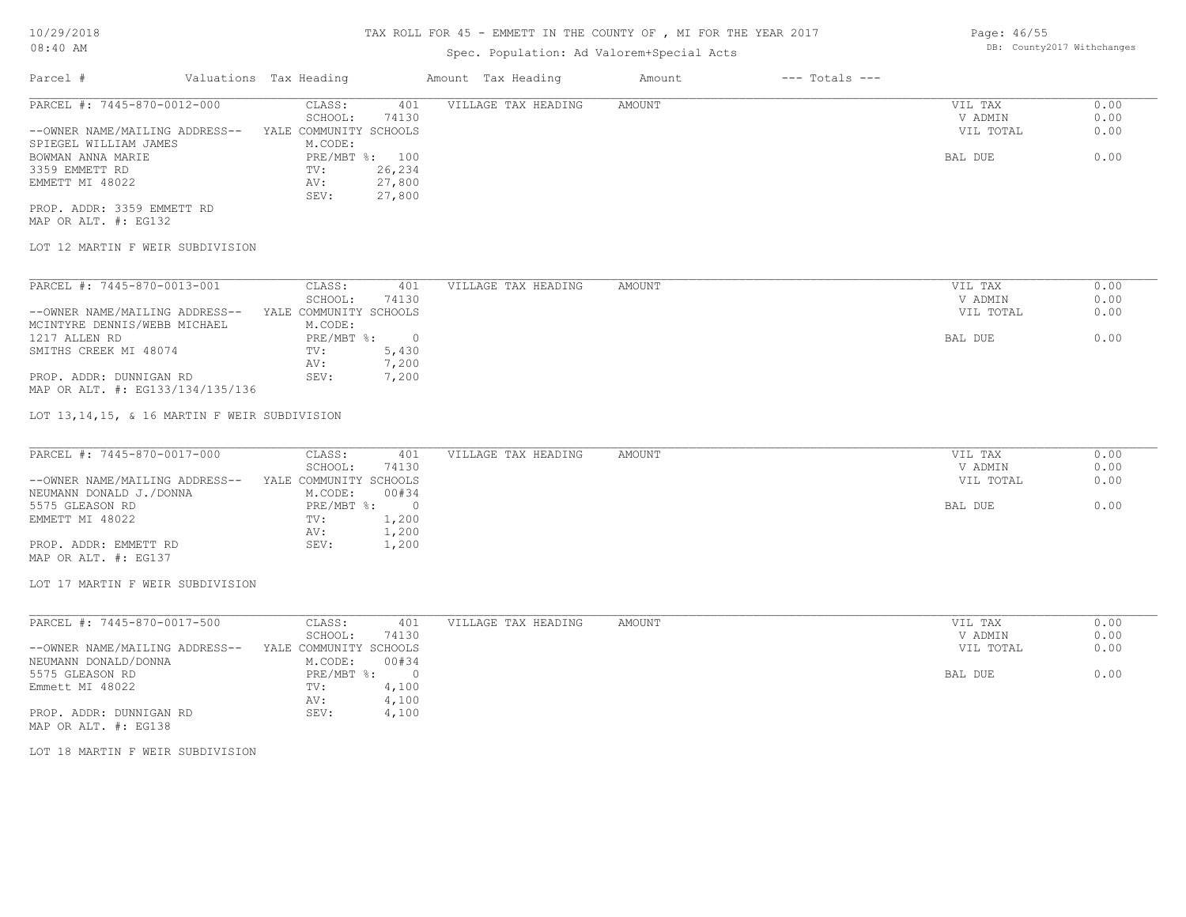## Spec. Population: Ad Valorem+Special Acts

| Parcel #                       | Valuations Tax Heading |                | Amount Tax Heading  | Amount | $---$ Totals $---$ |           |      |
|--------------------------------|------------------------|----------------|---------------------|--------|--------------------|-----------|------|
| PARCEL #: 7445-870-0012-000    | CLASS:                 | 401            | VILLAGE TAX HEADING | AMOUNT |                    | VIL TAX   | 0.00 |
|                                | SCHOOL:                | 74130          |                     |        |                    | V ADMIN   | 0.00 |
| --OWNER NAME/MAILING ADDRESS-- | YALE COMMUNITY SCHOOLS |                |                     |        |                    | VIL TOTAL | 0.00 |
| SPIEGEL WILLIAM JAMES          | M.CODE:                |                |                     |        |                    |           |      |
| BOWMAN ANNA MARIE              |                        | PRE/MBT %: 100 |                     |        |                    | BAL DUE   | 0.00 |
| 3359 EMMETT RD                 | TV:                    | 26,234         |                     |        |                    |           |      |
| EMMETT MI 48022                | AV:                    | 27,800         |                     |        |                    |           |      |
|                                | SEV:                   | 27,800         |                     |        |                    |           |      |
| PROP. ADDR: 3359 EMMETT RD     |                        |                |                     |        |                    |           |      |

MAP OR ALT. #: EG132

### LOT 12 MARTIN F WEIR SUBDIVISION

| PARCEL #: 7445-870-0013-001      | CLASS:                 | 401    | VILLAGE TAX HEADING | AMOUNT | VIL TAX<br>0.00   |
|----------------------------------|------------------------|--------|---------------------|--------|-------------------|
|                                  | SCHOOL:                | 74130  |                     |        | 0.00<br>V ADMIN   |
| --OWNER NAME/MAILING ADDRESS--   | YALE COMMUNITY SCHOOLS |        |                     |        | 0.00<br>VIL TOTAL |
| MCINTYRE DENNIS/WEBB MICHAEL     | M.CODE:                |        |                     |        |                   |
| 1217 ALLEN RD                    | PRE/MBT %:             | $\cap$ |                     |        | 0.00<br>BAL DUE   |
| SMITHS CREEK MI 48074            | TV:                    | 5,430  |                     |        |                   |
|                                  | AV:                    | 7,200  |                     |        |                   |
| PROP. ADDR: DUNNIGAN RD          | SEV:                   | 7,200  |                     |        |                   |
| MAP OR ALT. #: EG133/134/135/136 |                        |        |                     |        |                   |

LOT 13,14,15, & 16 MARTIN F WEIR SUBDIVISION

| PARCEL #: 7445-870-0017-000    | CLASS:<br>401          | VILLAGE TAX HEADING | AMOUNT | VIL TAX   | 0.00 |
|--------------------------------|------------------------|---------------------|--------|-----------|------|
|                                | 74130<br>SCHOOL:       |                     |        | V ADMIN   | 0.00 |
| --OWNER NAME/MAILING ADDRESS-- | YALE COMMUNITY SCHOOLS |                     |        | VIL TOTAL | 0.00 |
| NEUMANN DONALD J./DONNA        | 00#34<br>M.CODE:       |                     |        |           |      |
| 5575 GLEASON RD                | $PRE/MBT$ %:           |                     |        | BAL DUE   | 0.00 |
| EMMETT MI 48022                | 1,200<br>TV:           |                     |        |           |      |
|                                | 1,200<br>AV:           |                     |        |           |      |
| PROP. ADDR: EMMETT RD          | 1,200<br>SEV:          |                     |        |           |      |

MAP OR ALT. #: EG137

#### LOT 17 MARTIN F WEIR SUBDIVISION

| PARCEL #: 7445-870-0017-500    | CLASS:                 | 401   | VILLAGE TAX HEADING | AMOUNT | VIL TAX   | 0.00 |
|--------------------------------|------------------------|-------|---------------------|--------|-----------|------|
|                                | SCHOOL:                | 74130 |                     |        | V ADMIN   | 0.00 |
| --OWNER NAME/MAILING ADDRESS-- | YALE COMMUNITY SCHOOLS |       |                     |        | VIL TOTAL | 0.00 |
| NEUMANN DONALD/DONNA           | M.CODE:                | 00#34 |                     |        |           |      |
| 5575 GLEASON RD                | PRE/MBT %:             |       |                     |        | BAL DUE   | 0.00 |
| Emmett MI 48022                | TV:                    | 4,100 |                     |        |           |      |
|                                | AV:                    | 4,100 |                     |        |           |      |
| PROP. ADDR: DUNNIGAN RD        | SEV:                   | 4,100 |                     |        |           |      |
|                                |                        |       |                     |        |           |      |

MAP OR ALT. #: EG138

LOT 18 MARTIN F WEIR SUBDIVISION

Page: 46/55 DB: County2017 Withchanges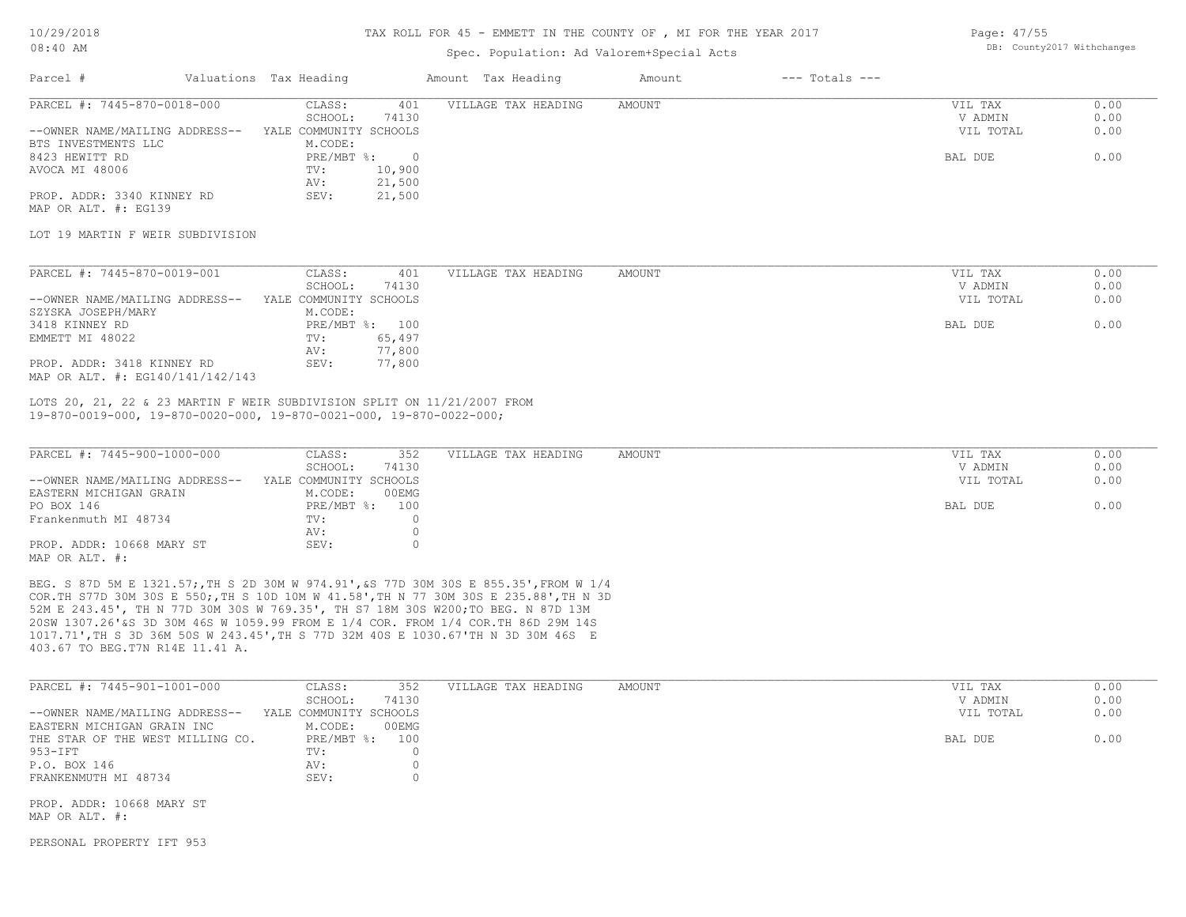#### TAX ROLL FOR 45 - EMMETT IN THE COUNTY OF , MI FOR THE YEAR 2017

### Spec. Population: Ad Valorem+Special Acts

| Page: 47/55 |                            |
|-------------|----------------------------|
|             | DB: County2017 Withchanges |

| Parcel #                       | Valuations Tax Heading |        | Amount Tax Heading  | Amount | $---$ Totals $---$ |           |      |
|--------------------------------|------------------------|--------|---------------------|--------|--------------------|-----------|------|
| PARCEL #: 7445-870-0018-000    | CLASS:                 | 401    | VILLAGE TAX HEADING | AMOUNT |                    | VIL TAX   | 0.00 |
|                                | SCHOOL:                | 74130  |                     |        |                    | V ADMIN   | 0.00 |
| --OWNER NAME/MAILING ADDRESS-- | YALE COMMUNITY SCHOOLS |        |                     |        |                    | VIL TOTAL | 0.00 |
| BTS INVESTMENTS LLC            | M.CODE:                |        |                     |        |                    |           |      |
| 8423 HEWITT RD                 | $PRE/MBT$ %:           |        |                     |        |                    | BAL DUE   | 0.00 |
| AVOCA MI 48006                 | TV:                    | 10,900 |                     |        |                    |           |      |
|                                | AV:                    | 21,500 |                     |        |                    |           |      |
| PROP. ADDR: 3340 KINNEY RD     | SEV:                   | 21,500 |                     |        |                    |           |      |

MAP OR ALT. #: EG139

#### LOT 19 MARTIN F WEIR SUBDIVISION

| PARCEL #: 7445-870-0019-001                                    | CLASS:                 | 401            | VILLAGE TAX HEADING | AMOUNT | VIL TAX   | 0.00 |
|----------------------------------------------------------------|------------------------|----------------|---------------------|--------|-----------|------|
|                                                                | SCHOOL:                | 74130          |                     |        | V ADMIN   | 0.00 |
| --OWNER NAME/MAILING ADDRESS--                                 | YALE COMMUNITY SCHOOLS |                |                     |        | VIL TOTAL | 0.00 |
| SZYSKA JOSEPH/MARY                                             | M.CODE:                |                |                     |        |           |      |
| 3418 KINNEY RD                                                 |                        | PRE/MBT %: 100 |                     |        | BAL DUE   | 0.00 |
| EMMETT MI 48022                                                | TV:                    | 65,497         |                     |        |           |      |
|                                                                | AV:                    | 77,800         |                     |        |           |      |
| PROP. ADDR: 3418 KINNEY RD<br>MAP OR ALT. #: EG140/141/142/143 | SEV:                   | 77,800         |                     |        |           |      |

19-870-0019-000, 19-870-0020-000, 19-870-0021-000, 19-870-0022-000; LOTS 20, 21, 22 & 23 MARTIN F WEIR SUBDIVISION SPLIT ON 11/21/2007 FROM

| PARCEL #: 7445-900-1000-000    | CLASS:<br>352          | VILLAGE TAX HEADING | AMOUNT | VIL TAX   | 0.00 |
|--------------------------------|------------------------|---------------------|--------|-----------|------|
|                                | 74130<br>SCHOOL:       |                     |        | V ADMIN   | 0.00 |
| --OWNER NAME/MAILING ADDRESS-- | YALE COMMUNITY SCHOOLS |                     |        | VIL TOTAL | 0.00 |
| EASTERN MICHIGAN GRAIN         | 00EMG<br>M.CODE:       |                     |        |           |      |
| PO BOX 146                     | PRE/MBT %: 100         |                     |        | BAL DUE   | 0.00 |
| Frankenmuth MI 48734           | TV:                    |                     |        |           |      |
|                                | AV:                    |                     |        |           |      |
| PROP. ADDR: 10668 MARY ST      | SEV:                   |                     |        |           |      |
| MAP OR ALT. #:                 |                        |                     |        |           |      |

403.67 TO BEG.T7N R14E 11.41 A. 1017.71',TH S 3D 36M 50S W 243.45',TH S 77D 32M 40S E 1030.67'TH N 3D 30M 46S E 20SW 1307.26'&S 3D 30M 46S W 1059.99 FROM E 1/4 COR. FROM 1/4 COR.TH 86D 29M 14S 52M E 243.45', TH N 77D 30M 30S W 769.35', TH S7 18M 30S W200;TO BEG. N 87D 13M COR.TH S77D 30M 30S E 550;,TH S 10D 10M W 41.58',TH N 77 30M 30S E 235.88',TH N 3D BEG. S 87D 5M E 1321.57;,TH S 2D 30M W 974.91',&S 77D 30M 30S E 855.35',FROM W 1/4

| PARCEL #: 7445-901-1001-000      | CLASS:                 | 352   | VILLAGE TAX HEADING | AMOUNT | VIL TAX   | 0.00 |
|----------------------------------|------------------------|-------|---------------------|--------|-----------|------|
|                                  | SCHOOL:                | 74130 |                     |        | V ADMIN   | 0.00 |
| --OWNER NAME/MAILING ADDRESS--   | YALE COMMUNITY SCHOOLS |       |                     |        | VIL TOTAL | 0.00 |
| EASTERN MICHIGAN GRAIN INC       | M.CODE:                | 00EMG |                     |        |           |      |
| THE STAR OF THE WEST MILLING CO. | $PRE/MBT$ %:           | 100   |                     |        | BAL DUE   | 0.00 |
| 953-IFT                          | TV:                    |       |                     |        |           |      |
| P.O. BOX 146                     | AV:                    |       |                     |        |           |      |
| FRANKENMUTH MI 48734             | SEV:                   |       |                     |        |           |      |

MAP OR ALT. #: PROP. ADDR: 10668 MARY ST

PERSONAL PROPERTY IFT 953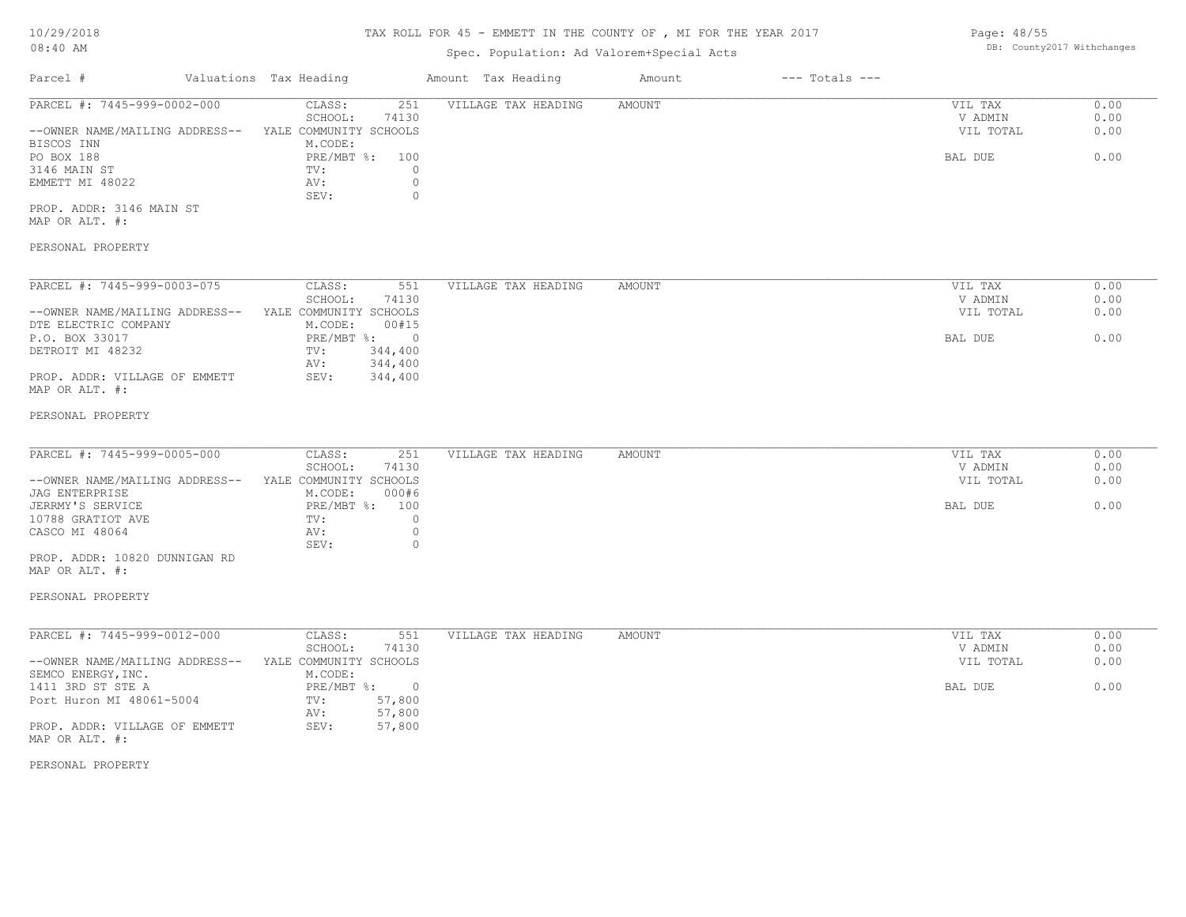## TAX ROLL FOR 45 - EMMETT IN THE COUNTY OF , MI FOR THE YEAR 2017

## Spec. Population: Ad Valorem+Special Acts

| Parcel #                       | Valuations Tax Heading |       | Amount Tax Heading  | Amount | $---$ Totals $---$ |           |      |
|--------------------------------|------------------------|-------|---------------------|--------|--------------------|-----------|------|
| PARCEL #: 7445-999-0002-000    | CLASS:                 | 251   | VILLAGE TAX HEADING | AMOUNT |                    | VIL TAX   | 0.00 |
|                                | SCHOOL:                | 74130 |                     |        |                    | V ADMIN   | 0.00 |
| --OWNER NAME/MAILING ADDRESS-- | YALE COMMUNITY SCHOOLS |       |                     |        |                    | VIL TOTAL | 0.00 |
| BISCOS INN                     | M.CODE:                |       |                     |        |                    |           |      |
| PO BOX 188                     | PRE/MBT %: 100         |       |                     |        |                    | BAL DUE   | 0.00 |
| 3146 MAIN ST                   | TV:                    |       |                     |        |                    |           |      |
| EMMETT MI 48022                | AV:                    |       |                     |        |                    |           |      |
|                                | SEV:                   |       |                     |        |                    |           |      |
|                                |                        |       |                     |        |                    |           |      |

MAP OR ALT. #: PROP. ADDR: 3146 MAIN ST

## PERSONAL PROPERTY

| PARCEL #: 7445-999-0003-075    | CLASS:                 | 551     | VILLAGE TAX HEADING | AMOUNT | VIL TAX<br>0.00   |
|--------------------------------|------------------------|---------|---------------------|--------|-------------------|
|                                | SCHOOL:                | 74130   |                     |        | 0.00<br>V ADMIN   |
| --OWNER NAME/MAILING ADDRESS-- | YALE COMMUNITY SCHOOLS |         |                     |        | 0.00<br>VIL TOTAL |
| DTE ELECTRIC COMPANY           | M.CODE:                | 00#15   |                     |        |                   |
| P.O. BOX 33017                 | PRE/MBT %:             | $\cap$  |                     |        | 0.00<br>BAL DUE   |
| DETROIT MI 48232               | TV:                    | 344,400 |                     |        |                   |
|                                | AV:                    | 344,400 |                     |        |                   |
| PROP. ADDR: VILLAGE OF EMMETT  | SEV:                   | 344,400 |                     |        |                   |
| MAP OR ALT. #:                 |                        |         |                     |        |                   |

#### PERSONAL PROPERTY

| PARCEL #: 7445-999-0005-000    | CLASS:                 | 251   | VILLAGE TAX HEADING | AMOUNT | VIL TAX   | 0.00 |
|--------------------------------|------------------------|-------|---------------------|--------|-----------|------|
|                                | SCHOOL:                | 74130 |                     |        | V ADMIN   | 0.00 |
| --OWNER NAME/MAILING ADDRESS-- | YALE COMMUNITY SCHOOLS |       |                     |        | VIL TOTAL | 0.00 |
| JAG ENTERPRISE                 | M.CODE:                | 000#6 |                     |        |           |      |
| JERRMY'S SERVICE               | PRE/MBT %: 100         |       |                     |        | BAL DUE   | 0.00 |
| 10788 GRATIOT AVE              | TV:                    |       |                     |        |           |      |
| CASCO MI 48064                 | AV:                    |       |                     |        |           |      |
|                                | SEV:                   |       |                     |        |           |      |

MAP OR ALT. #: PROP. ADDR: 10820 DUNNIGAN RD

#### PERSONAL PROPERTY

| PARCEL #: 7445-999-0012-000    | CLASS:                 | 551    | VILLAGE TAX HEADING | AMOUNT | VIL TAX<br>0.00   |
|--------------------------------|------------------------|--------|---------------------|--------|-------------------|
|                                | SCHOOL:                | 74130  |                     |        | 0.00<br>V ADMIN   |
| --OWNER NAME/MAILING ADDRESS-- | YALE COMMUNITY SCHOOLS |        |                     |        | 0.00<br>VIL TOTAL |
| SEMCO ENERGY, INC.             | M.CODE:                |        |                     |        |                   |
| 1411 3RD ST STE A              | PRE/MBT %:             |        |                     |        | BAL DUE<br>0.00   |
| Port Huron MI 48061-5004       | TV:                    | 57,800 |                     |        |                   |
|                                | AV:                    | 57,800 |                     |        |                   |
| PROP. ADDR: VILLAGE OF EMMETT  | SEV:                   | 57,800 |                     |        |                   |
| MAP OR ALT. #:                 |                        |        |                     |        |                   |

PERSONAL PROPERTY

Page: 48/55 DB: County2017 Withchanges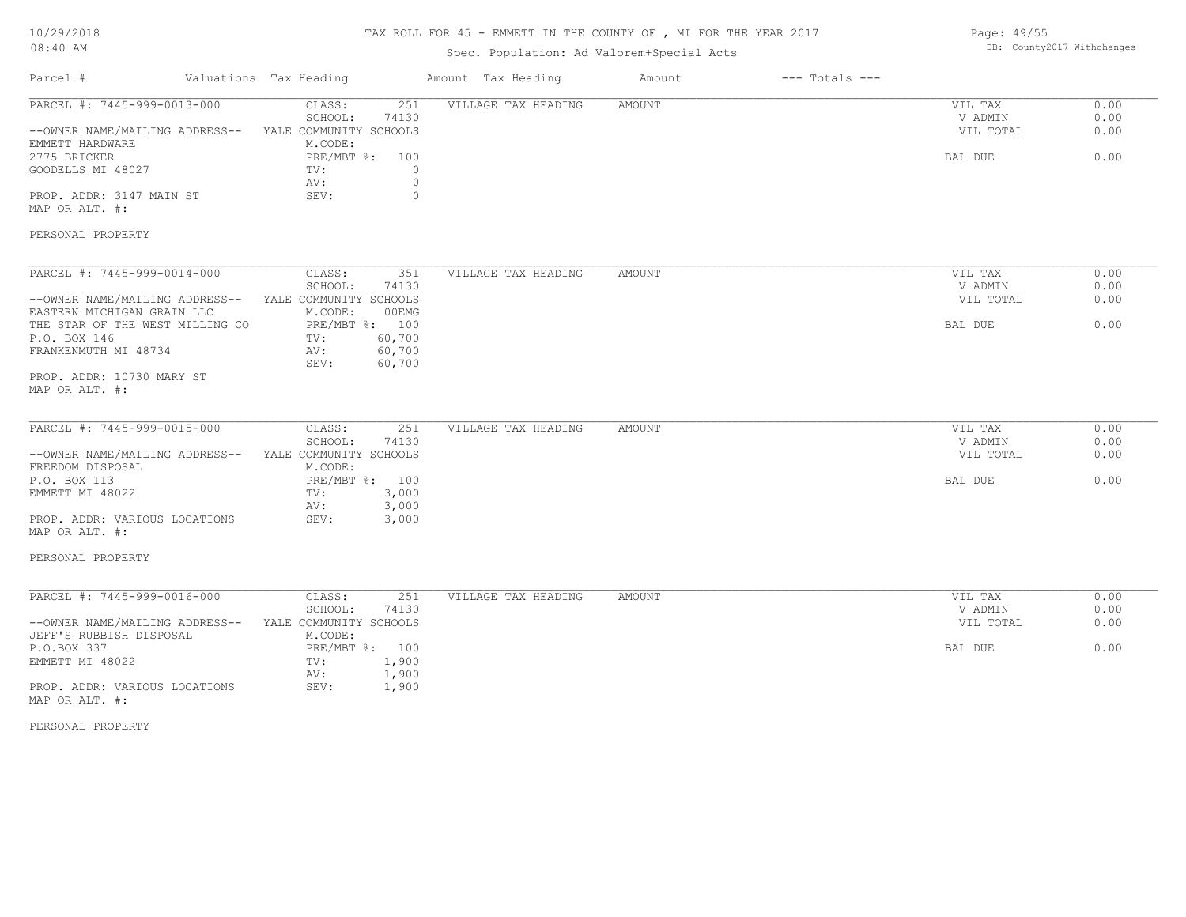# 10/29/2018

## TAX ROLL FOR 45 - EMMETT IN THE COUNTY OF , MI FOR THE YEAR 2017

| Page: 49/55 |                            |  |
|-------------|----------------------------|--|
|             | DB: County2017 Withchange; |  |

| Amount Tax Heading<br>Parcel #<br>Valuations Tax Heading<br>$---$ Totals $---$<br>Amount<br>PARCEL #: 7445-999-0013-000<br>CLASS:<br>251<br>VILLAGE TAX HEADING<br><b>AMOUNT</b><br>VIL TAX<br>0.00<br>SCHOOL:<br>74130<br>V ADMIN<br>0.00<br>0.00<br>--OWNER NAME/MAILING ADDRESS--<br>YALE COMMUNITY SCHOOLS<br>VIL TOTAL<br>EMMETT HARDWARE<br>M.CODE:<br>PRE/MBT %: 100<br>0.00<br>2775 BRICKER<br>BAL DUE<br>GOODELLS MI 48027<br>TV:<br>$\Omega$<br>$\circ$<br>AV:<br>PROP. ADDR: 3147 MAIN ST<br>SEV:<br>$\circ$<br>MAP OR ALT. #:<br>PERSONAL PROPERTY<br>PARCEL #: 7445-999-0014-000<br>CLASS:<br>VILLAGE TAX HEADING<br>0.00<br>351<br>AMOUNT<br>VIL TAX<br>SCHOOL:<br>74130<br>V ADMIN<br>0.00<br>YALE COMMUNITY SCHOOLS<br>0.00<br>--OWNER NAME/MAILING ADDRESS--<br>VIL TOTAL<br>M.CODE:<br>00EMG<br>EASTERN MICHIGAN GRAIN LLC<br>PRE/MBT %: 100<br>0.00<br>THE STAR OF THE WEST MILLING CO<br>BAL DUE<br>60,700<br>P.O. BOX 146<br>TV:<br>FRANKENMUTH MI 48734<br>60,700<br>AV:<br>SEV:<br>60,700<br>PROP. ADDR: 10730 MARY ST<br>MAP OR ALT. #:<br>PARCEL #: 7445-999-0015-000<br>CLASS:<br>251<br>VILLAGE TAX HEADING<br><b>AMOUNT</b><br>VIL TAX<br>0.00<br>V ADMIN<br>SCHOOL:<br>74130<br>0.00<br>0.00<br>--OWNER NAME/MAILING ADDRESS--<br>YALE COMMUNITY SCHOOLS<br>VIL TOTAL<br>FREEDOM DISPOSAL<br>M.CODE:<br>P.O. BOX 113<br>PRE/MBT %: 100<br>BAL DUE<br>0.00<br>EMMETT MI 48022<br>3,000<br>TV:<br>3,000<br>AV:<br>3,000<br>PROP. ADDR: VARIOUS LOCATIONS<br>SEV:<br>MAP OR ALT. #:<br>PERSONAL PROPERTY<br>PARCEL #: 7445-999-0016-000<br>CLASS:<br>251<br>VILLAGE TAX HEADING<br>AMOUNT<br>0.00<br>VIL TAX<br>0.00<br>SCHOOL:<br>74130<br>V ADMIN<br>YALE COMMUNITY SCHOOLS<br>VIL TOTAL<br>0.00<br>--OWNER NAME/MAILING ADDRESS--<br>JEFF'S RUBBISH DISPOSAL<br>M.CODE:<br>P.O.BOX 337<br>PRE/MBT %: 100<br>BAL DUE<br>0.00<br>EMMETT MI 48022<br>1,900<br>TV:<br>1,900<br>AV:<br>PROP. ADDR: VARIOUS LOCATIONS<br>SEV:<br>1,900<br>MAP OR ALT. #:<br>PERSONAL PROPERTY | $08:40$ AM | Spec. Population: Ad Valorem+Special Acts | DB: County2017 Withchanges |  |
|------------------------------------------------------------------------------------------------------------------------------------------------------------------------------------------------------------------------------------------------------------------------------------------------------------------------------------------------------------------------------------------------------------------------------------------------------------------------------------------------------------------------------------------------------------------------------------------------------------------------------------------------------------------------------------------------------------------------------------------------------------------------------------------------------------------------------------------------------------------------------------------------------------------------------------------------------------------------------------------------------------------------------------------------------------------------------------------------------------------------------------------------------------------------------------------------------------------------------------------------------------------------------------------------------------------------------------------------------------------------------------------------------------------------------------------------------------------------------------------------------------------------------------------------------------------------------------------------------------------------------------------------------------------------------------------------------------------------------------------------------------------------------------------------------------------------------------------------------------------------------------------------------------------------------------------------------------------------------------------------------|------------|-------------------------------------------|----------------------------|--|
|                                                                                                                                                                                                                                                                                                                                                                                                                                                                                                                                                                                                                                                                                                                                                                                                                                                                                                                                                                                                                                                                                                                                                                                                                                                                                                                                                                                                                                                                                                                                                                                                                                                                                                                                                                                                                                                                                                                                                                                                      |            |                                           |                            |  |
|                                                                                                                                                                                                                                                                                                                                                                                                                                                                                                                                                                                                                                                                                                                                                                                                                                                                                                                                                                                                                                                                                                                                                                                                                                                                                                                                                                                                                                                                                                                                                                                                                                                                                                                                                                                                                                                                                                                                                                                                      |            |                                           |                            |  |
|                                                                                                                                                                                                                                                                                                                                                                                                                                                                                                                                                                                                                                                                                                                                                                                                                                                                                                                                                                                                                                                                                                                                                                                                                                                                                                                                                                                                                                                                                                                                                                                                                                                                                                                                                                                                                                                                                                                                                                                                      |            |                                           |                            |  |
|                                                                                                                                                                                                                                                                                                                                                                                                                                                                                                                                                                                                                                                                                                                                                                                                                                                                                                                                                                                                                                                                                                                                                                                                                                                                                                                                                                                                                                                                                                                                                                                                                                                                                                                                                                                                                                                                                                                                                                                                      |            |                                           |                            |  |
|                                                                                                                                                                                                                                                                                                                                                                                                                                                                                                                                                                                                                                                                                                                                                                                                                                                                                                                                                                                                                                                                                                                                                                                                                                                                                                                                                                                                                                                                                                                                                                                                                                                                                                                                                                                                                                                                                                                                                                                                      |            |                                           |                            |  |
|                                                                                                                                                                                                                                                                                                                                                                                                                                                                                                                                                                                                                                                                                                                                                                                                                                                                                                                                                                                                                                                                                                                                                                                                                                                                                                                                                                                                                                                                                                                                                                                                                                                                                                                                                                                                                                                                                                                                                                                                      |            |                                           |                            |  |
|                                                                                                                                                                                                                                                                                                                                                                                                                                                                                                                                                                                                                                                                                                                                                                                                                                                                                                                                                                                                                                                                                                                                                                                                                                                                                                                                                                                                                                                                                                                                                                                                                                                                                                                                                                                                                                                                                                                                                                                                      |            |                                           |                            |  |
|                                                                                                                                                                                                                                                                                                                                                                                                                                                                                                                                                                                                                                                                                                                                                                                                                                                                                                                                                                                                                                                                                                                                                                                                                                                                                                                                                                                                                                                                                                                                                                                                                                                                                                                                                                                                                                                                                                                                                                                                      |            |                                           |                            |  |
|                                                                                                                                                                                                                                                                                                                                                                                                                                                                                                                                                                                                                                                                                                                                                                                                                                                                                                                                                                                                                                                                                                                                                                                                                                                                                                                                                                                                                                                                                                                                                                                                                                                                                                                                                                                                                                                                                                                                                                                                      |            |                                           |                            |  |
|                                                                                                                                                                                                                                                                                                                                                                                                                                                                                                                                                                                                                                                                                                                                                                                                                                                                                                                                                                                                                                                                                                                                                                                                                                                                                                                                                                                                                                                                                                                                                                                                                                                                                                                                                                                                                                                                                                                                                                                                      |            |                                           |                            |  |
|                                                                                                                                                                                                                                                                                                                                                                                                                                                                                                                                                                                                                                                                                                                                                                                                                                                                                                                                                                                                                                                                                                                                                                                                                                                                                                                                                                                                                                                                                                                                                                                                                                                                                                                                                                                                                                                                                                                                                                                                      |            |                                           |                            |  |
|                                                                                                                                                                                                                                                                                                                                                                                                                                                                                                                                                                                                                                                                                                                                                                                                                                                                                                                                                                                                                                                                                                                                                                                                                                                                                                                                                                                                                                                                                                                                                                                                                                                                                                                                                                                                                                                                                                                                                                                                      |            |                                           |                            |  |
|                                                                                                                                                                                                                                                                                                                                                                                                                                                                                                                                                                                                                                                                                                                                                                                                                                                                                                                                                                                                                                                                                                                                                                                                                                                                                                                                                                                                                                                                                                                                                                                                                                                                                                                                                                                                                                                                                                                                                                                                      |            |                                           |                            |  |
|                                                                                                                                                                                                                                                                                                                                                                                                                                                                                                                                                                                                                                                                                                                                                                                                                                                                                                                                                                                                                                                                                                                                                                                                                                                                                                                                                                                                                                                                                                                                                                                                                                                                                                                                                                                                                                                                                                                                                                                                      |            |                                           |                            |  |
|                                                                                                                                                                                                                                                                                                                                                                                                                                                                                                                                                                                                                                                                                                                                                                                                                                                                                                                                                                                                                                                                                                                                                                                                                                                                                                                                                                                                                                                                                                                                                                                                                                                                                                                                                                                                                                                                                                                                                                                                      |            |                                           |                            |  |
|                                                                                                                                                                                                                                                                                                                                                                                                                                                                                                                                                                                                                                                                                                                                                                                                                                                                                                                                                                                                                                                                                                                                                                                                                                                                                                                                                                                                                                                                                                                                                                                                                                                                                                                                                                                                                                                                                                                                                                                                      |            |                                           |                            |  |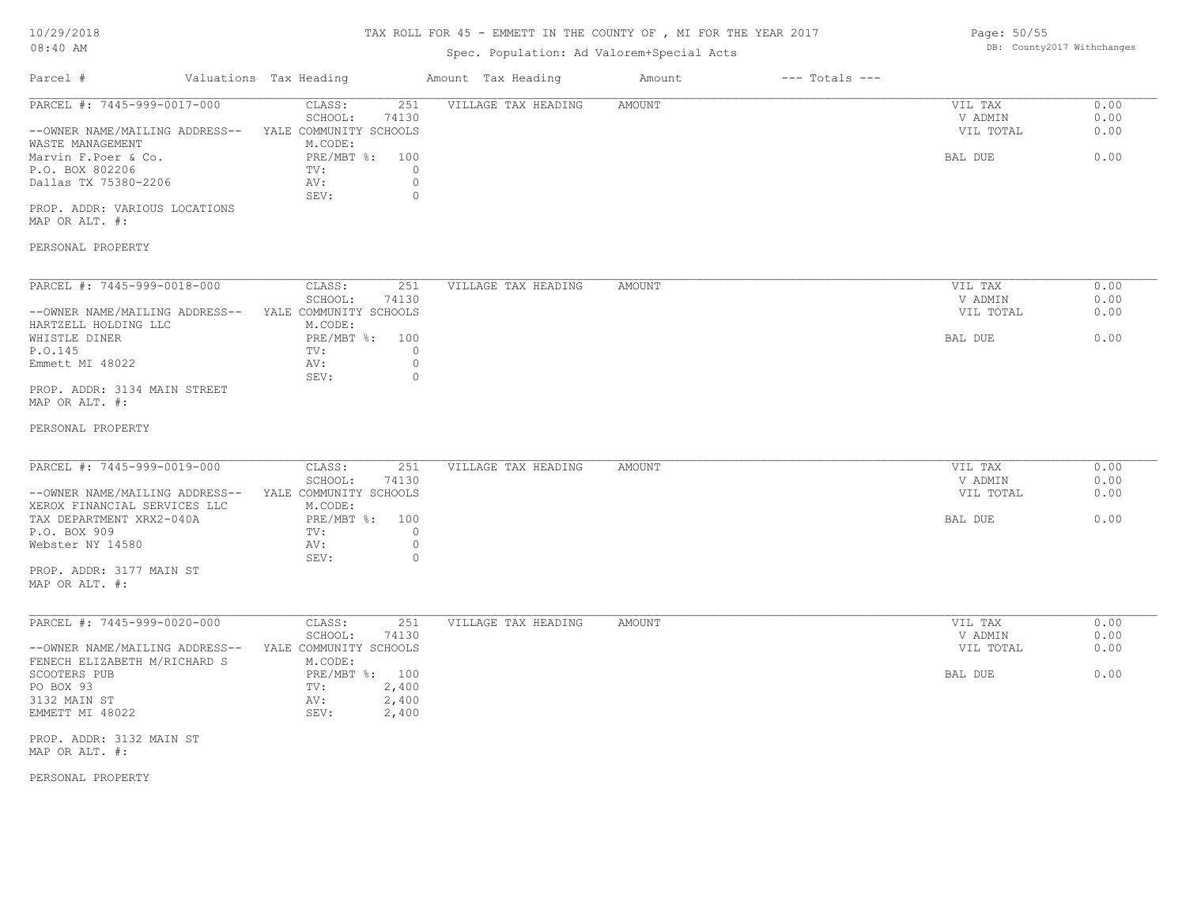### TAX ROLL FOR 45 - EMMETT IN THE COUNTY OF , MI FOR THE YEAR 2017

## Spec. Population: Ad Valorem+Special Acts

| Parcel #                       | Valuations Tax Heading |       | Amount Tax Heading  | Amount | $---$ Totals $---$ |           |      |
|--------------------------------|------------------------|-------|---------------------|--------|--------------------|-----------|------|
| PARCEL #: 7445-999-0017-000    | CLASS:                 | 251   | VILLAGE TAX HEADING | AMOUNT |                    | VIL TAX   | 0.00 |
|                                | SCHOOL:                | 74130 |                     |        |                    | V ADMIN   | 0.00 |
| --OWNER NAME/MAILING ADDRESS-- | YALE COMMUNITY SCHOOLS |       |                     |        |                    | VIL TOTAL | 0.00 |
| WASTE MANAGEMENT               | M.CODE:                |       |                     |        |                    |           |      |
| Marvin F.Poer & Co.            | PRE/MBT %: 100         |       |                     |        |                    | BAL DUE   | 0.00 |
| P.O. BOX 802206                | TV:                    |       |                     |        |                    |           |      |
| Dallas TX 75380-2206           | AV:                    |       |                     |        |                    |           |      |
|                                | SEV:                   |       |                     |        |                    |           |      |

MAP OR ALT. #: PROP. ADDR: VARIOUS LOCATIONS

### PERSONAL PROPERTY

| PARCEL #: 7445-999-0018-000    | CLASS:                 | 251   | VILLAGE TAX HEADING | AMOUNT | 0.00<br>VIL TAX   |
|--------------------------------|------------------------|-------|---------------------|--------|-------------------|
|                                | SCHOOL:                | 74130 |                     |        | 0.00<br>V ADMIN   |
| --OWNER NAME/MAILING ADDRESS-- | YALE COMMUNITY SCHOOLS |       |                     |        | 0.00<br>VIL TOTAL |
| HARTZELL HOLDING LLC           | M.CODE:                |       |                     |        |                   |
| WHISTLE DINER                  | PRE/MBT %:             | 100   |                     |        | 0.00<br>BAL DUE   |
| P.O.145                        | TV:                    |       |                     |        |                   |
| Emmett MI 48022                | AV:                    |       |                     |        |                   |
|                                | SEV:                   |       |                     |        |                   |
| PROP. ADDR: 3134 MAIN STREET   |                        |       |                     |        |                   |

MAP OR ALT. #:

#### PERSONAL PROPERTY

| PARCEL #: 7445-999-0019-000    | CLASS:                 | 251   | VILLAGE TAX HEADING | AMOUNT | VIL TAX   | 0.00 |
|--------------------------------|------------------------|-------|---------------------|--------|-----------|------|
|                                | SCHOOL:                | 74130 |                     |        | V ADMIN   | 0.00 |
| --OWNER NAME/MAILING ADDRESS-- | YALE COMMUNITY SCHOOLS |       |                     |        | VIL TOTAL | 0.00 |
| XEROX FINANCIAL SERVICES LLC   | M.CODE:                |       |                     |        |           |      |
| TAX DEPARTMENT XRX2-040A       | PRE/MBT %: 100         |       |                     |        | BAL DUE   | 0.00 |
| P.O. BOX 909                   | TV:                    |       |                     |        |           |      |
| Webster NY 14580               | AV:                    |       |                     |        |           |      |
|                                | SEV:                   |       |                     |        |           |      |
| PROP. ADDR: 3177 MAIN ST       |                        |       |                     |        |           |      |

MAP OR ALT. #:

| PARCEL #: 7445-999-0020-000    | CLASS:                 | 251   | VILLAGE TAX HEADING | AMOUNT | VIL TAX   | 0.00 |
|--------------------------------|------------------------|-------|---------------------|--------|-----------|------|
|                                | SCHOOL:                | 74130 |                     |        | V ADMIN   | 0.00 |
| --OWNER NAME/MAILING ADDRESS-- | YALE COMMUNITY SCHOOLS |       |                     |        | VIL TOTAL | 0.00 |
| FENECH ELIZABETH M/RICHARD S   | M.CODE:                |       |                     |        |           |      |
| SCOOTERS PUB                   | PRE/MBT %: 100         |       |                     |        | BAL DUE   | 0.00 |
| PO BOX 93                      | TV:                    | 2,400 |                     |        |           |      |
| 3132 MAIN ST                   | AV:                    | 2,400 |                     |        |           |      |
| EMMETT MI 48022                | SEV:                   | 2,400 |                     |        |           |      |
|                                |                        |       |                     |        |           |      |

MAP OR ALT. #: PROP. ADDR: 3132 MAIN ST

PERSONAL PROPERTY

Page: 50/55 DB: County2017 Withchanges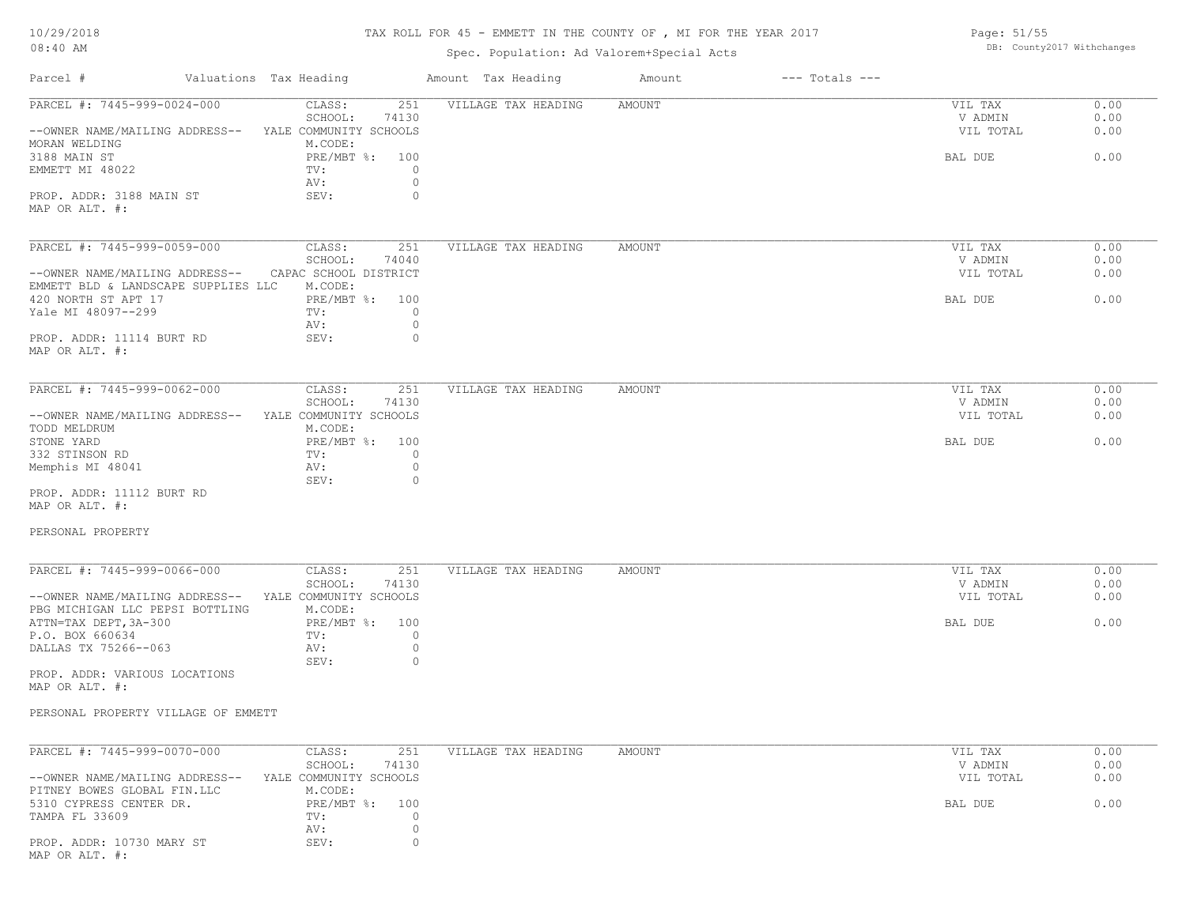## TAX ROLL FOR 45 - EMMETT IN THE COUNTY OF , MI FOR THE YEAR 2017

Page: 51/55

DB: County2017 Withchanges

## Spec. Population: Ad Valorem+Special Acts

| Parcel #                                        | Valuations Tax Heading            | Amount Tax Heading  | Amount<br>$---$ Totals $---$ |                    |              |
|-------------------------------------------------|-----------------------------------|---------------------|------------------------------|--------------------|--------------|
| PARCEL #: 7445-999-0024-000                     | 251<br>CLASS:<br>SCHOOL:<br>74130 | VILLAGE TAX HEADING | <b>AMOUNT</b>                | VIL TAX<br>V ADMIN | 0.00<br>0.00 |
| --OWNER NAME/MAILING ADDRESS--                  | YALE COMMUNITY SCHOOLS<br>M.CODE: |                     |                              | VIL TOTAL          | 0.00         |
| MORAN WELDING<br>3188 MAIN ST                   | PRE/MBT %: 100                    |                     |                              | BAL DUE            | 0.00         |
| EMMETT MI 48022                                 | TV:<br>$\circ$                    |                     |                              |                    |              |
|                                                 | $\circ$<br>AV:                    |                     |                              |                    |              |
| PROP. ADDR: 3188 MAIN ST                        | SEV:<br>$\circ$                   |                     |                              |                    |              |
| MAP OR ALT. #:                                  |                                   |                     |                              |                    |              |
|                                                 |                                   |                     |                              |                    |              |
| PARCEL #: 7445-999-0059-000                     | CLASS:<br>251                     | VILLAGE TAX HEADING | AMOUNT                       | VIL TAX            | 0.00         |
|                                                 | SCHOOL:<br>74040                  |                     |                              | V ADMIN            | 0.00         |
| --OWNER NAME/MAILING ADDRESS--                  | CAPAC SCHOOL DISTRICT             |                     |                              | VIL TOTAL          | 0.00         |
| EMMETT BLD & LANDSCAPE SUPPLIES LLC             | M.CODE:                           |                     |                              |                    |              |
| 420 NORTH ST APT 17                             | PRE/MBT %: 100                    |                     |                              | BAL DUE            | 0.00         |
| Yale MI 48097--299                              | TV:<br>$\Omega$                   |                     |                              |                    |              |
|                                                 | $\circ$<br>AV:<br>$\circ$<br>SEV: |                     |                              |                    |              |
| PROP. ADDR: 11114 BURT RD<br>MAP OR ALT. #:     |                                   |                     |                              |                    |              |
|                                                 |                                   |                     |                              |                    |              |
| PARCEL #: 7445-999-0062-000                     | CLASS:<br>251                     | VILLAGE TAX HEADING | AMOUNT                       | VIL TAX            | 0.00         |
|                                                 | SCHOOL:<br>74130                  |                     |                              | V ADMIN            | 0.00         |
| --OWNER NAME/MAILING ADDRESS--                  | YALE COMMUNITY SCHOOLS            |                     |                              | VIL TOTAL          | 0.00         |
| TODD MELDRUM                                    | M.CODE:                           |                     |                              |                    |              |
| STONE YARD                                      | PRE/MBT %: 100                    |                     |                              | BAL DUE            | 0.00         |
| 332 STINSON RD                                  | $\circ$<br>TV:                    |                     |                              |                    |              |
| Memphis MI 48041                                | AV:<br>$\circ$                    |                     |                              |                    |              |
|                                                 | SEV:<br>$\Omega$                  |                     |                              |                    |              |
| PROP. ADDR: 11112 BURT RD<br>MAP OR ALT. #:     |                                   |                     |                              |                    |              |
| PERSONAL PROPERTY                               |                                   |                     |                              |                    |              |
| PARCEL #: 7445-999-0066-000                     | CLASS:<br>251                     | VILLAGE TAX HEADING | <b>AMOUNT</b>                | VIL TAX            | 0.00         |
|                                                 | SCHOOL:<br>74130                  |                     |                              | V ADMIN            | 0.00         |
| --OWNER NAME/MAILING ADDRESS--                  | YALE COMMUNITY SCHOOLS            |                     |                              | VIL TOTAL          | 0.00         |
| PBG MICHIGAN LLC PEPSI BOTTLING                 | M.CODE:                           |                     |                              |                    |              |
| ATTN=TAX DEPT, 3A-300                           | PRE/MBT %: 100                    |                     |                              | BAL DUE            | 0.00         |
| P.O. BOX 660634                                 | $\Omega$<br>TV:                   |                     |                              |                    |              |
| DALLAS TX 75266--063                            | $\circ$<br>AV:                    |                     |                              |                    |              |
|                                                 | SEV:<br>$\circ$                   |                     |                              |                    |              |
| PROP. ADDR: VARIOUS LOCATIONS<br>MAP OR ALT. #: |                                   |                     |                              |                    |              |
| PERSONAL PROPERTY VILLAGE OF EMMETT             |                                   |                     |                              |                    |              |
|                                                 |                                   |                     |                              |                    |              |
| PARCEL #: 7445-999-0070-000                     | 251<br>CLASS:                     | VILLAGE TAX HEADING | AMOUNT                       | VIL TAX            | 0.00         |
|                                                 | SCHOOL:<br>74130                  |                     |                              | V ADMIN            | 0.00         |
| --OWNER NAME/MAILING ADDRESS--                  | YALE COMMUNITY SCHOOLS            |                     |                              | VIL TOTAL          | 0.00         |
| PITNEY BOWES GLOBAL FIN.LLC                     | M.CODE:                           |                     |                              |                    |              |
| 5310 CYPRESS CENTER DR.                         | PRE/MBT %: 100                    |                     |                              | BAL DUE            | 0.00         |
| TAMPA FL 33609                                  | TV:<br>$\circ$                    |                     |                              |                    |              |
|                                                 | $\circ$<br>AV:                    |                     |                              |                    |              |

MAP OR ALT. #: PROP. ADDR: 10730 MARY ST SEV: 0

AV: 0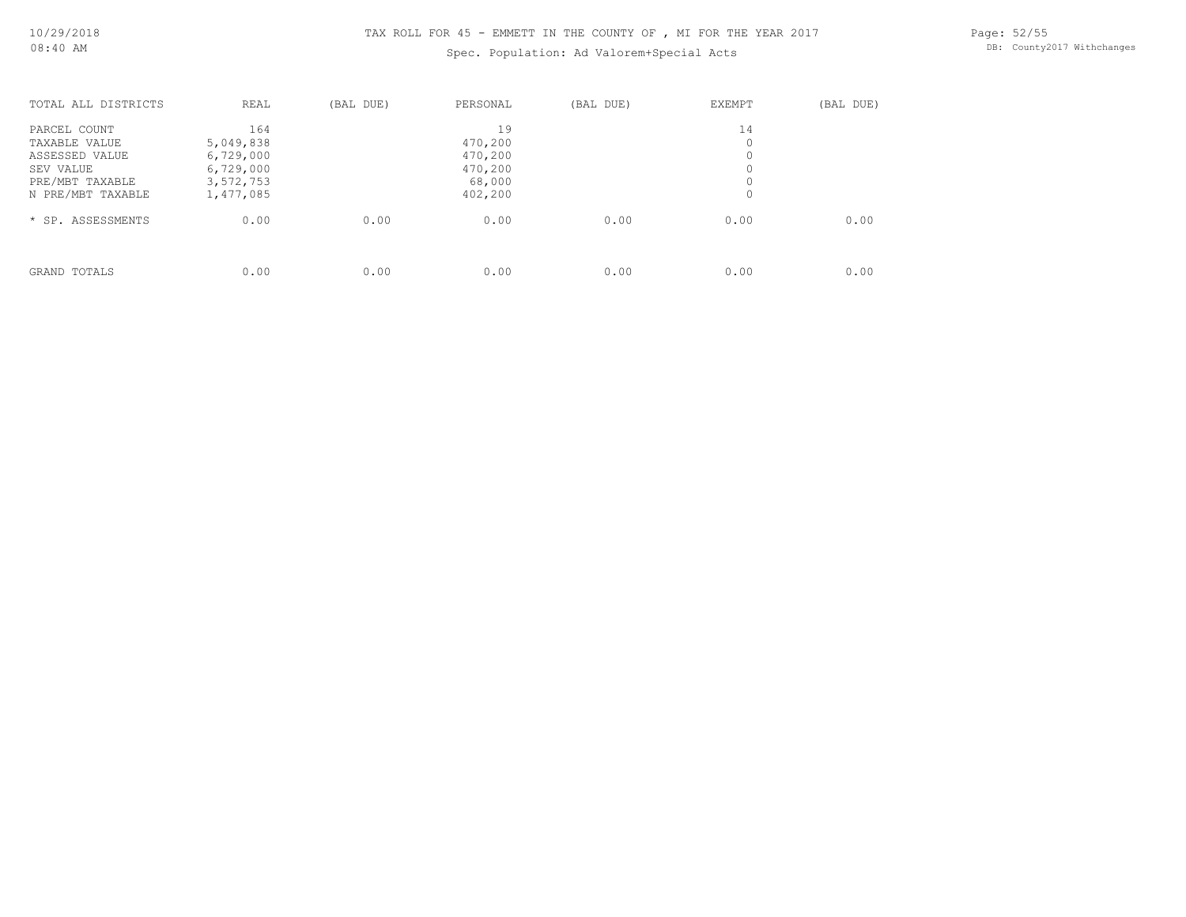## Spec. Population: Ad Valorem+Special Acts

Page: 52/55 DB: County2017 Withchanges

| TOTAL ALL DISTRICTS | REAL      | (BAL DUE) | PERSONAL | (BAL DUE) | <b>EXEMPT</b> | (BAL DUE) |
|---------------------|-----------|-----------|----------|-----------|---------------|-----------|
| PARCEL COUNT        | 164       |           | 19       |           | 14            |           |
| TAXABLE VALUE       | 5,049,838 |           | 470,200  |           | 0             |           |
| ASSESSED VALUE      | 6,729,000 |           | 470,200  |           | 0             |           |
| SEV VALUE           | 6,729,000 |           | 470,200  |           |               |           |
| PRE/MBT TAXABLE     | 3,572,753 |           | 68,000   |           | 0             |           |
| N PRE/MBT TAXABLE   | 1,477,085 |           | 402,200  |           | 0             |           |
| * SP. ASSESSMENTS   | 0.00      | 0.00      | 0.00     | 0.00      | 0.00          | 0.00      |
|                     |           |           |          |           |               |           |
| GRAND TOTALS        | 0.00      | 0.00      | 0.00     | 0.00      | 0.00          | 0.00      |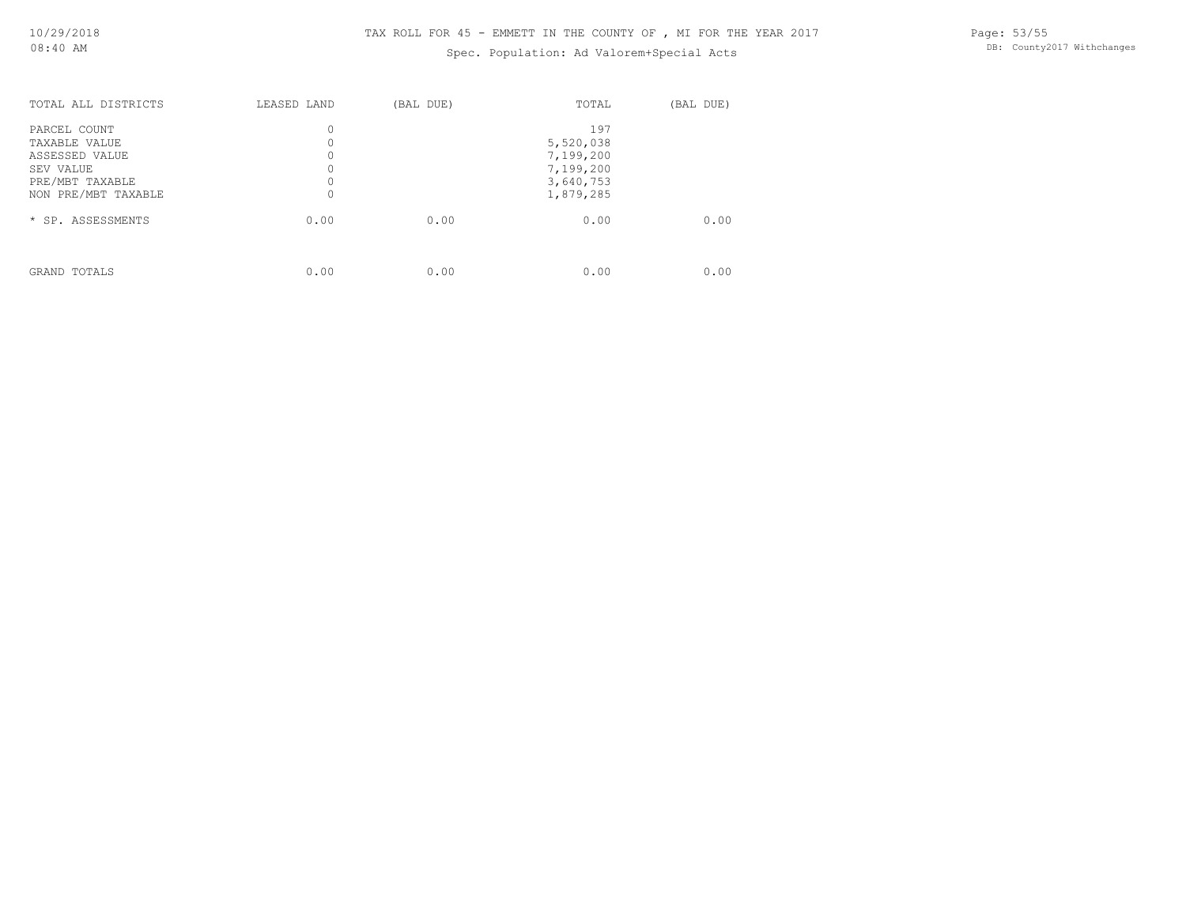## Spec. Population: Ad Valorem+Special Acts

| TOTAL ALL DISTRICTS | LEASED LAND | (BAL DUE) | TOTAL     | (BAL DUE) |
|---------------------|-------------|-----------|-----------|-----------|
| PARCEL COUNT        | 0           |           | 197       |           |
| TAXABLE VALUE       | 0           |           | 5,520,038 |           |
| ASSESSED VALUE      | 0           |           | 7,199,200 |           |
| SEV VALUE           |             |           | 7,199,200 |           |
| PRE/MBT TAXABLE     | 0           |           | 3,640,753 |           |
| NON PRE/MBT TAXABLE | 0           |           | 1,879,285 |           |
| * SP. ASSESSMENTS   | 0.00        | 0.00      | 0.00      | 0.00      |
|                     |             |           |           |           |
| GRAND TOTALS        | 0.00        | 0.00      | 0.00      | 0.00      |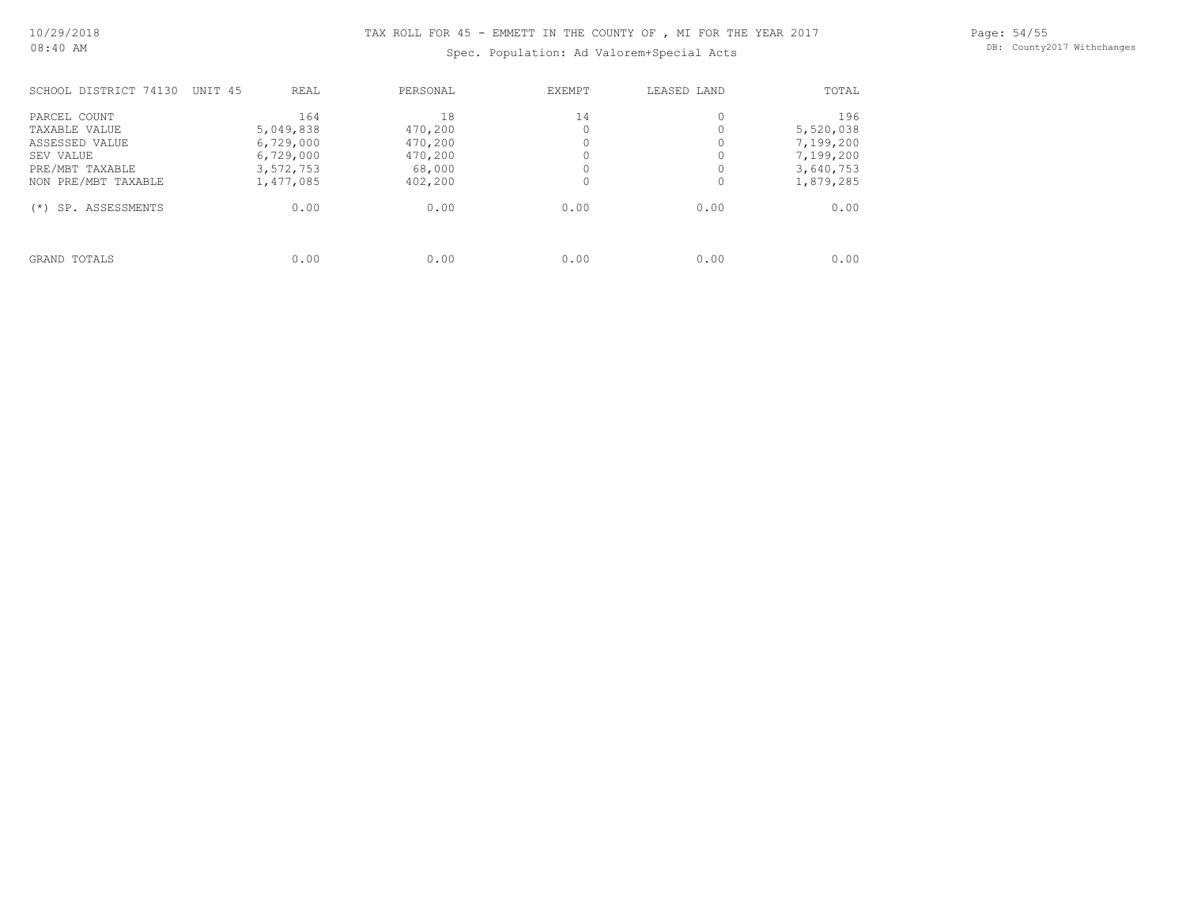Spec. Population: Ad Valorem+Special Acts

Page: 54/55 DB: County2017 Withchanges

| SCHOOL DISTRICT 74130                          | UNIT 45 | REAL                                | PERSONAL                     | EXEMPT | LEASED LAND | TOTAL                               |
|------------------------------------------------|---------|-------------------------------------|------------------------------|--------|-------------|-------------------------------------|
| PARCEL COUNT<br>TAXABLE VALUE                  |         | 164<br>5,049,838                    | 18<br>470,200                | 14     |             | 196<br>5,520,038                    |
| ASSESSED VALUE<br>SEV VALUE<br>PRE/MBT TAXABLE |         | 6,729,000<br>6,729,000<br>3,572,753 | 470,200<br>470,200<br>68,000 |        |             | 7,199,200<br>7,199,200<br>3,640,753 |
| NON PRE/MBT TAXABLE                            |         | 1,477,085                           | 402,200                      |        |             | 1,879,285                           |
| SP. ASSESSMENTS<br>$(* )$                      |         | 0.00                                | 0.00                         | 0.00   | 0.00        | 0.00                                |
| GRAND TOTALS                                   |         | 0.00                                | 0.00                         | 0.00   | 0.00        | 0.00                                |